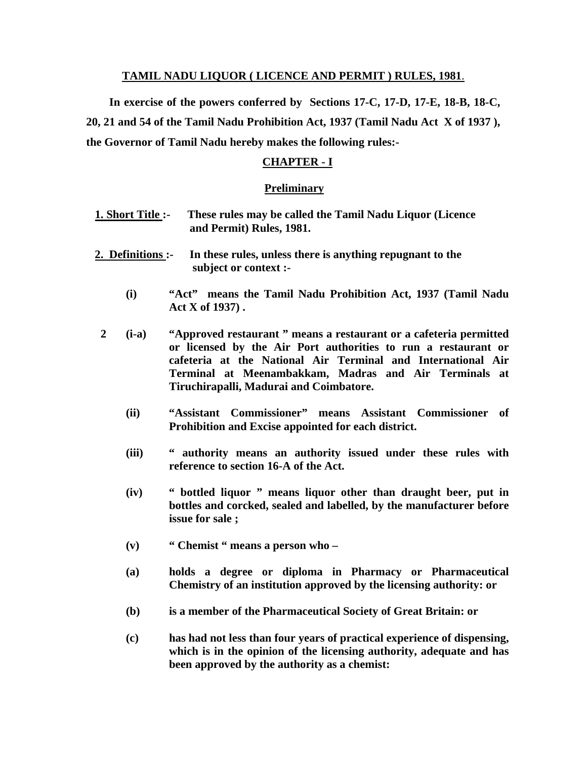## **TAMIL NADU LIQUOR ( LICENCE AND PERMIT ) RULES, 1981**.

 **In exercise of the powers conferred by Sections 17-C, 17-D, 17-E, 18-B, 18-C, 20, 21 and 54 of the Tamil Nadu Prohibition Act, 1937 (Tamil Nadu Act X of 1937 ), the Governor of Tamil Nadu hereby makes the following rules:-** 

# **CHAPTER - I**

## **Preliminary**

| <u>1. Short Title :-</u>                                                                                |            | These rules may be called the Tamil Nadu Liquor (Licence<br>and Permit) Rules, 1981.                                                                                                                                                                                                                        |
|---------------------------------------------------------------------------------------------------------|------------|-------------------------------------------------------------------------------------------------------------------------------------------------------------------------------------------------------------------------------------------------------------------------------------------------------------|
| In these rules, unless there is anything repugnant to the<br>2. Definitions :-<br>subject or context :- |            |                                                                                                                                                                                                                                                                                                             |
|                                                                                                         | (i)        | "Act" means the Tamil Nadu Prohibition Act, 1937 (Tamil Nadu<br>$Act X of 1937)$ .                                                                                                                                                                                                                          |
| $\overline{2}$                                                                                          | $(i-a)$    | "Approved restaurant" means a restaurant or a cafeteria permitted<br>or licensed by the Air Port authorities to run a restaurant or<br>cafeteria at the National Air Terminal and International Air<br>Terminal at Meenambakkam, Madras and Air Terminals at<br>Tiruchirapalli, Madurai and Coimbatore.     |
|                                                                                                         | (ii)       | "Assistant Commissioner" means Assistant Commissioner of<br>Prohibition and Excise appointed for each district.                                                                                                                                                                                             |
|                                                                                                         | (iii)      | " authority means an authority issued under these rules with<br>reference to section 16-A of the Act.                                                                                                                                                                                                       |
|                                                                                                         | (iv)       | " bottled liquor " means liquor other than draught beer, put in<br>bottles and corcked, sealed and labelled, by the manufacturer before<br>issue for sale;                                                                                                                                                  |
|                                                                                                         | (v)        | "Chemist "means a person who -                                                                                                                                                                                                                                                                              |
|                                                                                                         | (a)        | holds a degree or diploma in Pharmacy or Pharmaceutical<br>Chemistry of an institution approved by the licensing authority: or                                                                                                                                                                              |
|                                                                                                         | (b)        | is a member of the Pharmaceutical Society of Great Britain: or                                                                                                                                                                                                                                              |
|                                                                                                         | $\sqrt{2}$ | $\mathbf{1}$ , $\mathbf{1}$ , $\mathbf{1}$ , $\mathbf{1}$ , $\mathbf{1}$ , $\mathbf{1}$ , $\mathbf{1}$ , $\mathbf{1}$ , $\mathbf{1}$ , $\mathbf{1}$ , $\mathbf{1}$ , $\mathbf{1}$ , $\mathbf{1}$ , $\mathbf{1}$ , $\mathbf{1}$ , $\mathbf{1}$ , $\mathbf{1}$ , $\mathbf{1}$ , $\mathbf{1}$ , $\mathbf{1}$ , |

 **(c) has had not less than four years of practical experience of dispensing, which is in the opinion of the licensing authority, adequate and has been approved by the authority as a chemist:**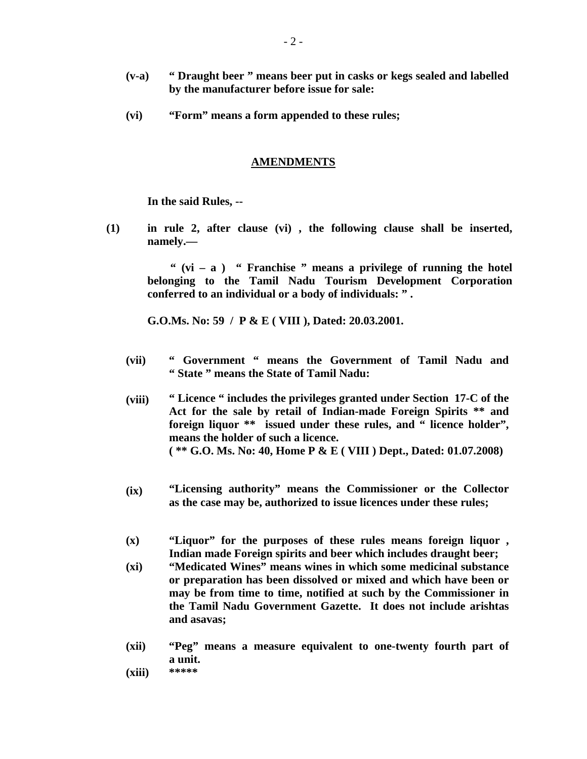- **(v-a) " Draught beer " means beer put in casks or kegs sealed and labelled by the manufacturer before issue for sale:**
- **(vi) "Form" means a form appended to these rules;**

#### **AMENDMENTS**

**In the said Rules, --** 

 **(1) in rule 2, after clause (vi) , the following clause shall be inserted, namely.—** 

 **" (vi – a ) " Franchise " means a privilege of running the hotel belonging to the Tamil Nadu Tourism Development Corporation conferred to an individual or a body of individuals: " .** 

**G.O.Ms. No: 59 / P & E ( VIII ), Dated: 20.03.2001.** 

- **(vii) " Government " means the Government of Tamil Nadu and " State " means the State of Tamil Nadu:**
- **(viii) " Licence " includes the privileges granted under Section 17-C of the Act for the sale by retail of Indian-made Foreign Spirits \*\* and foreign liquor \*\* issued under these rules, and " licence holder", means the holder of such a licence. ( \*\* G.O. Ms. No: 40, Home P & E ( VIII ) Dept., Dated: 01.07.2008)**
- **(ix) "Licensing authority" means the Commissioner or the Collector as the case may be, authorized to issue licences under these rules;**
- **(x) "Liquor" for the purposes of these rules means foreign liquor , Indian made Foreign spirits and beer which includes draught beer;**
- **(xi) "Medicated Wines" means wines in which some medicinal substance or preparation has been dissolved or mixed and which have been or may be from time to time, notified at such by the Commissioner in the Tamil Nadu Government Gazette. It does not include arishtas and asavas;**
- **(xii) "Peg" means a measure equivalent to one-twenty fourth part of a unit.**
- **(xiii) \*\*\*\*\***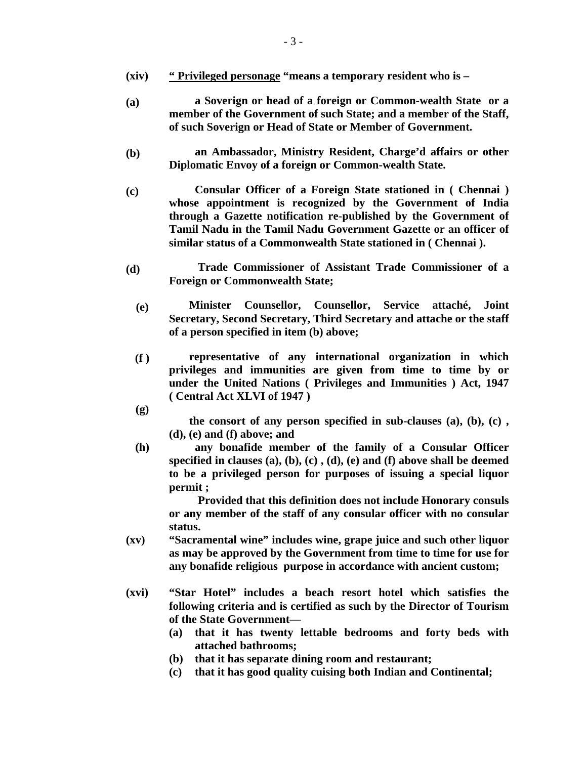- **(xiv) " Privileged personage "means a temporary resident who is**
- **(a) a Soverign or head of a foreign or Common-wealth State or a member of the Government of such State; and a member of the Staff, of such Soverign or Head of State or Member of Government.**
- **(b) an Ambassador, Ministry Resident, Charge'd affairs or other Diplomatic Envoy of a foreign or Common-wealth State.**
- **(c) Consular Officer of a Foreign State stationed in ( Chennai ) whose appointment is recognized by the Government of India through a Gazette notification re-published by the Government of Tamil Nadu in the Tamil Nadu Government Gazette or an officer of similar status of a Commonwealth State stationed in ( Chennai ).**
- **(d) Trade Commissioner of Assistant Trade Commissioner of a Foreign or Commonwealth State;** 
	- **(e) Minister Counsellor, Counsellor, Service attaché, Joint Secretary, Second Secretary, Third Secretary and attache or the staff of a person specified in item (b) above;**
	- **(f ) representative of any international organization in which privileges and immunities are given from time to time by or under the United Nations ( Privileges and Immunities ) Act, 1947 ( Central Act XLVI of 1947 )**
	- **(g)**

 **the consort of any person specified in sub-clauses (a), (b), (c) , (d), (e) and (f) above; and** 

 **(h) any bonafide member of the family of a Consular Officer specified in clauses (a), (b), (c) , (d), (e) and (f) above shall be deemed to be a privileged person for purposes of issuing a special liquor permit ;** 

 **Provided that this definition does not include Honorary consuls or any member of the staff of any consular officer with no consular status.**

- **(xv) "Sacramental wine" includes wine, grape juice and such other liquor as may be approved by the Government from time to time for use for any bonafide religious purpose in accordance with ancient custom;**
- **(xvi) "Star Hotel" includes a beach resort hotel which satisfies the following criteria and is certified as such by the Director of Tourism of the State Government—** 
	- **(a) that it has twenty lettable bedrooms and forty beds with attached bathrooms;**
	- **(b) that it has separate dining room and restaurant;**
	- **(c) that it has good quality cuising both Indian and Continental;**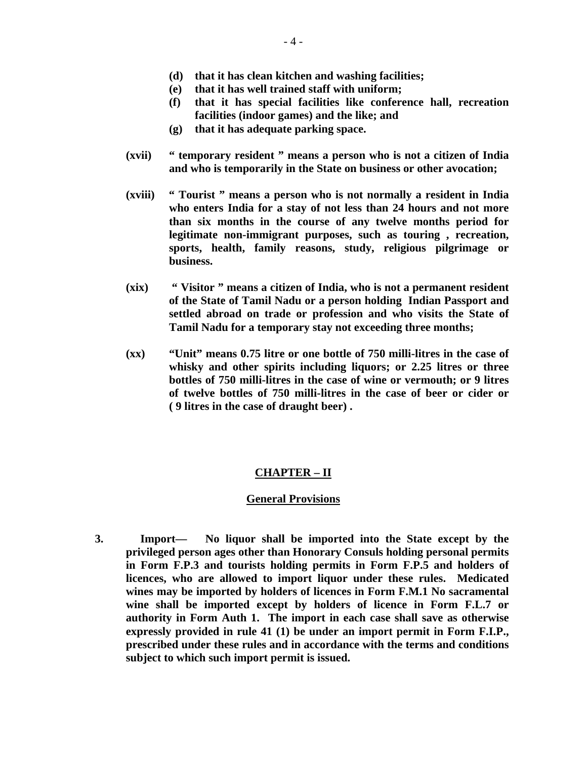- **(d) that it has clean kitchen and washing facilities;**
- **(e) that it has well trained staff with uniform;**
- **(f) that it has special facilities like conference hall, recreation facilities (indoor games) and the like; and**
- **(g) that it has adequate parking space.**
- **(xvii) " temporary resident " means a person who is not a citizen of India and who is temporarily in the State on business or other avocation;**
- **(xviii) " Tourist " means a person who is not normally a resident in India who enters India for a stay of not less than 24 hours and not more than six months in the course of any twelve months period for legitimate non-immigrant purposes, such as touring , recreation, sports, health, family reasons, study, religious pilgrimage or business.**
- **(xix) " Visitor " means a citizen of India, who is not a permanent resident of the State of Tamil Nadu or a person holding Indian Passport and settled abroad on trade or profession and who visits the State of Tamil Nadu for a temporary stay not exceeding three months;**
- **(xx) "Unit" means 0.75 litre or one bottle of 750 milli-litres in the case of whisky and other spirits including liquors; or 2.25 litres or three bottles of 750 milli-litres in the case of wine or vermouth; or 9 litres of twelve bottles of 750 milli-litres in the case of beer or cider or ( 9 litres in the case of draught beer) .**

## **CHAPTER – II**

#### **General Provisions**

**3. Import— No liquor shall be imported into the State except by the privileged person ages other than Honorary Consuls holding personal permits in Form F.P.3 and tourists holding permits in Form F.P.5 and holders of licences, who are allowed to import liquor under these rules. Medicated wines may be imported by holders of licences in Form F.M.1 No sacramental wine shall be imported except by holders of licence in Form F.L.7 or authority in Form Auth 1. The import in each case shall save as otherwise expressly provided in rule 41 (1) be under an import permit in Form F.I.P., prescribed under these rules and in accordance with the terms and conditions subject to which such import permit is issued.**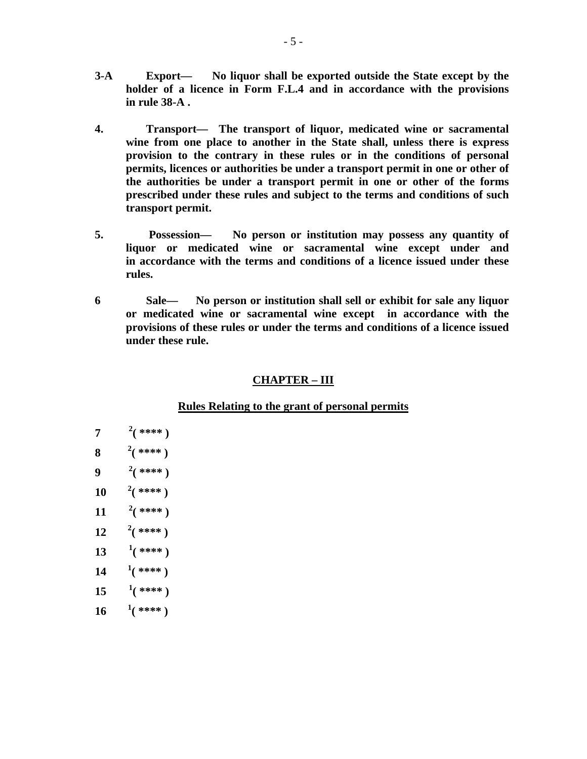- **3-A Export— No liquor shall be exported outside the State except by the holder of a licence in Form F.L.4 and in accordance with the provisions in rule 38-A .**
- **4. Transport— The transport of liquor, medicated wine or sacramental wine from one place to another in the State shall, unless there is express provision to the contrary in these rules or in the conditions of personal permits, licences or authorities be under a transport permit in one or other of the authorities be under a transport permit in one or other of the forms prescribed under these rules and subject to the terms and conditions of such transport permit.**
- **5. Possession— No person or institution may possess any quantity of liquor or medicated wine or sacramental wine except under and in accordance with the terms and conditions of a licence issued under these rules.**
- **6 Sale— No person or institution shall sell or exhibit for sale any liquor or medicated wine or sacramental wine except in accordance with the provisions of these rules or under the terms and conditions of a licence issued under these rule.**

## **CHAPTER – III**

## **Rules Relating to the grant of personal permits**

- **7 <sup>2</sup>**  $^{2}$ (\*\*\*\*)
- **8**  $2(****)$
- **9 <sup>2</sup>**  $^{2}$ (\*\*\*\*)
- **10**  $\frac{2}{3}$  **\*\*\*\*** )
- **11**  $^{2}$ (\*\*\*\*)
- 12  $\frac{2}{3}$  \*\*\*\* )
- **13 <sup>1</sup>**  $^{1}($  \*\*\*\* )
- 14  $\frac{1}{(***)}$
- **15 <sup>1</sup>**  $^{1}($  \*\*\*\* )
- $16 \frac{1}{(}***)$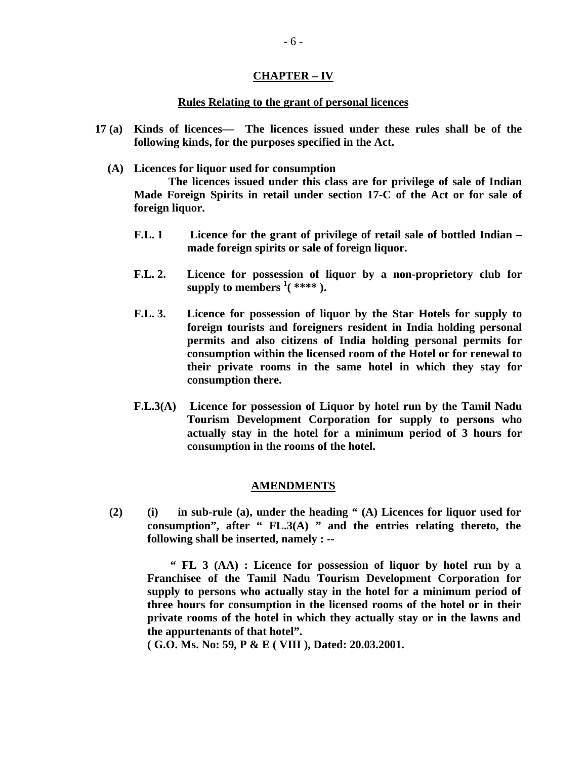## **CHAPTER – IV**

## **Rules Relating to the grant of personal licences**

- **17 (a) Kinds of licences— The licences issued under these rules shall be of the following kinds, for the purposes specified in the Act.** 
	- **(A) Licences for liquor used for consumption**

 **The licences issued under this class are for privilege of sale of Indian Made Foreign Spirits in retail under section 17-C of the Act or for sale of foreign liquor.** 

- **F.L. 1 Licence for the grant of privilege of retail sale of bottled Indian made foreign spirits or sale of foreign liquor.**
- **F.L. 2. Licence for possession of liquor by a non-proprietory club for**  supply to members  $\frac{1}{1}$  (\*\*\*\*).
- **F.L. 3. Licence for possession of liquor by the Star Hotels for supply to foreign tourists and foreigners resident in India holding personal permits and also citizens of India holding personal permits for consumption within the licensed room of the Hotel or for renewal to their private rooms in the same hotel in which they stay for consumption there.**
- **F.L.3(A) Licence for possession of Liquor by hotel run by the Tamil Nadu Tourism Development Corporation for supply to persons who actually stay in the hotel for a minimum period of 3 hours for consumption in the rooms of the hotel.**

## **AMENDMENTS**

**(2) (i) in sub-rule (a), under the heading " (A) Licences for liquor used for consumption", after " FL.3(A) " and the entries relating thereto, the following shall be inserted, namely : --** 

 **" FL 3 (AA) : Licence for possession of liquor by hotel run by a Franchisee of the Tamil Nadu Tourism Development Corporation for supply to persons who actually stay in the hotel for a minimum period of three hours for consumption in the licensed rooms of the hotel or in their private rooms of the hotel in which they actually stay or in the lawns and the appurtenants of that hotel".** 

 **( G.O. Ms. No: 59, P & E ( VIII ), Dated: 20.03.2001.**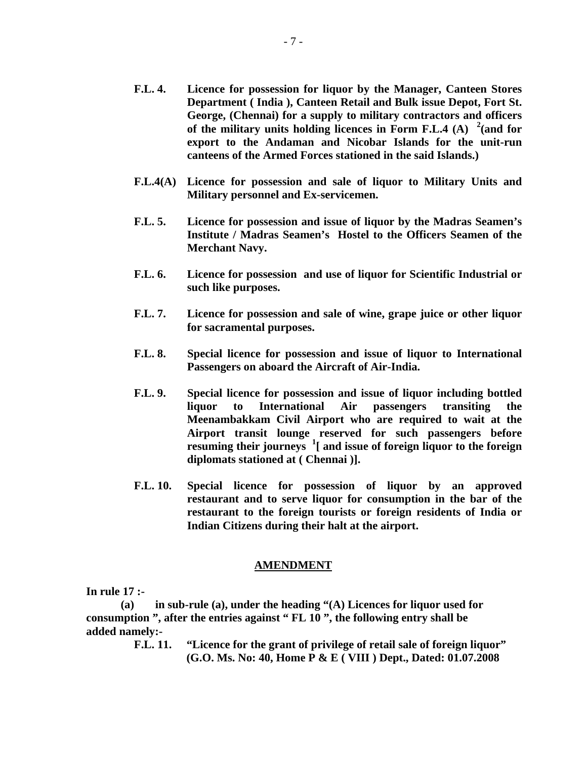- **F.L. 4. Licence for possession for liquor by the Manager, Canteen Stores Department ( India ), Canteen Retail and Bulk issue Depot, Fort St. George, (Chennai) for a supply to military contractors and officers**  of the military units holding licences in Form F.L.4 (A)  $^2$  (and for **export to the Andaman and Nicobar Islands for the unit-run canteens of the Armed Forces stationed in the said Islands.)**
- **F.L.4(A) Licence for possession and sale of liquor to Military Units and Military personnel and Ex-servicemen.**
- **F.L. 5. Licence for possession and issue of liquor by the Madras Seamen's Institute / Madras Seamen's Hostel to the Officers Seamen of the Merchant Navy.**
- **F.L. 6. Licence for possession and use of liquor for Scientific Industrial or such like purposes.**
- **F.L. 7. Licence for possession and sale of wine, grape juice or other liquor for sacramental purposes.**
- **F.L. 8. Special licence for possession and issue of liquor to International Passengers on aboard the Aircraft of Air-India.**
- **F.L. 9. Special licence for possession and issue of liquor including bottled liquor to International Air passengers transiting the Meenambakkam Civil Airport who are required to wait at the Airport transit lounge reserved for such passengers before resuming their journeys <sup>1</sup> [ and issue of foreign liquor to the foreign diplomats stationed at ( Chennai )].**
- **F.L. 10. Special licence for possession of liquor by an approved restaurant and to serve liquor for consumption in the bar of the restaurant to the foreign tourists or foreign residents of India or Indian Citizens during their halt at the airport.**

#### **AMENDMENT**

**In rule 17 :-** 

 **(a) in sub-rule (a), under the heading "(A) Licences for liquor used for consumption ", after the entries against " FL 10 ", the following entry shall be added namely:-** 

> **F.L. 11. "Licence for the grant of privilege of retail sale of foreign liquor" (G.O. Ms. No: 40, Home P & E ( VIII ) Dept., Dated: 01.07.2008**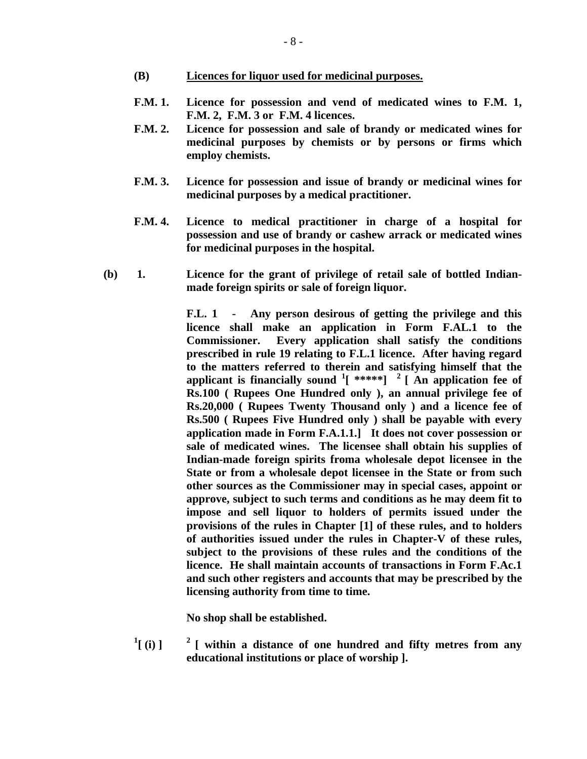- **(B) Licences for liquor used for medicinal purposes.**
- **F.M. 1. Licence for possession and vend of medicated wines to F.M. 1, F.M. 2, F.M. 3 or F.M. 4 licences.**
- **F.M. 2. Licence for possession and sale of brandy or medicated wines for medicinal purposes by chemists or by persons or firms which employ chemists.**
- **F.M. 3. Licence for possession and issue of brandy or medicinal wines for medicinal purposes by a medical practitioner.**
- **F.M. 4. Licence to medical practitioner in charge of a hospital for possession and use of brandy or cashew arrack or medicated wines for medicinal purposes in the hospital.**
- **(b) 1. Licence for the grant of privilege of retail sale of bottled Indianmade foreign spirits or sale of foreign liquor.**

 **F.L. 1 - Any person desirous of getting the privilege and this licence shall make an application in Form F.AL.1 to the Commissioner. Every application shall satisfy the conditions prescribed in rule 19 relating to F.L.1 licence. After having regard to the matters referred to therein and satisfying himself that the applicant is financially sound <sup>1</sup> [ \*\*\*\*\*] 2 [ An application fee of Rs.100 ( Rupees One Hundred only ), an annual privilege fee of Rs.20,000 ( Rupees Twenty Thousand only ) and a licence fee of Rs.500 ( Rupees Five Hundred only ) shall be payable with every application made in Form F.A.1.1.] It does not cover possession or sale of medicated wines. The licensee shall obtain his supplies of Indian-made foreign spirits froma wholesale depot licensee in the State or from a wholesale depot licensee in the State or from such other sources as the Commissioner may in special cases, appoint or approve, subject to such terms and conditions as he may deem fit to impose and sell liquor to holders of permits issued under the provisions of the rules in Chapter [1] of these rules, and to holders of authorities issued under the rules in Chapter-V of these rules, subject to the provisions of these rules and the conditions of the licence. He shall maintain accounts of transactions in Form F.Ac.1 and such other registers and accounts that may be prescribed by the licensing authority from time to time.** 

**No shop shall be established.** 

 $\binom{1}{1}$ **2 [ within a distance of one hundred and fifty metres from any educational institutions or place of worship ].**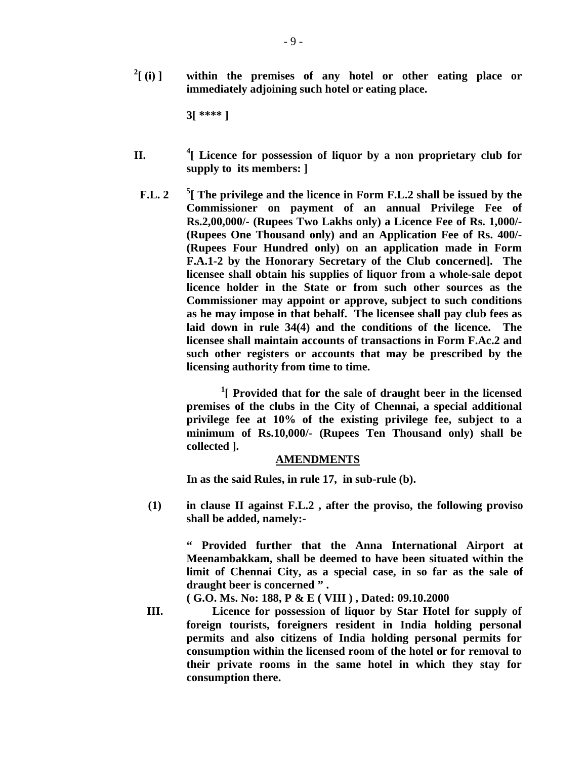$^{2}$ [ (i) ] within the premises of any hotel or other eating place or **immediately adjoining such hotel or eating place.** 

**3[ \*\*\*\* ]** 

- **II. 4 [ Licence for possession of liquor by a non proprietary club for supply to its members: ]** 
	- **F.L. 2 5 [ The privilege and the licence in Form F.L.2 shall be issued by the Commissioner on payment of an annual Privilege Fee of Rs.2,00,000/- (Rupees Two Lakhs only) a Licence Fee of Rs. 1,000/- (Rupees One Thousand only) and an Application Fee of Rs. 400/- (Rupees Four Hundred only) on an application made in Form F.A.1-2 by the Honorary Secretary of the Club concerned]. The licensee shall obtain his supplies of liquor from a whole-sale depot licence holder in the State or from such other sources as the Commissioner may appoint or approve, subject to such conditions as he may impose in that behalf. The licensee shall pay club fees as laid down in rule 34(4) and the conditions of the licence. The licensee shall maintain accounts of transactions in Form F.Ac.2 and such other registers or accounts that may be prescribed by the licensing authority from time to time.**

<sup>1</sup> Provided that for the sale of draught beer in the licensed **premises of the clubs in the City of Chennai, a special additional privilege fee at 10% of the existing privilege fee, subject to a minimum of Rs.10,000/- (Rupees Ten Thousand only) shall be collected ].** 

## **AMENDMENTS**

 **In as the said Rules, in rule 17, in sub-rule (b).** 

 **(1) in clause II against F.L.2 , after the proviso, the following proviso shall be added, namely:-** 

> **" Provided further that the Anna International Airport at Meenambakkam, shall be deemed to have been situated within the limit of Chennai City, as a special case, in so far as the sale of draught beer is concerned " .**

 **( G.O. Ms. No: 188, P & E ( VIII ) , Dated: 09.10.2000** 

 **III. Licence for possession of liquor by Star Hotel for supply of foreign tourists, foreigners resident in India holding personal permits and also citizens of India holding personal permits for consumption within the licensed room of the hotel or for removal to their private rooms in the same hotel in which they stay for consumption there.**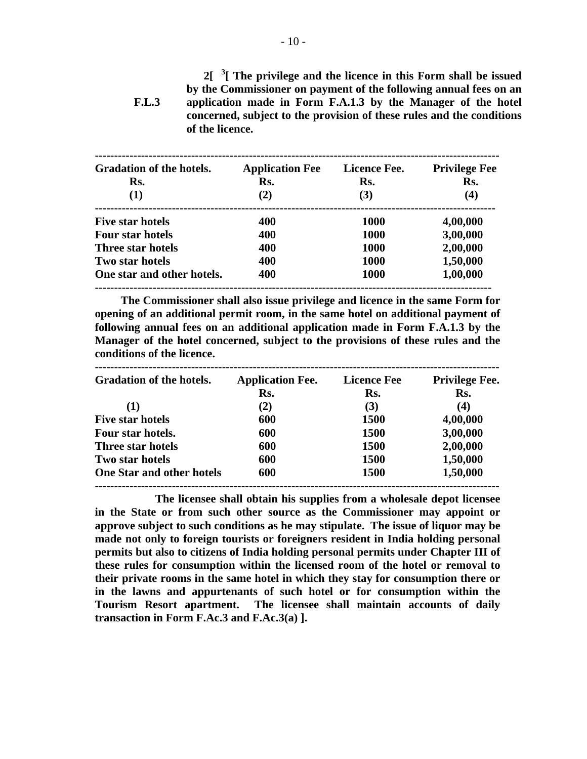**F.L.3 2[ <sup>3</sup> [ The privilege and the licence in this Form shall be issued by the Commissioner on payment of the following annual fees on an application made in Form F.A.1.3 by the Manager of the hotel concerned, subject to the provision of these rules and the conditions of the licence.** 

| <b>Gradation of the hotels.</b> | <b>Application Fee</b><br>Rs. | Licence Fee.<br>Rs. | <b>Privilege Fee</b><br>Rs. |
|---------------------------------|-------------------------------|---------------------|-----------------------------|
| Rs.                             |                               |                     |                             |
| (1)                             | (2)                           | (3)                 | (4)                         |
| <b>Five star hotels</b>         | 400                           | <b>1000</b>         | 4,00,000                    |
| <b>Four star hotels</b>         | 400                           | <b>1000</b>         | 3,00,000                    |
| Three star hotels               | 400                           | 1000                | 2,00,000                    |
| Two star hotels                 | 400                           | 1000                | 1,50,000                    |
| One star and other hotels.      | 400                           | 1000                | 1,00,000                    |

 **The Commissioner shall also issue privilege and licence in the same Form for opening of an additional permit room, in the same hotel on additional payment of following annual fees on an additional application made in Form F.A.1.3 by the Manager of the hotel concerned, subject to the provisions of these rules and the conditions of the licence.** 

| <b>Gradation of the hotels.</b>  | <b>Application Fee.</b> | <b>Licence Fee</b> | <b>Privilege Fee.</b> |
|----------------------------------|-------------------------|--------------------|-----------------------|
|                                  | Rs.                     | Rs.                | Rs.                   |
| (1)                              | (2)                     | (3)                | (4)                   |
| <b>Five star hotels</b>          | 600                     | <b>1500</b>        | 4,00,000              |
| Four star hotels.                | 600                     | <b>1500</b>        | 3,00,000              |
| Three star hotels                | 600                     | <b>1500</b>        | 2,00,000              |
| Two star hotels                  | 600                     | <b>1500</b>        | 1,50,000              |
| <b>One Star and other hotels</b> | 600                     | 1500               | 1,50,000              |

 **The licensee shall obtain his supplies from a wholesale depot licensee in the State or from such other source as the Commissioner may appoint or approve subject to such conditions as he may stipulate. The issue of liquor may be made not only to foreign tourists or foreigners resident in India holding personal permits but also to citizens of India holding personal permits under Chapter III of these rules for consumption within the licensed room of the hotel or removal to their private rooms in the same hotel in which they stay for consumption there or in the lawns and appurtenants of such hotel or for consumption within the Tourism Resort apartment. The licensee shall maintain accounts of daily transaction in Form F.Ac.3 and F.Ac.3(a) ].**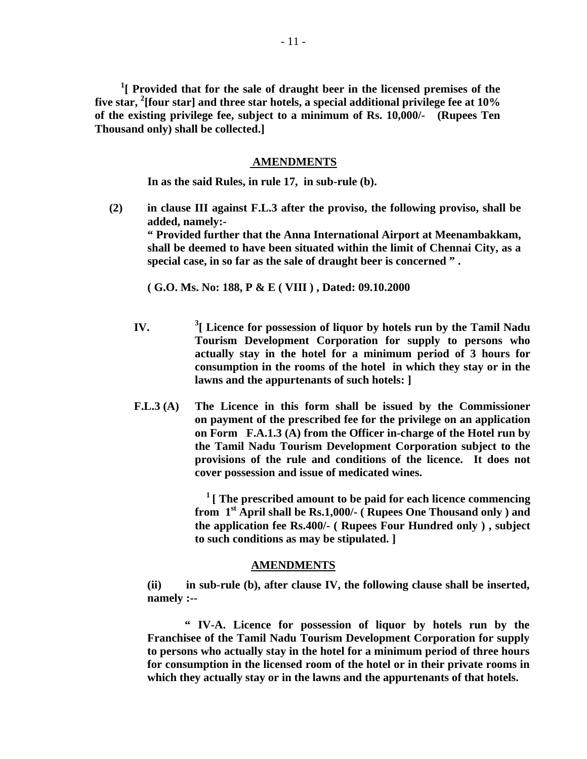<sup>1</sup>[ Provided that for the sale of draught beer in the licensed premises of the **five star, <sup>2</sup> [four star] and three star hotels, a special additional privilege fee at 10% of the existing privilege fee, subject to a minimum of Rs. 10,000/- (Rupees Ten Thousand only) shall be collected.]** 

#### **AMENDMENTS**

**In as the said Rules, in rule 17, in sub-rule (b).** 

**(2) in clause III against F.L.3 after the proviso, the following proviso, shall be added, namely:- " Provided further that the Anna International Airport at Meenambakkam, shall be deemed to have been situated within the limit of Chennai City, as a special case, in so far as the sale of draught beer is concerned " .** 

 **( G.O. Ms. No: 188, P & E ( VIII ) , Dated: 09.10.2000** 

- **IV.** <sup>3</sup>[ Licence for possession of liquor by hotels run by the Tamil Nadu **Tourism Development Corporation for supply to persons who actually stay in the hotel for a minimum period of 3 hours for consumption in the rooms of the hotel in which they stay or in the lawns and the appurtenants of such hotels: ]**
- **F.L.3 (A) The Licence in this form shall be issued by the Commissioner on payment of the prescribed fee for the privilege on an application on Form F.A.1.3 (A) from the Officer in-charge of the Hotel run by the Tamil Nadu Tourism Development Corporation subject to the provisions of the rule and conditions of the licence. It does not cover possession and issue of medicated wines.**

 **1 [ The prescribed amount to be paid for each licence commencing from 1st April shall be Rs.1,000/- ( Rupees One Thousand only ) and the application fee Rs.400/- ( Rupees Four Hundred only ) , subject to such conditions as may be stipulated. ]** 

### **AMENDMENTS**

 **(ii) in sub-rule (b), after clause IV, the following clause shall be inserted, namely :--** 

 **" IV-A. Licence for possession of liquor by hotels run by the Franchisee of the Tamil Nadu Tourism Development Corporation for supply to persons who actually stay in the hotel for a minimum period of three hours for consumption in the licensed room of the hotel or in their private rooms in which they actually stay or in the lawns and the appurtenants of that hotels.**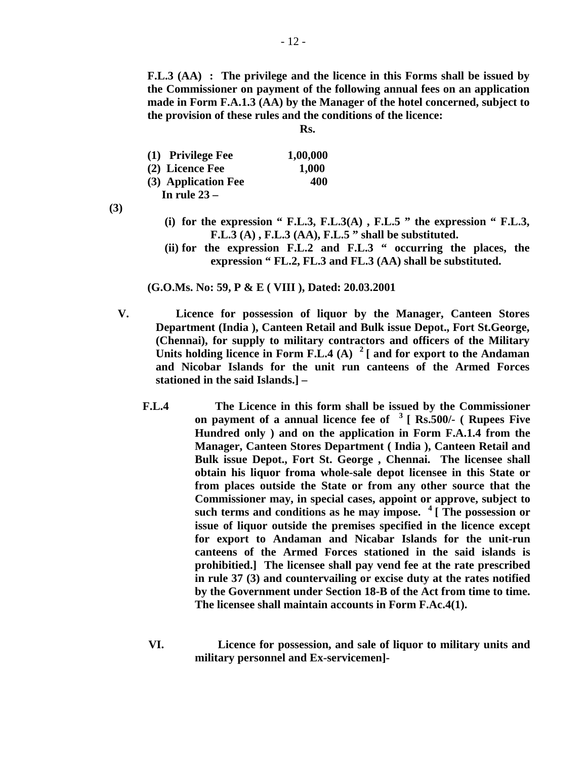**F.L.3 (AA) : The privilege and the licence in this Forms shall be issued by the Commissioner on payment of the following annual fees on an application made in Form F.A.1.3 (AA) by the Manager of the hotel concerned, subject to the provision of these rules and the conditions of the licence:** 

 **Rs.** 

| (1) Privilege Fee   | 1,00,000 |
|---------------------|----------|
| (2) Licence Fee     | 1,000    |
| (3) Application Fee | 400      |
| In rule $23-$       |          |

**(3)** 

- (i) for the expression "  $F.L.3$ ,  $F.L.3(A)$ ,  $F.L.5$  " the expression "  $F.L.3$ , **F.L.3 (A) , F.L.3 (AA), F.L.5 " shall be substituted.**
- **(ii) for the expression F.L.2 and F.L.3 " occurring the places, the expression " FL.2, FL.3 and FL.3 (AA) shall be substituted.**

 **(G.O.Ms. No: 59, P & E ( VIII ), Dated: 20.03.2001** 

- **V. Licence for possession of liquor by the Manager, Canteen Stores Department (India ), Canteen Retail and Bulk issue Depot., Fort St.George, (Chennai), for supply to military contractors and officers of the Military Units holding licence in Form F.L.4 (A) 2 [ and for export to the Andaman and Nicobar Islands for the unit run canteens of the Armed Forces stationed in the said Islands.] –**
	- **F.L.4 The Licence in this form shall be issued by the Commissioner on payment of a annual licence fee of 3 [ Rs.500/- ( Rupees Five Hundred only ) and on the application in Form F.A.1.4 from the Manager, Canteen Stores Department ( India ), Canteen Retail and Bulk issue Depot., Fort St. George , Chennai. The licensee shall obtain his liquor froma whole-sale depot licensee in this State or from places outside the State or from any other source that the Commissioner may, in special cases, appoint or approve, subject to such terms and conditions as he may impose. 4 [ The possession or issue of liquor outside the premises specified in the licence except for export to Andaman and Nicabar Islands for the unit-run canteens of the Armed Forces stationed in the said islands is prohibitied.] The licensee shall pay vend fee at the rate prescribed in rule 37 (3) and countervailing or excise duty at the rates notified by the Government under Section 18-B of the Act from time to time. The licensee shall maintain accounts in Form F.Ac.4(1).** 
		- **VI. Licence for possession, and sale of liquor to military units and military personnel and Ex-servicemen]-**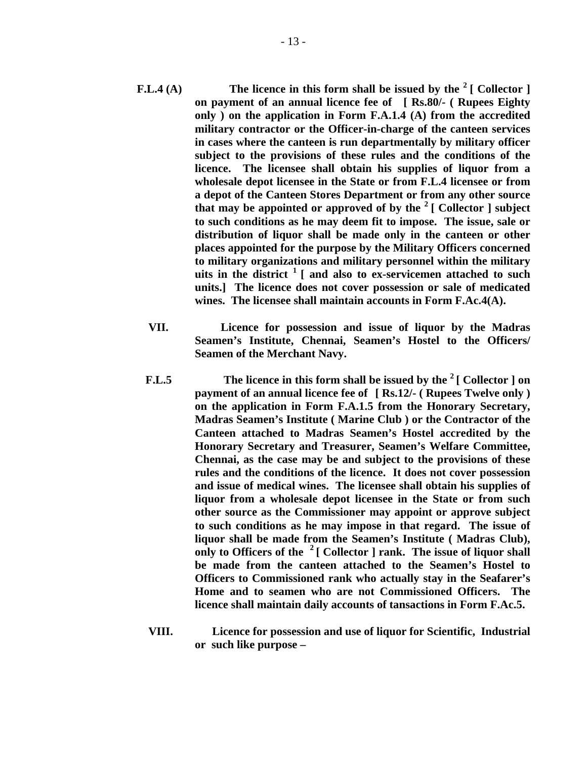- **F.L.4 (A)** The licence in this form shall be issued by the <sup>2</sup> [ Collector ] **on payment of an annual licence fee of [ Rs.80/- ( Rupees Eighty only ) on the application in Form F.A.1.4 (A) from the accredited military contractor or the Officer-in-charge of the canteen services in cases where the canteen is run departmentally by military officer subject to the provisions of these rules and the conditions of the licence. The licensee shall obtain his supplies of liquor from a wholesale depot licensee in the State or from F.L.4 licensee or from a depot of the Canteen Stores Department or from any other source**  that may be appointed or approved of by the  $2 \mid$  Collector  $\mid$  subject **to such conditions as he may deem fit to impose. The issue, sale or distribution of liquor shall be made only in the canteen or other places appointed for the purpose by the Military Officers concerned to military organizations and military personnel within the military uits in the district 1 [ and also to ex-servicemen attached to such units.] The licence does not cover possession or sale of medicated wines. The licensee shall maintain accounts in Form F.Ac.4(A).** 
	- **VII. Licence for possession and issue of liquor by the Madras Seamen's Institute, Chennai, Seamen's Hostel to the Officers/ Seamen of the Merchant Navy.**
	- **F.L.5 The licence in this form shall be issued by the 2 [ Collector ] on payment of an annual licence fee of [ Rs.12/- ( Rupees Twelve only ) on the application in Form F.A.1.5 from the Honorary Secretary, Madras Seamen's Institute ( Marine Club ) or the Contractor of the Canteen attached to Madras Seamen's Hostel accredited by the Honorary Secretary and Treasurer, Seamen's Welfare Committee, Chennai, as the case may be and subject to the provisions of these rules and the conditions of the licence. It does not cover possession and issue of medical wines. The licensee shall obtain his supplies of liquor from a wholesale depot licensee in the State or from such other source as the Commissioner may appoint or approve subject to such conditions as he may impose in that regard. The issue of liquor shall be made from the Seamen's Institute ( Madras Club), only to Officers of the 2 [ Collector ] rank. The issue of liquor shall be made from the canteen attached to the Seamen's Hostel to Officers to Commissioned rank who actually stay in the Seafarer's Home and to seamen who are not Commissioned Officers. The licence shall maintain daily accounts of tansactions in Form F.Ac.5.**
	- **VIII. Licence for possession and use of liquor for Scientific, Industrial or such like purpose –**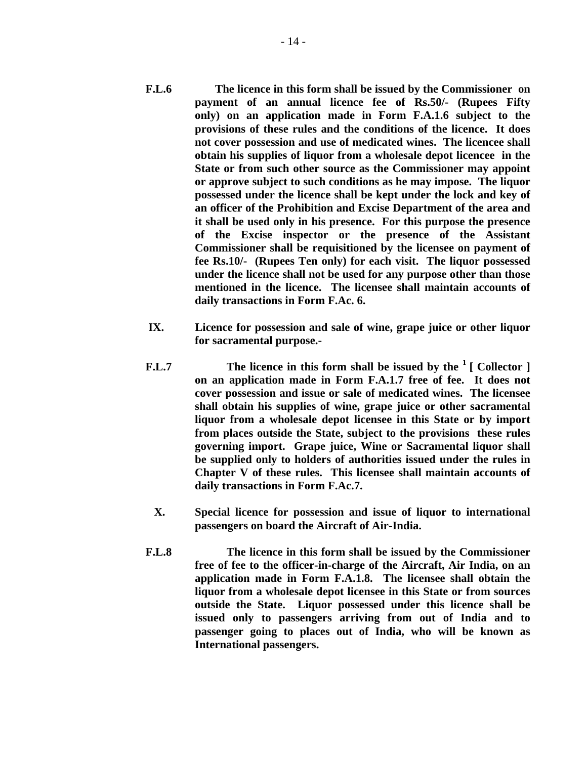- **F.L.6 The licence in this form shall be issued by the Commissioner on payment of an annual licence fee of Rs.50/- (Rupees Fifty only) on an application made in Form F.A.1.6 subject to the provisions of these rules and the conditions of the licence. It does not cover possession and use of medicated wines. The licencee shall obtain his supplies of liquor from a wholesale depot licencee in the State or from such other source as the Commissioner may appoint or approve subject to such conditions as he may impose. The liquor possessed under the licence shall be kept under the lock and key of an officer of the Prohibition and Excise Department of the area and it shall be used only in his presence. For this purpose the presence of the Excise inspector or the presence of the Assistant Commissioner shall be requisitioned by the licensee on payment of fee Rs.10/- (Rupees Ten only) for each visit. The liquor possessed under the licence shall not be used for any purpose other than those mentioned in the licence. The licensee shall maintain accounts of daily transactions in Form F.Ac. 6.**
- **IX. Licence for possession and sale of wine, grape juice or other liquor for sacramental purpose.-**
- **F.L.7** The licence in this form shall be issued by the <sup>1</sup> [ Collector ] **on an application made in Form F.A.1.7 free of fee. It does not cover possession and issue or sale of medicated wines. The licensee shall obtain his supplies of wine, grape juice or other sacramental liquor from a wholesale depot licensee in this State or by import from places outside the State, subject to the provisions these rules governing import. Grape juice, Wine or Sacramental liquor shall be supplied only to holders of authorities issued under the rules in Chapter V of these rules. This licensee shall maintain accounts of daily transactions in Form F.Ac.7.** 
	- **X. Special licence for possession and issue of liquor to international passengers on board the Aircraft of Air-India.**
- **F.L.8 The licence in this form shall be issued by the Commissioner free of fee to the officer-in-charge of the Aircraft, Air India, on an application made in Form F.A.1.8. The licensee shall obtain the liquor from a wholesale depot licensee in this State or from sources outside the State. Liquor possessed under this licence shall be issued only to passengers arriving from out of India and to passenger going to places out of India, who will be known as International passengers.**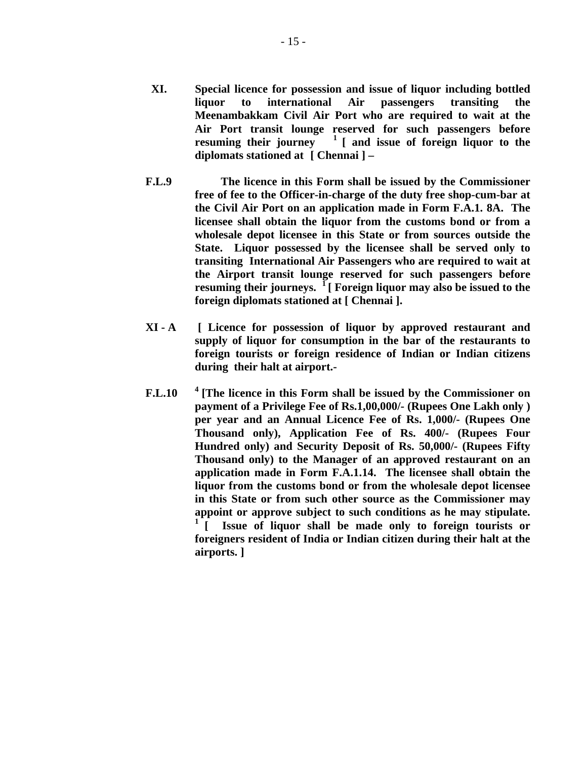- **XI. Special licence for possession and issue of liquor including bottled liquor to international Air passengers transiting the Meenambakkam Civil Air Port who are required to wait at the Air Port transit lounge reserved for such passengers before resuming their journey 1 [ and issue of foreign liquor to the diplomats stationed at [ Chennai ] –**
- **F.L.9 The licence in this Form shall be issued by the Commissioner free of fee to the Officer-in-charge of the duty free shop-cum-bar at the Civil Air Port on an application made in Form F.A.1. 8A. The licensee shall obtain the liquor from the customs bond or from a wholesale depot licensee in this State or from sources outside the State. Liquor possessed by the licensee shall be served only to transiting International Air Passengers who are required to wait at the Airport transit lounge reserved for such passengers before resuming their journeys. 1 [ Foreign liquor may also be issued to the foreign diplomats stationed at [ Chennai ].**
- **XI A [ Licence for possession of liquor by approved restaurant and supply of liquor for consumption in the bar of the restaurants to foreign tourists or foreign residence of Indian or Indian citizens during their halt at airport.-**
- **F.L.10 4 [The licence in this Form shall be issued by the Commissioner on payment of a Privilege Fee of Rs.1,00,000/- (Rupees One Lakh only ) per year and an Annual Licence Fee of Rs. 1,000/- (Rupees One Thousand only), Application Fee of Rs. 400/- (Rupees Four Hundred only) and Security Deposit of Rs. 50,000/- (Rupees Fifty Thousand only) to the Manager of an approved restaurant on an application made in Form F.A.1.14. The licensee shall obtain the liquor from the customs bond or from the wholesale depot licensee in this State or from such other source as the Commissioner may appoint or approve subject to such conditions as he may stipulate. 1 [ Issue of liquor shall be made only to foreign tourists or foreigners resident of India or Indian citizen during their halt at the airports. ]**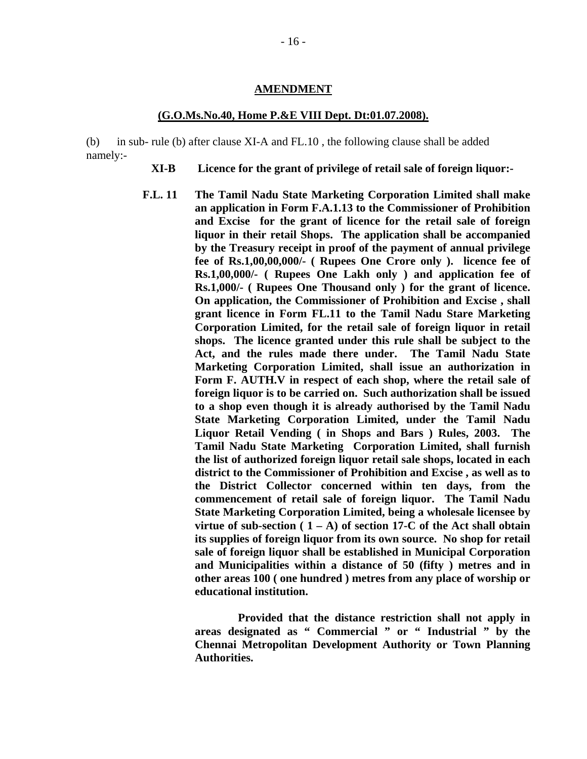#### **AMENDMENT**

### **(G.O.Ms.No.40, Home P.&E VIII Dept. Dt:01.07.2008).**

(b) in sub- rule (b) after clause XI-A and FL.10 , the following clause shall be added namely:-

- **XI-B Licence for the grant of privilege of retail sale of foreign liquor:-**
- **F.L. 11 The Tamil Nadu State Marketing Corporation Limited shall make an application in Form F.A.1.13 to the Commissioner of Prohibition and Excise for the grant of licence for the retail sale of foreign liquor in their retail Shops. The application shall be accompanied by the Treasury receipt in proof of the payment of annual privilege fee of Rs.1,00,00,000/- ( Rupees One Crore only ). licence fee of Rs.1,00,000/- ( Rupees One Lakh only ) and application fee of Rs.1,000/- ( Rupees One Thousand only ) for the grant of licence. On application, the Commissioner of Prohibition and Excise , shall grant licence in Form FL.11 to the Tamil Nadu Stare Marketing Corporation Limited, for the retail sale of foreign liquor in retail shops. The licence granted under this rule shall be subject to the Act, and the rules made there under. The Tamil Nadu State Marketing Corporation Limited, shall issue an authorization in Form F. AUTH.V in respect of each shop, where the retail sale of foreign liquor is to be carried on. Such authorization shall be issued to a shop even though it is already authorised by the Tamil Nadu State Marketing Corporation Limited, under the Tamil Nadu Liquor Retail Vending ( in Shops and Bars ) Rules, 2003. The Tamil Nadu State Marketing Corporation Limited, shall furnish the list of authorized foreign liquor retail sale shops, located in each district to the Commissioner of Prohibition and Excise , as well as to the District Collector concerned within ten days, from the commencement of retail sale of foreign liquor. The Tamil Nadu State Marketing Corporation Limited, being a wholesale licensee by virtue of sub-section (**  $1 - A$ **) of section 17-C of the Act shall obtain its supplies of foreign liquor from its own source. No shop for retail sale of foreign liquor shall be established in Municipal Corporation and Municipalities within a distance of 50 (fifty ) metres and in other areas 100 ( one hundred ) metres from any place of worship or educational institution.**

 **Provided that the distance restriction shall not apply in areas designated as " Commercial " or " Industrial " by the Chennai Metropolitan Development Authority or Town Planning Authorities.**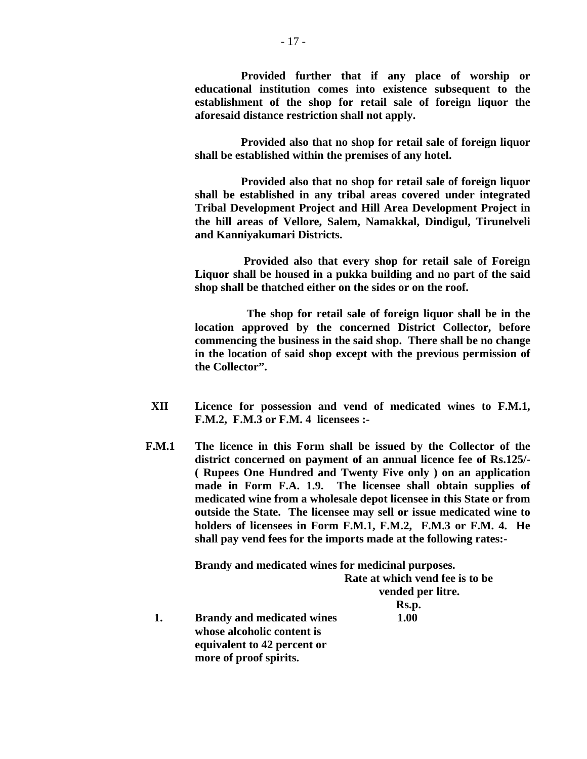**Provided further that if any place of worship or educational institution comes into existence subsequent to the establishment of the shop for retail sale of foreign liquor the aforesaid distance restriction shall not apply.** 

 **Provided also that no shop for retail sale of foreign liquor shall be established within the premises of any hotel.** 

 **Provided also that no shop for retail sale of foreign liquor shall be established in any tribal areas covered under integrated Tribal Development Project and Hill Area Development Project in the hill areas of Vellore, Salem, Namakkal, Dindigul, Tirunelveli and Kanniyakumari Districts.** 

 **Provided also that every shop for retail sale of Foreign Liquor shall be housed in a pukka building and no part of the said shop shall be thatched either on the sides or on the roof.** 

 **The shop for retail sale of foreign liquor shall be in the location approved by the concerned District Collector, before commencing the business in the said shop. There shall be no change in the location of said shop except with the previous permission of the Collector".** 

- **XII Licence for possession and vend of medicated wines to F.M.1, F.M.2, F.M.3 or F.M. 4 licensees :-**
- **F.M.1 The licence in this Form shall be issued by the Collector of the district concerned on payment of an annual licence fee of Rs.125/- ( Rupees One Hundred and Twenty Five only ) on an application made in Form F.A. 1.9. The licensee shall obtain supplies of medicated wine from a wholesale depot licensee in this State or from outside the State. The licensee may sell or issue medicated wine to holders of licensees in Form F.M.1, F.M.2, F.M.3 or F.M. 4. He shall pay vend fees for the imports made at the following rates:-**

 **Brandy and medicated wines for medicinal purposes.** 

|                                   | Rate at which vend fee is to be |
|-----------------------------------|---------------------------------|
|                                   | vended per litre.               |
|                                   | Rs.p.                           |
| <b>Brandy and medicated wines</b> | 1.00                            |
| whose alcoholic content is        |                                 |
| equivalent to 42 percent or       |                                 |
| more of proof spirits.            |                                 |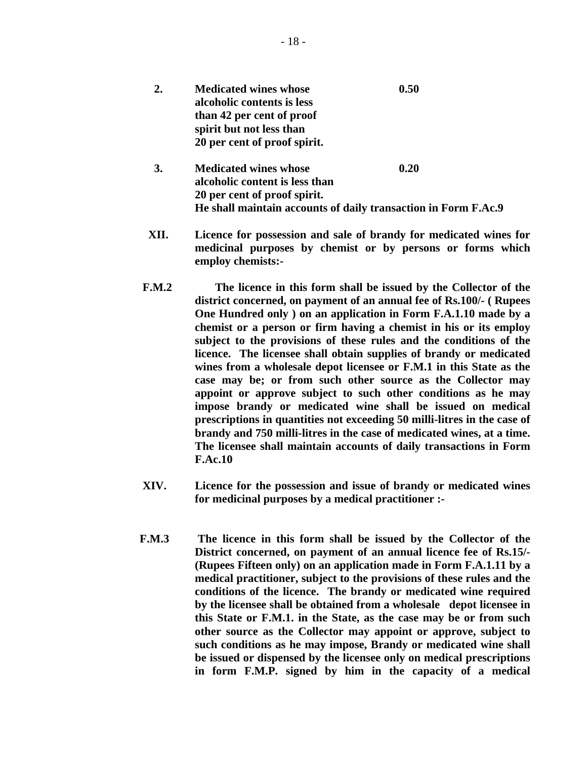| 2. | <b>Medicated wines whose</b><br>alcoholic contents is less<br>than 42 per cent of proof<br>spirit but not less than<br>20 per cent of proof spirit. | 0.50 |  |
|----|-----------------------------------------------------------------------------------------------------------------------------------------------------|------|--|
| 3. | <b>Medicated wines whose</b><br>alcoholic content is less than<br>20 per cent of proof spirit.                                                      | 0.20 |  |

 **XII. Licence for possession and sale of brandy for medicated wines for medicinal purposes by chemist or by persons or forms which employ chemists:-** 

**He shall maintain accounts of daily transaction in Form F.Ac.9** 

- **F.M.2 The licence in this form shall be issued by the Collector of the district concerned, on payment of an annual fee of Rs.100/- ( Rupees One Hundred only ) on an application in Form F.A.1.10 made by a chemist or a person or firm having a chemist in his or its employ subject to the provisions of these rules and the conditions of the licence. The licensee shall obtain supplies of brandy or medicated wines from a wholesale depot licensee or F.M.1 in this State as the case may be; or from such other source as the Collector may appoint or approve subject to such other conditions as he may impose brandy or medicated wine shall be issued on medical prescriptions in quantities not exceeding 50 milli-litres in the case of brandy and 750 milli-litres in the case of medicated wines, at a time. The licensee shall maintain accounts of daily transactions in Form F.Ac.10**
- **XIV. Licence for the possession and issue of brandy or medicated wines for medicinal purposes by a medical practitioner :-**
- **F.M.3 The licence in this form shall be issued by the Collector of the District concerned, on payment of an annual licence fee of Rs.15/- (Rupees Fifteen only) on an application made in Form F.A.1.11 by a medical practitioner, subject to the provisions of these rules and the conditions of the licence. The brandy or medicated wine required by the licensee shall be obtained from a wholesale depot licensee in this State or F.M.1. in the State, as the case may be or from such other source as the Collector may appoint or approve, subject to such conditions as he may impose, Brandy or medicated wine shall be issued or dispensed by the licensee only on medical prescriptions in form F.M.P. signed by him in the capacity of a medical**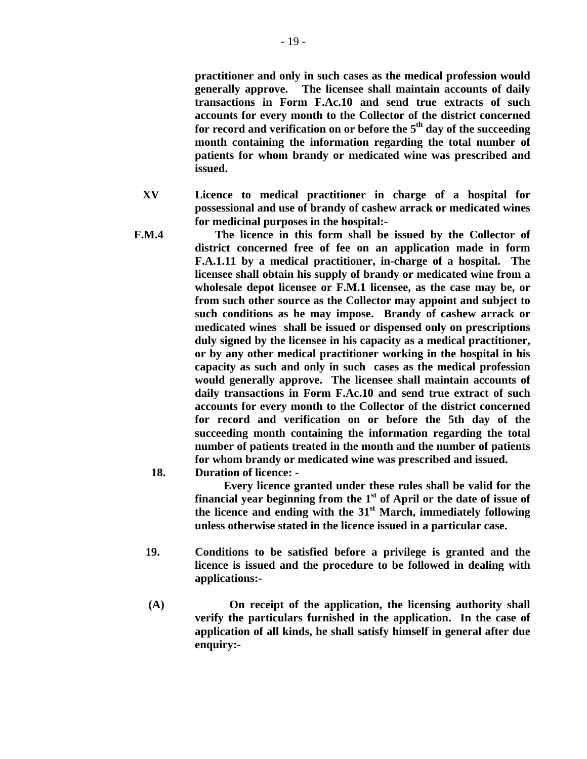**practitioner and only in such cases as the medical profession would generally approve. The licensee shall maintain accounts of daily transactions in Form F.Ac.10 and send true extracts of such accounts for every month to the Collector of the district concerned**  for record and verification on or before the 5<sup>th</sup> day of the succeeding **month containing the information regarding the total number of patients for whom brandy or medicated wine was prescribed and issued.** 

- **XV Licence to medical practitioner in charge of a hospital for possessional and use of brandy of cashew arrack or medicated wines for medicinal purposes in the hospital:-**
- **F.M.4 The licence in this form shall be issued by the Collector of district concerned free of fee on an application made in form F.A.1.11 by a medical practitioner, in-charge of a hospital. The licensee shall obtain his supply of brandy or medicated wine from a wholesale depot licensee or F.M.1 licensee, as the case may be, or from such other source as the Collector may appoint and subject to such conditions as he may impose. Brandy of cashew arrack or medicated wines shall be issued or dispensed only on prescriptions duly signed by the licensee in his capacity as a medical practitioner, or by any other medical practitioner working in the hospital in his capacity as such and only in such cases as the medical profession would generally approve. The licensee shall maintain accounts of daily transactions in Form F.Ac.10 and send true extract of such accounts for every month to the Collector of the district concerned for record and verification on or before the 5th day of the succeeding month containing the information regarding the total number of patients treated in the month and the number of patients for whom brandy or medicated wine was prescribed and issued.** 
	- **18. Duration of licence:**

 **Every licence granted under these rules shall be valid for the financial year beginning from the 1st of April or the date of issue of the licence and ending with the 31st March, immediately following unless otherwise stated in the licence issued in a particular case.** 

- **19. Conditions to be satisfied before a privilege is granted and the licence is issued and the procedure to be followed in dealing with applications:-**
- **(A) On receipt of the application, the licensing authority shall verify the particulars furnished in the application. In the case of application of all kinds, he shall satisfy himself in general after due enquiry:-**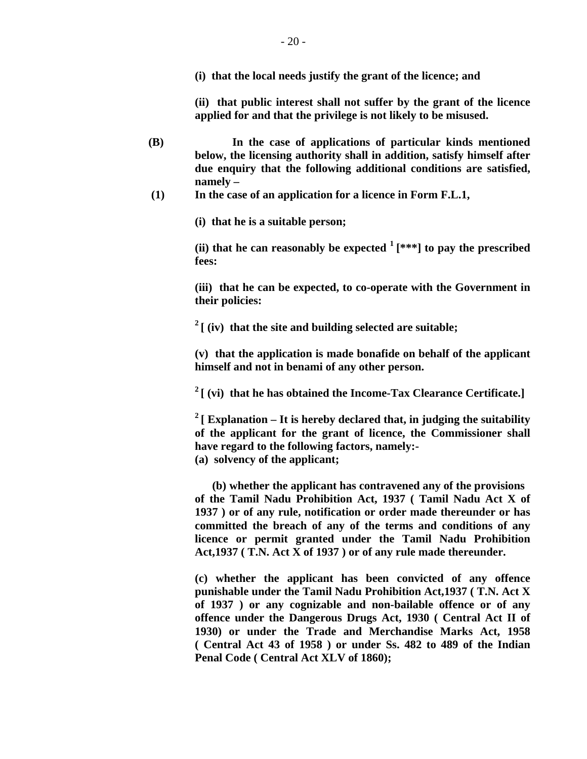**(i) that the local needs justify the grant of the licence; and** 

 **(ii) that public interest shall not suffer by the grant of the licence applied for and that the privilege is not likely to be misused.** 

- **(B) In the case of applications of particular kinds mentioned below, the licensing authority shall in addition, satisfy himself after due enquiry that the following additional conditions are satisfied, namely –**
- **(1) In the case of an application for a licence in Form F.L.1,**

 **(i) that he is a suitable person;** 

(ii) that he can reasonably be expected  $\frac{1}{x^{**}}$  to pay the prescribed **fees:** 

 **(iii) that he can be expected, to co-operate with the Government in their policies:** 

 **2 [ (iv) that the site and building selected are suitable;** 

 **(v) that the application is made bonafide on behalf of the applicant himself and not in benami of any other person.** 

 **2 [ (vi) that he has obtained the Income-Tax Clearance Certificate.]** 

<sup>2</sup> [ Explanation – It is hereby declared that, in judging the suitability **of the applicant for the grant of licence, the Commissioner shall have regard to the following factors, namely:-**

 **(a) solvency of the applicant;** 

 **(b) whether the applicant has contravened any of the provisions of the Tamil Nadu Prohibition Act, 1937 ( Tamil Nadu Act X of 1937 ) or of any rule, notification or order made thereunder or has committed the breach of any of the terms and conditions of any licence or permit granted under the Tamil Nadu Prohibition Act,1937 ( T.N. Act X of 1937 ) or of any rule made thereunder.** 

 **(c) whether the applicant has been convicted of any offence punishable under the Tamil Nadu Prohibition Act,1937 ( T.N. Act X of 1937 ) or any cognizable and non-bailable offence or of any offence under the Dangerous Drugs Act, 1930 ( Central Act II of 1930) or under the Trade and Merchandise Marks Act, 1958 ( Central Act 43 of 1958 ) or under Ss. 482 to 489 of the Indian Penal Code ( Central Act XLV of 1860);**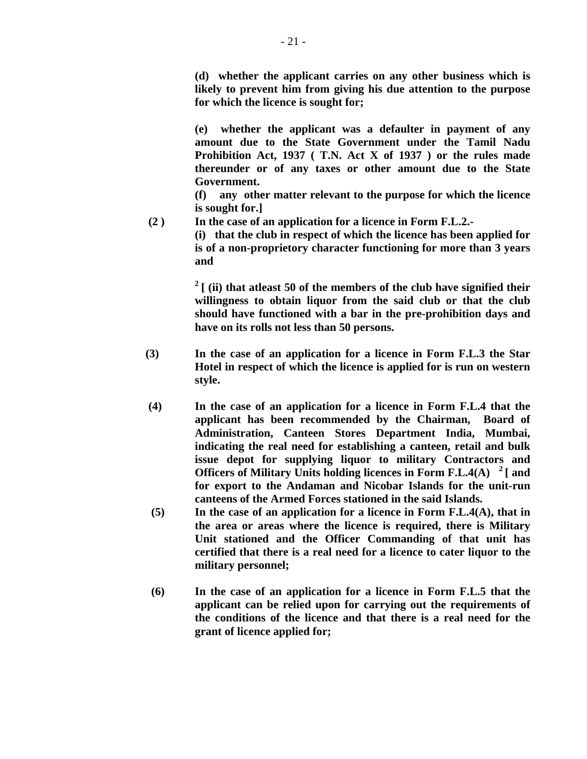**(d) whether the applicant carries on any other business which is likely to prevent him from giving his due attention to the purpose for which the licence is sought for;** 

 **(e) whether the applicant was a defaulter in payment of any amount due to the State Government under the Tamil Nadu Prohibition Act, 1937 ( T.N. Act X of 1937 ) or the rules made thereunder or of any taxes or other amount due to the State Government.** 

 **(f) any other matter relevant to the purpose for which the licence is sought for.]** 

 **(2 ) In the case of an application for a licence in Form F.L.2.-** 

 **(i) that the club in respect of which the licence has been applied for is of a non-proprietory character functioning for more than 3 years and** 

 $2 \mid$  (ii) that at least 50 of the members of the club have signified their **willingness to obtain liquor from the said club or that the club should have functioned with a bar in the pre-prohibition days and have on its rolls not less than 50 persons.** 

- **(3) In the case of an application for a licence in Form F.L.3 the Star Hotel in respect of which the licence is applied for is run on western style.**
- **(4) In the case of an application for a licence in Form F.L.4 that the applicant has been recommended by the Chairman, Board of Administration, Canteen Stores Department India, Mumbai, indicating the real need for establishing a canteen, retail and bulk issue depot for supplying liquor to military Contractors and Officers of Military Units holding licences in Form F.L.4(A) 2 [ and for export to the Andaman and Nicobar Islands for the unit-run canteens of the Armed Forces stationed in the said Islands.**
- **(5) In the case of an application for a licence in Form F.L.4(A), that in the area or areas where the licence is required, there is Military Unit stationed and the Officer Commanding of that unit has certified that there is a real need for a licence to cater liquor to the military personnel;**
- **(6) In the case of an application for a licence in Form F.L.5 that the applicant can be relied upon for carrying out the requirements of the conditions of the licence and that there is a real need for the grant of licence applied for;**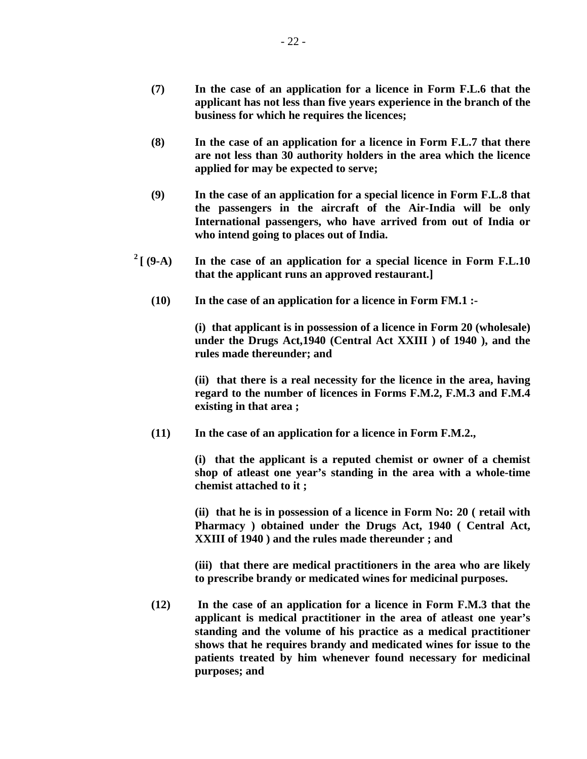- **(7) In the case of an application for a licence in Form F.L.6 that the applicant has not less than five years experience in the branch of the business for which he requires the licences;**
- **(8) In the case of an application for a licence in Form F.L.7 that there are not less than 30 authority holders in the area which the licence applied for may be expected to serve;**
- **(9) In the case of an application for a special licence in Form F.L.8 that the passengers in the aircraft of the Air-India will be only International passengers, who have arrived from out of India or who intend going to places out of India.**
- <sup>2</sup>  $[$  (9-A) In the case of an application for a special licence in Form F.L.10 **that the applicant runs an approved restaurant.]** 
	- **(10) In the case of an application for a licence in Form FM.1 :-**

 **(i) that applicant is in possession of a licence in Form 20 (wholesale) under the Drugs Act,1940 (Central Act XXIII ) of 1940 ), and the rules made thereunder; and** 

 **(ii) that there is a real necessity for the licence in the area, having regard to the number of licences in Forms F.M.2, F.M.3 and F.M.4 existing in that area ;** 

 **(11) In the case of an application for a licence in Form F.M.2.,** 

 **(i) that the applicant is a reputed chemist or owner of a chemist shop of atleast one year's standing in the area with a whole-time chemist attached to it ;** 

 **(ii) that he is in possession of a licence in Form No: 20 ( retail with Pharmacy ) obtained under the Drugs Act, 1940 ( Central Act, XXIII of 1940 ) and the rules made thereunder ; and** 

 **(iii) that there are medical practitioners in the area who are likely to prescribe brandy or medicated wines for medicinal purposes.** 

 **(12) In the case of an application for a licence in Form F.M.3 that the applicant is medical practitioner in the area of atleast one year's standing and the volume of his practice as a medical practitioner shows that he requires brandy and medicated wines for issue to the patients treated by him whenever found necessary for medicinal purposes; and**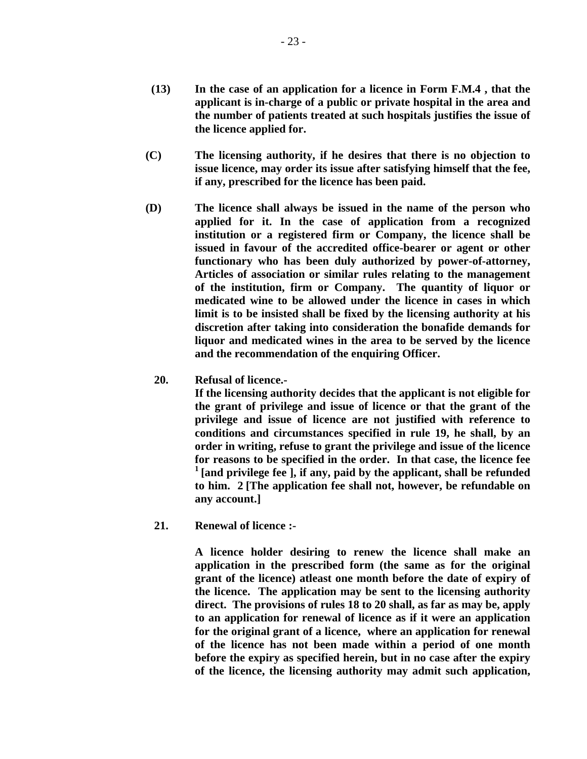- **(13) In the case of an application for a licence in Form F.M.4 , that the applicant is in-charge of a public or private hospital in the area and the number of patients treated at such hospitals justifies the issue of the licence applied for.**
- **(C) The licensing authority, if he desires that there is no objection to issue licence, may order its issue after satisfying himself that the fee, if any, prescribed for the licence has been paid.**
- **(D) The licence shall always be issued in the name of the person who applied for it. In the case of application from a recognized institution or a registered firm or Company, the licence shall be issued in favour of the accredited office-bearer or agent or other functionary who has been duly authorized by power-of-attorney, Articles of association or similar rules relating to the management of the institution, firm or Company. The quantity of liquor or medicated wine to be allowed under the licence in cases in which limit is to be insisted shall be fixed by the licensing authority at his discretion after taking into consideration the bonafide demands for liquor and medicated wines in the area to be served by the licence and the recommendation of the enquiring Officer.** 
	- **20. Refusal of licence.-**

 **If the licensing authority decides that the applicant is not eligible for the grant of privilege and issue of licence or that the grant of the privilege and issue of licence are not justified with reference to conditions and circumstances specified in rule 19, he shall, by an order in writing, refuse to grant the privilege and issue of the licence for reasons to be specified in the order. In that case, the licence fee 1 [and privilege fee ], if any, paid by the applicant, shall be refunded to him. 2 [The application fee shall not, however, be refundable on any account.]** 

 **21. Renewal of licence :-** 

 **A licence holder desiring to renew the licence shall make an application in the prescribed form (the same as for the original grant of the licence) atleast one month before the date of expiry of the licence. The application may be sent to the licensing authority direct. The provisions of rules 18 to 20 shall, as far as may be, apply to an application for renewal of licence as if it were an application for the original grant of a licence, where an application for renewal of the licence has not been made within a period of one month before the expiry as specified herein, but in no case after the expiry of the licence, the licensing authority may admit such application,**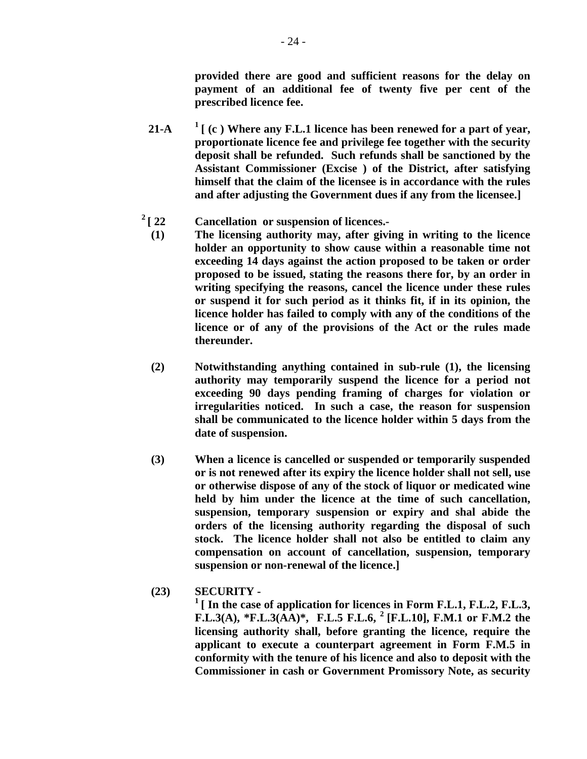**provided there are good and sufficient reasons for the delay on payment of an additional fee of twenty five per cent of the prescribed licence fee.** 

- **21-A**  $\frac{1}{2}$  [ (c ) Where any F.L.1 licence has been renewed for a part of year, **proportionate licence fee and privilege fee together with the security deposit shall be refunded. Such refunds shall be sanctioned by the Assistant Commissioner (Excise ) of the District, after satisfying himself that the claim of the licensee is in accordance with the rules and after adjusting the Government dues if any from the licensee.]**
- 
- <sup>2</sup> [ 22 Cancellation or suspension of licences.-<br>
(1) The licensing authority may, after giving in writing to the licence **holder an opportunity to show cause within a reasonable time not exceeding 14 days against the action proposed to be taken or order proposed to be issued, stating the reasons there for, by an order in writing specifying the reasons, cancel the licence under these rules or suspend it for such period as it thinks fit, if in its opinion, the licence holder has failed to comply with any of the conditions of the licence or of any of the provisions of the Act or the rules made thereunder.** 
	- **(2) Notwithstanding anything contained in sub-rule (1), the licensing authority may temporarily suspend the licence for a period not exceeding 90 days pending framing of charges for violation or irregularities noticed. In such a case, the reason for suspension shall be communicated to the licence holder within 5 days from the date of suspension.**
	- **(3) When a licence is cancelled or suspended or temporarily suspended or is not renewed after its expiry the licence holder shall not sell, use or otherwise dispose of any of the stock of liquor or medicated wine held by him under the licence at the time of such cancellation, suspension, temporary suspension or expiry and shal abide the orders of the licensing authority regarding the disposal of such stock. The licence holder shall not also be entitled to claim any compensation on account of cancellation, suspension, temporary suspension or non-renewal of the licence.]**
- **(23) SECURITY**

<sup>1</sup> [ In the case of application for licences in Form F.L.1, F.L.2, F.L.3, **F.L.3(A), \*F.L.3(AA)\*, F.L.5 F.L.6, 2 [F.L.10], F.M.1 or F.M.2 the licensing authority shall, before granting the licence, require the applicant to execute a counterpart agreement in Form F.M.5 in conformity with the tenure of his licence and also to deposit with the Commissioner in cash or Government Promissory Note, as security**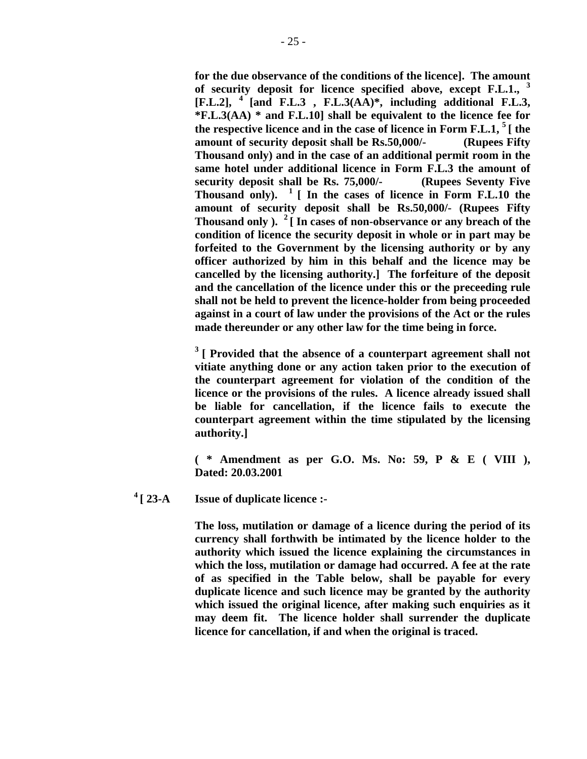**for the due observance of the conditions of the licence]. The amount of security deposit for licence specified above, except F.L.1., <sup>3</sup>**  $[F.L.2]$ , <sup>4</sup> [and F.L.3 , F.L.3( $\overrightarrow{AA}$ <sup>\*</sup>, including additional F.L.3, **\*F.L.3(AA) \* and F.L.10] shall be equivalent to the licence fee for the respective licence and in the case of licence in Form F.L.1, 5 [ the amount of security deposit shall be Rs.50,000/- (Rupees Fifty Thousand only) and in the case of an additional permit room in the same hotel under additional licence in Form F.L.3 the amount of security deposit shall be Rs. 75,000/- (Rupees Seventy Five Thousand only). 1 [ In the cases of licence in Form F.L.10 the amount of security deposit shall be Rs.50,000/- (Rupees Fifty Thousand only ). 2 [ In cases of non-observance or any breach of the condition of licence the security deposit in whole or in part may be forfeited to the Government by the licensing authority or by any officer authorized by him in this behalf and the licence may be cancelled by the licensing authority.] The forfeiture of the deposit and the cancellation of the licence under this or the preceeding rule shall not be held to prevent the licence-holder from being proceeded against in a court of law under the provisions of the Act or the rules made thereunder or any other law for the time being in force.** 

 **3 [ Provided that the absence of a counterpart agreement shall not vitiate anything done or any action taken prior to the execution of the counterpart agreement for violation of the condition of the licence or the provisions of the rules. A licence already issued shall be liable for cancellation, if the licence fails to execute the counterpart agreement within the time stipulated by the licensing authority.]** 

**( \* Amendment as per G.O. Ms. No: 59, P & E ( VIII ), Dated: 20.03.2001**

**4 [ 23-A Issue of duplicate licence :-** 

**The loss, mutilation or damage of a licence during the period of its currency shall forthwith be intimated by the licence holder to the authority which issued the licence explaining the circumstances in which the loss, mutilation or damage had occurred. A fee at the rate of as specified in the Table below, shall be payable for every duplicate licence and such licence may be granted by the authority which issued the original licence, after making such enquiries as it may deem fit. The licence holder shall surrender the duplicate licence for cancellation, if and when the original is traced.**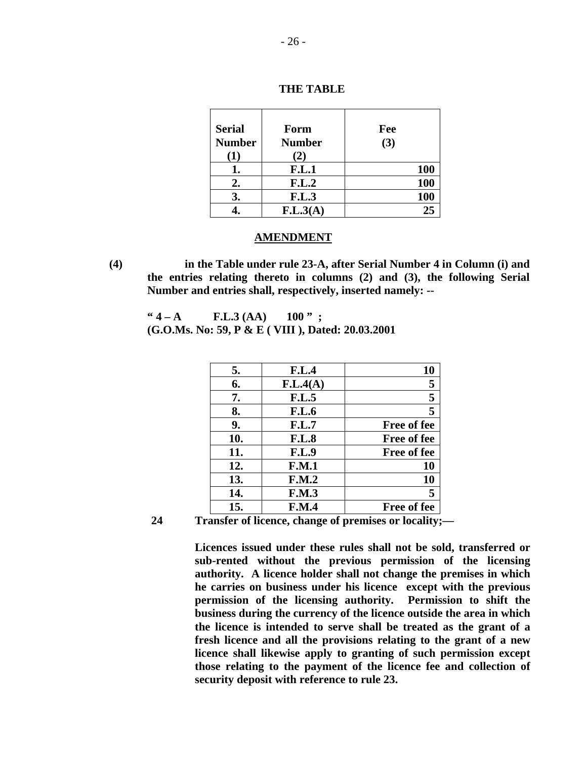| <b>Serial</b><br><b>Number</b><br>(1) | Form<br><b>Number</b><br>(2) | Fee<br>(3) |
|---------------------------------------|------------------------------|------------|
|                                       | <b>F.L.1</b>                 | <b>100</b> |
| 2.                                    | F.L.2                        | <b>100</b> |
| 3.                                    | <b>F.L.3</b>                 | 100        |
|                                       | F.L.3(A)                     | 25         |

 **THE TABLE** 

#### **AMENDMENT**

**(4) in the Table under rule 23-A, after Serial Number 4 in Column (i) and the entries relating thereto in columns (2) and (3), the following Serial Number and entries shall, respectively, inserted namely: --** 

 $"4 - A \t\t\t\t\t\t**F.L.3 (AA)** \t\t\t\t\t100"$ ; **(G.O.Ms. No: 59, P & E ( VIII ), Dated: 20.03.2001** 

| 5.  | F.L.4        | 10                 |
|-----|--------------|--------------------|
| 6.  | F.L.4(A)     | 5                  |
| 7.  | <b>F.L.5</b> | 5                  |
| 8.  | <b>F.L.6</b> | 5                  |
| 9.  | F.L.7        | <b>Free of fee</b> |
| 10. | <b>F.L.8</b> | Free of fee        |
| 11. | <b>F.L.9</b> | <b>Free of fee</b> |
| 12. | F.M.1        | 10                 |
| 13. | F.M.2        | 10                 |
| 14. | <b>F.M.3</b> | 5                  |
| 15. | <b>F.M.4</b> | <b>Free of fee</b> |

 **<sup>24</sup> Transfer of licence, change of premises or locality;—** 

 **Licences issued under these rules shall not be sold, transferred or sub-rented without the previous permission of the licensing authority. A licence holder shall not change the premises in which he carries on business under his licence except with the previous permission of the licensing authority. Permission to shift the business during the currency of the licence outside the area in which the licence is intended to serve shall be treated as the grant of a fresh licence and all the provisions relating to the grant of a new licence shall likewise apply to granting of such permission except those relating to the payment of the licence fee and collection of security deposit with reference to rule 23.**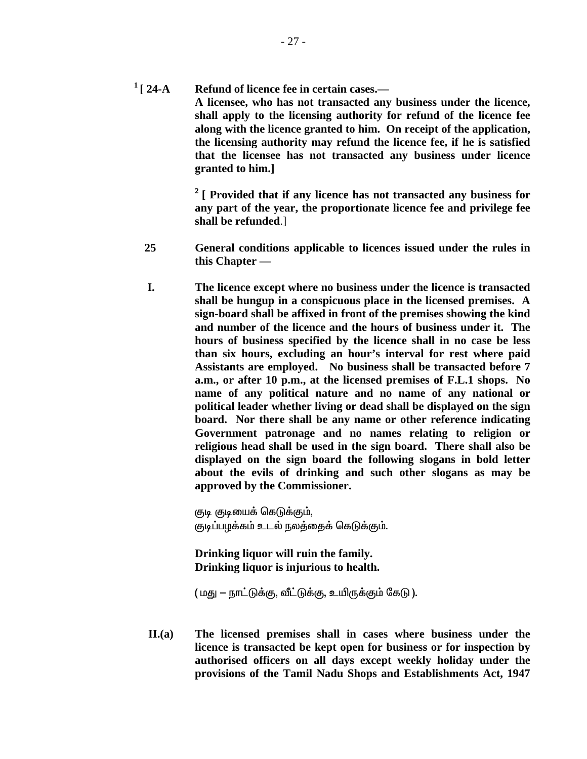**1 [ 24-A Refund of licence fee in certain cases.— A licensee, who has not transacted any business under the licence, shall apply to the licensing authority for refund of the licence fee along with the licence granted to him. On receipt of the application, the licensing authority may refund the licence fee, if he is satisfied that the licensee has not transacted any business under licence granted to him.]** 

> **2 [ Provided that if any licence has not transacted any business for any part of the year, the proportionate licence fee and privilege fee shall be refunded**.]

- **25 General conditions applicable to licences issued under the rules in this Chapter —**
- **I. The licence except where no business under the licence is transacted shall be hungup in a conspicuous place in the licensed premises. A sign-board shall be affixed in front of the premises showing the kind and number of the licence and the hours of business under it. The hours of business specified by the licence shall in no case be less than six hours, excluding an hour's interval for rest where paid Assistants are employed. No business shall be transacted before 7 a.m., or after 10 p.m., at the licensed premises of F.L.1 shops. No name of any political nature and no name of any national or political leader whether living or dead shall be displayed on the sign board. Nor there shall be any name or other reference indicating Government patronage and no names relating to religion or religious head shall be used in the sign board. There shall also be displayed on the sign board the following slogans in bold letter about the evils of drinking and such other slogans as may be approved by the Commissioner.**

குடி குடியைக் கெடுக்கும். குடிப்பழக்கம் உடல் நலத்தைக் கெடுக்கும்.

**Drinking liquor will ruin the family. Drinking liquor is injurious to health.** 

( மது - நாட்டுக்கு, வீட்டுக்கு, உயிருக்கும் கேடு ).

 **II.(a) The licensed premises shall in cases where business under the licence is transacted be kept open for business or for inspection by authorised officers on all days except weekly holiday under the provisions of the Tamil Nadu Shops and Establishments Act, 1947**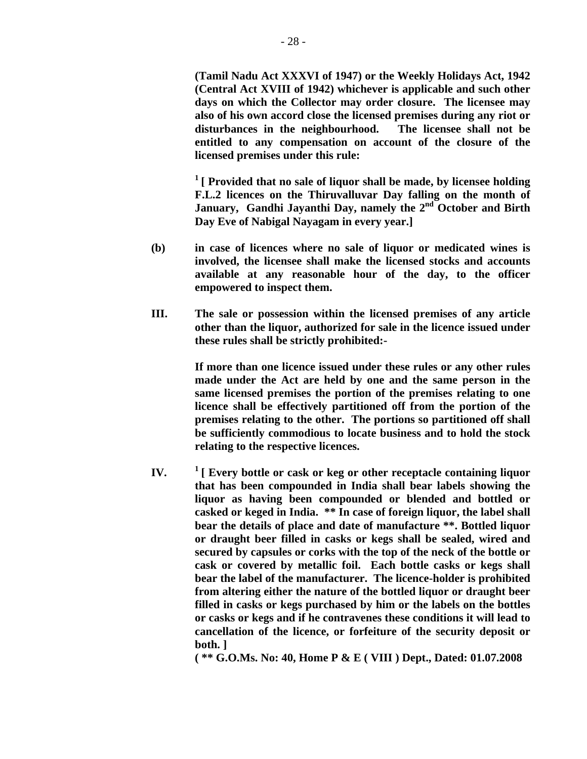**(Tamil Nadu Act XXXVI of 1947) or the Weekly Holidays Act, 1942 (Central Act XVIII of 1942) whichever is applicable and such other days on which the Collector may order closure. The licensee may also of his own accord close the licensed premises during any riot or disturbances in the neighbourhood. The licensee shall not be entitled to any compensation on account of the closure of the licensed premises under this rule:** 

 **1 [ Provided that no sale of liquor shall be made, by licensee holding F.L.2 licences on the Thiruvalluvar Day falling on the month of**  January, Gandhi Jayanthi Day, namely the 2<sup>nd</sup> October and Birth **Day Eve of Nabigal Nayagam in every year.]**

- **(b) in case of licences where no sale of liquor or medicated wines is involved, the licensee shall make the licensed stocks and accounts available at any reasonable hour of the day, to the officer empowered to inspect them.**
- **III. The sale or possession within the licensed premises of any article other than the liquor, authorized for sale in the licence issued under these rules shall be strictly prohibited:-**

 **If more than one licence issued under these rules or any other rules made under the Act are held by one and the same person in the same licensed premises the portion of the premises relating to one licence shall be effectively partitioned off from the portion of the premises relating to the other. The portions so partitioned off shall be sufficiently commodious to locate business and to hold the stock relating to the respective licences.** 

 **IV. 1 [ Every bottle or cask or keg or other receptacle containing liquor that has been compounded in India shall bear labels showing the liquor as having been compounded or blended and bottled or casked or keged in India. \*\* In case of foreign liquor, the label shall bear the details of place and date of manufacture \*\*. Bottled liquor or draught beer filled in casks or kegs shall be sealed, wired and secured by capsules or corks with the top of the neck of the bottle or cask or covered by metallic foil. Each bottle casks or kegs shall bear the label of the manufacturer. The licence-holder is prohibited from altering either the nature of the bottled liquor or draught beer filled in casks or kegs purchased by him or the labels on the bottles or casks or kegs and if he contravenes these conditions it will lead to cancellation of the licence, or forfeiture of the security deposit or both. ]** 

**( \*\* G.O.Ms. No: 40, Home P & E ( VIII ) Dept., Dated: 01.07.2008**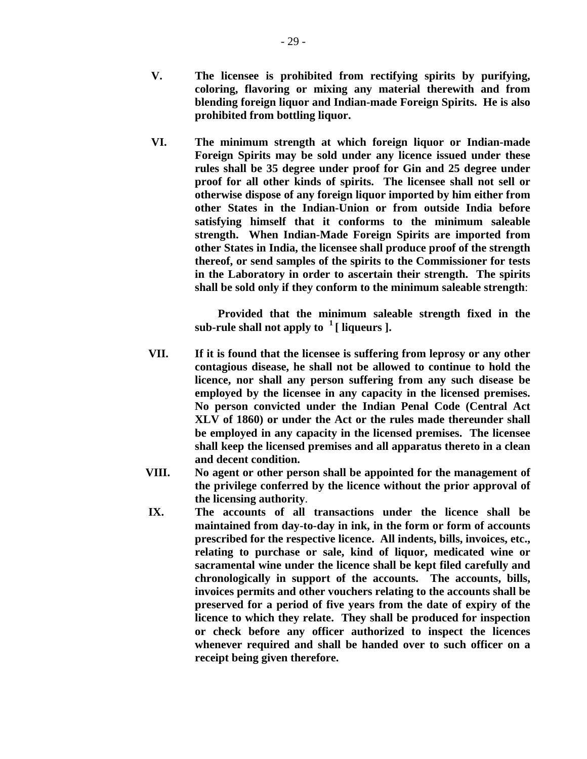- **V. The licensee is prohibited from rectifying spirits by purifying, coloring, flavoring or mixing any material therewith and from blending foreign liquor and Indian-made Foreign Spirits. He is also prohibited from bottling liquor.**
- **VI. The minimum strength at which foreign liquor or Indian-made Foreign Spirits may be sold under any licence issued under these rules shall be 35 degree under proof for Gin and 25 degree under proof for all other kinds of spirits. The licensee shall not sell or otherwise dispose of any foreign liquor imported by him either from other States in the Indian-Union or from outside India before satisfying himself that it conforms to the minimum saleable strength. When Indian-Made Foreign Spirits are imported from other States in India, the licensee shall produce proof of the strength thereof, or send samples of the spirits to the Commissioner for tests in the Laboratory in order to ascertain their strength. The spirits shall be sold only if they conform to the minimum saleable strength**:

 **Provided that the minimum saleable strength fixed in the**  sub-rule shall not apply to  $\frac{1}{1}$  liqueurs ].

- **VII. If it is found that the licensee is suffering from leprosy or any other contagious disease, he shall not be allowed to continue to hold the licence, nor shall any person suffering from any such disease be employed by the licensee in any capacity in the licensed premises. No person convicted under the Indian Penal Code (Central Act XLV of 1860) or under the Act or the rules made thereunder shall be employed in any capacity in the licensed premises. The licensee shall keep the licensed premises and all apparatus thereto in a clean and decent condition.**
- **VIII. No agent or other person shall be appointed for the management of the privilege conferred by the licence without the prior approval of the licensing authority**.
- **IX. The accounts of all transactions under the licence shall be maintained from day-to-day in ink, in the form or form of accounts prescribed for the respective licence. All indents, bills, invoices, etc., relating to purchase or sale, kind of liquor, medicated wine or sacramental wine under the licence shall be kept filed carefully and chronologically in support of the accounts. The accounts, bills, invoices permits and other vouchers relating to the accounts shall be preserved for a period of five years from the date of expiry of the licence to which they relate. They shall be produced for inspection or check before any officer authorized to inspect the licences whenever required and shall be handed over to such officer on a receipt being given therefore.**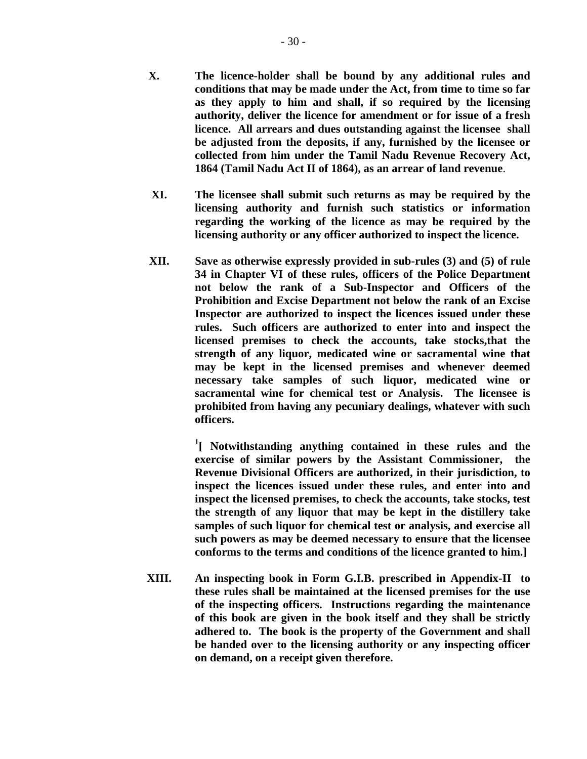**XI. The licensee shall submit such returns as may be required by the licensing authority and furnish such statistics or information regarding the working of the licence as may be required by the licensing authority or any officer authorized to inspect the licence.** 

**1864 (Tamil Nadu Act II of 1864), as an arrear of land revenue**.

**XII. Save as otherwise expressly provided in sub-rules (3) and (5) of rule 34 in Chapter VI of these rules, officers of the Police Department not below the rank of a Sub-Inspector and Officers of the Prohibition and Excise Department not below the rank of an Excise Inspector are authorized to inspect the licences issued under these rules. Such officers are authorized to enter into and inspect the licensed premises to check the accounts, take stocks,that the strength of any liquor, medicated wine or sacramental wine that may be kept in the licensed premises and whenever deemed necessary take samples of such liquor, medicated wine or sacramental wine for chemical test or Analysis. The licensee is prohibited from having any pecuniary dealings, whatever with such officers.** 

**1 [ Notwithstanding anything contained in these rules and the exercise of similar powers by the Assistant Commissioner, the Revenue Divisional Officers are authorized, in their jurisdiction, to inspect the licences issued under these rules, and enter into and inspect the licensed premises, to check the accounts, take stocks, test the strength of any liquor that may be kept in the distillery take samples of such liquor for chemical test or analysis, and exercise all such powers as may be deemed necessary to ensure that the licensee conforms to the terms and conditions of the licence granted to him.]** 

> **XIII. An inspecting book in Form G.I.B. prescribed in Appendix-II to these rules shall be maintained at the licensed premises for the use of the inspecting officers. Instructions regarding the maintenance of this book are given in the book itself and they shall be strictly adhered to. The book is the property of the Government and shall be handed over to the licensing authority or any inspecting officer on demand, on a receipt given therefore.**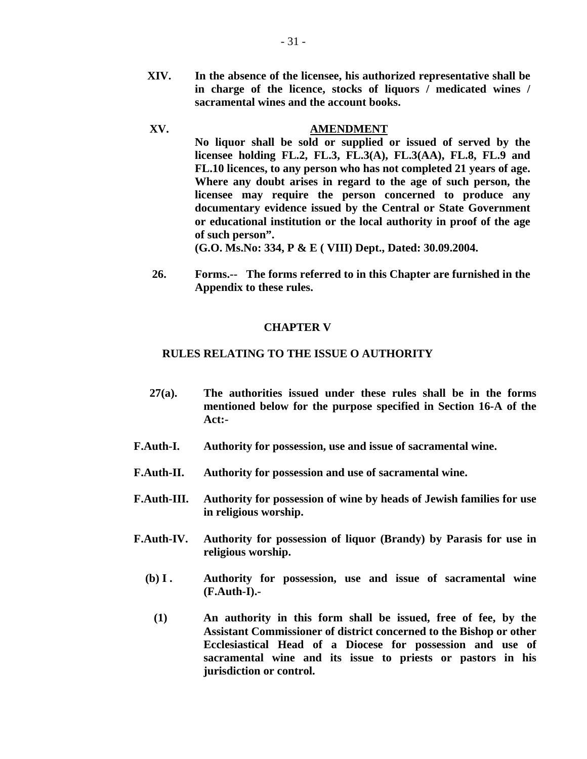**XIV. In the absence of the licensee, his authorized representative shall be in charge of the licence, stocks of liquors / medicated wines / sacramental wines and the account books.** 

# **XV. AMENDMENT**

**No liquor shall be sold or supplied or issued of served by the licensee holding FL.2, FL.3, FL.3(A), FL.3(AA), FL.8, FL.9 and FL.10 licences, to any person who has not completed 21 years of age. Where any doubt arises in regard to the age of such person, the licensee may require the person concerned to produce any documentary evidence issued by the Central or State Government or educational institution or the local authority in proof of the age of such person".** 

**(G.O. Ms.No: 334, P & E ( VIII) Dept., Dated: 30.09.2004.** 

 **26. Forms.-- The forms referred to in this Chapter are furnished in the Appendix to these rules.** 

## **CHAPTER V**

## **RULES RELATING TO THE ISSUE O AUTHORITY**

- **27(a). The authorities issued under these rules shall be in the forms mentioned below for the purpose specified in Section 16-A of the Act:-**
- **F.Auth-I. Authority for possession, use and issue of sacramental wine.**
- **F.Auth-II. Authority for possession and use of sacramental wine.**
- **F.Auth-III. Authority for possession of wine by heads of Jewish families for use in religious worship.**
- **F.Auth-IV. Authority for possession of liquor (Brandy) by Parasis for use in religious worship.** 
	- **(b) I . Authority for possession, use and issue of sacramental wine (F.Auth-I).-** 
		- **(1) An authority in this form shall be issued, free of fee, by the Assistant Commissioner of district concerned to the Bishop or other Ecclesiastical Head of a Diocese for possession and use of sacramental wine and its issue to priests or pastors in his jurisdiction or control.**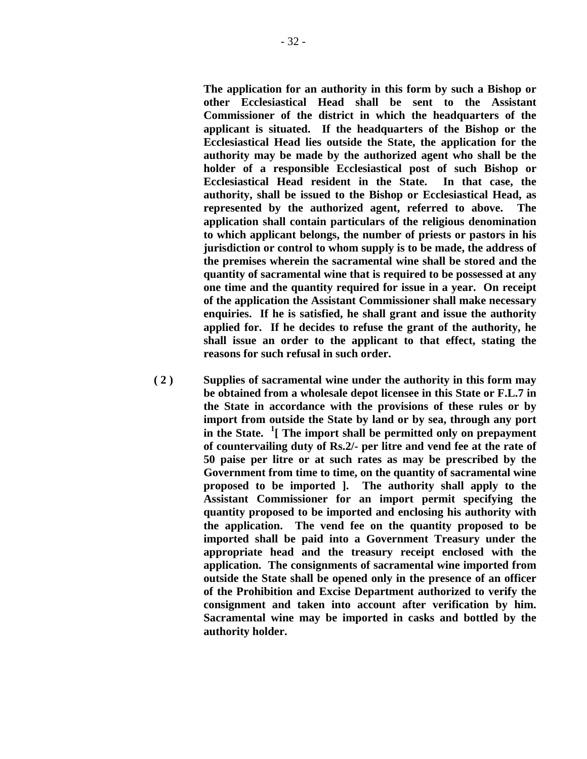**The application for an authority in this form by such a Bishop or other Ecclesiastical Head shall be sent to the Assistant Commissioner of the district in which the headquarters of the applicant is situated. If the headquarters of the Bishop or the Ecclesiastical Head lies outside the State, the application for the authority may be made by the authorized agent who shall be the holder of a responsible Ecclesiastical post of such Bishop or Ecclesiastical Head resident in the State. In that case, the authority, shall be issued to the Bishop or Ecclesiastical Head, as represented by the authorized agent, referred to above. The application shall contain particulars of the religious denomination to which applicant belongs, the number of priests or pastors in his jurisdiction or control to whom supply is to be made, the address of the premises wherein the sacramental wine shall be stored and the quantity of sacramental wine that is required to be possessed at any one time and the quantity required for issue in a year. On receipt of the application the Assistant Commissioner shall make necessary enquiries. If he is satisfied, he shall grant and issue the authority applied for. If he decides to refuse the grant of the authority, he shall issue an order to the applicant to that effect, stating the reasons for such refusal in such order.** 

 **( 2 ) Supplies of sacramental wine under the authority in this form may be obtained from a wholesale depot licensee in this State or F.L.7 in the State in accordance with the provisions of these rules or by import from outside the State by land or by sea, through any port in the State. <sup>1</sup> [ The import shall be permitted only on prepayment of countervailing duty of Rs.2/- per litre and vend fee at the rate of 50 paise per litre or at such rates as may be prescribed by the Government from time to time, on the quantity of sacramental wine proposed to be imported ]. The authority shall apply to the Assistant Commissioner for an import permit specifying the quantity proposed to be imported and enclosing his authority with the application. The vend fee on the quantity proposed to be imported shall be paid into a Government Treasury under the appropriate head and the treasury receipt enclosed with the application. The consignments of sacramental wine imported from outside the State shall be opened only in the presence of an officer of the Prohibition and Excise Department authorized to verify the consignment and taken into account after verification by him. Sacramental wine may be imported in casks and bottled by the authority holder.**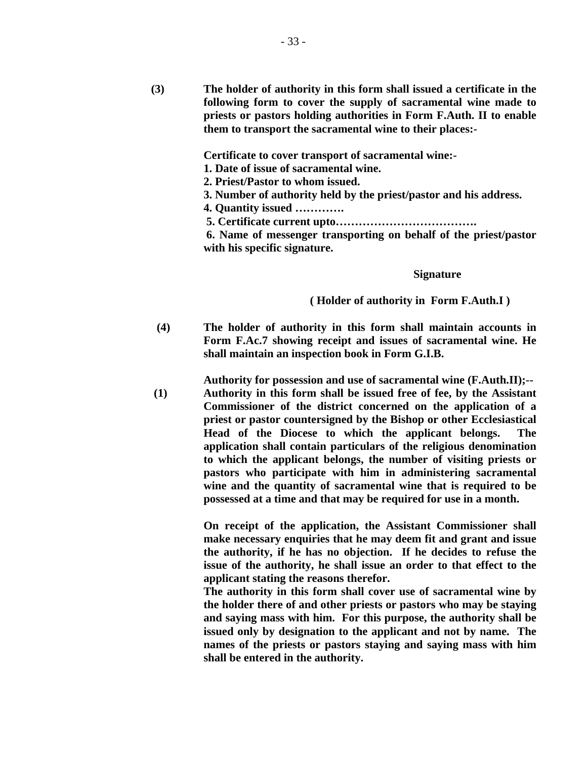**(3) The holder of authority in this form shall issued a certificate in the following form to cover the supply of sacramental wine made to priests or pastors holding authorities in Form F.Auth. II to enable them to transport the sacramental wine to their places:-** 

 **Certificate to cover transport of sacramental wine:-**

 **1. Date of issue of sacramental wine.** 

**2. Priest/Pastor to whom issued.** 

**3. Number of authority held by the priest/pastor and his address.** 

**4. Quantity issued ………….**

 **5. Certificate current upto……………………………….** 

 **6. Name of messenger transporting on behalf of the priest/pastor with his specific signature.**

#### **Signature**

### **( Holder of authority in Form F.Auth.I )**

 **(4) The holder of authority in this form shall maintain accounts in Form F.Ac.7 showing receipt and issues of sacramental wine. He shall maintain an inspection book in Form G.I.B.** 

 **Authority for possession and use of sacramental wine (F.Auth.II);-- (1) Authority in this form shall be issued free of fee, by the Assistant Commissioner of the district concerned on the application of a priest or pastor countersigned by the Bishop or other Ecclesiastical Head of the Diocese to which the applicant belongs. The application shall contain particulars of the religious denomination to which the applicant belongs, the number of visiting priests or pastors who participate with him in administering sacramental wine and the quantity of sacramental wine that is required to be possessed at a time and that may be required for use in a month.** 

> **On receipt of the application, the Assistant Commissioner shall make necessary enquiries that he may deem fit and grant and issue the authority, if he has no objection. If he decides to refuse the issue of the authority, he shall issue an order to that effect to the applicant stating the reasons therefor.**

> **The authority in this form shall cover use of sacramental wine by the holder there of and other priests or pastors who may be staying and saying mass with him. For this purpose, the authority shall be issued only by designation to the applicant and not by name. The names of the priests or pastors staying and saying mass with him shall be entered in the authority.**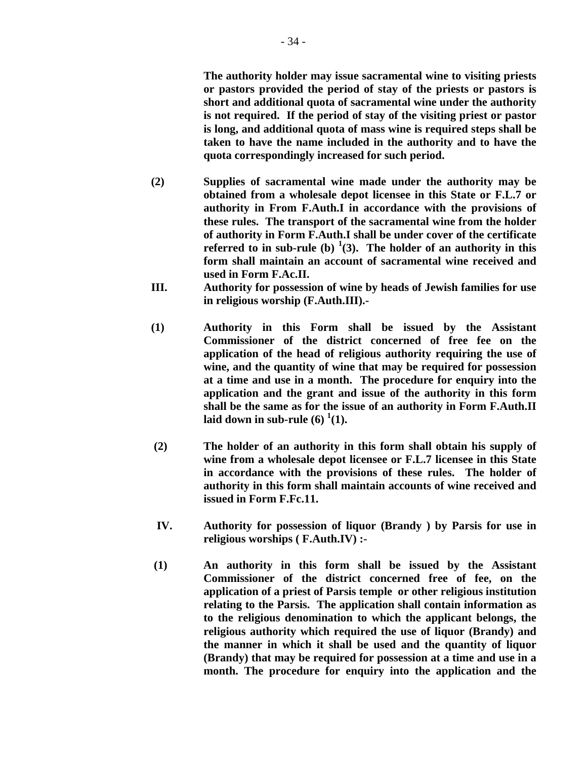**The authority holder may issue sacramental wine to visiting priests or pastors provided the period of stay of the priests or pastors is short and additional quota of sacramental wine under the authority is not required. If the period of stay of the visiting priest or pastor is long, and additional quota of mass wine is required steps shall be taken to have the name included in the authority and to have the quota correspondingly increased for such period.** 

- **(2) Supplies of sacramental wine made under the authority may be obtained from a wholesale depot licensee in this State or F.L.7 or authority in From F.Auth.I in accordance with the provisions of these rules. The transport of the sacramental wine from the holder of authority in Form F.Auth.I shall be under cover of the certificate referred to in sub-rule (b)** <sup>1</sup>(3). The holder of an authority in this **form shall maintain an account of sacramental wine received and used in Form F.Ac.II.**
- **III. Authority for possession of wine by heads of Jewish families for use in religious worship (F.Auth.III).-**
- **(1) Authority in this Form shall be issued by the Assistant Commissioner of the district concerned of free fee on the application of the head of religious authority requiring the use of wine, and the quantity of wine that may be required for possession at a time and use in a month. The procedure for enquiry into the application and the grant and issue of the authority in this form shall be the same as for the issue of an authority in Form F.Auth.II**  laid down in sub-rule  $(6)$   $^1(1)$ .
- **(2) The holder of an authority in this form shall obtain his supply of wine from a wholesale depot licensee or F.L.7 licensee in this State in accordance with the provisions of these rules. The holder of authority in this form shall maintain accounts of wine received and issued in Form F.Fc.11.**
- **IV. Authority for possession of liquor (Brandy ) by Parsis for use in religious worships ( F.Auth.IV) :-**
- **(1) An authority in this form shall be issued by the Assistant Commissioner of the district concerned free of fee, on the application of a priest of Parsis temple or other religious institution relating to the Parsis. The application shall contain information as to the religious denomination to which the applicant belongs, the religious authority which required the use of liquor (Brandy) and the manner in which it shall be used and the quantity of liquor (Brandy) that may be required for possession at a time and use in a month. The procedure for enquiry into the application and the**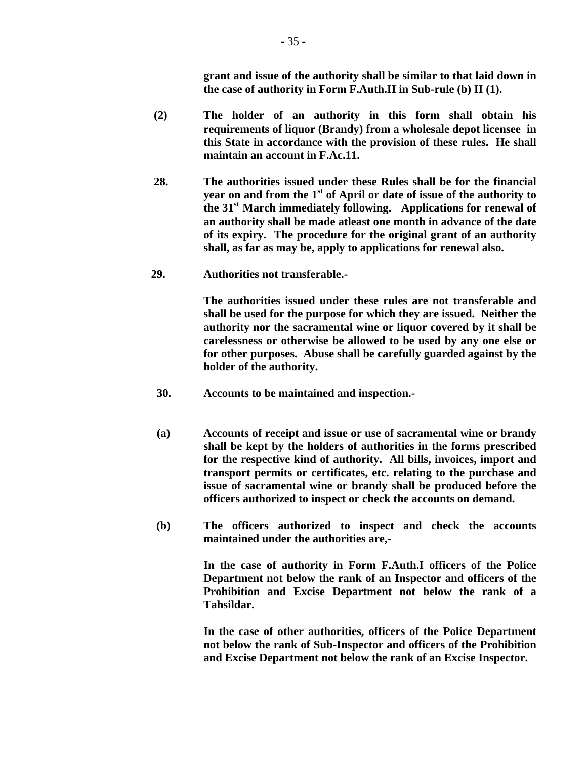**grant and issue of the authority shall be similar to that laid down in the case of authority in Form F.Auth.II in Sub-rule (b) II (1).** 

- **(2) The holder of an authority in this form shall obtain his requirements of liquor (Brandy) from a wholesale depot licensee in this State in accordance with the provision of these rules. He shall maintain an account in F.Ac.11.**
- **28. The authorities issued under these Rules shall be for the financial year on and from the 1st of April or date of issue of the authority to the 31st March immediately following. Applications for renewal of an authority shall be made atleast one month in advance of the date of its expiry. The procedure for the original grant of an authority shall, as far as may be, apply to applications for renewal also.**
- **29. Authorities not transferable.-**

 **The authorities issued under these rules are not transferable and shall be used for the purpose for which they are issued. Neither the authority nor the sacramental wine or liquor covered by it shall be carelessness or otherwise be allowed to be used by any one else or for other purposes. Abuse shall be carefully guarded against by the holder of the authority.** 

- **30. Accounts to be maintained and inspection.-**
- **(a) Accounts of receipt and issue or use of sacramental wine or brandy shall be kept by the holders of authorities in the forms prescribed for the respective kind of authority. All bills, invoices, import and transport permits or certificates, etc. relating to the purchase and issue of sacramental wine or brandy shall be produced before the officers authorized to inspect or check the accounts on demand.**
- **(b) The officers authorized to inspect and check the accounts maintained under the authorities are,-**

 **In the case of authority in Form F.Auth.I officers of the Police Department not below the rank of an Inspector and officers of the Prohibition and Excise Department not below the rank of a Tahsildar.** 

 **In the case of other authorities, officers of the Police Department not below the rank of Sub-Inspector and officers of the Prohibition and Excise Department not below the rank of an Excise Inspector.**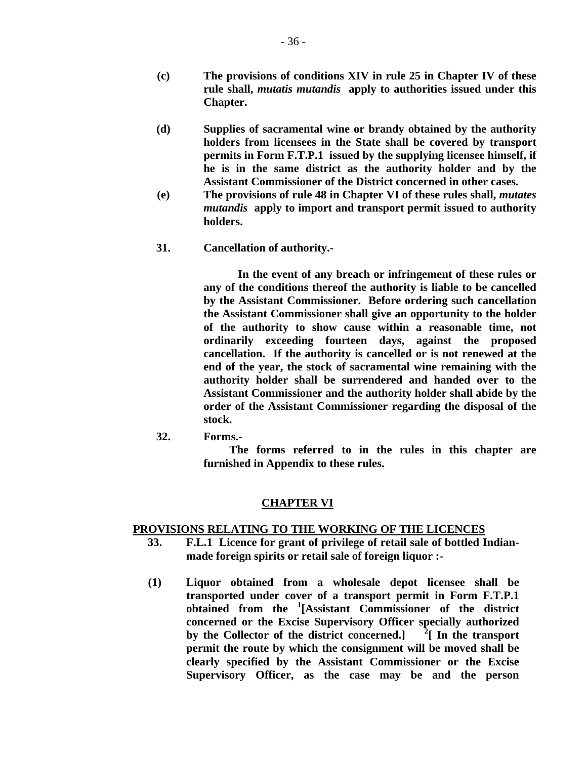- **(c) The provisions of conditions XIV in rule 25 in Chapter IV of these rule shall,** *mutatis mutandis* **apply to authorities issued under this Chapter.**
- **(d) Supplies of sacramental wine or brandy obtained by the authority holders from licensees in the State shall be covered by transport permits in Form F.T.P.1 issued by the supplying licensee himself, if he is in the same district as the authority holder and by the Assistant Commissioner of the District concerned in other cases.**
- **(e) The provisions of rule 48 in Chapter VI of these rules shall,** *mutates mutandis* **apply to import and transport permit issued to authority holders.**
- **31. Cancellation of authority.-**

 **In the event of any breach or infringement of these rules or any of the conditions thereof the authority is liable to be cancelled by the Assistant Commissioner. Before ordering such cancellation the Assistant Commissioner shall give an opportunity to the holder of the authority to show cause within a reasonable time, not ordinarily exceeding fourteen days, against the proposed cancellation. If the authority is cancelled or is not renewed at the end of the year, the stock of sacramental wine remaining with the authority holder shall be surrendered and handed over to the Assistant Commissioner and the authority holder shall abide by the order of the Assistant Commissioner regarding the disposal of the stock.** 

 **32. Forms.-** 

 **The forms referred to in the rules in this chapter are furnished in Appendix to these rules.** 

# **CHAPTER VI**

## **PROVISIONS RELATING TO THE WORKING OF THE LICENCES**

- **33. F.L.1 Licence for grant of privilege of retail sale of bottled Indianmade foreign spirits or retail sale of foreign liquor :-**
- **(1) Liquor obtained from a wholesale depot licensee shall be transported under cover of a transport permit in Form F.T.P.1 obtained from the <sup>1</sup> [Assistant Commissioner of the district concerned or the Excise Supervisory Officer specially authorized by the Collector of the district concerned.] <sup>2</sup>**  $\frac{2}{\pi}$  In the transport **permit the route by which the consignment will be moved shall be clearly specified by the Assistant Commissioner or the Excise Supervisory Officer, as the case may be and the person**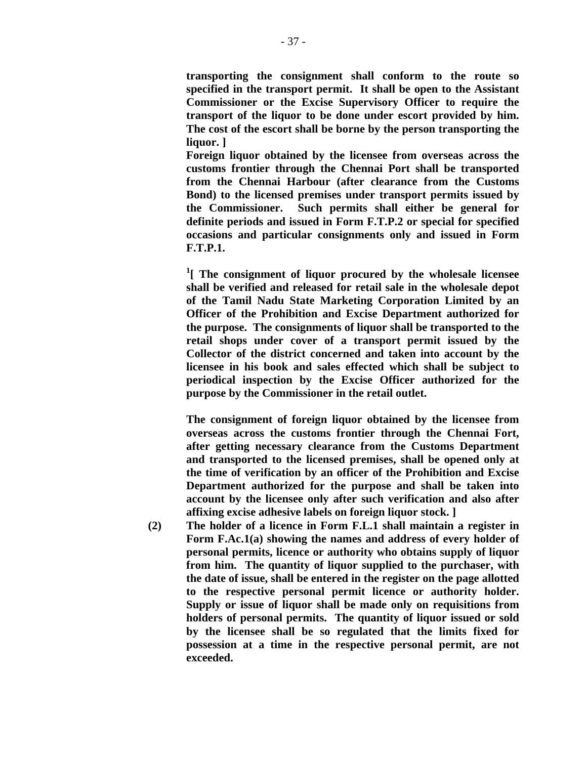**transporting the consignment shall conform to the route so specified in the transport permit. It shall be open to the Assistant Commissioner or the Excise Supervisory Officer to require the transport of the liquor to be done under escort provided by him. The cost of the escort shall be borne by the person transporting the liquor. ]** 

 **Foreign liquor obtained by the licensee from overseas across the customs frontier through the Chennai Port shall be transported from the Chennai Harbour (after clearance from the Customs Bond) to the licensed premises under transport permits issued by the Commissioner. Such permits shall either be general for definite periods and issued in Form F.T.P.2 or special for specified occasions and particular consignments only and issued in Form F.T.P.1.** 

 **<sup>1</sup> [ The consignment of liquor procured by the wholesale licensee shall be verified and released for retail sale in the wholesale depot of the Tamil Nadu State Marketing Corporation Limited by an Officer of the Prohibition and Excise Department authorized for the purpose. The consignments of liquor shall be transported to the retail shops under cover of a transport permit issued by the Collector of the district concerned and taken into account by the licensee in his book and sales effected which shall be subject to periodical inspection by the Excise Officer authorized for the purpose by the Commissioner in the retail outlet.** 

> **The consignment of foreign liquor obtained by the licensee from overseas across the customs frontier through the Chennai Fort, after getting necessary clearance from the Customs Department and transported to the licensed premises, shall be opened only at the time of verification by an officer of the Prohibition and Excise Department authorized for the purpose and shall be taken into account by the licensee only after such verification and also after affixing excise adhesive labels on foreign liquor stock. ]**

 **(2) The holder of a licence in Form F.L.1 shall maintain a register in Form F.Ac.1(a) showing the names and address of every holder of personal permits, licence or authority who obtains supply of liquor from him. The quantity of liquor supplied to the purchaser, with the date of issue, shall be entered in the register on the page allotted to the respective personal permit licence or authority holder. Supply or issue of liquor shall be made only on requisitions from holders of personal permits. The quantity of liquor issued or sold by the licensee shall be so regulated that the limits fixed for possession at a time in the respective personal permit, are not exceeded.**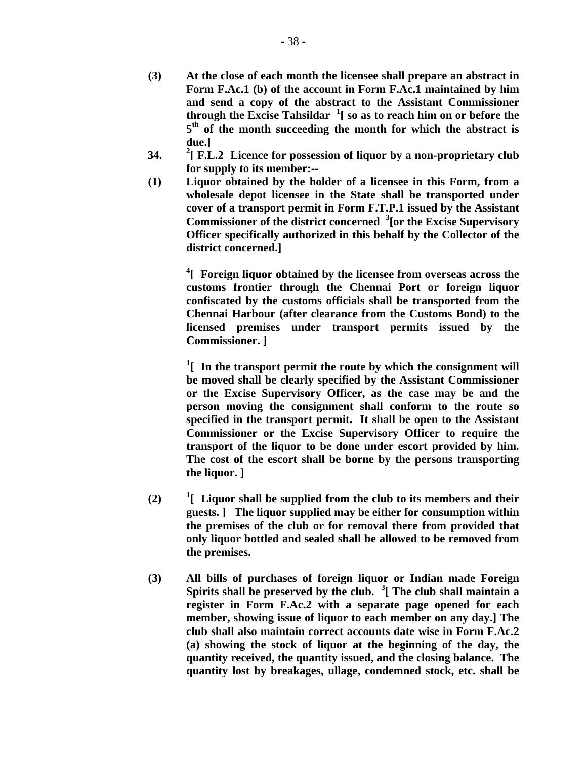- **(3) At the close of each month the licensee shall prepare an abstract in Form F.Ac.1 (b) of the account in Form F.Ac.1 maintained by him and send a copy of the abstract to the Assistant Commissioner through the Excise Tahsildar <sup>1</sup> [ so as to reach him on or before the 5th of the month succeeding the month for which the abstract is due.]**
- **34. <sup>2</sup> [ F.L.2 Licence for possession of liquor by a non-proprietary club for supply to its member:--**
- **(1) Liquor obtained by the holder of a licensee in this Form, from a wholesale depot licensee in the State shall be transported under cover of a transport permit in Form F.T.P.1 issued by the Assistant Commissioner of the district concerned <sup>3</sup> [or the Excise Supervisory Officer specifically authorized in this behalf by the Collector of the district concerned.]**

 **<sup>4</sup> [ Foreign liquor obtained by the licensee from overseas across the customs frontier through the Chennai Port or foreign liquor confiscated by the customs officials shall be transported from the Chennai Harbour (after clearance from the Customs Bond) to the licensed premises under transport permits issued by the Commissioner. ]** 

 **<sup>1</sup>** <sup>1</sup>[ In the transport permit the route by which the consignment will **be moved shall be clearly specified by the Assistant Commissioner or the Excise Supervisory Officer, as the case may be and the person moving the consignment shall conform to the route so specified in the transport permit. It shall be open to the Assistant Commissioner or the Excise Supervisory Officer to require the transport of the liquor to be done under escort provided by him. The cost of the escort shall be borne by the persons transporting the liquor. ]** 

- $(2)$ **[ Liquor shall be supplied from the club to its members and their guests. ] The liquor supplied may be either for consumption within the premises of the club or for removal there from provided that only liquor bottled and sealed shall be allowed to be removed from the premises.**
- **(3) All bills of purchases of foreign liquor or Indian made Foreign Spirits shall be preserved by the club. <sup>3</sup> [ The club shall maintain a register in Form F.Ac.2 with a separate page opened for each member, showing issue of liquor to each member on any day.] The club shall also maintain correct accounts date wise in Form F.Ac.2 (a) showing the stock of liquor at the beginning of the day, the quantity received, the quantity issued, and the closing balance. The quantity lost by breakages, ullage, condemned stock, etc. shall be**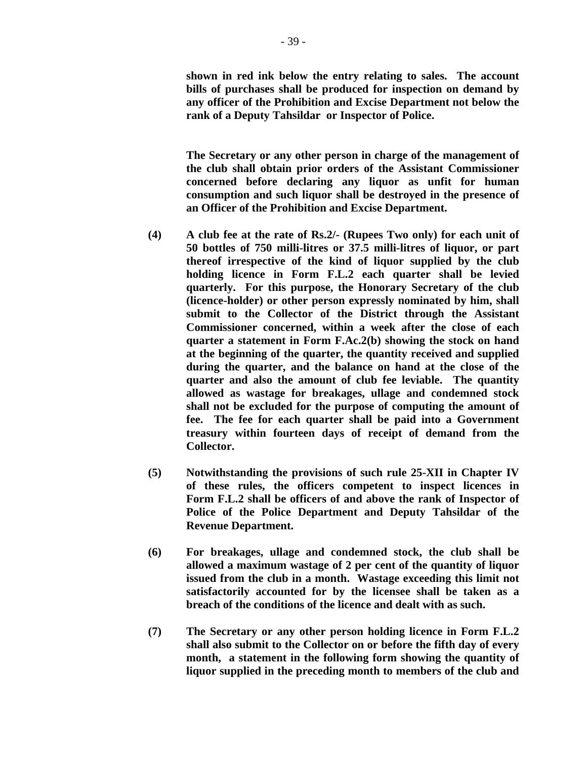**shown in red ink below the entry relating to sales. The account bills of purchases shall be produced for inspection on demand by any officer of the Prohibition and Excise Department not below the rank of a Deputy Tahsildar or Inspector of Police.** 

 **The Secretary or any other person in charge of the management of the club shall obtain prior orders of the Assistant Commissioner concerned before declaring any liquor as unfit for human consumption and such liquor shall be destroyed in the presence of an Officer of the Prohibition and Excise Department.** 

- **(4) A club fee at the rate of Rs.2/- (Rupees Two only) for each unit of 50 bottles of 750 milli-litres or 37.5 milli-litres of liquor, or part thereof irrespective of the kind of liquor supplied by the club holding licence in Form F.L.2 each quarter shall be levied quarterly. For this purpose, the Honorary Secretary of the club (licence-holder) or other person expressly nominated by him, shall submit to the Collector of the District through the Assistant Commissioner concerned, within a week after the close of each quarter a statement in Form F.Ac.2(b) showing the stock on hand at the beginning of the quarter, the quantity received and supplied during the quarter, and the balance on hand at the close of the quarter and also the amount of club fee leviable. The quantity allowed as wastage for breakages, ullage and condemned stock shall not be excluded for the purpose of computing the amount of fee. The fee for each quarter shall be paid into a Government treasury within fourteen days of receipt of demand from the Collector.**
- **(5) Notwithstanding the provisions of such rule 25-XII in Chapter IV of these rules, the officers competent to inspect licences in Form F.L.2 shall be officers of and above the rank of Inspector of Police of the Police Department and Deputy Tahsildar of the Revenue Department.**
- **(6) For breakages, ullage and condemned stock, the club shall be allowed a maximum wastage of 2 per cent of the quantity of liquor issued from the club in a month. Wastage exceeding this limit not satisfactorily accounted for by the licensee shall be taken as a breach of the conditions of the licence and dealt with as such.**
- **(7) The Secretary or any other person holding licence in Form F.L.2 shall also submit to the Collector on or before the fifth day of every month, a statement in the following form showing the quantity of liquor supplied in the preceding month to members of the club and**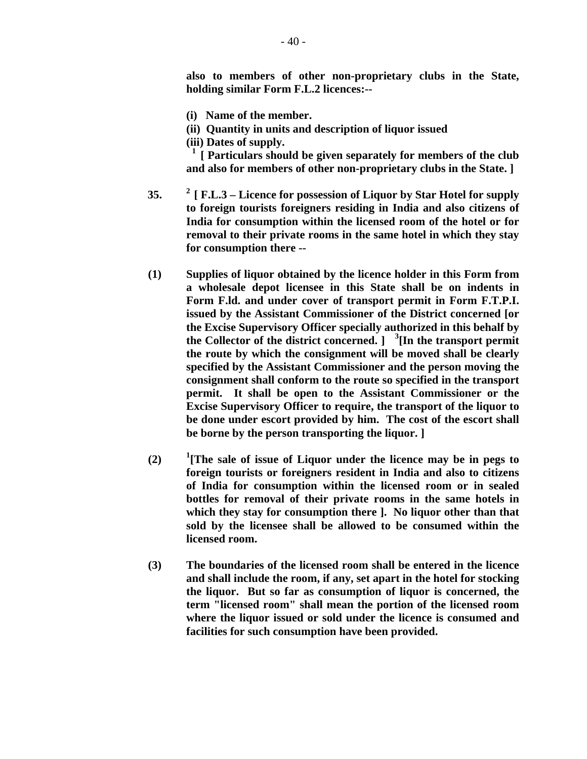**also to members of other non-proprietary clubs in the State, holding similar Form F.L.2 licences:--** 

- **(i) Name of the member.**
- **(ii) Quantity in units and description of liquor issued**

 **(iii) Dates of supply.** 

 **1 [ Particulars should be given separately for members of the club and also for members of other non-proprietary clubs in the State. ]** 

- **35. 2 [ F.L.3 Licence for possession of Liquor by Star Hotel for supply to foreign tourists foreigners residing in India and also citizens of India for consumption within the licensed room of the hotel or for removal to their private rooms in the same hotel in which they stay for consumption there --**
- **(1) Supplies of liquor obtained by the licence holder in this Form from a wholesale depot licensee in this State shall be on indents in Form F.ld. and under cover of transport permit in Form F.T.P.I. issued by the Assistant Commissioner of the District concerned [or the Excise Supervisory Officer specially authorized in this behalf by the Collector of the district concerned. ] <sup>3</sup> [In the transport permit the route by which the consignment will be moved shall be clearly specified by the Assistant Commissioner and the person moving the consignment shall conform to the route so specified in the transport permit. It shall be open to the Assistant Commissioner or the Excise Supervisory Officer to require, the transport of the liquor to be done under escort provided by him. The cost of the escort shall be borne by the person transporting the liquor. ]**
- $(2)$ **[The sale of issue of Liquor under the licence may be in pegs to foreign tourists or foreigners resident in India and also to citizens of India for consumption within the licensed room or in sealed bottles for removal of their private rooms in the same hotels in which they stay for consumption there ]. No liquor other than that sold by the licensee shall be allowed to be consumed within the licensed room.**
- **(3) The boundaries of the licensed room shall be entered in the licence and shall include the room, if any, set apart in the hotel for stocking the liquor. But so far as consumption of liquor is concerned, the term "licensed room" shall mean the portion of the licensed room where the liquor issued or sold under the licence is consumed and facilities for such consumption have been provided.**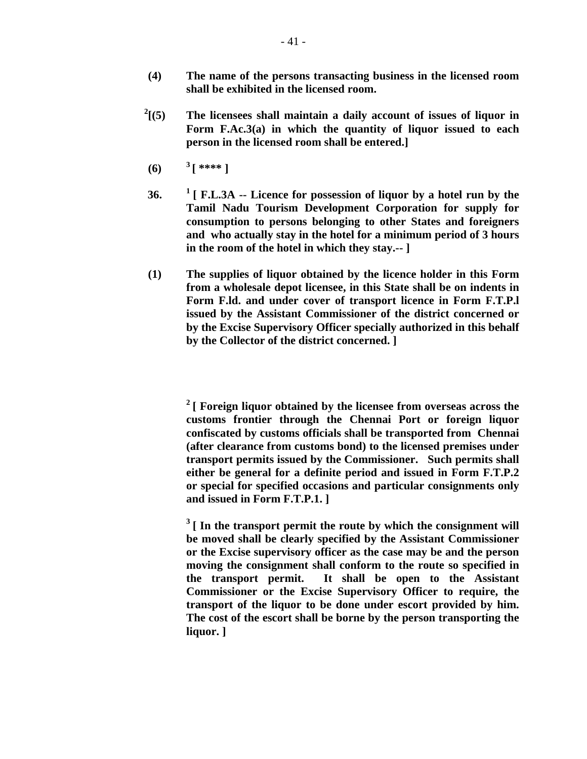- **(4) The name of the persons transacting business in the licensed room shall be exhibited in the licensed room.**
- $^{2}$ [(5) **[(5) The licensees shall maintain a daily account of issues of liquor in Form F.Ac.3(a) in which the quantity of liquor issued to each person in the licensed room shall be entered.]**
- **(6)**  $3^{***}$ ]
- **36. 1 [ F.L.3A -- Licence for possession of liquor by a hotel run by the Tamil Nadu Tourism Development Corporation for supply for consumption to persons belonging to other States and foreigners and who actually stay in the hotel for a minimum period of 3 hours in the room of the hotel in which they stay.-- ]**
- **(1) The supplies of liquor obtained by the licence holder in this Form from a wholesale depot licensee, in this State shall be on indents in Form F.ld. and under cover of transport licence in Form F.T.P.l issued by the Assistant Commissioner of the district concerned or by the Excise Supervisory Officer specially authorized in this behalf by the Collector of the district concerned. ]**

 **2 [ Foreign liquor obtained by the licensee from overseas across the customs frontier through the Chennai Port or foreign liquor confiscated by customs officials shall be transported from Chennai (after clearance from customs bond) to the licensed premises under transport permits issued by the Commissioner. Such permits shall either be general for a definite period and issued in Form F.T.P.2 or special for specified occasions and particular consignments only and issued in Form F.T.P.1. ]** 

<sup>3</sup> [ In the transport permit the route by which the consignment will **be moved shall be clearly specified by the Assistant Commissioner or the Excise supervisory officer as the case may be and the person moving the consignment shall conform to the route so specified in the transport permit. It shall be open to the Assistant Commissioner or the Excise Supervisory Officer to require, the transport of the liquor to be done under escort provided by him. The cost of the escort shall be borne by the person transporting the liquor. ]**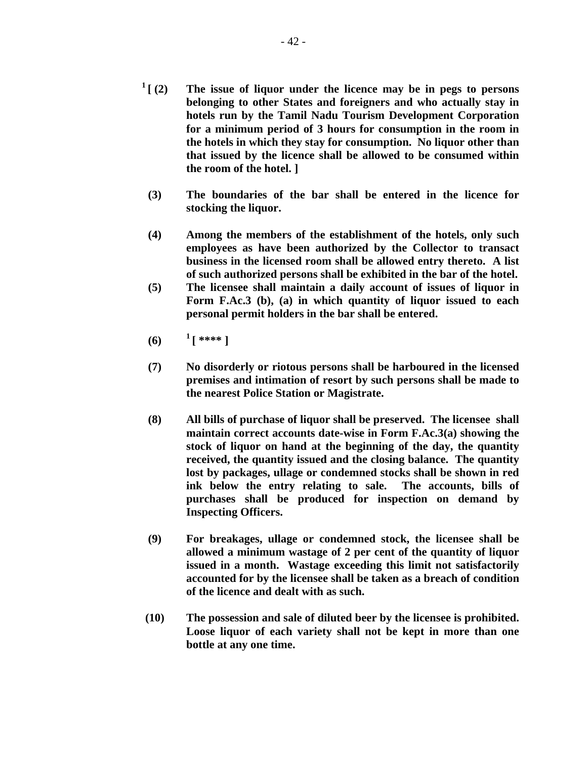- **1 [ (2) The issue of liquor under the licence may be in pegs to persons belonging to other States and foreigners and who actually stay in hotels run by the Tamil Nadu Tourism Development Corporation for a minimum period of 3 hours for consumption in the room in the hotels in which they stay for consumption. No liquor other than that issued by the licence shall be allowed to be consumed within the room of the hotel. ]** 
	- **(3) The boundaries of the bar shall be entered in the licence for stocking the liquor.**
	- **(4) Among the members of the establishment of the hotels, only such employees as have been authorized by the Collector to transact business in the licensed room shall be allowed entry thereto. A list of such authorized persons shall be exhibited in the bar of the hotel.**
	- **(5) The licensee shall maintain a daily account of issues of liquor in Form F.Ac.3 (b), (a) in which quantity of liquor issued to each personal permit holders in the bar shall be entered.**
	- **(6)**  $1 + 1 + 1 + 1 = 0$
	- **(7) No disorderly or riotous persons shall be harboured in the licensed premises and intimation of resort by such persons shall be made to the nearest Police Station or Magistrate.**
	- **(8) All bills of purchase of liquor shall be preserved. The licensee shall maintain correct accounts date-wise in Form F.Ac.3(a) showing the stock of liquor on hand at the beginning of the day, the quantity received, the quantity issued and the closing balance. The quantity lost by packages, ullage or condemned stocks shall be shown in red ink below the entry relating to sale. The accounts, bills of purchases shall be produced for inspection on demand by Inspecting Officers.**
	- **(9) For breakages, ullage or condemned stock, the licensee shall be allowed a minimum wastage of 2 per cent of the quantity of liquor issued in a month. Wastage exceeding this limit not satisfactorily accounted for by the licensee shall be taken as a breach of condition of the licence and dealt with as such.**
- **(10) The possession and sale of diluted beer by the licensee is prohibited. Loose liquor of each variety shall not be kept in more than one bottle at any one time.**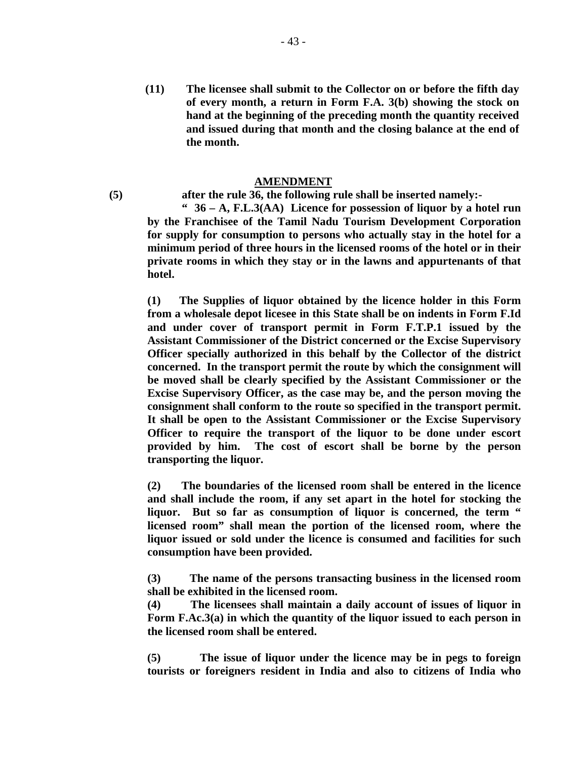**(11) The licensee shall submit to the Collector on or before the fifth day of every month, a return in Form F.A. 3(b) showing the stock on hand at the beginning of the preceding month the quantity received and issued during that month and the closing balance at the end of the month.** 

#### **AMENDMENT**

**(5) after the rule 36, the following rule shall be inserted namely:-** 

 **" 36 – A, F.L.3(AA) Licence for possession of liquor by a hotel run by the Franchisee of the Tamil Nadu Tourism Development Corporation for supply for consumption to persons who actually stay in the hotel for a minimum period of three hours in the licensed rooms of the hotel or in their private rooms in which they stay or in the lawns and appurtenants of that hotel.** 

 **(1) The Supplies of liquor obtained by the licence holder in this Form from a wholesale depot licesee in this State shall be on indents in Form F.Id and under cover of transport permit in Form F.T.P.1 issued by the Assistant Commissioner of the District concerned or the Excise Supervisory Officer specially authorized in this behalf by the Collector of the district concerned. In the transport permit the route by which the consignment will be moved shall be clearly specified by the Assistant Commissioner or the Excise Supervisory Officer, as the case may be, and the person moving the consignment shall conform to the route so specified in the transport permit. It shall be open to the Assistant Commissioner or the Excise Supervisory Officer to require the transport of the liquor to be done under escort provided by him. The cost of escort shall be borne by the person transporting the liquor.** 

 **(2) The boundaries of the licensed room shall be entered in the licence and shall include the room, if any set apart in the hotel for stocking the liquor. But so far as consumption of liquor is concerned, the term " licensed room" shall mean the portion of the licensed room, where the liquor issued or sold under the licence is consumed and facilities for such consumption have been provided.** 

 **(3) The name of the persons transacting business in the licensed room shall be exhibited in the licensed room.** 

 **(4) The licensees shall maintain a daily account of issues of liquor in Form F.Ac.3(a) in which the quantity of the liquor issued to each person in the licensed room shall be entered.** 

 **(5) The issue of liquor under the licence may be in pegs to foreign tourists or foreigners resident in India and also to citizens of India who**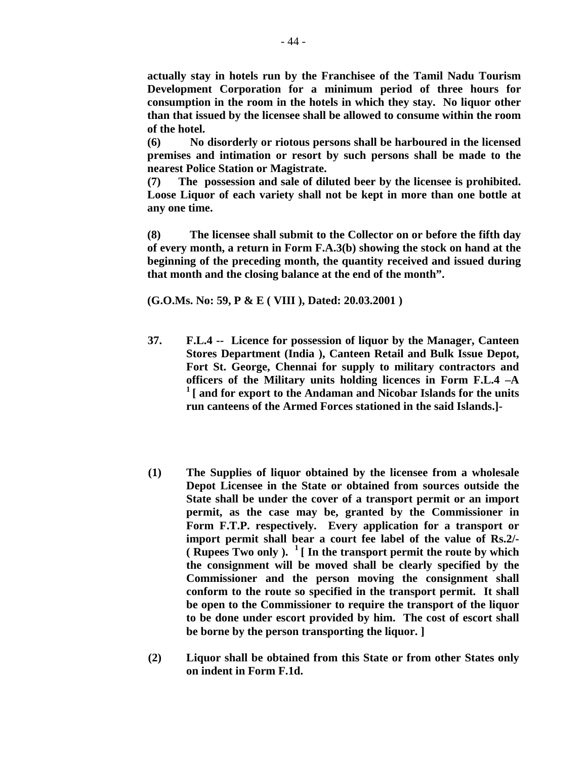**actually stay in hotels run by the Franchisee of the Tamil Nadu Tourism Development Corporation for a minimum period of three hours for consumption in the room in the hotels in which they stay. No liquor other than that issued by the licensee shall be allowed to consume within the room of the hotel.** 

 **(6) No disorderly or riotous persons shall be harboured in the licensed premises and intimation or resort by such persons shall be made to the nearest Police Station or Magistrate.** 

 **(7) The possession and sale of diluted beer by the licensee is prohibited. Loose Liquor of each variety shall not be kept in more than one bottle at any one time.** 

 **(8) The licensee shall submit to the Collector on or before the fifth day of every month, a return in Form F.A.3(b) showing the stock on hand at the beginning of the preceding month, the quantity received and issued during that month and the closing balance at the end of the month".** 

 **(G.O.Ms. No: 59, P & E ( VIII ), Dated: 20.03.2001 )** 

- **37. F.L.4 -- Licence for possession of liquor by the Manager, Canteen Stores Department (India ), Canteen Retail and Bulk Issue Depot, Fort St. George, Chennai for supply to military contractors and officers of the Military units holding licences in Form F.L.4 –A 1 [ and for export to the Andaman and Nicobar Islands for the units run canteens of the Armed Forces stationed in the said Islands.]-**
- **(1) The Supplies of liquor obtained by the licensee from a wholesale Depot Licensee in the State or obtained from sources outside the State shall be under the cover of a transport permit or an import permit, as the case may be, granted by the Commissioner in Form F.T.P. respectively. Every application for a transport or import permit shall bear a court fee label of the value of Rs.2/- ( Rupees Two only ). 1 [ In the transport permit the route by which the consignment will be moved shall be clearly specified by the Commissioner and the person moving the consignment shall conform to the route so specified in the transport permit. It shall be open to the Commissioner to require the transport of the liquor to be done under escort provided by him. The cost of escort shall be borne by the person transporting the liquor. ]**
- **(2) Liquor shall be obtained from this State or from other States only on indent in Form F.1d.**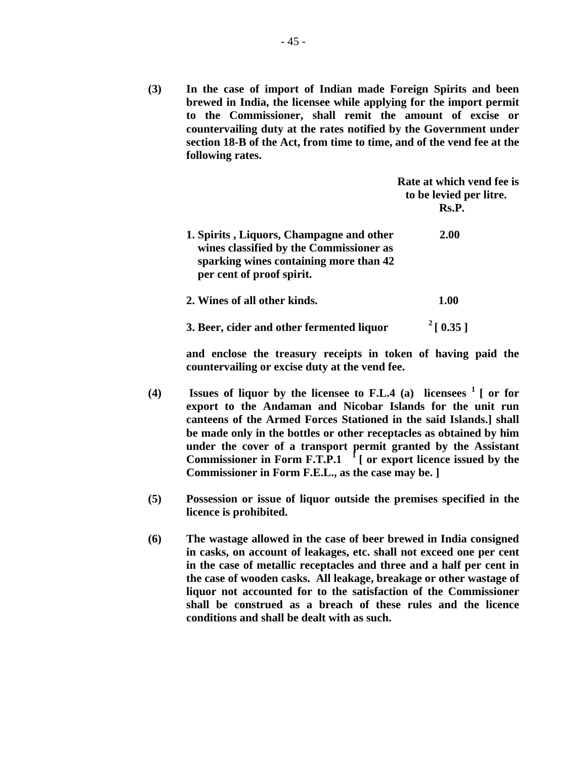**(3) In the case of import of Indian made Foreign Spirits and been brewed in India, the licensee while applying for the import permit to the Commissioner, shall remit the amount of excise or countervailing duty at the rates notified by the Government under section 18-B of the Act, from time to time, and of the vend fee at the following rates.** 

|                                                                                                                                                            | Rate at which vend fee is<br>to be levied per litre.<br>Rs.P. |
|------------------------------------------------------------------------------------------------------------------------------------------------------------|---------------------------------------------------------------|
| 1. Spirits, Liquors, Champagne and other<br>wines classified by the Commissioner as<br>sparking wines containing more than 42<br>per cent of proof spirit. | 2.00                                                          |
| 2. Wines of all other kinds.                                                                                                                               | <b>1.00</b>                                                   |
| 3. Beer, cider and other fermented liquor                                                                                                                  | $^{2}$ [ 0.35 ]                                               |

**and enclose the treasury receipts in token of having paid the countervailing or excise duty at the vend fee.** 

- **(4) Issues of liquor by the licensee to F.L.4 (a) licensees 1 [ or for export to the Andaman and Nicobar Islands for the unit run canteens of the Armed Forces Stationed in the said Islands.] shall be made only in the bottles or other receptacles as obtained by him under the cover of a transport permit granted by the Assistant Commissioner in Form F.T.P.1 1 [ or export licence issued by the Commissioner in Form F.E.L., as the case may be. ]**
- **(5) Possession or issue of liquor outside the premises specified in the licence is prohibited.**
- **(6) The wastage allowed in the case of beer brewed in India consigned in casks, on account of leakages, etc. shall not exceed one per cent in the case of metallic receptacles and three and a half per cent in the case of wooden casks. All leakage, breakage or other wastage of liquor not accounted for to the satisfaction of the Commissioner shall be construed as a breach of these rules and the licence conditions and shall be dealt with as such.**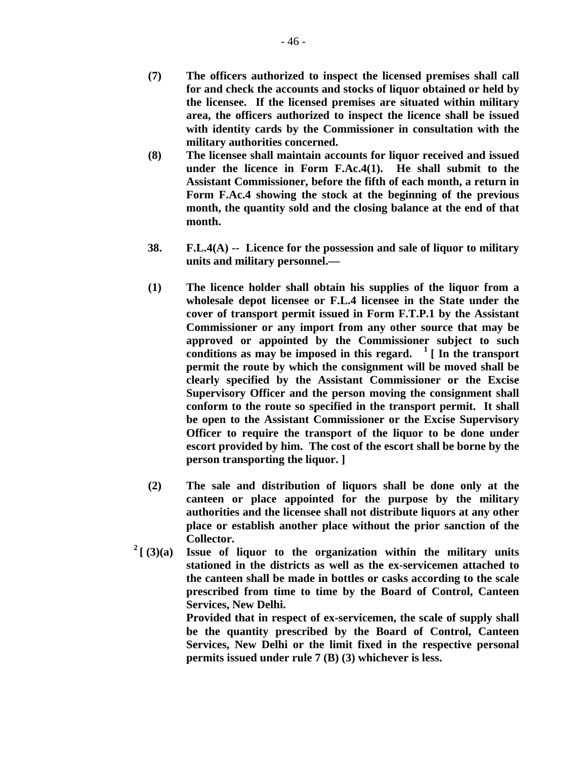- **(8) The licensee shall maintain accounts for liquor received and issued under the licence in Form F.Ac.4(1). He shall submit to the Assistant Commissioner, before the fifth of each month, a return in Form F.Ac.4 showing the stock at the beginning of the previous month, the quantity sold and the closing balance at the end of that month.**
- **38. F.L.4(A) -- Licence for the possession and sale of liquor to military units and military personnel.—**
- **(1) The licence holder shall obtain his supplies of the liquor from a wholesale depot licensee or F.L.4 licensee in the State under the cover of transport permit issued in Form F.T.P.1 by the Assistant Commissioner or any import from any other source that may be approved or appointed by the Commissioner subject to such**  conditions as may be imposed in this regard.  $\frac{1}{1}$  In the transport **permit the route by which the consignment will be moved shall be clearly specified by the Assistant Commissioner or the Excise Supervisory Officer and the person moving the consignment shall conform to the route so specified in the transport permit. It shall be open to the Assistant Commissioner or the Excise Supervisory Officer to require the transport of the liquor to be done under escort provided by him. The cost of the escort shall be borne by the person transporting the liquor. ]**
- **(2) The sale and distribution of liquors shall be done only at the canteen or place appointed for the purpose by the military authorities and the licensee shall not distribute liquors at any other place or establish another place without the prior sanction of the Collector.**
- $2\left[\right]$  (3)(a) Issue of liquor to the organization within the military units **stationed in the districts as well as the ex-servicemen attached to the canteen shall be made in bottles or casks according to the scale prescribed from time to time by the Board of Control, Canteen Services, New Delhi.**

**Provided that in respect of ex-servicemen, the scale of supply shall be the quantity prescribed by the Board of Control, Canteen Services, New Delhi or the limit fixed in the respective personal permits issued under rule 7 (B) (3) whichever is less.**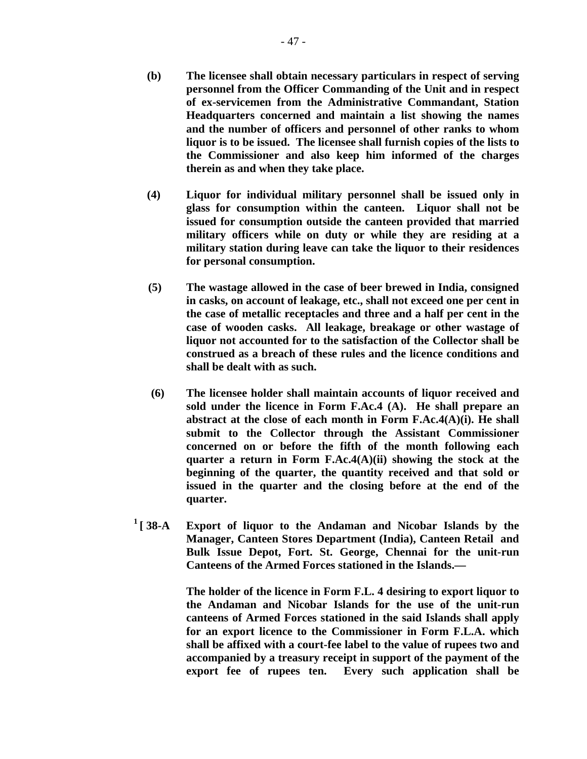- **(b) The licensee shall obtain necessary particulars in respect of serving personnel from the Officer Commanding of the Unit and in respect of ex-servicemen from the Administrative Commandant, Station Headquarters concerned and maintain a list showing the names and the number of officers and personnel of other ranks to whom liquor is to be issued. The licensee shall furnish copies of the lists to the Commissioner and also keep him informed of the charges therein as and when they take place.**
- **(4) Liquor for individual military personnel shall be issued only in glass for consumption within the canteen. Liquor shall not be issued for consumption outside the canteen provided that married military officers while on duty or while they are residing at a military station during leave can take the liquor to their residences for personal consumption.**
- **(5) The wastage allowed in the case of beer brewed in India, consigned in casks, on account of leakage, etc., shall not exceed one per cent in the case of metallic receptacles and three and a half per cent in the case of wooden casks. All leakage, breakage or other wastage of liquor not accounted for to the satisfaction of the Collector shall be construed as a breach of these rules and the licence conditions and shall be dealt with as such.**
- **(6) The licensee holder shall maintain accounts of liquor received and sold under the licence in Form F.Ac.4 (A). He shall prepare an abstract at the close of each month in Form F.Ac.4(A)(i). He shall submit to the Collector through the Assistant Commissioner concerned on or before the fifth of the month following each quarter a return in Form F.Ac.4(A)(ii) showing the stock at the beginning of the quarter, the quantity received and that sold or issued in the quarter and the closing before at the end of the quarter.**
- **1 [ 38-A Export of liquor to the Andaman and Nicobar Islands by the Manager, Canteen Stores Department (India), Canteen Retail and Bulk Issue Depot, Fort. St. George, Chennai for the unit-run Canteens of the Armed Forces stationed in the Islands.—**

**The holder of the licence in Form F.L. 4 desiring to export liquor to the Andaman and Nicobar Islands for the use of the unit-run canteens of Armed Forces stationed in the said Islands shall apply for an export licence to the Commissioner in Form F.L.A. which shall be affixed with a court-fee label to the value of rupees two and accompanied by a treasury receipt in support of the payment of the export fee of rupees ten. Every such application shall be**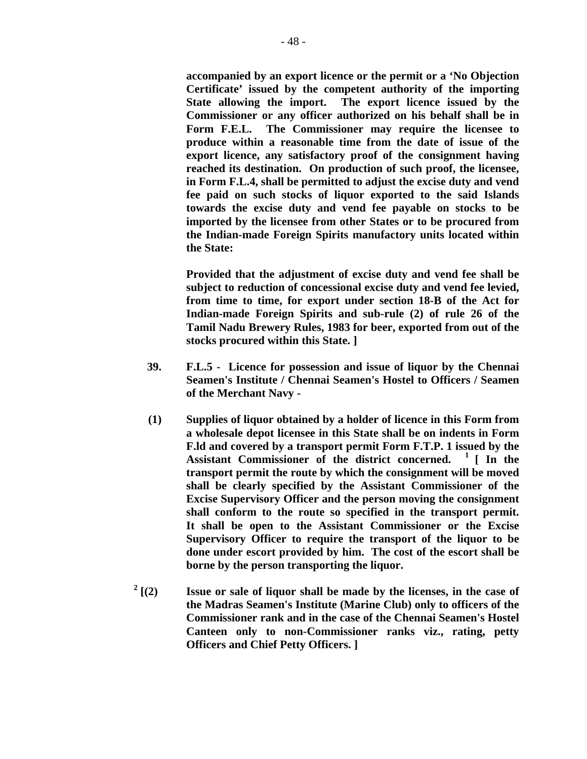**accompanied by an export licence or the permit or a 'No Objection Certificate' issued by the competent authority of the importing State allowing the import. The export licence issued by the Commissioner or any officer authorized on his behalf shall be in Form F.E.L. The Commissioner may require the licensee to produce within a reasonable time from the date of issue of the export licence, any satisfactory proof of the consignment having reached its destination. On production of such proof, the licensee, in Form F.L.4, shall be permitted to adjust the excise duty and vend fee paid on such stocks of liquor exported to the said Islands towards the excise duty and vend fee payable on stocks to be imported by the licensee from other States or to be procured from the Indian-made Foreign Spirits manufactory units located within the State:** 

**Provided that the adjustment of excise duty and vend fee shall be subject to reduction of concessional excise duty and vend fee levied, from time to time, for export under section 18-B of the Act for Indian-made Foreign Spirits and sub-rule (2) of rule 26 of the Tamil Nadu Brewery Rules, 1983 for beer, exported from out of the stocks procured within this State. ]** 

- **39. F.L.5 Licence for possession and issue of liquor by the Chennai Seamen's Institute / Chennai Seamen's Hostel to Officers / Seamen of the Merchant Navy -**
- **(1) Supplies of liquor obtained by a holder of licence in this Form from a wholesale depot licensee in this State shall be on indents in Form F.ld and covered by a transport permit Form F.T.P. 1 issued by the Assistant Commissioner of the district concerned. 1 [ In the transport permit the route by which the consignment will be moved shall be clearly specified by the Assistant Commissioner of the Excise Supervisory Officer and the person moving the consignment shall conform to the route so specified in the transport permit. It shall be open to the Assistant Commissioner or the Excise Supervisory Officer to require the transport of the liquor to be done under escort provided by him. The cost of the escort shall be borne by the person transporting the liquor.**
- $^{2}$  [(2) **Issue or sale of liquor shall be made by the licenses, in the case of the Madras Seamen's Institute (Marine Club) only to officers of the Commissioner rank and in the case of the Chennai Seamen's Hostel Canteen only to non-Commissioner ranks viz., rating, petty Officers and Chief Petty Officers. ]**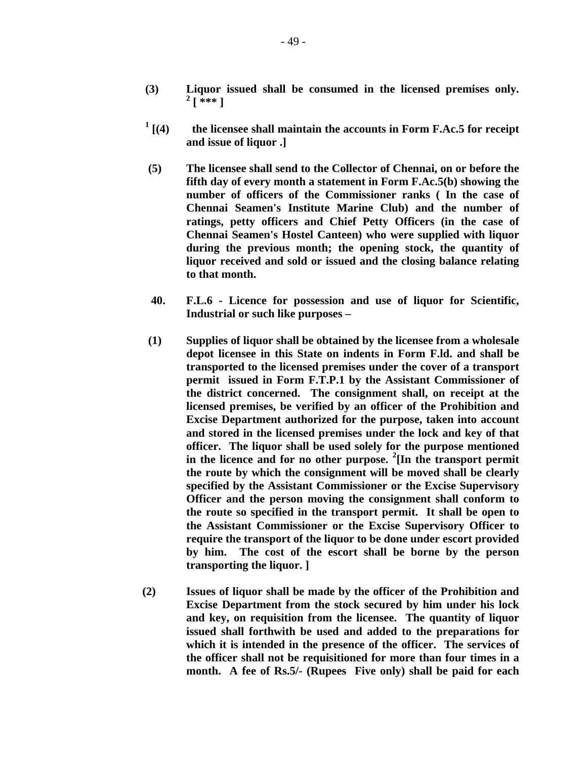- **(3) Liquor issued shall be consumed in the licensed premises only. 2**  $^{2}$  [ \*\*\* ]
- **<sup>1</sup>**  $\frac{1}{1}$  [(4) the licensee shall maintain the accounts in Form F.Ac.5 for receipt **and issue of liquor .]** 
	- **(5) The licensee shall send to the Collector of Chennai, on or before the fifth day of every month a statement in Form F.Ac.5(b) showing the number of officers of the Commissioner ranks ( In the case of Chennai Seamen's Institute Marine Club) and the number of ratings, petty officers and Chief Petty Officers (in the case of Chennai Seamen's Hostel Canteen) who were supplied with liquor during the previous month; the opening stock, the quantity of liquor received and sold or issued and the closing balance relating to that month.**
	- **40. F.L.6 Licence for possession and use of liquor for Scientific, Industrial or such like purposes –**
	- **(1) Supplies of liquor shall be obtained by the licensee from a wholesale depot licensee in this State on indents in Form F.ld. and shall be transported to the licensed premises under the cover of a transport permit issued in Form F.T.P.1 by the Assistant Commissioner of the district concerned. The consignment shall, on receipt at the licensed premises, be verified by an officer of the Prohibition and Excise Department authorized for the purpose, taken into account and stored in the licensed premises under the lock and key of that officer. The liquor shall be used solely for the purpose mentioned in the licence and for no other purpose. <sup>2</sup> [In the transport permit the route by which the consignment will be moved shall be clearly specified by the Assistant Commissioner or the Excise Supervisory Officer and the person moving the consignment shall conform to the route so specified in the transport permit. It shall be open to the Assistant Commissioner or the Excise Supervisory Officer to require the transport of the liquor to be done under escort provided by him. The cost of the escort shall be borne by the person transporting the liquor. ]**
	- **(2) Issues of liquor shall be made by the officer of the Prohibition and Excise Department from the stock secured by him under his lock and key, on requisition from the licensee. The quantity of liquor issued shall forthwith be used and added to the preparations for which it is intended in the presence of the officer. The services of the officer shall not be requisitioned for more than four times in a month. A fee of Rs.5/- (Rupees Five only) shall be paid for each**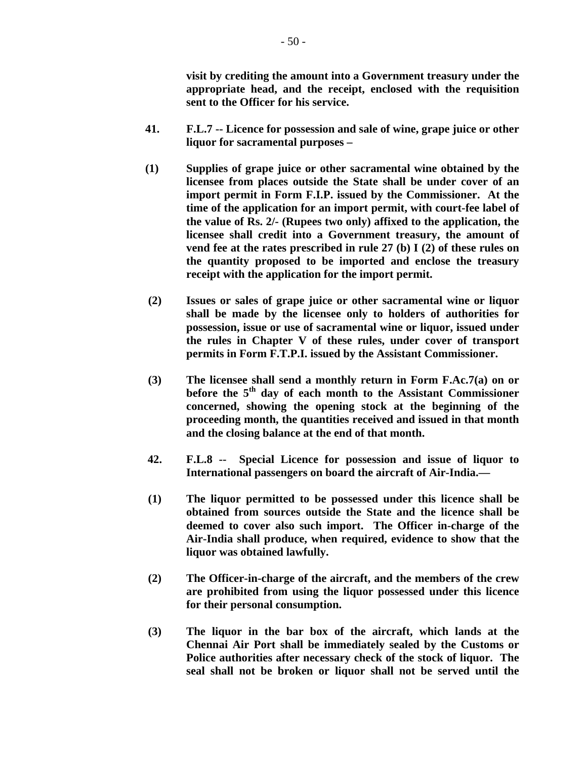**visit by crediting the amount into a Government treasury under the appropriate head, and the receipt, enclosed with the requisition sent to the Officer for his service.** 

- **41. F.L.7 -- Licence for possession and sale of wine, grape juice or other liquor for sacramental purposes –**
- **(1) Supplies of grape juice or other sacramental wine obtained by the licensee from places outside the State shall be under cover of an import permit in Form F.I.P. issued by the Commissioner. At the time of the application for an import permit, with court-fee label of the value of Rs. 2/- (Rupees two only) affixed to the application, the licensee shall credit into a Government treasury, the amount of vend fee at the rates prescribed in rule 27 (b) I (2) of these rules on the quantity proposed to be imported and enclose the treasury receipt with the application for the import permit.**
- **(2) Issues or sales of grape juice or other sacramental wine or liquor shall be made by the licensee only to holders of authorities for possession, issue or use of sacramental wine or liquor, issued under the rules in Chapter V of these rules, under cover of transport permits in Form F.T.P.I. issued by the Assistant Commissioner.**
- **(3) The licensee shall send a monthly return in Form F.Ac.7(a) on or before the 5th day of each month to the Assistant Commissioner concerned, showing the opening stock at the beginning of the proceeding month, the quantities received and issued in that month and the closing balance at the end of that month.**
- **42. F.L.8 -- Special Licence for possession and issue of liquor to International passengers on board the aircraft of Air-India.—**
- **(1) The liquor permitted to be possessed under this licence shall be obtained from sources outside the State and the licence shall be deemed to cover also such import. The Officer in-charge of the Air-India shall produce, when required, evidence to show that the liquor was obtained lawfully.**
- **(2) The Officer-in-charge of the aircraft, and the members of the crew are prohibited from using the liquor possessed under this licence for their personal consumption.**
- **(3) The liquor in the bar box of the aircraft, which lands at the Chennai Air Port shall be immediately sealed by the Customs or Police authorities after necessary check of the stock of liquor. The seal shall not be broken or liquor shall not be served until the**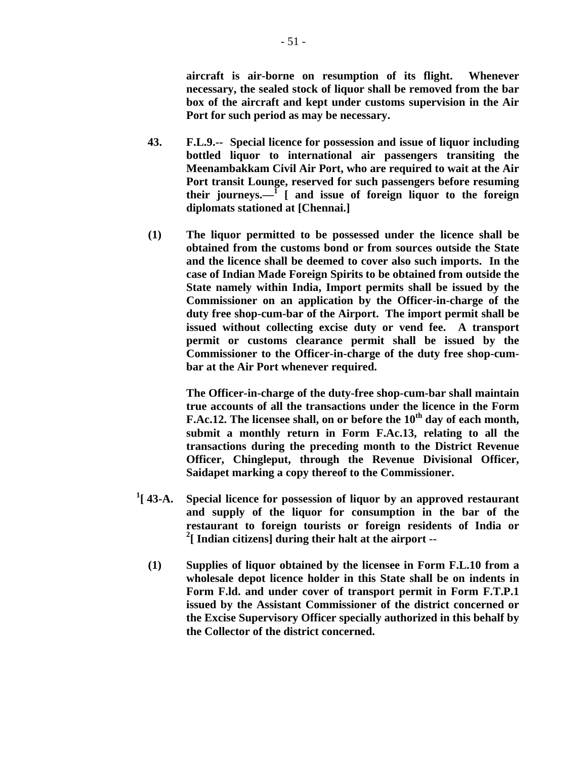**aircraft is air-borne on resumption of its flight. Whenever necessary, the sealed stock of liquor shall be removed from the bar box of the aircraft and kept under customs supervision in the Air Port for such period as may be necessary.** 

- **43. F.L.9.-- Special licence for possession and issue of liquor including bottled liquor to international air passengers transiting the Meenambakkam Civil Air Port, who are required to wait at the Air Port transit Lounge, reserved for such passengers before resuming**  their journeys.—<sup>I</sup> [ and issue of foreign liquor to the foreign **diplomats stationed at [Chennai.]**
- **(1) The liquor permitted to be possessed under the licence shall be obtained from the customs bond or from sources outside the State and the licence shall be deemed to cover also such imports. In the case of Indian Made Foreign Spirits to be obtained from outside the State namely within India, Import permits shall be issued by the Commissioner on an application by the Officer-in-charge of the duty free shop-cum-bar of the Airport. The import permit shall be issued without collecting excise duty or vend fee. A transport permit or customs clearance permit shall be issued by the Commissioner to the Officer-in-charge of the duty free shop-cumbar at the Air Port whenever required.**

 **The Officer-in-charge of the duty-free shop-cum-bar shall maintain true accounts of all the transactions under the licence in the Form F.Ac.12.** The licensee shall, on or before the 10<sup>th</sup> day of each month, **submit a monthly return in Form F.Ac.13, relating to all the transactions during the preceding month to the District Revenue Officer, Chingleput, through the Revenue Divisional Officer, Saidapet marking a copy thereof to the Commissioner.** 

- $^{1}$ [ 43-A. **Special licence for possession of liquor by an approved restaurant and supply of the liquor for consumption in the bar of the restaurant to foreign tourists or foreign residents of India or 2 [ Indian citizens] during their halt at the airport --** 
	- **(1) Supplies of liquor obtained by the licensee in Form F.L.10 from a wholesale depot licence holder in this State shall be on indents in Form F.ld. and under cover of transport permit in Form F.T.P.1 issued by the Assistant Commissioner of the district concerned or the Excise Supervisory Officer specially authorized in this behalf by the Collector of the district concerned.**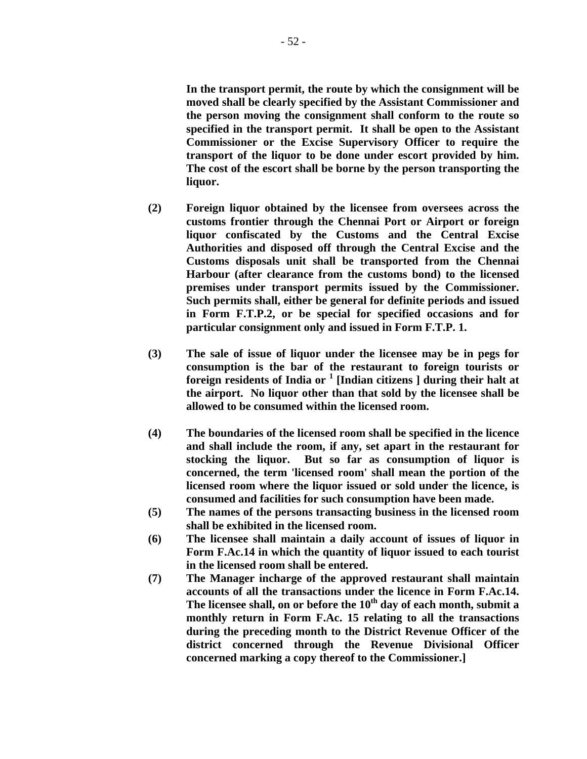**In the transport permit, the route by which the consignment will be moved shall be clearly specified by the Assistant Commissioner and the person moving the consignment shall conform to the route so specified in the transport permit. It shall be open to the Assistant Commissioner or the Excise Supervisory Officer to require the transport of the liquor to be done under escort provided by him. The cost of the escort shall be borne by the person transporting the liquor.** 

- **(2) Foreign liquor obtained by the licensee from oversees across the customs frontier through the Chennai Port or Airport or foreign liquor confiscated by the Customs and the Central Excise Authorities and disposed off through the Central Excise and the Customs disposals unit shall be transported from the Chennai Harbour (after clearance from the customs bond) to the licensed premises under transport permits issued by the Commissioner. Such permits shall, either be general for definite periods and issued in Form F.T.P.2, or be special for specified occasions and for particular consignment only and issued in Form F.T.P. 1.**
- **(3) The sale of issue of liquor under the licensee may be in pegs for consumption is the bar of the restaurant to foreign tourists or foreign residents of India or <sup>1</sup> [Indian citizens ] during their halt at the airport. No liquor other than that sold by the licensee shall be allowed to be consumed within the licensed room.**
- **(4) The boundaries of the licensed room shall be specified in the licence and shall include the room, if any, set apart in the restaurant for stocking the liquor. But so far as consumption of liquor is concerned, the term 'licensed room' shall mean the portion of the licensed room where the liquor issued or sold under the licence, is consumed and facilities for such consumption have been made.**
- **(5) The names of the persons transacting business in the licensed room shall be exhibited in the licensed room.**
- **(6) The licensee shall maintain a daily account of issues of liquor in Form F.Ac.14 in which the quantity of liquor issued to each tourist in the licensed room shall be entered.**
- **(7) The Manager incharge of the approved restaurant shall maintain accounts of all the transactions under the licence in Form F.Ac.14.**  The licensee shall, on or before the 10<sup>th</sup> day of each month, submit a **monthly return in Form F.Ac. 15 relating to all the transactions during the preceding month to the District Revenue Officer of the district concerned through the Revenue Divisional Officer concerned marking a copy thereof to the Commissioner.]**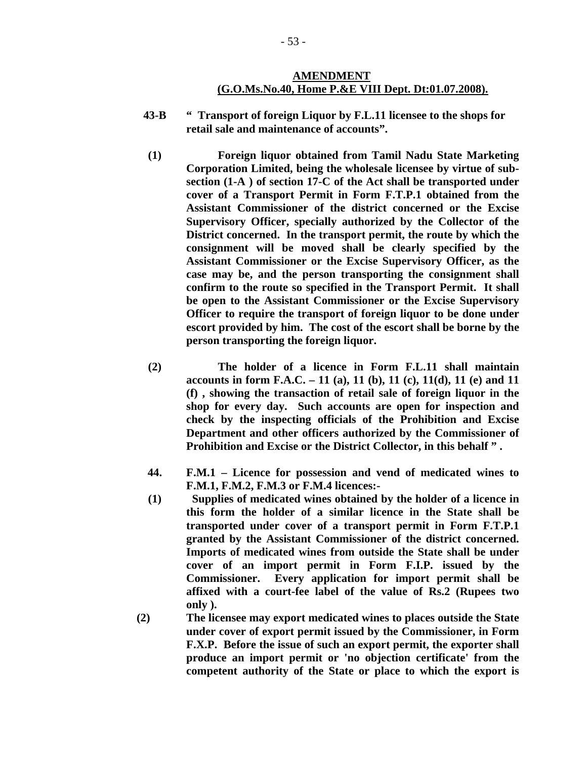#### **AMENDMENT (G.O.Ms.No.40, Home P.&E VIII Dept. Dt:01.07.2008).**

- **43-B " Transport of foreign Liquor by F.L.11 licensee to the shops for retail sale and maintenance of accounts".**
- **(1) Foreign liquor obtained from Tamil Nadu State Marketing Corporation Limited, being the wholesale licensee by virtue of subsection (1-A ) of section 17-C of the Act shall be transported under cover of a Transport Permit in Form F.T.P.1 obtained from the Assistant Commissioner of the district concerned or the Excise Supervisory Officer, specially authorized by the Collector of the District concerned. In the transport permit, the route by which the consignment will be moved shall be clearly specified by the Assistant Commissioner or the Excise Supervisory Officer, as the case may be, and the person transporting the consignment shall confirm to the route so specified in the Transport Permit. It shall be open to the Assistant Commissioner or the Excise Supervisory Officer to require the transport of foreign liquor to be done under escort provided by him. The cost of the escort shall be borne by the person transporting the foreign liquor.**
- **(2) The holder of a licence in Form F.L.11 shall maintain accounts in form F.A.C. – 11 (a), 11 (b), 11 (c), 11(d), 11 (e) and 11 (f) , showing the transaction of retail sale of foreign liquor in the shop for every day. Such accounts are open for inspection and check by the inspecting officials of the Prohibition and Excise Department and other officers authorized by the Commissioner of Prohibition and Excise or the District Collector, in this behalf " .**
- **44. F.M.1 Licence for possession and vend of medicated wines to F.M.1, F.M.2, F.M.3 or F.M.4 licences:-**
- **(1) Supplies of medicated wines obtained by the holder of a licence in this form the holder of a similar licence in the State shall be transported under cover of a transport permit in Form F.T.P.1 granted by the Assistant Commissioner of the district concerned. Imports of medicated wines from outside the State shall be under cover of an import permit in Form F.I.P. issued by the Commissioner. Every application for import permit shall be affixed with a court-fee label of the value of Rs.2 (Rupees two only ).**
- **(2) The licensee may export medicated wines to places outside the State under cover of export permit issued by the Commissioner, in Form F.X.P. Before the issue of such an export permit, the exporter shall produce an import permit or 'no objection certificate' from the competent authority of the State or place to which the export is**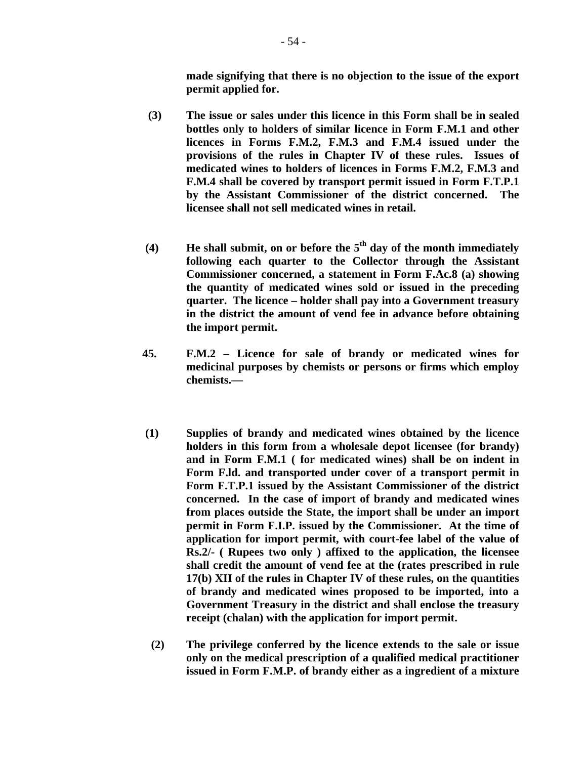**made signifying that there is no objection to the issue of the export permit applied for.** 

- **(3) The issue or sales under this licence in this Form shall be in sealed bottles only to holders of similar licence in Form F.M.1 and other licences in Forms F.M.2, F.M.3 and F.M.4 issued under the provisions of the rules in Chapter IV of these rules. Issues of medicated wines to holders of licences in Forms F.M.2, F.M.3 and F.M.4 shall be covered by transport permit issued in Form F.T.P.1 by the Assistant Commissioner of the district concerned. The licensee shall not sell medicated wines in retail.**
- **(4) He shall submit, on or before the 5th day of the month immediately following each quarter to the Collector through the Assistant Commissioner concerned, a statement in Form F.Ac.8 (a) showing the quantity of medicated wines sold or issued in the preceding quarter. The licence – holder shall pay into a Government treasury in the district the amount of vend fee in advance before obtaining the import permit.**
- **45. F.M.2 Licence for sale of brandy or medicated wines for medicinal purposes by chemists or persons or firms which employ chemists.—**
- **(1) Supplies of brandy and medicated wines obtained by the licence holders in this form from a wholesale depot licensee (for brandy) and in Form F.M.1 ( for medicated wines) shall be on indent in Form F.ld. and transported under cover of a transport permit in Form F.T.P.1 issued by the Assistant Commissioner of the district concerned. In the case of import of brandy and medicated wines from places outside the State, the import shall be under an import permit in Form F.I.P. issued by the Commissioner. At the time of application for import permit, with court-fee label of the value of Rs.2/- ( Rupees two only ) affixed to the application, the licensee shall credit the amount of vend fee at the (rates prescribed in rule 17(b) XII of the rules in Chapter IV of these rules, on the quantities of brandy and medicated wines proposed to be imported, into a Government Treasury in the district and shall enclose the treasury receipt (chalan) with the application for import permit.**
- **(2) The privilege conferred by the licence extends to the sale or issue only on the medical prescription of a qualified medical practitioner issued in Form F.M.P. of brandy either as a ingredient of a mixture**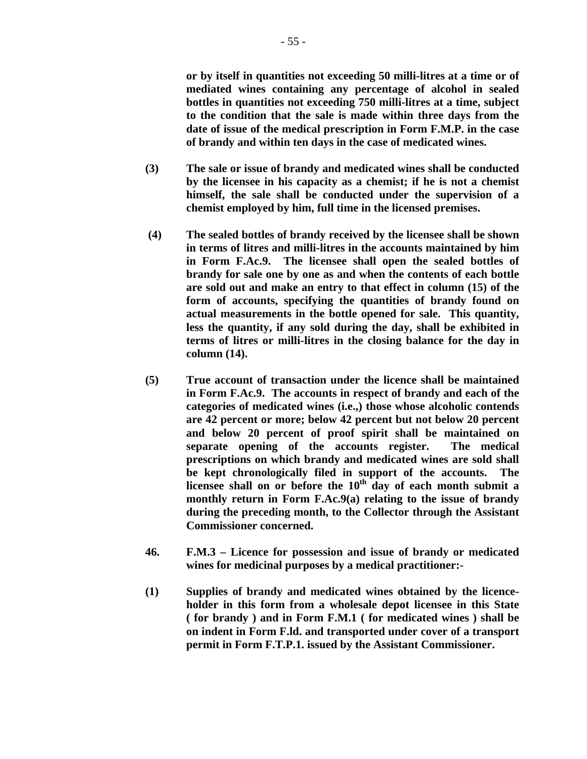**or by itself in quantities not exceeding 50 milli-litres at a time or of mediated wines containing any percentage of alcohol in sealed bottles in quantities not exceeding 750 milli-litres at a time, subject to the condition that the sale is made within three days from the date of issue of the medical prescription in Form F.M.P. in the case of brandy and within ten days in the case of medicated wines.** 

- **(3) The sale or issue of brandy and medicated wines shall be conducted by the licensee in his capacity as a chemist; if he is not a chemist himself, the sale shall be conducted under the supervision of a chemist employed by him, full time in the licensed premises.**
- **(4) The sealed bottles of brandy received by the licensee shall be shown in terms of litres and milli-litres in the accounts maintained by him in Form F.Ac.9. The licensee shall open the sealed bottles of brandy for sale one by one as and when the contents of each bottle are sold out and make an entry to that effect in column (15) of the form of accounts, specifying the quantities of brandy found on actual measurements in the bottle opened for sale. This quantity, less the quantity, if any sold during the day, shall be exhibited in terms of litres or milli-litres in the closing balance for the day in column (14).**
- **(5) True account of transaction under the licence shall be maintained in Form F.Ac.9. The accounts in respect of brandy and each of the categories of medicated wines (i.e.,) those whose alcoholic contends are 42 percent or more; below 42 percent but not below 20 percent and below 20 percent of proof spirit shall be maintained on separate opening of the accounts register. The medical prescriptions on which brandy and medicated wines are sold shall be kept chronologically filed in support of the accounts. The**  licensee shall on or before the 10<sup>th</sup> day of each month submit a **monthly return in Form F.Ac.9(a) relating to the issue of brandy during the preceding month, to the Collector through the Assistant Commissioner concerned.**
- **46. F.M.3 Licence for possession and issue of brandy or medicated wines for medicinal purposes by a medical practitioner:-**
- **(1) Supplies of brandy and medicated wines obtained by the licenceholder in this form from a wholesale depot licensee in this State ( for brandy ) and in Form F.M.1 ( for medicated wines ) shall be on indent in Form F.ld. and transported under cover of a transport permit in Form F.T.P.1. issued by the Assistant Commissioner.**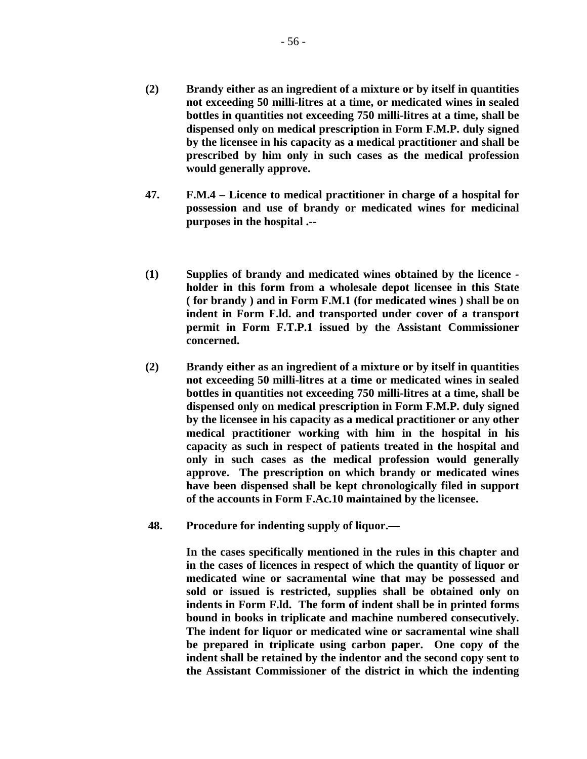- **(2) Brandy either as an ingredient of a mixture or by itself in quantities not exceeding 50 milli-litres at a time, or medicated wines in sealed bottles in quantities not exceeding 750 milli-litres at a time, shall be dispensed only on medical prescription in Form F.M.P. duly signed by the licensee in his capacity as a medical practitioner and shall be prescribed by him only in such cases as the medical profession would generally approve.**
- **47. F.M.4 Licence to medical practitioner in charge of a hospital for possession and use of brandy or medicated wines for medicinal purposes in the hospital .--**
- **(1) Supplies of brandy and medicated wines obtained by the licence holder in this form from a wholesale depot licensee in this State ( for brandy ) and in Form F.M.1 (for medicated wines ) shall be on indent in Form F.ld. and transported under cover of a transport permit in Form F.T.P.1 issued by the Assistant Commissioner concerned.**
- **(2) Brandy either as an ingredient of a mixture or by itself in quantities not exceeding 50 milli-litres at a time or medicated wines in sealed bottles in quantities not exceeding 750 milli-litres at a time, shall be dispensed only on medical prescription in Form F.M.P. duly signed by the licensee in his capacity as a medical practitioner or any other medical practitioner working with him in the hospital in his capacity as such in respect of patients treated in the hospital and only in such cases as the medical profession would generally approve. The prescription on which brandy or medicated wines have been dispensed shall be kept chronologically filed in support of the accounts in Form F.Ac.10 maintained by the licensee.**
- **48. Procedure for indenting supply of liquor.—**

 **In the cases specifically mentioned in the rules in this chapter and in the cases of licences in respect of which the quantity of liquor or medicated wine or sacramental wine that may be possessed and sold or issued is restricted, supplies shall be obtained only on indents in Form F.ld. The form of indent shall be in printed forms bound in books in triplicate and machine numbered consecutively. The indent for liquor or medicated wine or sacramental wine shall be prepared in triplicate using carbon paper. One copy of the indent shall be retained by the indentor and the second copy sent to the Assistant Commissioner of the district in which the indenting**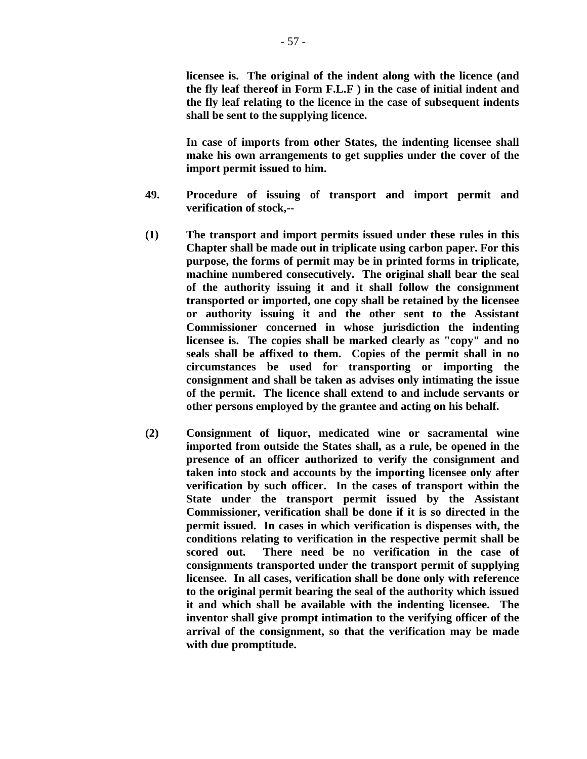**licensee is. The original of the indent along with the licence (and the fly leaf thereof in Form F.L.F ) in the case of initial indent and the fly leaf relating to the licence in the case of subsequent indents shall be sent to the supplying licence.** 

 **In case of imports from other States, the indenting licensee shall make his own arrangements to get supplies under the cover of the import permit issued to him.** 

- **49. Procedure of issuing of transport and import permit and verification of stock,--**
- **(1) The transport and import permits issued under these rules in this Chapter shall be made out in triplicate using carbon paper. For this purpose, the forms of permit may be in printed forms in triplicate, machine numbered consecutively. The original shall bear the seal of the authority issuing it and it shall follow the consignment transported or imported, one copy shall be retained by the licensee or authority issuing it and the other sent to the Assistant Commissioner concerned in whose jurisdiction the indenting licensee is. The copies shall be marked clearly as "copy" and no seals shall be affixed to them. Copies of the permit shall in no circumstances be used for transporting or importing the consignment and shall be taken as advises only intimating the issue of the permit. The licence shall extend to and include servants or other persons employed by the grantee and acting on his behalf.**
- **(2) Consignment of liquor, medicated wine or sacramental wine imported from outside the States shall, as a rule, be opened in the presence of an officer authorized to verify the consignment and taken into stock and accounts by the importing licensee only after verification by such officer. In the cases of transport within the State under the transport permit issued by the Assistant Commissioner, verification shall be done if it is so directed in the permit issued. In cases in which verification is dispenses with, the conditions relating to verification in the respective permit shall be scored out. There need be no verification in the case of consignments transported under the transport permit of supplying licensee. In all cases, verification shall be done only with reference to the original permit bearing the seal of the authority which issued it and which shall be available with the indenting licensee. The inventor shall give prompt intimation to the verifying officer of the arrival of the consignment, so that the verification may be made with due promptitude.**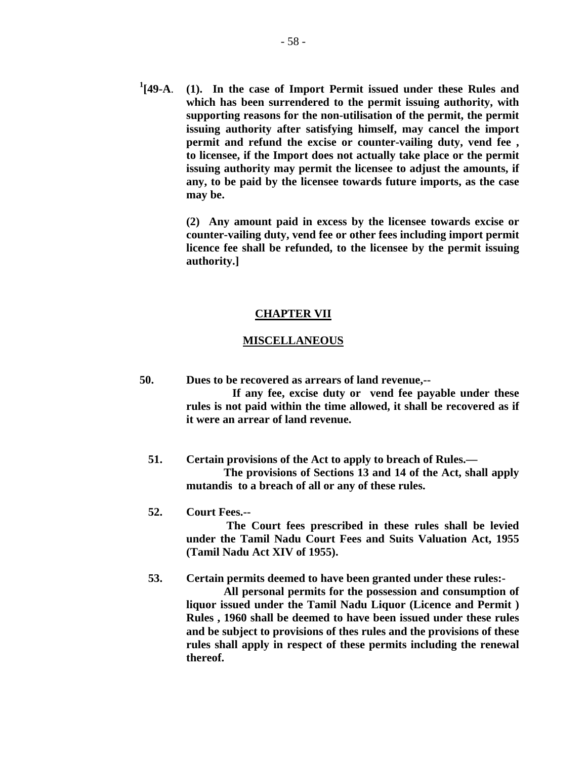**1 [49-A**. **(1). In the case of Import Permit issued under these Rules and which has been surrendered to the permit issuing authority, with supporting reasons for the non-utilisation of the permit, the permit issuing authority after satisfying himself, may cancel the import permit and refund the excise or counter-vailing duty, vend fee , to licensee, if the Import does not actually take place or the permit issuing authority may permit the licensee to adjust the amounts, if any, to be paid by the licensee towards future imports, as the case may be.** 

> **(2) Any amount paid in excess by the licensee towards excise or counter-vailing duty, vend fee or other fees including import permit licence fee shall be refunded, to the licensee by the permit issuing authority.]**

#### **CHAPTER VII**

#### **MISCELLANEOUS**

 **50. Dues to be recovered as arrears of land revenue,--** 

 **If any fee, excise duty or vend fee payable under these rules is not paid within the time allowed, it shall be recovered as if it were an arrear of land revenue.** 

- **51. Certain provisions of the Act to apply to breach of Rules.— The provisions of Sections 13 and 14 of the Act, shall apply mutandis to a breach of all or any of these rules.**
- **52. Court Fees.--**

 **The Court fees prescribed in these rules shall be levied under the Tamil Nadu Court Fees and Suits Valuation Act, 1955 (Tamil Nadu Act XIV of 1955).** 

 **53. Certain permits deemed to have been granted under these rules:-** 

 **All personal permits for the possession and consumption of liquor issued under the Tamil Nadu Liquor (Licence and Permit ) Rules , 1960 shall be deemed to have been issued under these rules and be subject to provisions of thes rules and the provisions of these rules shall apply in respect of these permits including the renewal thereof.**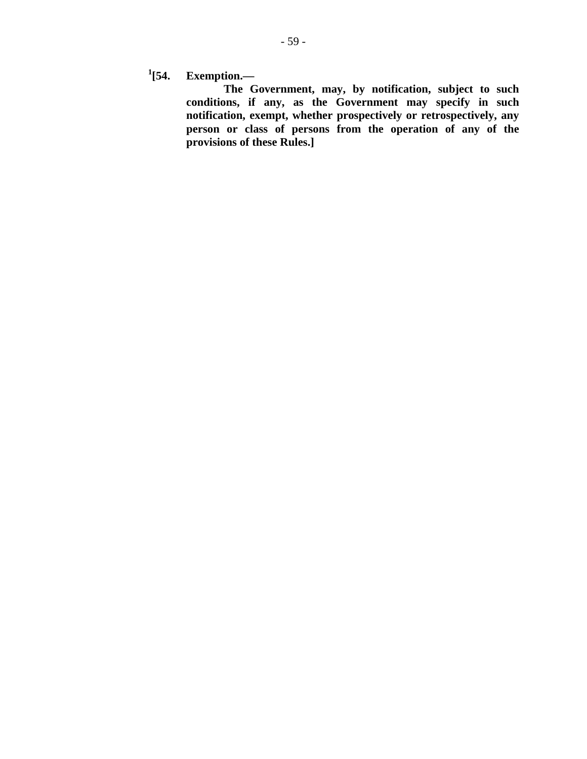$^{1}[54.$ **[54. Exemption.—** 

 **The Government, may, by notification, subject to such conditions, if any, as the Government may specify in such notification, exempt, whether prospectively or retrospectively, any person or class of persons from the operation of any of the provisions of these Rules.]**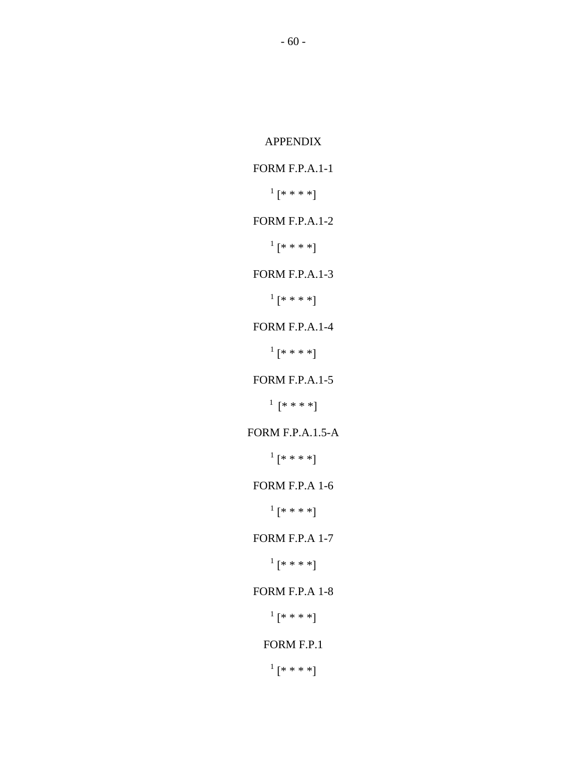## FORM F.P.A.1-1

 $^{1}[****!]$ 

### FORM F.P.A.1-2

 $^{1}$  [\* \* \* \*]

FORM F.P.A.1-3

 $^{1}[****]$ 

## FORM F.P.A.1-4

 $^{1}$  [\* \* \* \*]

## FORM F.P.A.1-5

 $1$  [\* \* \* \*]

# FORM F.P.A.1.5-A

 $^{1}$  [\* \* \* \*]

# FORM F.P.A 1-6

 $^{1}[****!]$ 

## FORM F.P.A 1-7

 $^{1}[****]$ 

# FORM F.P.A 1-8

 $^{1}[****]$ 

## FORM F.P.1

 $^{1}$  [\* \* \* \*]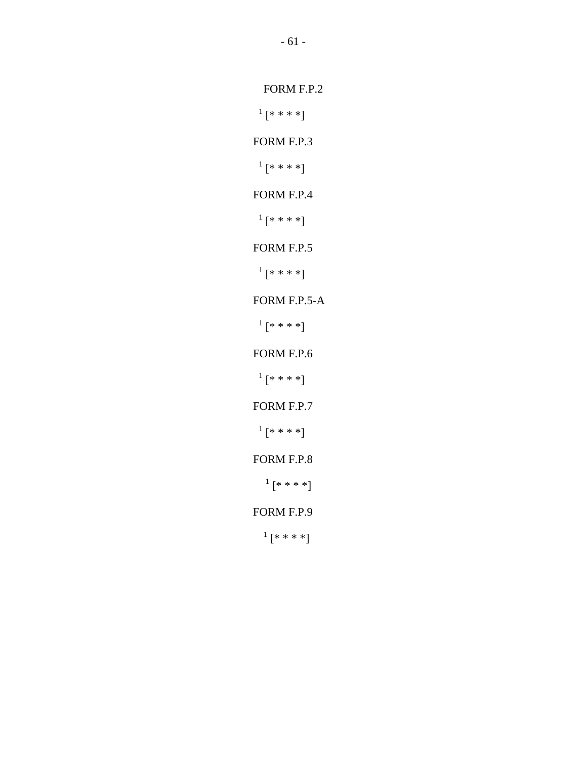- 61 -

FORM F.P.2

 <sup>1</sup>  $^{1}$  [\* \* \* \*]

FORM F.P.3

 <sup>1</sup>  $^{1}$  [\* \* \* \*]

FORM F.P.4

 <sup>1</sup>  $^{1}$  [\* \* \* \*]

FORM F.P.5

 <sup>1</sup>  $\frac{1}{k}$  [\* \* \* \*]

FORM F.P.5-A

 <sup>1</sup>  $\frac{1}{k}$  [\* \* \* \*]

FORM F.P.6

 <sup>1</sup>  $^{1}$  [\* \* \* \*]

FORM F.P.7

 <sup>1</sup>  $^{1}$  [\* \* \* \*]

FORM F.P.8

 $^{1}$  [\* \* \* \*]

FORM F.P.9

 $^{1}$  [\* \* \* \*]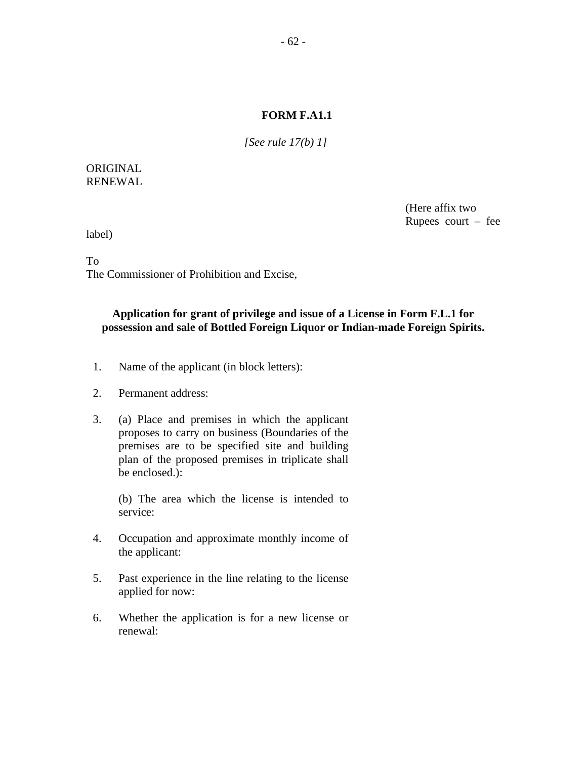#### **FORM F.A1.1**

*[See rule 17(b) 1]* 

### ORIGINAL RENEWAL

 (Here affix two Rupees court – fee

label)

To

The Commissioner of Prohibition and Excise,

### **Application for grant of privilege and issue of a License in Form F.L.1 for possession and sale of Bottled Foreign Liquor or Indian-made Foreign Spirits.**

- 1. Name of the applicant (in block letters):
- 2. Permanent address:
- 3. (a) Place and premises in which the applicant proposes to carry on business (Boundaries of the premises are to be specified site and building plan of the proposed premises in triplicate shall be enclosed.):

(b) The area which the license is intended to service:

- 4. Occupation and approximate monthly income of the applicant:
- 5. Past experience in the line relating to the license applied for now:
- 6. Whether the application is for a new license or renewal: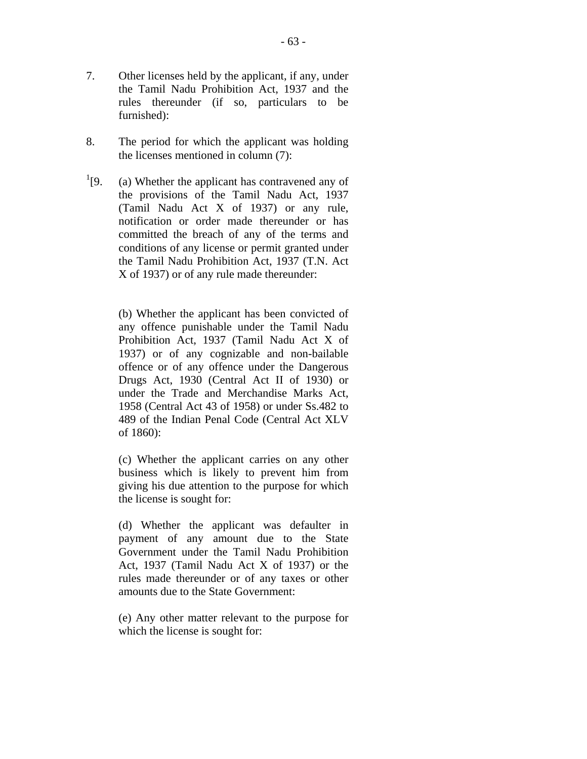- 7. Other licenses held by the applicant, if any, under the Tamil Nadu Prohibition Act, 1937 and the rules thereunder (if so, particulars to be furnished):
- 8. The period for which the applicant was holding the licenses mentioned in column (7):
- $^{1}$ [9. (a) Whether the applicant has contravened any of the provisions of the Tamil Nadu Act, 1937 (Tamil Nadu Act X of 1937) or any rule, notification or order made thereunder or has committed the breach of any of the terms and conditions of any license or permit granted under the Tamil Nadu Prohibition Act, 1937 (T.N. Act X of 1937) or of any rule made thereunder:

 (b) Whether the applicant has been convicted of any offence punishable under the Tamil Nadu Prohibition Act, 1937 (Tamil Nadu Act X of 1937) or of any cognizable and non-bailable offence or of any offence under the Dangerous Drugs Act, 1930 (Central Act II of 1930) or under the Trade and Merchandise Marks Act, 1958 (Central Act 43 of 1958) or under Ss.482 to 489 of the Indian Penal Code (Central Act XLV of 1860):

(c) Whether the applicant carries on any other business which is likely to prevent him from giving his due attention to the purpose for which the license is sought for:

(d) Whether the applicant was defaulter in payment of any amount due to the State Government under the Tamil Nadu Prohibition Act, 1937 (Tamil Nadu Act X of 1937) or the rules made thereunder or of any taxes or other amounts due to the State Government:

(e) Any other matter relevant to the purpose for which the license is sought for: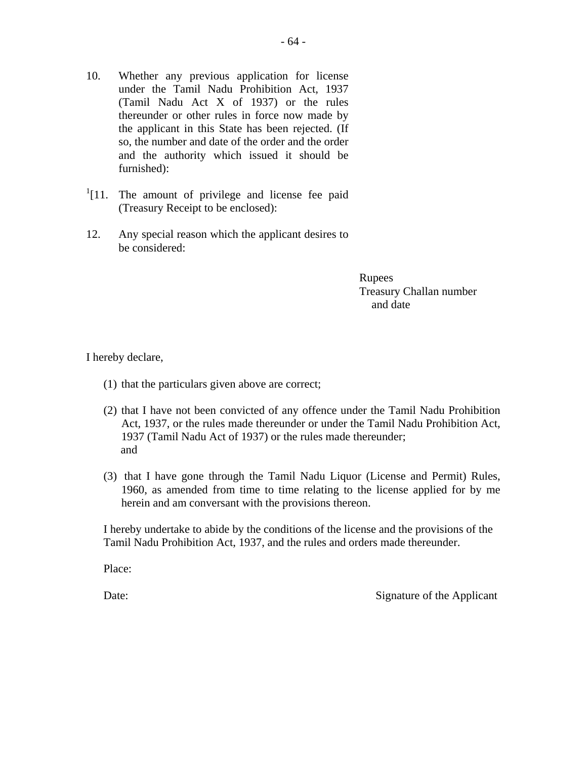- 10. Whether any previous application for license under the Tamil Nadu Prohibition Act, 1937 (Tamil Nadu Act X of 1937) or the rules thereunder or other rules in force now made by the applicant in this State has been rejected. (If so, the number and date of the order and the order and the authority which issued it should be furnished):
- $1$ [11. The amount of privilege and license fee paid (Treasury Receipt to be enclosed):
- 12. Any special reason which the applicant desires to be considered:

Rupees Treasury Challan number and date

I hereby declare,

- (1) that the particulars given above are correct;
- (2) that I have not been convicted of any offence under the Tamil Nadu Prohibition Act, 1937, or the rules made thereunder or under the Tamil Nadu Prohibition Act, 1937 (Tamil Nadu Act of 1937) or the rules made thereunder; and
- (3) that I have gone through the Tamil Nadu Liquor (License and Permit) Rules, 1960, as amended from time to time relating to the license applied for by me herein and am conversant with the provisions thereon.

I hereby undertake to abide by the conditions of the license and the provisions of the Tamil Nadu Prohibition Act, 1937, and the rules and orders made thereunder.

Place:

Date: Signature of the Applicant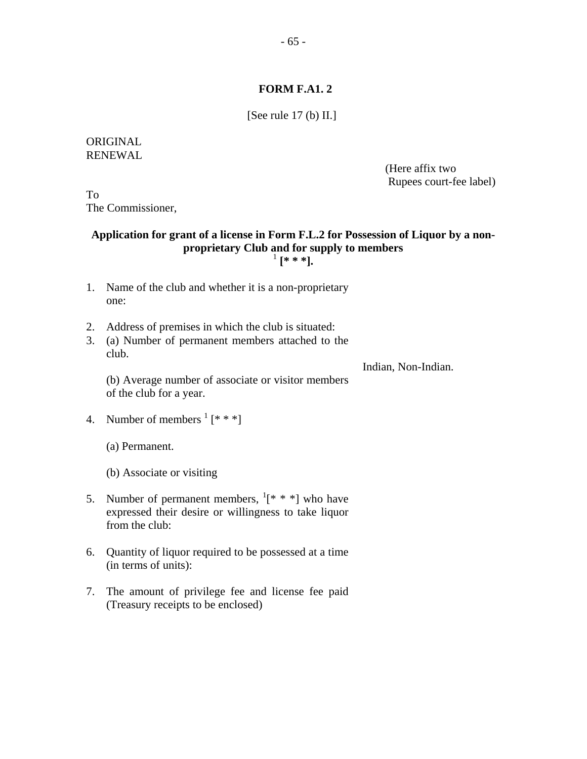## **FORM F.A1. 2**

[See rule 17 (b) II.]

### ORIGINAL RENEWAL

 (Here affix two Rupees court-fee label)

To The Commissioner,

## **Application for grant of a license in Form F.L.2 for Possession of Liquor by a nonproprietary Club and for supply to members**  1  **[\* \* \*].**

- 1. Name of the club and whether it is a non-proprietary one:
- 2. Address of premises in which the club is situated:
- 3. (a) Number of permanent members attached to the club.

Indian, Non-Indian.

(b) Average number of associate or visitor members of the club for a year.

4. Number of members  $\frac{1}{x}$  [\* \* \*]

(a) Permanent.

(b) Associate or visiting

- 5. Number of permanent members,  $\frac{1}{x}$  \* \* ] who have expressed their desire or willingness to take liquor from the club:
- 6. Quantity of liquor required to be possessed at a time (in terms of units):
- 7. The amount of privilege fee and license fee paid (Treasury receipts to be enclosed)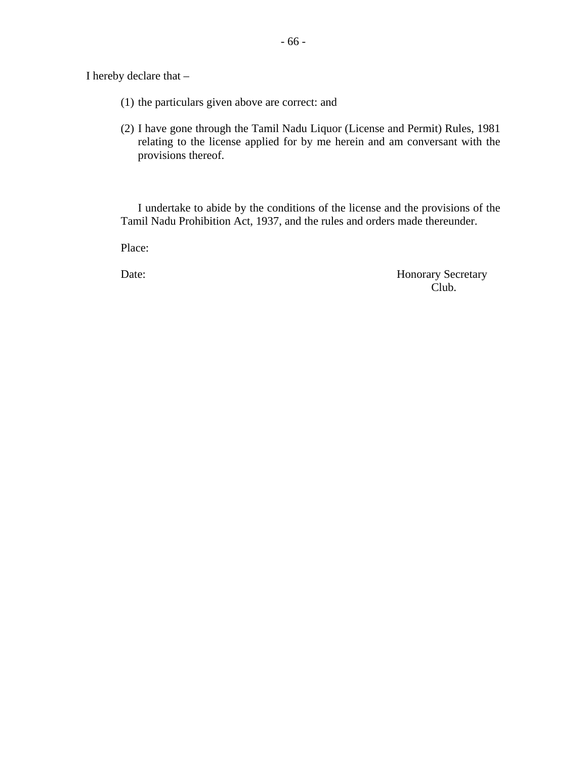I hereby declare that –

- (1) the particulars given above are correct: and
- (2) I have gone through the Tamil Nadu Liquor (License and Permit) Rules, 1981 relating to the license applied for by me herein and am conversant with the provisions thereof.

I undertake to abide by the conditions of the license and the provisions of the Tamil Nadu Prohibition Act, 1937, and the rules and orders made thereunder.

Place:

Date: Honorary Secretary Club. Club.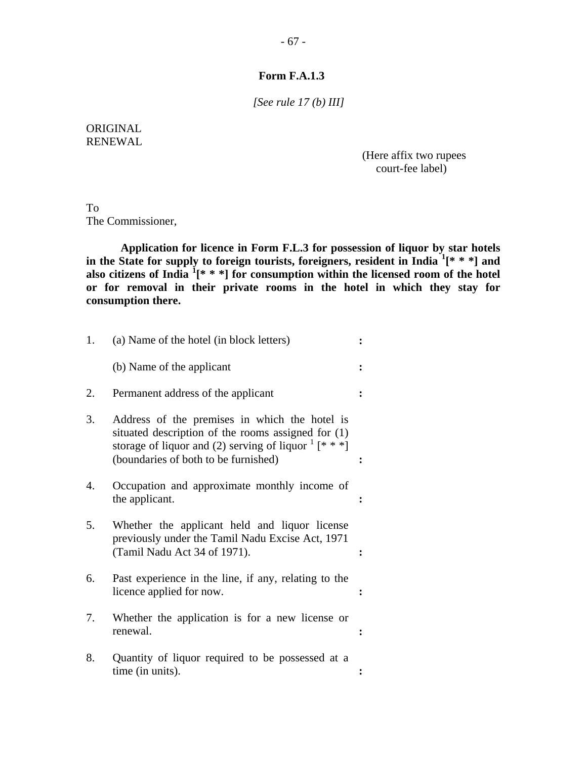## **Form F.A.1.3**

*[See rule 17 (b) III]* 

## ORIGINAL RENEWAL

 (Here affix two rupees court-fee label)

To The Commissioner,

**Application for licence in Form F.L.3 for possession of liquor by star hotels in the State for supply to foreign tourists, foreigners, resident in India <sup>1</sup> [\* \* \*] and also citizens of India <sup>1</sup> [\* \* \*] for consumption within the licensed room of the hotel or for removal in their private rooms in the hotel in which they stay for consumption there.** 

| 1.               | (a) Name of the hotel (in block letters)                                                                                                                                                                                               |  |
|------------------|----------------------------------------------------------------------------------------------------------------------------------------------------------------------------------------------------------------------------------------|--|
|                  | (b) Name of the applicant                                                                                                                                                                                                              |  |
| 2.               | Permanent address of the applicant                                                                                                                                                                                                     |  |
| 3.               | Address of the premises in which the hotel is<br>situated description of the rooms assigned for (1)<br>storage of liquor and (2) serving of liquor $\frac{1}{x}$ $\left[\ast \ast \ast\right]$<br>(boundaries of both to be furnished) |  |
| $\overline{4}$ . | Occupation and approximate monthly income of<br>the applicant.                                                                                                                                                                         |  |
| 5.               | Whether the applicant held and liquor license<br>previously under the Tamil Nadu Excise Act, 1971<br>(Tamil Nadu Act 34 of 1971).                                                                                                      |  |
| 6.               | Past experience in the line, if any, relating to the<br>licence applied for now.                                                                                                                                                       |  |
| 7.               | Whether the application is for a new license or<br>renewal.                                                                                                                                                                            |  |
| 8.               | Quantity of liquor required to be possessed at a<br>time (in units).                                                                                                                                                                   |  |
|                  |                                                                                                                                                                                                                                        |  |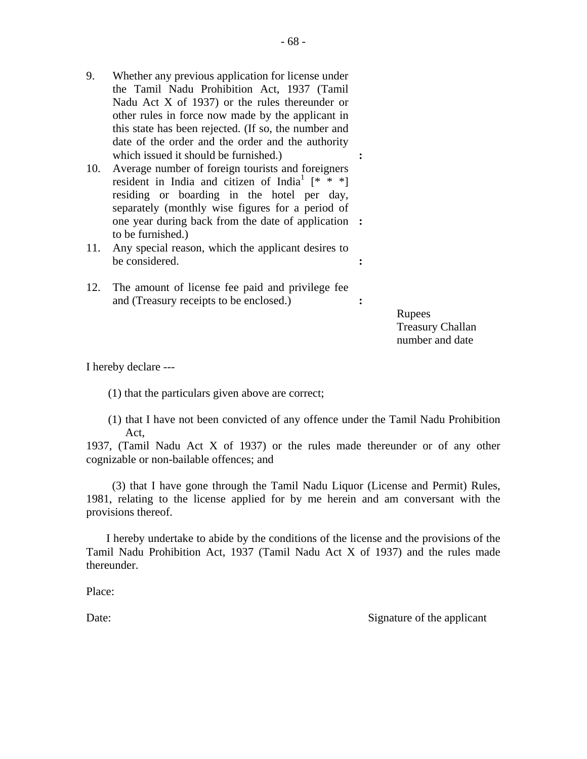- 9. Whether any previous application for license under the Tamil Nadu Prohibition Act, 1937 (Tamil Nadu Act X of 1937) or the rules thereunder or other rules in force now made by the applicant in this state has been rejected. (If so, the number and date of the order and the order and the authority which issued it should be furnished.)  $\cdot$
- 10. Average number of foreign tourists and foreigners resident in India and citizen of India<sup>1</sup>  $[* ***]$ residing or boarding in the hotel per day, separately (monthly wise figures for a period of one year during back from the date of application **:**  to be furnished.)
- 11. Any special reason, which the applicant desires to be considered. **:**
- 12. The amount of license fee paid and privilege fee and (Treasury receipts to be enclosed.) **:**

**Rupees**  Treasury Challan number and date

I hereby declare ---

(1) that the particulars given above are correct;

(1) that I have not been convicted of any offence under the Tamil Nadu Prohibition Act,

1937, (Tamil Nadu Act X of 1937) or the rules made thereunder or of any other cognizable or non-bailable offences; and

 (3) that I have gone through the Tamil Nadu Liquor (License and Permit) Rules, 1981, relating to the license applied for by me herein and am conversant with the provisions thereof.

 I hereby undertake to abide by the conditions of the license and the provisions of the Tamil Nadu Prohibition Act, 1937 (Tamil Nadu Act X of 1937) and the rules made thereunder.

Place:

Date: Signature of the applicant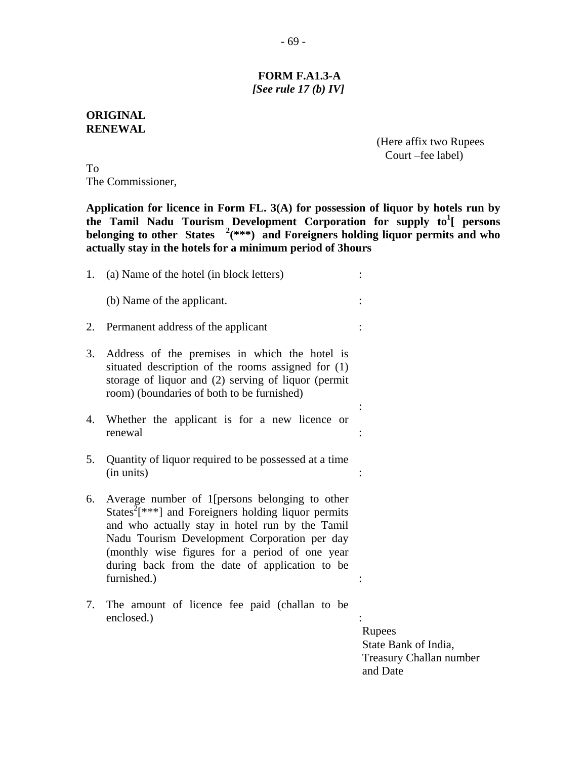## **FORM F.A1.3-A**   *[See rule 17 (b) IV]*

### **ORIGINAL RENEWAL**

 (Here affix two Rupees Court –fee label)

To The Commissioner,

**Application for licence in Form FL. 3(A) for possession of liquor by hotels run by**  the Tamil Nadu Tourism Development Corporation for supply to<sup>1</sup>[ persons **belonging to other States <sup>2</sup> (\*\*\*) and Foreigners holding liquor permits and who actually stay in the hotels for a minimum period of 3hours** 

| 1. | (a) Name of the hotel (in block letters)                                                                                                                                                                                                                                                                                                  |                                                                              |
|----|-------------------------------------------------------------------------------------------------------------------------------------------------------------------------------------------------------------------------------------------------------------------------------------------------------------------------------------------|------------------------------------------------------------------------------|
|    | (b) Name of the applicant.                                                                                                                                                                                                                                                                                                                |                                                                              |
| 2. | Permanent address of the applicant                                                                                                                                                                                                                                                                                                        |                                                                              |
| 3. | Address of the premises in which the hotel is<br>situated description of the rooms assigned for (1)<br>storage of liquor and (2) serving of liquor (permit<br>room) (boundaries of both to be furnished)                                                                                                                                  |                                                                              |
| 4. | Whether the applicant is for a new licence or<br>renewal                                                                                                                                                                                                                                                                                  |                                                                              |
| 5. | Quantity of liquor required to be possessed at a time<br>(in units)                                                                                                                                                                                                                                                                       |                                                                              |
| 6. | Average number of 1[persons belonging to other<br>States <sup>2</sup> $[***]$ and Foreigners holding liquor permits<br>and who actually stay in hotel run by the Tamil<br>Nadu Tourism Development Corporation per day<br>(monthly wise figures for a period of one year<br>during back from the date of application to be<br>furnished.) |                                                                              |
| 7. | The amount of licence fee paid (challan to be<br>enclosed.)                                                                                                                                                                                                                                                                               | Rupees<br>State Bank of India,<br><b>Treasury Challan number</b><br>and Date |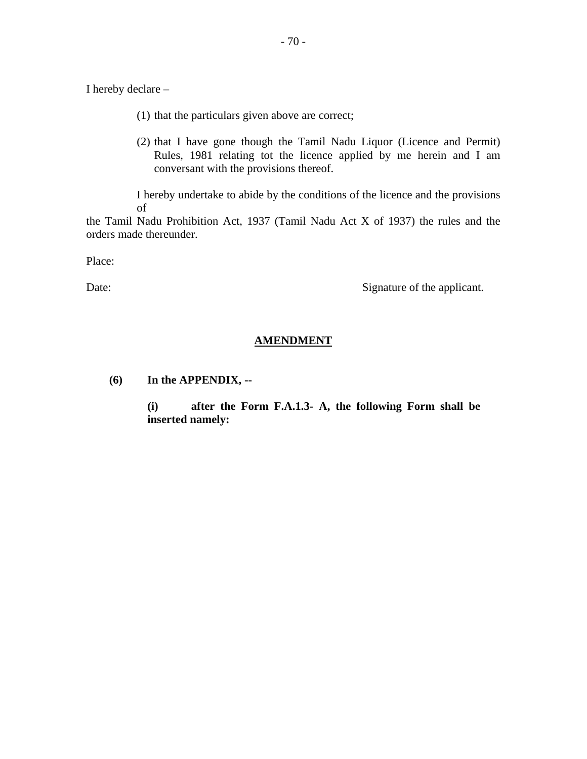I hereby declare –

- (1) that the particulars given above are correct;
- (2) that I have gone though the Tamil Nadu Liquor (Licence and Permit) Rules, 1981 relating tot the licence applied by me herein and I am conversant with the provisions thereof.

I hereby undertake to abide by the conditions of the licence and the provisions of

the Tamil Nadu Prohibition Act, 1937 (Tamil Nadu Act X of 1937) the rules and the orders made thereunder.

Place:

Date: Signature of the applicant.

## **AMENDMENT**

**(6) In the APPENDIX, --** 

 **(i) after the Form F.A.1.3- A, the following Form shall be inserted namely:**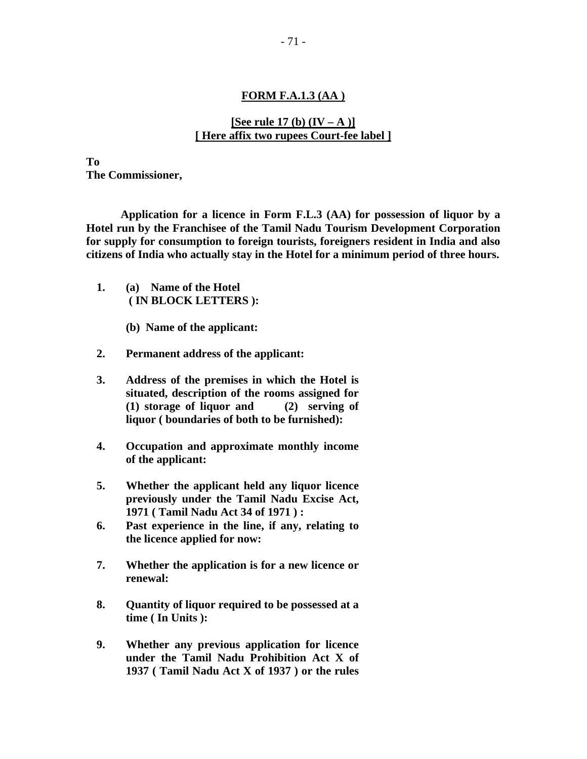#### **FORM F.A.1.3 (AA )**

## **[See rule 17 (b)**  $(\mathbf{IV} - \mathbf{A})$ ] **[ Here affix two rupees Court-fee label ]**

**To The Commissioner,** 

**Application for a licence in Form F.L.3 (AA) for possession of liquor by a Hotel run by the Franchisee of the Tamil Nadu Tourism Development Corporation for supply for consumption to foreign tourists, foreigners resident in India and also citizens of India who actually stay in the Hotel for a minimum period of three hours.** 

- **1. (a) Name of the Hotel ( IN BLOCK LETTERS ):** 
	- **(b) Name of the applicant:**
- **2. Permanent address of the applicant:**
- **3. Address of the premises in which the Hotel is situated, description of the rooms assigned for (1) storage of liquor and (2) serving of liquor ( boundaries of both to be furnished):**
- **4. Occupation and approximate monthly income of the applicant:**
- **5. Whether the applicant held any liquor licence previously under the Tamil Nadu Excise Act, 1971 ( Tamil Nadu Act 34 of 1971 ) :**
- **6. Past experience in the line, if any, relating to the licence applied for now:**
- **7. Whether the application is for a new licence or renewal:**
- **8. Quantity of liquor required to be possessed at a time ( In Units ):**
- **9. Whether any previous application for licence under the Tamil Nadu Prohibition Act X of 1937 ( Tamil Nadu Act X of 1937 ) or the rules**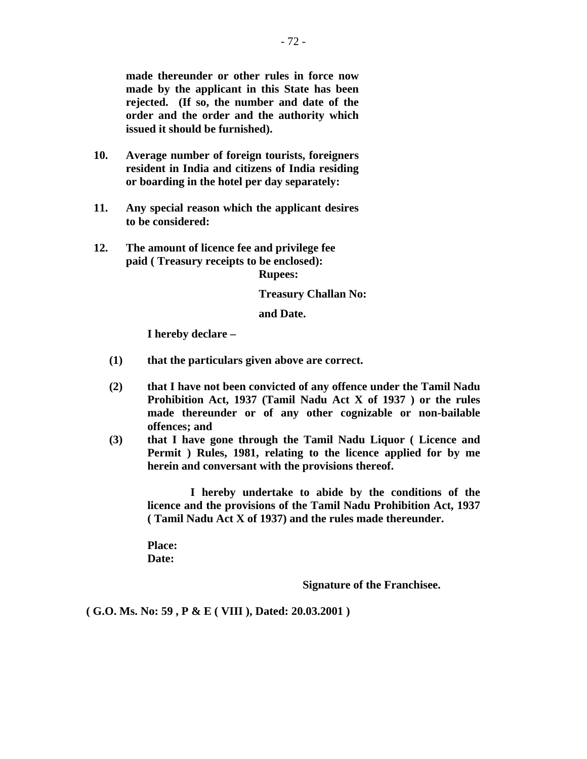**made thereunder or other rules in force now made by the applicant in this State has been rejected. (If so, the number and date of the order and the order and the authority which issued it should be furnished).** 

- **10. Average number of foreign tourists, foreigners resident in India and citizens of India residing or boarding in the hotel per day separately:**
- **11. Any special reason which the applicant desires to be considered:**
- **12. The amount of licence fee and privilege fee paid ( Treasury receipts to be enclosed): Rupees:**

#### **Treasury Challan No:**

 **and Date.** 

 **I hereby declare –** 

- **(1) that the particulars given above are correct.**
- **(2) that I have not been convicted of any offence under the Tamil Nadu Prohibition Act, 1937 (Tamil Nadu Act X of 1937 ) or the rules made thereunder or of any other cognizable or non-bailable offences; and**
- **(3) that I have gone through the Tamil Nadu Liquor ( Licence and Permit ) Rules, 1981, relating to the licence applied for by me herein and conversant with the provisions thereof.**

 **I hereby undertake to abide by the conditions of the licence and the provisions of the Tamil Nadu Prohibition Act, 1937 ( Tamil Nadu Act X of 1937) and the rules made thereunder.** 

 **Place: Date:** 

 **Signature of the Franchisee.** 

**( G.O. Ms. No: 59 , P & E ( VIII ), Dated: 20.03.2001 )**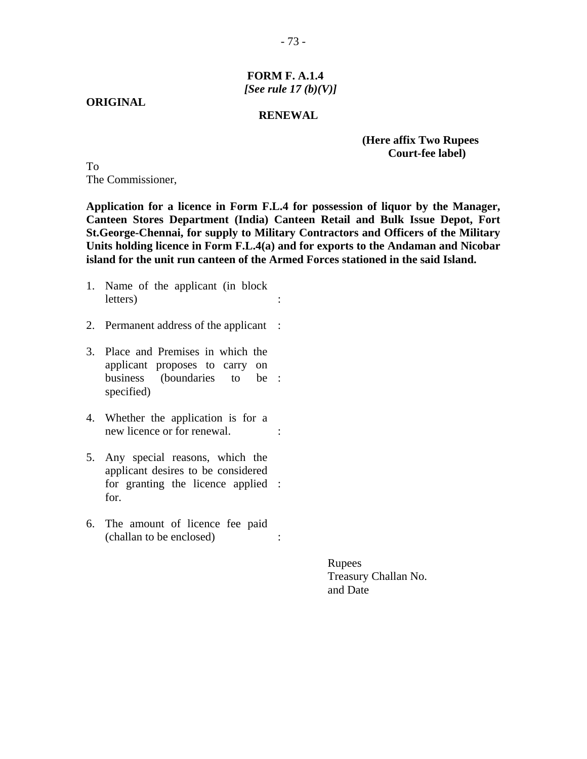- 73 -

# **FORM F. A.1.4** *[See rule 17 (b)(V)]*

**ORIGINAL** 

#### **RENEWAL**

# **(Here affix Two Rupees Court-fee label)**

To The Commissioner,

**Application for a licence in Form F.L.4 for possession of liquor by the Manager, Canteen Stores Department (India) Canteen Retail and Bulk Issue Depot, Fort St.George-Chennai, for supply to Military Contractors and Officers of the Military Units holding licence in Form F.L.4(a) and for exports to the Andaman and Nicobar island for the unit run canteen of the Armed Forces stationed in the said Island.** 

- 1. Name of the applicant (in block letters) :
- 2. Permanent address of the applicant :
- 3. Place and Premises in which the applicant proposes to carry on business (boundaries specified) to be:
- 4. Whether the application is for a new licence or for renewal.  $\cdot$
- 5. Any special reasons, which the applicant desires to be considered for granting the licence applied : for.
- 6. The amount of licence fee paid (challan to be enclosed) :

Rupees Treasury Challan No. and Date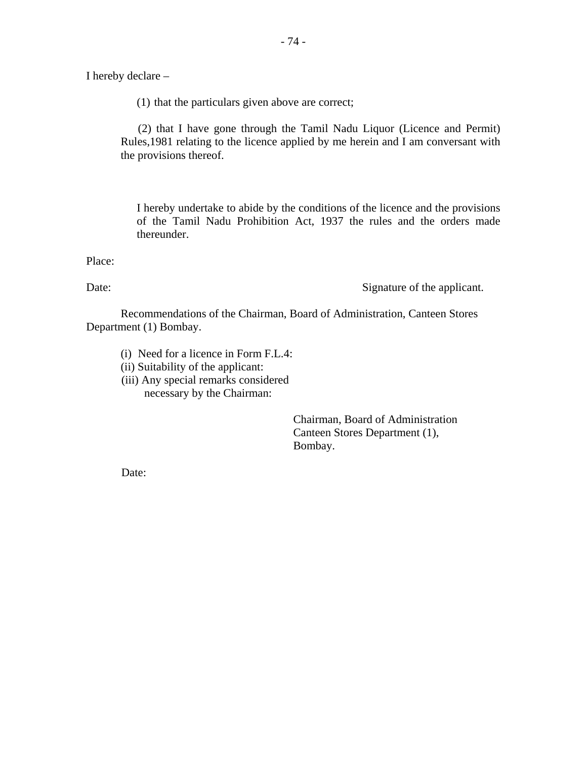I hereby declare –

(1) that the particulars given above are correct;

 (2) that I have gone through the Tamil Nadu Liquor (Licence and Permit) Rules,1981 relating to the licence applied by me herein and I am conversant with the provisions thereof.

I hereby undertake to abide by the conditions of the licence and the provisions of the Tamil Nadu Prohibition Act, 1937 the rules and the orders made thereunder.

Place:

Date: Signature of the applicant.

 Recommendations of the Chairman, Board of Administration, Canteen Stores Department (1) Bombay.

(i) Need for a licence in Form F.L.4:

(ii) Suitability of the applicant:

(iii) Any special remarks considered necessary by the Chairman:

> Chairman, Board of Administration Canteen Stores Department (1), Bombay.

Date: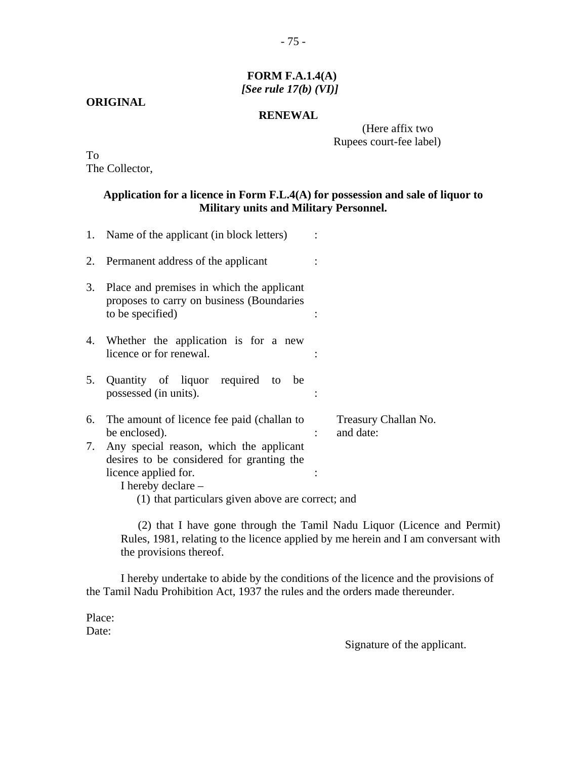# **FORM F.A.1.4(A)** *[See rule 17(b) (VI)]*

# **ORIGINAL**

#### **RENEWAL**

 (Here affix two Rupees court-fee label)

To The Collector,

# **Application for a licence in Form F.L.4(A) for possession and sale of liquor to Military units and Military Personnel.**

|    | 1. Name of the applicant (in block letters)                                                                |                                   |
|----|------------------------------------------------------------------------------------------------------------|-----------------------------------|
| 2. | Permanent address of the applicant                                                                         |                                   |
| 3. | Place and premises in which the applicant<br>proposes to carry on business (Boundaries<br>to be specified) |                                   |
|    | 4. Whether the application is for a new<br>licence or for renewal.                                         |                                   |
| 5. | Quantity of liquor required to be<br>possessed (in units).                                                 |                                   |
|    | 6. The amount of licence fee paid (challan to<br>be enclosed).                                             | Treasury Challan No.<br>and date: |
| 7. | Any special reason, which the applicant<br>desires to be considered for granting the                       |                                   |
|    | licence applied for.<br>I hereby declare –                                                                 |                                   |
|    | (1) that particulars given above are correct; and                                                          |                                   |

 (2) that I have gone through the Tamil Nadu Liquor (Licence and Permit) Rules, 1981, relating to the licence applied by me herein and I am conversant with the provisions thereof.

I hereby undertake to abide by the conditions of the licence and the provisions of the Tamil Nadu Prohibition Act, 1937 the rules and the orders made thereunder.

Place: Date:

Signature of the applicant.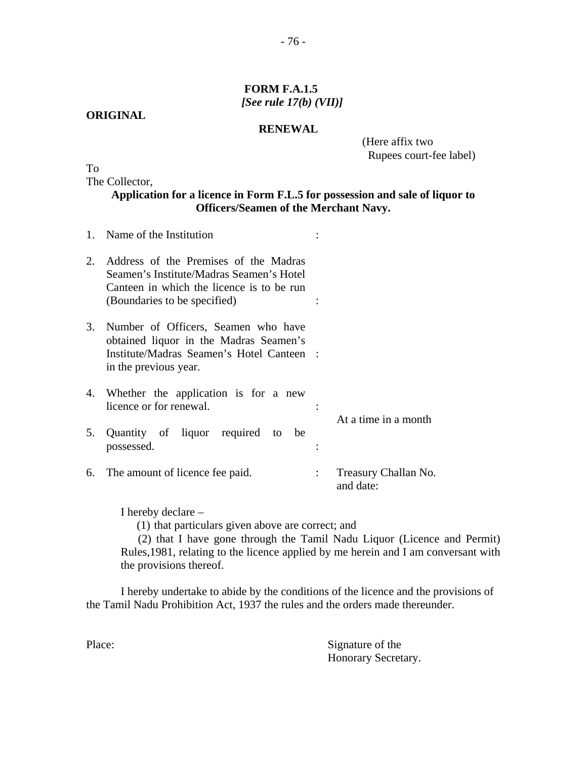# **FORM F.A.1.5** *[See rule 17(b) (VII)]*

**RENEWAL** 

**ORIGINAL** 

 (Here affix two Rupees court-fee label)

To

The Collector,

**Application for a licence in Form F.L.5 for possession and sale of liquor to Officers/Seamen of the Merchant Navy.** 

|    | 1. Name of the Institution                                                                                                                                     |                                   |
|----|----------------------------------------------------------------------------------------------------------------------------------------------------------------|-----------------------------------|
| 2. | Address of the Premises of the Madras<br>Seamen's Institute/Madras Seamen's Hotel<br>Canteen in which the licence is to be run<br>(Boundaries to be specified) |                                   |
| 3. | Number of Officers, Seamen who have<br>obtained liquor in the Madras Seamen's<br>Institute/Madras Seamen's Hotel Canteen :<br>in the previous year.            |                                   |
| 4. | Whether the application is for a new<br>licence or for renewal.                                                                                                | At a time in a month              |
| 5. | Quantity of liquor required to<br>be<br>possessed.                                                                                                             |                                   |
|    | 6. The amount of licence fee paid.                                                                                                                             | Treasury Challan No.<br>and date: |

I hereby declare –

(1) that particulars given above are correct; and

 (2) that I have gone through the Tamil Nadu Liquor (Licence and Permit) Rules,1981, relating to the licence applied by me herein and I am conversant with the provisions thereof.

I hereby undertake to abide by the conditions of the licence and the provisions of the Tamil Nadu Prohibition Act, 1937 the rules and the orders made thereunder.

Place: Signature of the Honorary Secretary.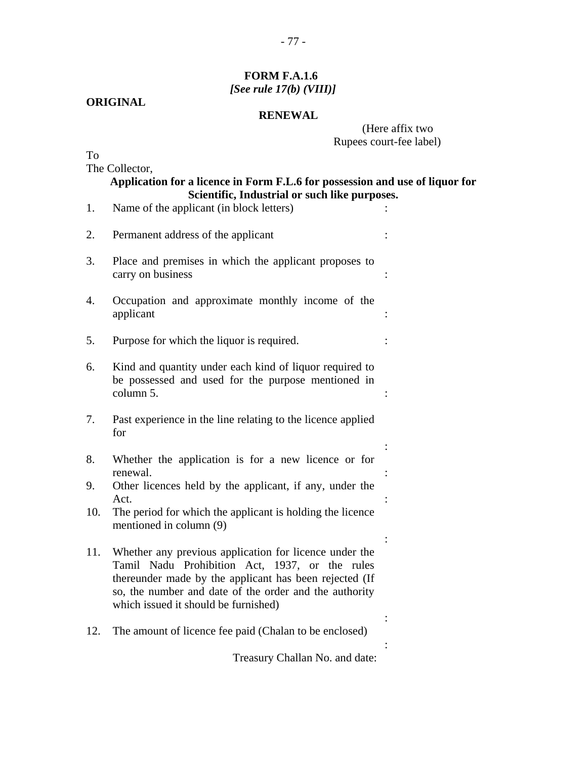# **FORM F.A.1.6** *[See rule 17(b) (VIII)]*

# **ORIGINAL**

# **RENEWAL**

 (Here affix two Rupees court-fee label)

To

The Collector,

|     | The Collector,<br>Application for a licence in Form F.L.6 for possession and use of liquor for<br>Scientific, Industrial or such like purposes.                                                                                                                      |  |
|-----|----------------------------------------------------------------------------------------------------------------------------------------------------------------------------------------------------------------------------------------------------------------------|--|
| 1.  | Name of the applicant (in block letters)                                                                                                                                                                                                                             |  |
| 2.  | Permanent address of the applicant                                                                                                                                                                                                                                   |  |
| 3.  | Place and premises in which the applicant proposes to<br>carry on business                                                                                                                                                                                           |  |
| 4.  | Occupation and approximate monthly income of the<br>applicant                                                                                                                                                                                                        |  |
| 5.  | Purpose for which the liquor is required.                                                                                                                                                                                                                            |  |
| 6.  | Kind and quantity under each kind of liquor required to<br>be possessed and used for the purpose mentioned in<br>column 5.                                                                                                                                           |  |
| 7.  | Past experience in the line relating to the licence applied<br>for                                                                                                                                                                                                   |  |
| 8.  | Whether the application is for a new licence or for<br>renewal.                                                                                                                                                                                                      |  |
| 9.  | Other licences held by the applicant, if any, under the<br>Act.                                                                                                                                                                                                      |  |
| 10. | The period for which the applicant is holding the licence<br>mentioned in column (9)                                                                                                                                                                                 |  |
| 11. | Whether any previous application for licence under the<br>Tamil Nadu Prohibition Act, 1937, or the rules<br>thereunder made by the applicant has been rejected (If<br>so, the number and date of the order and the authority<br>which issued it should be furnished) |  |
| 12. | The amount of licence fee paid (Chalan to be enclosed)                                                                                                                                                                                                               |  |
|     | Treasury Challan No. and date:                                                                                                                                                                                                                                       |  |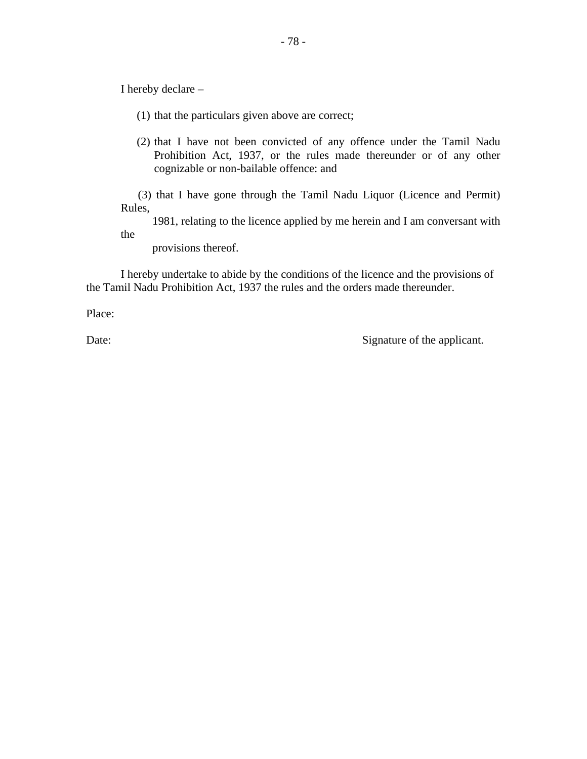I hereby declare –

- (1) that the particulars given above are correct;
- (2) that I have not been convicted of any offence under the Tamil Nadu Prohibition Act, 1937, or the rules made thereunder or of any other cognizable or non-bailable offence: and

 (3) that I have gone through the Tamil Nadu Liquor (Licence and Permit) Rules,

 1981, relating to the licence applied by me herein and I am conversant with the

provisions thereof.

I hereby undertake to abide by the conditions of the licence and the provisions of the Tamil Nadu Prohibition Act, 1937 the rules and the orders made thereunder.

Place:

Date: Signature of the applicant.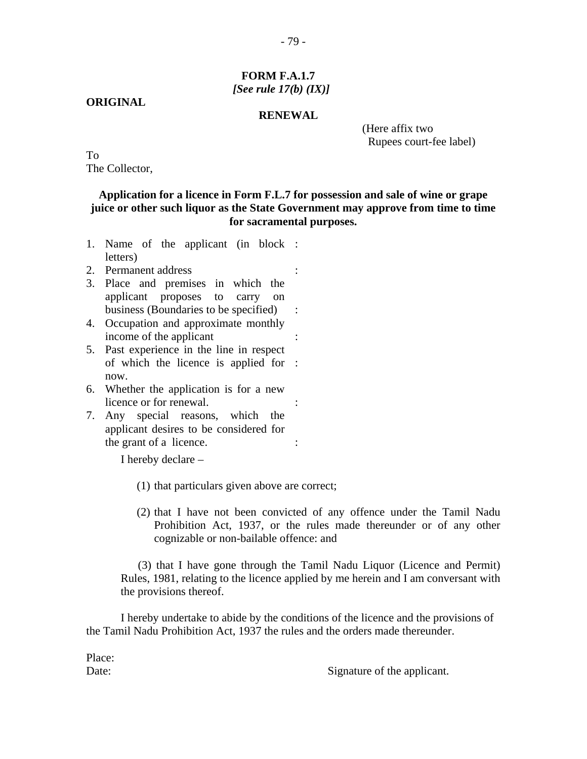# **FORM F.A.1.7** *[See rule 17(b) (IX)]*

# **ORIGINAL**

#### **RENEWAL**

 (Here affix two Rupees court-fee label)

To The Collector,

# **Application for a licence in Form F.L.7 for possession and sale of wine or grape juice or other such liquor as the State Government may approve from time to time for sacramental purposes.**

- 1. Name of the applicant (in block : letters)
- 2. Permanent address :
- 3. Place and premises in which the applicant proposes to carry on business (Boundaries to be specified) :
- 4. Occupation and approximate monthly income of the applicant :
- 5. Past experience in the line in respect of which the licence is applied for : now.
- 6. Whether the application is for a new licence or for renewal.
- 7. Any special reasons, which the applicant desires to be considered for the grant of a licence.  $\cdot$

I hereby declare –

- (1) that particulars given above are correct;
- (2) that I have not been convicted of any offence under the Tamil Nadu Prohibition Act, 1937, or the rules made thereunder or of any other cognizable or non-bailable offence: and

 (3) that I have gone through the Tamil Nadu Liquor (Licence and Permit) Rules, 1981, relating to the licence applied by me herein and I am conversant with the provisions thereof.

I hereby undertake to abide by the conditions of the licence and the provisions of the Tamil Nadu Prohibition Act, 1937 the rules and the orders made thereunder.

Date: Signature of the applicant.

Place: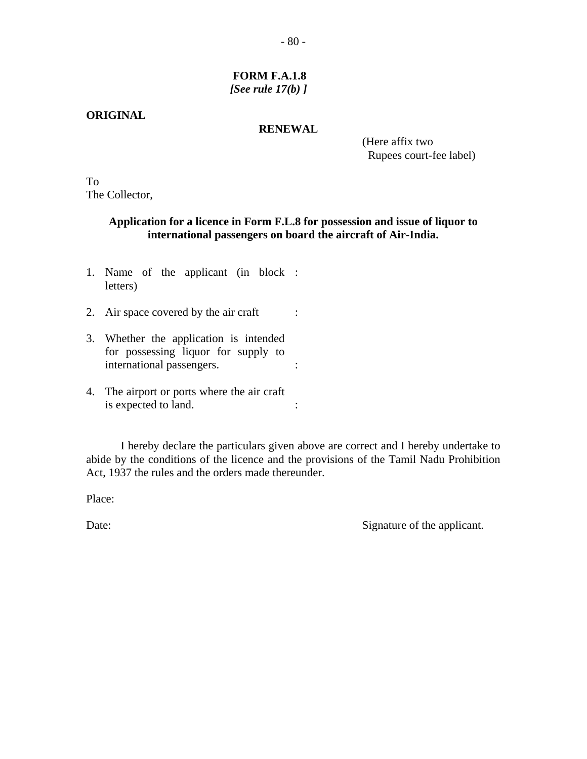# **ORIGINAL**

### **RENEWAL**

 (Here affix two Rupees court-fee label)

To The Collector,

# **Application for a licence in Form F.L.8 for possession and issue of liquor to international passengers on board the aircraft of Air-India.**

- 1. Name of the applicant (in block : letters)
- 2. Air space covered by the air craft :
- 3. Whether the application is intended for possessing liquor for supply to international passengers. :
- 4. The airport or ports where the air craft is expected to land.  $\therefore$

 I hereby declare the particulars given above are correct and I hereby undertake to abide by the conditions of the licence and the provisions of the Tamil Nadu Prohibition Act, 1937 the rules and the orders made thereunder.

Place:

Date: Signature of the applicant.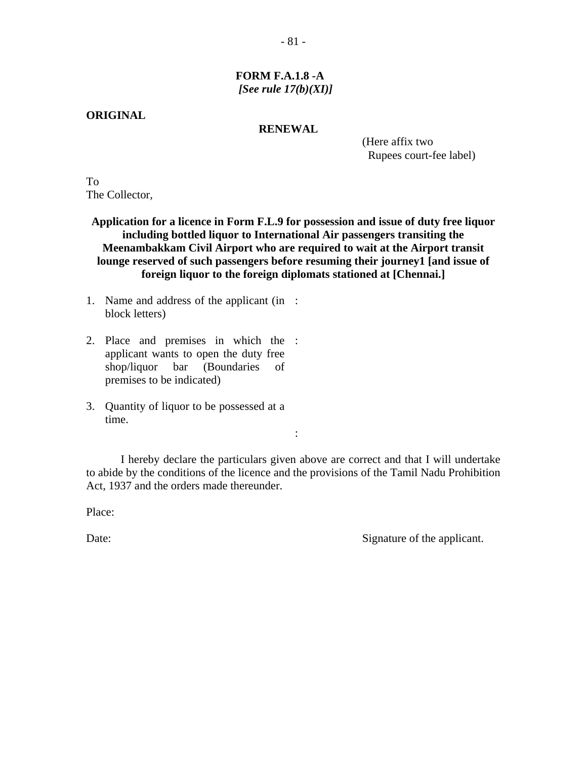# **FORM F.A.1.8 -A** *[See rule 17(b)(XI)]*

#### **ORIGINAL**

#### **RENEWAL**

 (Here affix two Rupees court-fee label)

To The Collector,

**Application for a licence in Form F.L.9 for possession and issue of duty free liquor including bottled liquor to International Air passengers transiting the Meenambakkam Civil Airport who are required to wait at the Airport transit lounge reserved of such passengers before resuming their journey1 [and issue of foreign liquor to the foreign diplomats stationed at [Chennai.]** 

- 1. Name and address of the applicant (in : block letters)
- 2. Place and premises in which the : applicant wants to open the duty free shop/liquor bar (Boundaries of premises to be indicated)
- 3. Quantity of liquor to be possessed at a time.

**Service Service Service Service Service** 

 I hereby declare the particulars given above are correct and that I will undertake to abide by the conditions of the licence and the provisions of the Tamil Nadu Prohibition Act, 1937 and the orders made thereunder.

Place:

Date: Signature of the applicant.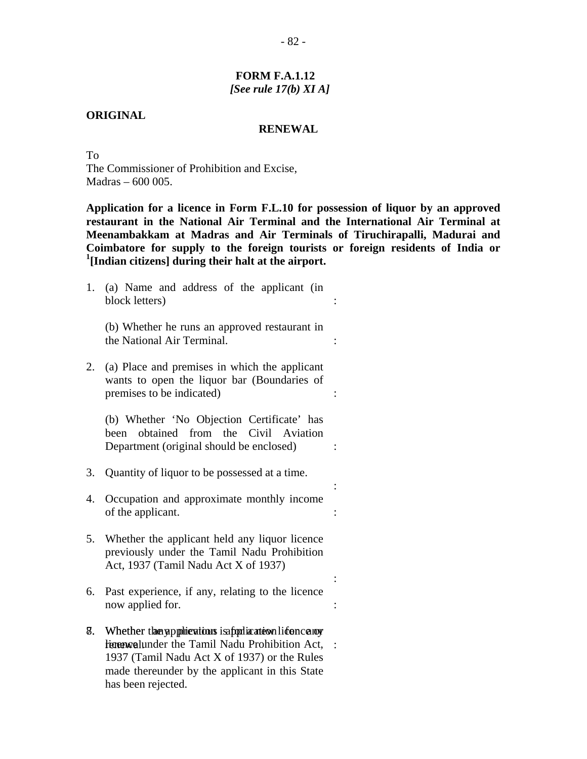### **FORM F.A.1.12** *[See rule 17(b) XI A]*

#### **ORIGINAL**

#### **RENEWAL**

To The Commissioner of Prohibition and Excise, Madras – 600 005.

**Application for a licence in Form F.L.10 for possession of liquor by an approved restaurant in the National Air Terminal and the International Air Terminal at Meenambakkam at Madras and Air Terminals of Tiruchirapalli, Madurai and Coimbatore for supply to the foreign tourists or foreign residents of India or 1 [Indian citizens] during their halt at the airport.** 

:

:

:

:

:

1. (a) Name and address of the applicant (in block letters)

(b) Whether he runs an approved restaurant in the National Air Terminal.

2. (a) Place and premises in which the applicant wants to open the liquor bar (Boundaries of premises to be indicated)

(b) Whether 'No Objection Certificate' has been obtained from the Civil Aviation Department (original should be enclosed)

the contract of the contract of the contract of the contract of the contract of

- 3. Quantity of liquor to be possessed at a time.
- 4. Occupation and approximate monthly income of the applicant.  $\cdot$
- 5. Whether the applicant held any liquor licence previously under the Tamil Nadu Prohibition Act, 1937 (Tamil Nadu Act X of 1937)
- 6. Past experience, if any, relating to the licence now applied for.  $\cdot$
- 8. Whether the applications is applicate on licence or w licence under the Tamil Nadu Prohibition Act, : 1937 (Tamil Nadu Act X of 1937) or the Rules made thereunder by the applicant in this State has been rejected.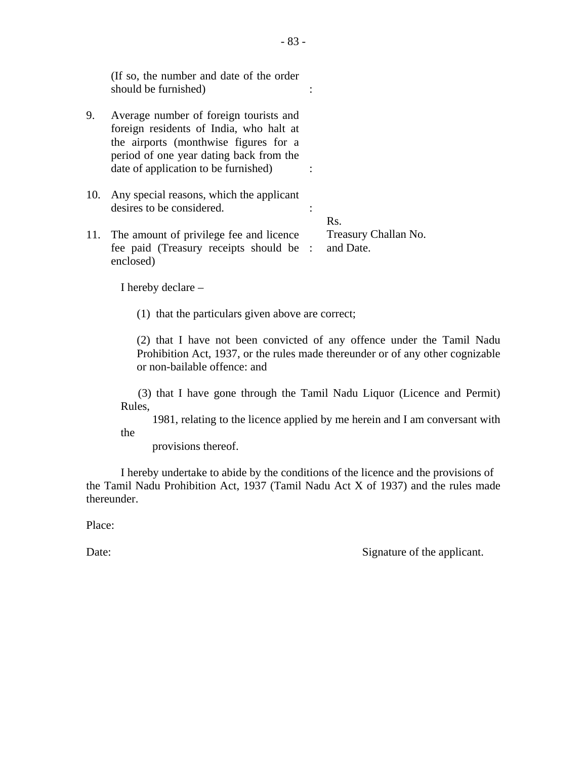|     | (If so, the number and date of the order<br>should be furnished)                                                                                                                                              |                                   |
|-----|---------------------------------------------------------------------------------------------------------------------------------------------------------------------------------------------------------------|-----------------------------------|
| 9.  | Average number of foreign tourists and<br>foreign residents of India, who halt at<br>the airports (monthwise figures for a<br>period of one year dating back from the<br>date of application to be furnished) |                                   |
| 10. | Any special reasons, which the applicant<br>desires to be considered.                                                                                                                                         | Rs.                               |
|     | 11. The amount of privilege fee and licence<br>fee paid (Treasury receipts should be :<br>enclosed)                                                                                                           | Treasury Challan No.<br>and Date. |

I hereby declare –

(1) that the particulars given above are correct;

(2) that I have not been convicted of any offence under the Tamil Nadu Prohibition Act, 1937, or the rules made thereunder or of any other cognizable or non-bailable offence: and

 (3) that I have gone through the Tamil Nadu Liquor (Licence and Permit) Rules,

 1981, relating to the licence applied by me herein and I am conversant with the

provisions thereof.

I hereby undertake to abide by the conditions of the licence and the provisions of the Tamil Nadu Prohibition Act, 1937 (Tamil Nadu Act X of 1937) and the rules made thereunder.

Place:

Date: Signature of the applicant.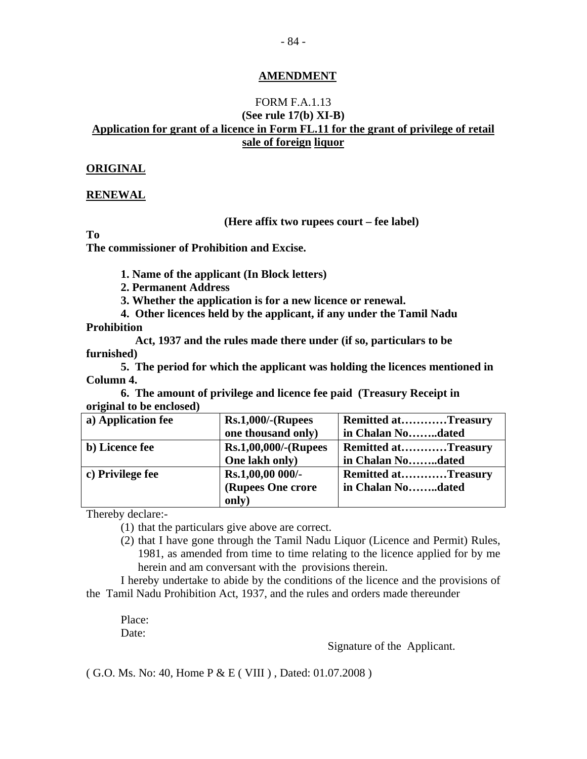# **AMENDMENT**

# FORM F.A.1.13 **(See rule 17(b) XI-B) Application for grant of a licence in Form FL.11 for the grant of privilege of retail sale of foreign liquor**

# **ORIGINAL**

# **RENEWAL**

#### **(Here affix two rupees court – fee label)**

**To** 

**The commissioner of Prohibition and Excise.** 

 **1. Name of the applicant (In Block letters)** 

 **2. Permanent Address** 

 **3. Whether the application is for a new licence or renewal.** 

 **4. Other licences held by the applicant, if any under the Tamil Nadu Prohibition** 

 **Act, 1937 and the rules made there under (if so, particulars to be furnished)** 

 **5. The period for which the applicant was holding the licences mentioned in Column 4.** 

**6. The amount of privilege and licence fee paid (Treasury Receipt in original to be enclosed)** 

| a) Application fee | $Rs.1,000/-(Rupees)$        | <b>Remitted atTreasury</b> |
|--------------------|-----------------------------|----------------------------|
|                    | one thousand only)          | in Chalan Nodated          |
| b) Licence fee     | <b>Rs.1,00,000/-(Rupees</b> | <b>Remitted atTreasury</b> |
|                    | One lakh only)              | in Chalan Nodated          |
| c) Privilege fee   | Rs.1,00,00 000/-            | <b>Remitted atTreasury</b> |
|                    | (Rupees One crore           | in Chalan Nodated          |
|                    | only)                       |                            |

Thereby declare:-

(1) that the particulars give above are correct.

(2) that I have gone through the Tamil Nadu Liquor (Licence and Permit) Rules, 1981, as amended from time to time relating to the licence applied for by me herein and am conversant with the provisions therein.

I hereby undertake to abide by the conditions of the licence and the provisions of the Tamil Nadu Prohibition Act, 1937, and the rules and orders made thereunder

Place: Date:

Signature of the Applicant.

( G.O. Ms. No: 40, Home P & E ( VIII ) , Dated: 01.07.2008 )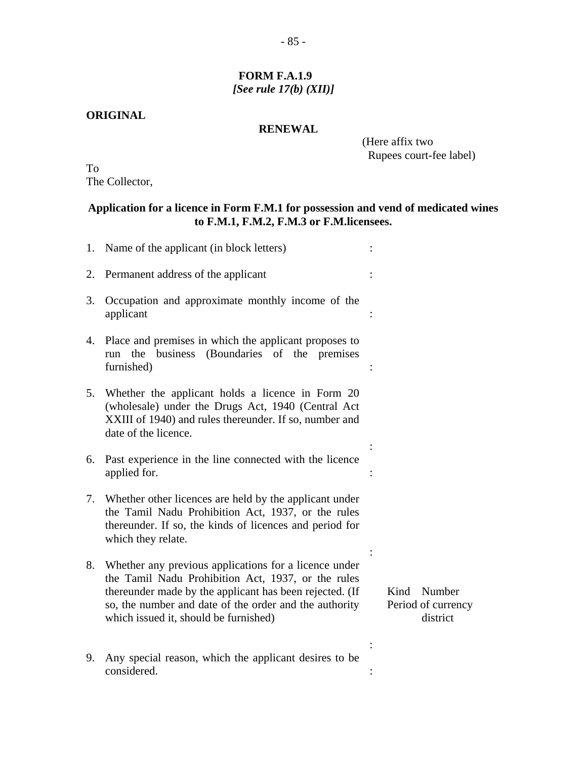# **FORM F.A.1.9** *[See rule 17(b) (XII)]*

#### **ORIGINAL**

# **RENEWAL**

 (Here affix two Rupees court-fee label)

To The Collector,

# **Application for a licence in Form F.M.1 for possession and vend of medicated wines to F.M.1, F.M.2, F.M.3 or F.M.licensees.**

|    | 1. Name of the applicant (in block letters)                                                                                                                                                                                                                               |                                                  |
|----|---------------------------------------------------------------------------------------------------------------------------------------------------------------------------------------------------------------------------------------------------------------------------|--------------------------------------------------|
| 2. | Permanent address of the applicant                                                                                                                                                                                                                                        |                                                  |
| 3. | Occupation and approximate monthly income of the<br>applicant                                                                                                                                                                                                             |                                                  |
| 4. | Place and premises in which the applicant proposes to<br>run the business (Boundaries of the premises<br>furnished)                                                                                                                                                       |                                                  |
| 5. | Whether the applicant holds a licence in Form 20<br>(wholesale) under the Drugs Act, 1940 (Central Act<br>XXIII of 1940) and rules thereunder. If so, number and<br>date of the licence.                                                                                  |                                                  |
| 6. | Past experience in the line connected with the licence<br>applied for.                                                                                                                                                                                                    |                                                  |
| 7. | Whether other licences are held by the applicant under<br>the Tamil Nadu Prohibition Act, 1937, or the rules<br>thereunder. If so, the kinds of licences and period for<br>which they relate.                                                                             |                                                  |
| 8. | Whether any previous applications for a licence under<br>the Tamil Nadu Prohibition Act, 1937, or the rules<br>thereunder made by the applicant has been rejected. (If<br>so, the number and date of the order and the authority<br>which issued it, should be furnished) | Number<br>Kind<br>Period of currency<br>district |
| 9. | Any special reason, which the applicant desires to be<br>considered.                                                                                                                                                                                                      |                                                  |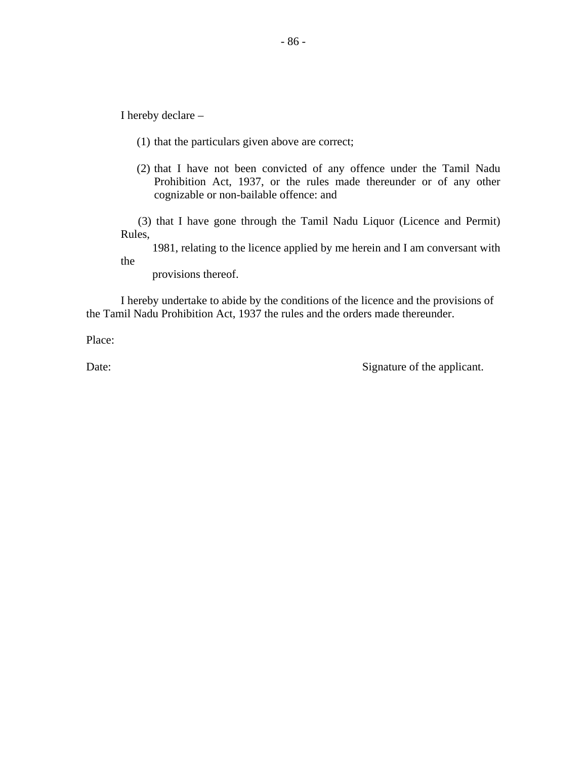I hereby declare –

- (1) that the particulars given above are correct;
- (2) that I have not been convicted of any offence under the Tamil Nadu Prohibition Act, 1937, or the rules made thereunder or of any other cognizable or non-bailable offence: and

 (3) that I have gone through the Tamil Nadu Liquor (Licence and Permit) Rules,

 1981, relating to the licence applied by me herein and I am conversant with the

provisions thereof.

I hereby undertake to abide by the conditions of the licence and the provisions of the Tamil Nadu Prohibition Act, 1937 the rules and the orders made thereunder.

Place:

Date: Signature of the applicant.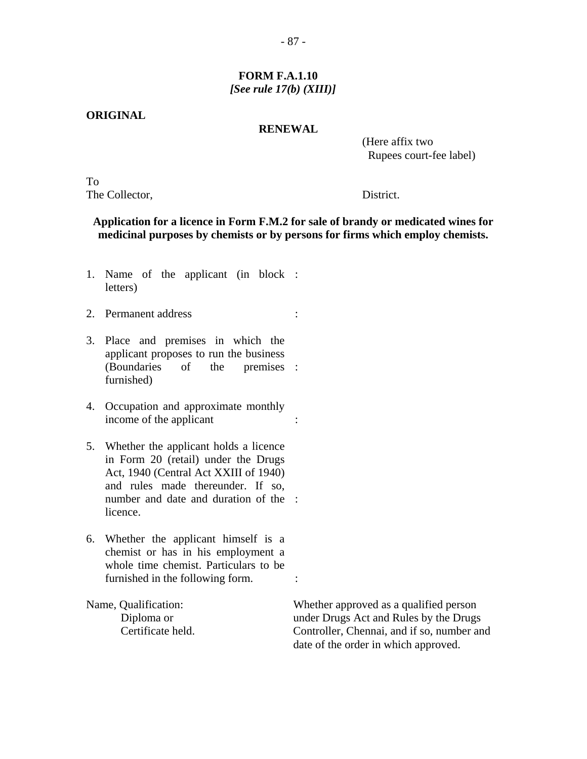# **FORM F.A.1.10** *[See rule 17(b) (XIII)]*

#### **ORIGINAL**

#### **RENEWAL**

 (Here affix two Rupees court-fee label)

To The Collector, District.

# **Application for a licence in Form F.M.2 for sale of brandy or medicated wines for medicinal purposes by chemists or by persons for firms which employ chemists.**

- 1. Name of the applicant (in block : letters)
- 2. Permanent address :
- 3. Place and premises in which the applicant proposes to run the business (Boundaries of the furnished) premises :
- 4. Occupation and approximate monthly income of the applicant :
- 5. Whether the applicant holds a licence in Form 20 (retail) under the Drugs Act, 1940 (Central Act XXIII of 1940) and rules made thereunder. If so, number and date and duration of the : licence.
- 6. Whether the applicant himself is a chemist or has in his employment a whole time chemist. Particulars to be furnished in the following form.  $\cdot$

Name, Qualification: Whether approved as a qualified person Diploma or under Drugs Act and Rules by the Drugs Certificate held. Controller, Chennai, and if so, number and date of the order in which approved.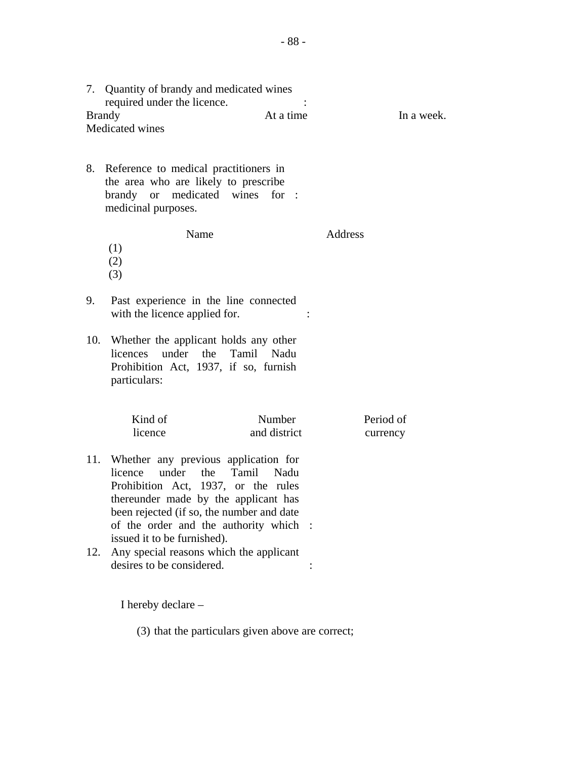|     | 7. Quantity of brandy and medicated wines<br>required under the licence.<br><b>Brandy</b><br>Medicated wines                                                                                                                                 | At a time              | In a week. |
|-----|----------------------------------------------------------------------------------------------------------------------------------------------------------------------------------------------------------------------------------------------|------------------------|------------|
|     |                                                                                                                                                                                                                                              |                        |            |
| 8.  | Reference to medical practitioners in<br>the area who are likely to prescribe<br>brandy or medicated wines<br>medicinal purposes.                                                                                                            | for :                  |            |
|     | Name                                                                                                                                                                                                                                         |                        | Address    |
|     | (1)                                                                                                                                                                                                                                          |                        |            |
|     | (2)                                                                                                                                                                                                                                          |                        |            |
|     | (3)                                                                                                                                                                                                                                          |                        |            |
| 9.  | Past experience in the line connected<br>with the licence applied for.                                                                                                                                                                       |                        |            |
| 10. | Whether the applicant holds any other<br>licences under the Tamil Nadu<br>Prohibition Act, 1937, if so, furnish<br>particulars:                                                                                                              |                        |            |
|     |                                                                                                                                                                                                                                              |                        |            |
|     | Kind of<br>licence                                                                                                                                                                                                                           | Number<br>and district | Period of  |
|     |                                                                                                                                                                                                                                              |                        | currency   |
| 11. | Whether any previous application for<br>under<br>licence<br>the<br>Tamil<br>Prohibition Act, 1937, or the rules<br>thereunder made by the applicant has<br>been rejected (if so, the number and date<br>of the order and the authority which | Nadu                   |            |
| 12. | issued it to be furnished).<br>Any special reasons which the applicant<br>desires to be considered.                                                                                                                                          |                        |            |

I hereby declare –

(3) that the particulars given above are correct;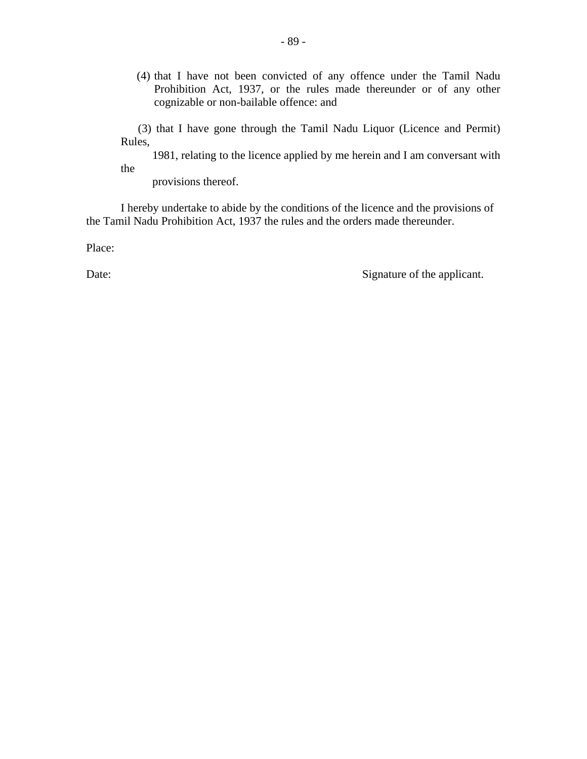(4) that I have not been convicted of any offence under the Tamil Nadu Prohibition Act, 1937, or the rules made thereunder or of any other cognizable or non-bailable offence: and

 (3) that I have gone through the Tamil Nadu Liquor (Licence and Permit) Rules,

 1981, relating to the licence applied by me herein and I am conversant with the

provisions thereof.

I hereby undertake to abide by the conditions of the licence and the provisions of the Tamil Nadu Prohibition Act, 1937 the rules and the orders made thereunder.

Place:

Date: Signature of the applicant.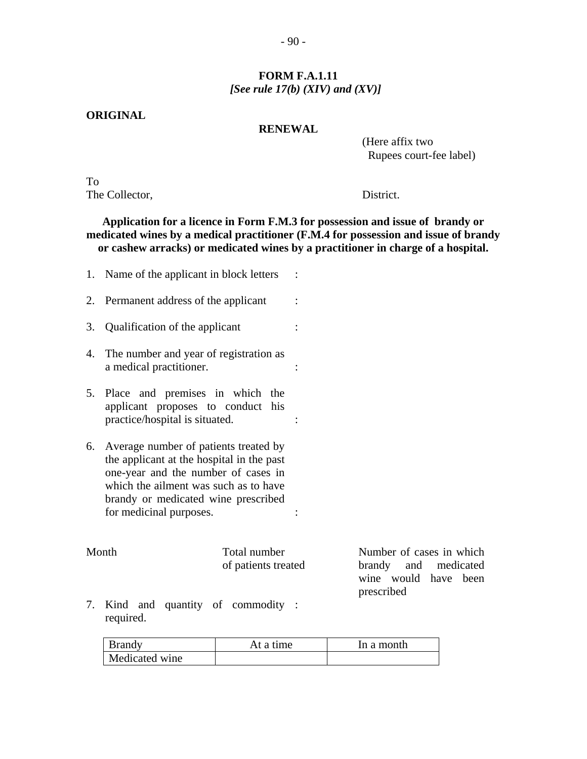# **FORM F.A.1.11** *[See rule 17(b) (XIV) and (XV)]*

### **ORIGINAL**

# **RENEWAL**

 (Here affix two Rupees court-fee label)

To The Collector, District.

# **Application for a licence in Form F.M.3 for possession and issue of brandy or medicated wines by a medical practitioner (F.M.4 for possession and issue of brandy or cashew arracks) or medicated wines by a practitioner in charge of a hospital.**

|    | 1. Name of the applicant in block letters :                                                                                                                                                                                          |                                     |                                                                          |  |
|----|--------------------------------------------------------------------------------------------------------------------------------------------------------------------------------------------------------------------------------------|-------------------------------------|--------------------------------------------------------------------------|--|
|    | 2. Permanent address of the applicant                                                                                                                                                                                                |                                     |                                                                          |  |
|    | 3. Qualification of the applicant                                                                                                                                                                                                    |                                     |                                                                          |  |
|    | 4. The number and year of registration as<br>a medical practitioner.                                                                                                                                                                 |                                     |                                                                          |  |
|    | 5. Place and premises in which the<br>applicant proposes to conduct his<br>practice/hospital is situated.                                                                                                                            |                                     |                                                                          |  |
| 6. | Average number of patients treated by<br>the applicant at the hospital in the past<br>one-year and the number of cases in<br>which the ailment was such as to have<br>brandy or medicated wine prescribed<br>for medicinal purposes. |                                     |                                                                          |  |
|    | Month                                                                                                                                                                                                                                | Total number<br>of patients treated | Number of cases in which<br>brandy and medicated<br>wine would have been |  |
|    | 7 Kind and quantity of commodity                                                                                                                                                                                                     |                                     | prescribed                                                               |  |

7. Kind and quantity of commodity required. :

| <b>Brandy</b>  | At a time | In a month |
|----------------|-----------|------------|
| Medicated wine |           |            |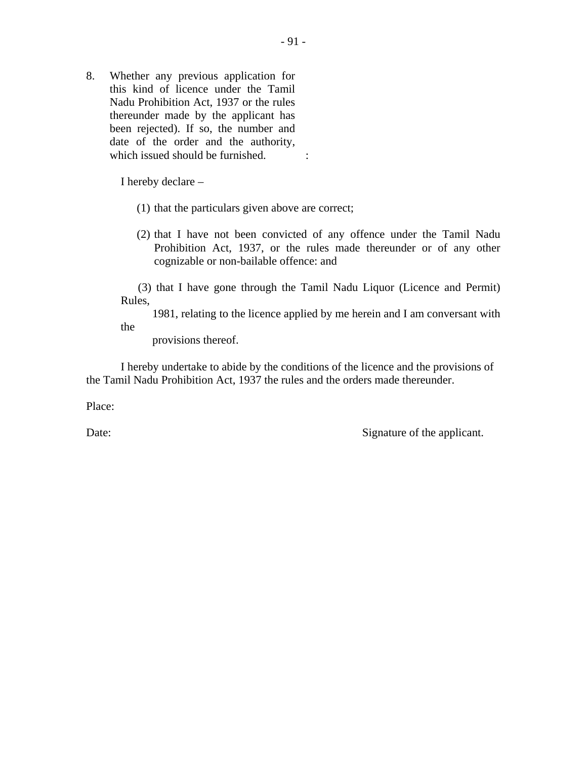8. Whether any previous application for this kind of licence under the Tamil Nadu Prohibition Act, 1937 or the rules thereunder made by the applicant has been rejected). If so, the number and date of the order and the authority, which issued should be furnished.

I hereby declare –

- (1) that the particulars given above are correct;
- (2) that I have not been convicted of any offence under the Tamil Nadu Prohibition Act, 1937, or the rules made thereunder or of any other cognizable or non-bailable offence: and

 (3) that I have gone through the Tamil Nadu Liquor (Licence and Permit) Rules,

 1981, relating to the licence applied by me herein and I am conversant with the

provisions thereof.

I hereby undertake to abide by the conditions of the licence and the provisions of the Tamil Nadu Prohibition Act, 1937 the rules and the orders made thereunder.

Place:

Date: Signature of the applicant.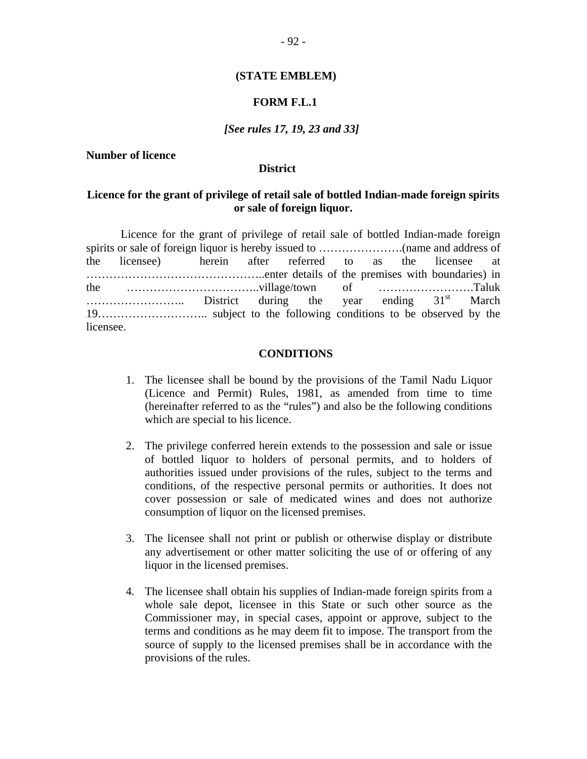#### **(STATE EMBLEM)**

# **FORM F.L.1**

#### *[See rules 17, 19, 23 and 33]*

#### **Number of licence**

#### **District**

# **Licence for the grant of privilege of retail sale of bottled Indian-made foreign spirits or sale of foreign liquor.**

Licence for the grant of privilege of retail sale of bottled Indian-made foreign spirits or sale of foreign liquor is hereby issued to ………………….(name and address of the licensee) herein after referred to as the licensee at ………………………………………..enter details of the premises with boundaries) in the ……………………………..village/town of …………………….Taluk …………………….. District during the year ending 31st March 19……………………….. subject to the following conditions to be observed by the licensee.

#### **CONDITIONS**

- 1. The licensee shall be bound by the provisions of the Tamil Nadu Liquor (Licence and Permit) Rules, 1981, as amended from time to time (hereinafter referred to as the "rules") and also be the following conditions which are special to his licence.
- 2. The privilege conferred herein extends to the possession and sale or issue of bottled liquor to holders of personal permits, and to holders of authorities issued under provisions of the rules, subject to the terms and conditions, of the respective personal permits or authorities. It does not cover possession or sale of medicated wines and does not authorize consumption of liquor on the licensed premises.
- 3. The licensee shall not print or publish or otherwise display or distribute any advertisement or other matter soliciting the use of or offering of any liquor in the licensed premises.
- 4. The licensee shall obtain his supplies of Indian-made foreign spirits from a whole sale depot, licensee in this State or such other source as the Commissioner may, in special cases, appoint or approve, subject to the terms and conditions as he may deem fit to impose. The transport from the source of supply to the licensed premises shall be in accordance with the provisions of the rules.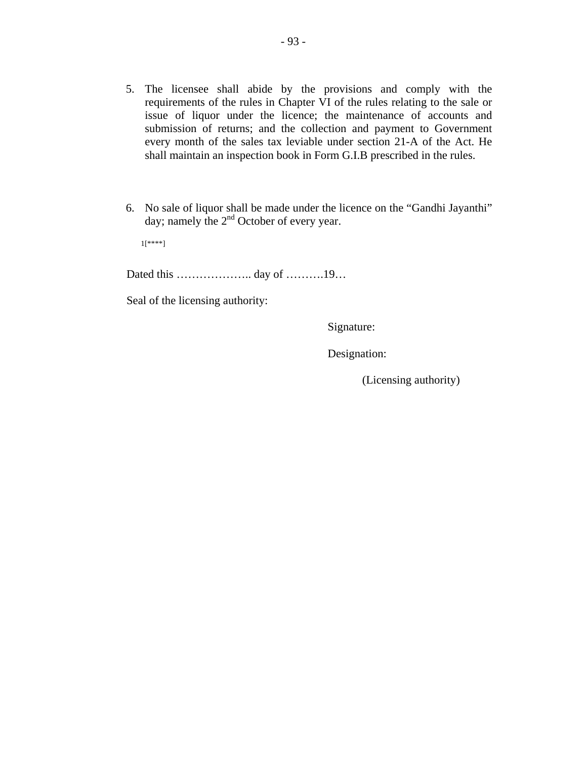- 5. The licensee shall abide by the provisions and comply with the requirements of the rules in Chapter VI of the rules relating to the sale or issue of liquor under the licence; the maintenance of accounts and submission of returns; and the collection and payment to Government every month of the sales tax leviable under section 21-A of the Act. He shall maintain an inspection book in Form G.I.B prescribed in the rules.
- 6. No sale of liquor shall be made under the licence on the "Gandhi Jayanthi" day; namely the  $2<sup>nd</sup>$  October of every year.

1[\*\*\*\*]

Dated this ……………….. day of ……….19…

Seal of the licensing authority:

Signature:

Designation:

(Licensing authority)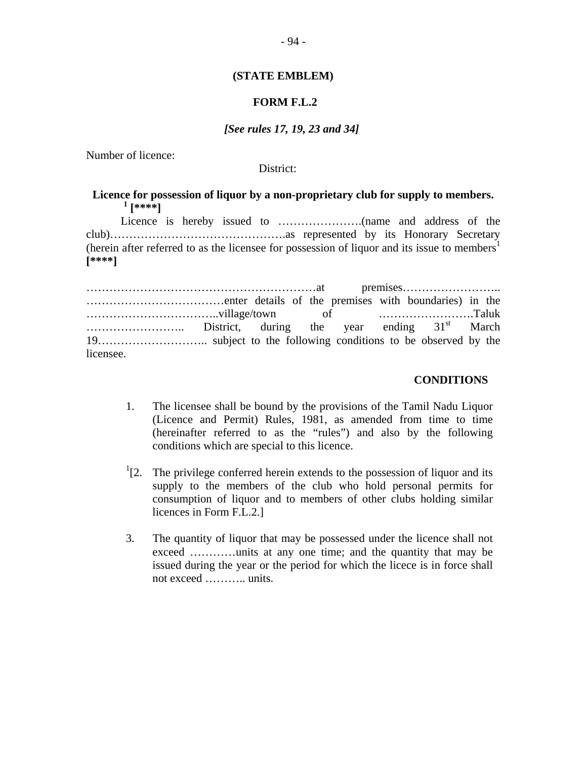#### **(STATE EMBLEM)**

# **FORM F.L.2**

#### *[See rules 17, 19, 23 and 34]*

Number of licence:

District:

# **Licence for possession of liquor by a non-proprietary club for supply to members.**   $\frac{1}{4}$  [\*\*\*\*]

Licence is hereby issued to ………………….(name and address of the club)……………………………………….as represented by its Honorary Secretary (herein after referred to as the licensee for possession of liquor and its issue to members<sup>1</sup> **[\*\*\*\*]** 

……………………………………………………at premises…………………….. ………………………………enter details of the premises with boundaries) in the ……………………………..village/town of …………………….Taluk …………………….. District, during the year ending 31st March 19……………………….. subject to the following conditions to be observed by the licensee.

#### **CONDITIONS**

- 1. The licensee shall be bound by the provisions of the Tamil Nadu Liquor (Licence and Permit) Rules, 1981, as amended from time to time (hereinafter referred to as the "rules") and also by the following conditions which are special to this licence.
- $1$ [2. The privilege conferred herein extends to the possession of liquor and its supply to the members of the club who hold personal permits for consumption of liquor and to members of other clubs holding similar licences in Form F.L.2.]
- 3. The quantity of liquor that may be possessed under the licence shall not exceed …………units at any one time; and the quantity that may be issued during the year or the period for which the licece is in force shall not exceed ……….. units.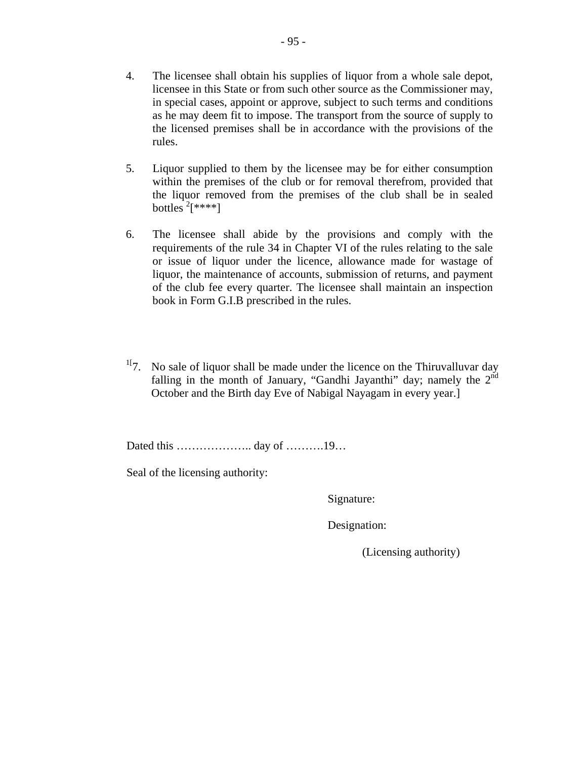- 4. The licensee shall obtain his supplies of liquor from a whole sale depot, licensee in this State or from such other source as the Commissioner may, in special cases, appoint or approve, subject to such terms and conditions as he may deem fit to impose. The transport from the source of supply to the licensed premises shall be in accordance with the provisions of the rules.
- 5. Liquor supplied to them by the licensee may be for either consumption within the premises of the club or for removal therefrom, provided that the liquor removed from the premises of the club shall be in sealed bottles  $2$ [\*\*\*\*]
- 6. The licensee shall abide by the provisions and comply with the requirements of the rule 34 in Chapter VI of the rules relating to the sale or issue of liquor under the licence, allowance made for wastage of liquor, the maintenance of accounts, submission of returns, and payment of the club fee every quarter. The licensee shall maintain an inspection book in Form G.I.B prescribed in the rules.
- $17$ . No sale of liquor shall be made under the licence on the Thiruvalluvar day falling in the month of January, "Gandhi Jayanthi" day; namely the  $2<sup>nd</sup>$ October and the Birth day Eve of Nabigal Nayagam in every year.]

Dated this ……………….. day of ……….19…

Seal of the licensing authority:

Signature:

Designation:

(Licensing authority)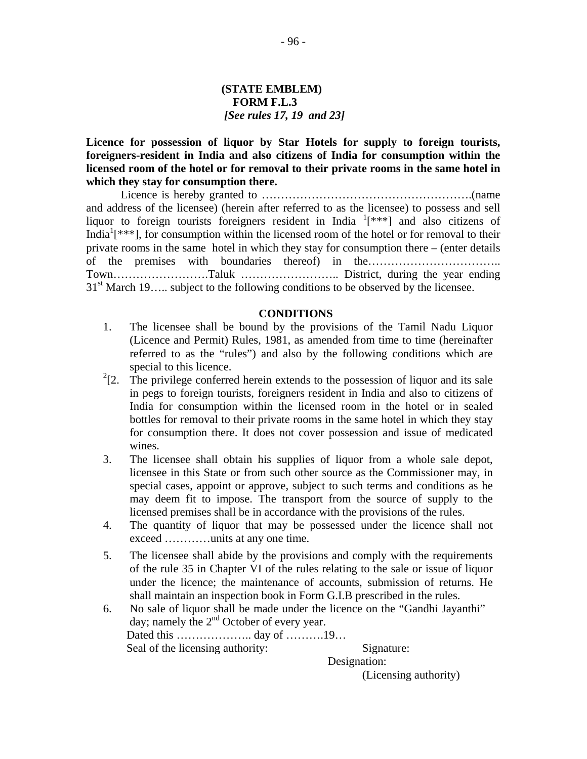# **(STATE EMBLEM) FORM F.L.3** *[See rules 17, 19 and 23]*

**Licence for possession of liquor by Star Hotels for supply to foreign tourists, foreigners-resident in India and also citizens of India for consumption within the licensed room of the hotel or for removal to their private rooms in the same hotel in which they stay for consumption there.** 

Licence is hereby granted to ……………………………………………….(name and address of the licensee) (herein after referred to as the licensee) to possess and sell liquor to foreign tourists foreigners resident in India <sup>1</sup>[\*\*\*] and also citizens of India<sup>1</sup>[ $***$ ], for consumption within the licensed room of the hotel or for removal to their private rooms in the same hotel in which they stay for consumption there – (enter details of the premises with boundaries thereof) in the…………………………….. Town…………………….Taluk …………………….. District, during the year ending  $31<sup>st</sup>$  March 19….. subject to the following conditions to be observed by the licensee.

#### **CONDITIONS**

- 1. The licensee shall be bound by the provisions of the Tamil Nadu Liquor (Licence and Permit) Rules, 1981, as amended from time to time (hereinafter referred to as the "rules") and also by the following conditions which are special to this licence.
- $2$ [2. The privilege conferred herein extends to the possession of liquor and its sale in pegs to foreign tourists, foreigners resident in India and also to citizens of India for consumption within the licensed room in the hotel or in sealed bottles for removal to their private rooms in the same hotel in which they stay for consumption there. It does not cover possession and issue of medicated wines.
- 3. The licensee shall obtain his supplies of liquor from a whole sale depot, licensee in this State or from such other source as the Commissioner may, in special cases, appoint or approve, subject to such terms and conditions as he may deem fit to impose. The transport from the source of supply to the licensed premises shall be in accordance with the provisions of the rules.
- 4. The quantity of liquor that may be possessed under the licence shall not exceed …………units at any one time.
- 5. The licensee shall abide by the provisions and comply with the requirements of the rule 35 in Chapter VI of the rules relating to the sale or issue of liquor under the licence; the maintenance of accounts, submission of returns. He shall maintain an inspection book in Form G.I.B prescribed in the rules.
- 6. No sale of liquor shall be made under the licence on the "Gandhi Jayanthi" day; namely the 2<sup>nd</sup> October of every year. Dated this …………………… day of ………… 19… Seal of the licensing authority: Signature:

 Designation: (Licensing authority)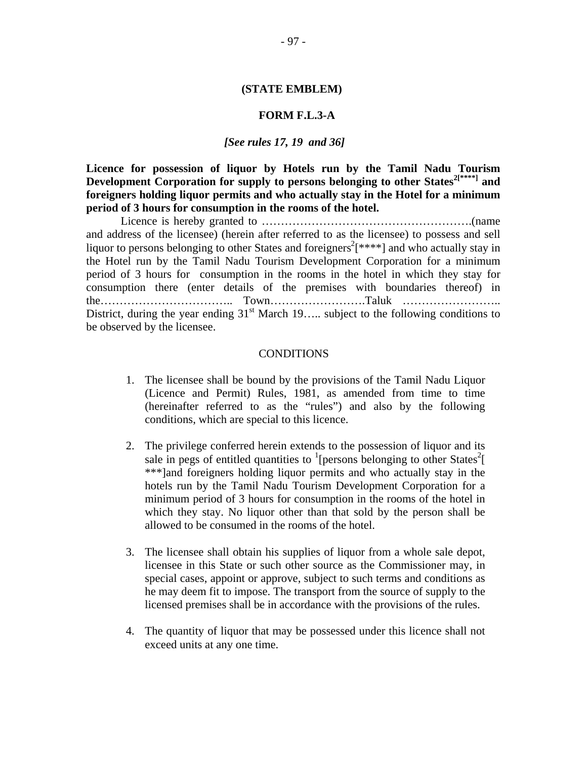#### **(STATE EMBLEM)**

#### **FORM F.L.3-A**

#### *[See rules 17, 19 and 36]*

**Licence for possession of liquor by Hotels run by the Tamil Nadu Tourism Development Corporation for supply to persons belonging to other States2[\*\*\*\*] and foreigners holding liquor permits and who actually stay in the Hotel for a minimum period of 3 hours for consumption in the rooms of the hotel.** 

Licence is hereby granted to ……………………………………………….(name and address of the licensee) (herein after referred to as the licensee) to possess and sell liquor to persons belonging to other States and foreigners<sup>2</sup>[ $***$ ] and who actually stay in the Hotel run by the Tamil Nadu Tourism Development Corporation for a minimum period of 3 hours for consumption in the rooms in the hotel in which they stay for consumption there (enter details of the premises with boundaries thereof) in the…………………………….. Town…………………….Taluk …………………….. District, during the year ending  $31<sup>st</sup>$  March 19….. subject to the following conditions to be observed by the licensee.

#### CONDITIONS

- 1. The licensee shall be bound by the provisions of the Tamil Nadu Liquor (Licence and Permit) Rules, 1981, as amended from time to time (hereinafter referred to as the "rules") and also by the following conditions, which are special to this licence.
- 2. The privilege conferred herein extends to the possession of liquor and its sale in pegs of entitled quantities to  $\frac{1}{2}$  [persons belonging to other States<sup>2</sup>] \*\*\*]and foreigners holding liquor permits and who actually stay in the hotels run by the Tamil Nadu Tourism Development Corporation for a minimum period of 3 hours for consumption in the rooms of the hotel in which they stay. No liquor other than that sold by the person shall be allowed to be consumed in the rooms of the hotel.
- 3. The licensee shall obtain his supplies of liquor from a whole sale depot, licensee in this State or such other source as the Commissioner may, in special cases, appoint or approve, subject to such terms and conditions as he may deem fit to impose. The transport from the source of supply to the licensed premises shall be in accordance with the provisions of the rules.
- 4. The quantity of liquor that may be possessed under this licence shall not exceed units at any one time.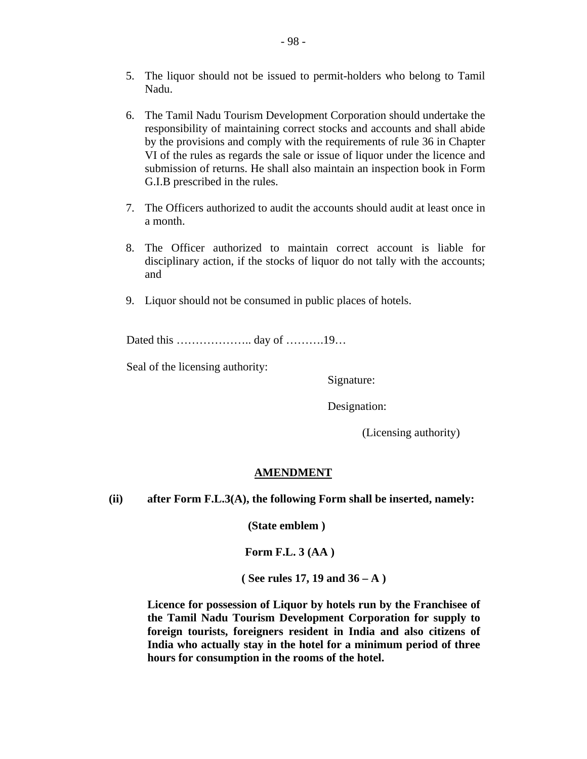- 5. The liquor should not be issued to permit-holders who belong to Tamil Nadu.
- 6. The Tamil Nadu Tourism Development Corporation should undertake the responsibility of maintaining correct stocks and accounts and shall abide by the provisions and comply with the requirements of rule 36 in Chapter VI of the rules as regards the sale or issue of liquor under the licence and submission of returns. He shall also maintain an inspection book in Form G.I.B prescribed in the rules.
- 7. The Officers authorized to audit the accounts should audit at least once in a month.
- 8. The Officer authorized to maintain correct account is liable for disciplinary action, if the stocks of liquor do not tally with the accounts; and
- 9. Liquor should not be consumed in public places of hotels.

Dated this ……………….. day of ……….19…

Seal of the licensing authority:

Signature:

Designation:

(Licensing authority)

# **AMENDMENT**

**(ii) after Form F.L.3(A), the following Form shall be inserted, namely:** 

 **(State emblem )** 

 **Form F.L. 3 (AA )** 

**( See rules 17, 19 and 36 – A )** 

 **Licence for possession of Liquor by hotels run by the Franchisee of the Tamil Nadu Tourism Development Corporation for supply to foreign tourists, foreigners resident in India and also citizens of India who actually stay in the hotel for a minimum period of three hours for consumption in the rooms of the hotel.**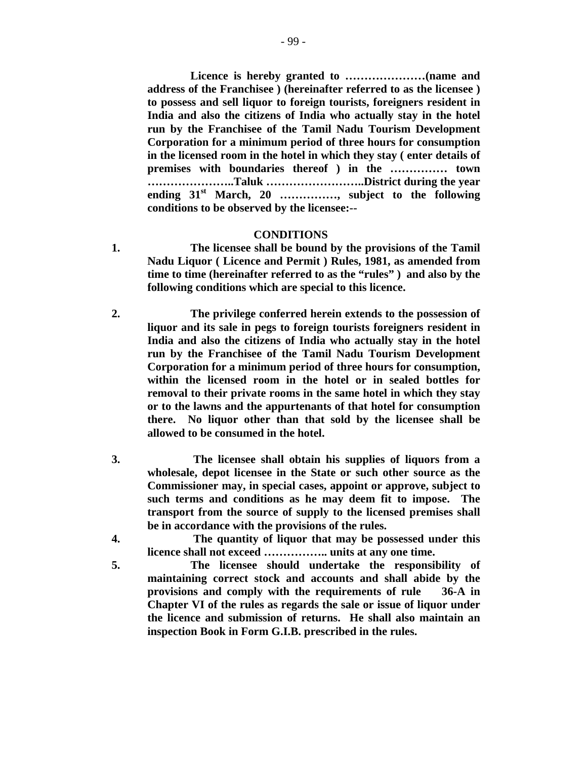**Licence is hereby granted to …………………(name and address of the Franchisee ) (hereinafter referred to as the licensee ) to possess and sell liquor to foreign tourists, foreigners resident in India and also the citizens of India who actually stay in the hotel run by the Franchisee of the Tamil Nadu Tourism Development Corporation for a minimum period of three hours for consumption in the licensed room in the hotel in which they stay ( enter details of premises with boundaries thereof ) in the …………… town …………………..Taluk ……………………..District during the year ending 31st March, 20 ……………, subject to the following conditions to be observed by the licensee:--** 

#### **CONDITIONS**

- **1. The licensee shall be bound by the provisions of the Tamil Nadu Liquor ( Licence and Permit ) Rules, 1981, as amended from time to time (hereinafter referred to as the "rules" ) and also by the following conditions which are special to this licence.**
- **2. The privilege conferred herein extends to the possession of liquor and its sale in pegs to foreign tourists foreigners resident in India and also the citizens of India who actually stay in the hotel run by the Franchisee of the Tamil Nadu Tourism Development Corporation for a minimum period of three hours for consumption, within the licensed room in the hotel or in sealed bottles for removal to their private rooms in the same hotel in which they stay or to the lawns and the appurtenants of that hotel for consumption there. No liquor other than that sold by the licensee shall be allowed to be consumed in the hotel.**
- **3. The licensee shall obtain his supplies of liquors from a wholesale, depot licensee in the State or such other source as the Commissioner may, in special cases, appoint or approve, subject to such terms and conditions as he may deem fit to impose. The transport from the source of supply to the licensed premises shall be in accordance with the provisions of the rules.**
- **4. The quantity of liquor that may be possessed under this licence shall not exceed …………….. units at any one time.**
- **5. The licensee should undertake the responsibility of maintaining correct stock and accounts and shall abide by the provisions and comply with the requirements of rule 36-A in Chapter VI of the rules as regards the sale or issue of liquor under the licence and submission of returns. He shall also maintain an inspection Book in Form G.I.B. prescribed in the rules.**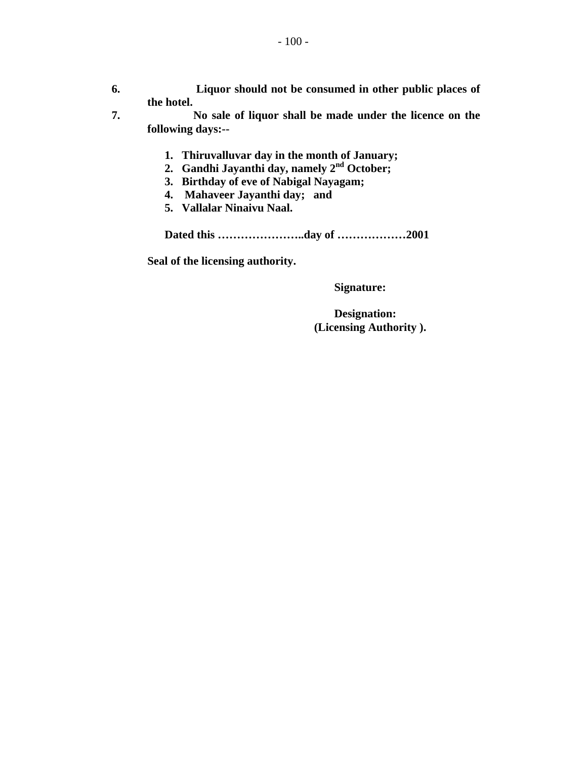- **6. Liquor should not be consumed in other public places of the hotel.**
- **7. No sale of liquor shall be made under the licence on the following days:--** 
	- **1. Thiruvalluvar day in the month of January;** 
		- **2. Gandhi Jayanthi day, namely 2nd October;**
		- **3. Birthday of eve of Nabigal Nayagam;**
		- **4. Mahaveer Jayanthi day; and**
		- **5. Vallalar Ninaivu Naal.**

**Dated this …………………..day of ………………2001** 

**Seal of the licensing authority.** 

 **Signature:** 

 **Designation: (Licensing Authority ).**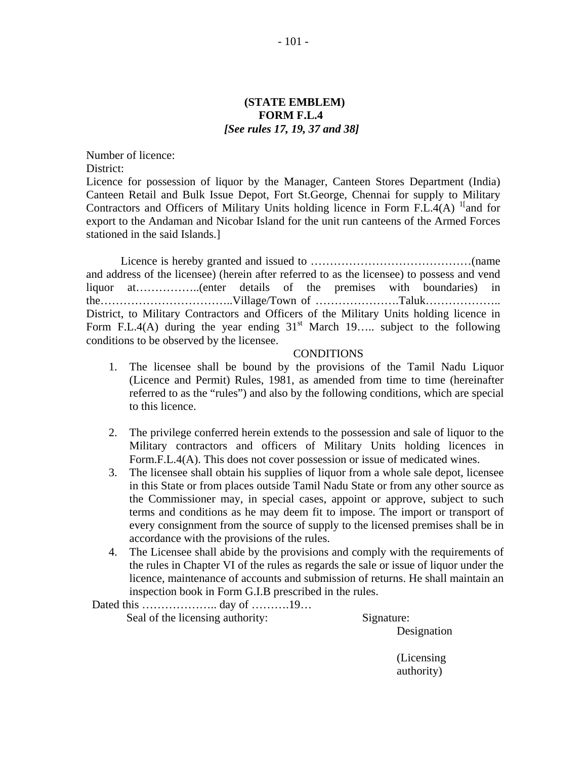# **(STATE EMBLEM) FORM F.L.4** *[See rules 17, 19, 37 and 38]*

Number of licence:

District:

Licence for possession of liquor by the Manager, Canteen Stores Department (India) Canteen Retail and Bulk Issue Depot, Fort St.George, Chennai for supply to Military Contractors and Officers of Military Units holding licence in Form F.L.4(A)  $\frac{1}{1}$  and for export to the Andaman and Nicobar Island for the unit run canteens of the Armed Forces stationed in the said Islands.]

Licence is hereby granted and issued to ……………………………………(name and address of the licensee) (herein after referred to as the licensee) to possess and vend liquor at……………..(enter details of the premises with boundaries) in the……………………………..Village/Town of ………………….Taluk……………….. District, to Military Contractors and Officers of the Military Units holding licence in Form F.L.4(A) during the year ending  $31<sup>st</sup>$  March 19….. subject to the following conditions to be observed by the licensee.

#### CONDITIONS

- 1. The licensee shall be bound by the provisions of the Tamil Nadu Liquor (Licence and Permit) Rules, 1981, as amended from time to time (hereinafter referred to as the "rules") and also by the following conditions, which are special to this licence.
- 2. The privilege conferred herein extends to the possession and sale of liquor to the Military contractors and officers of Military Units holding licences in Form.F.L.4(A). This does not cover possession or issue of medicated wines.
- 3. The licensee shall obtain his supplies of liquor from a whole sale depot, licensee in this State or from places outside Tamil Nadu State or from any other source as the Commissioner may, in special cases, appoint or approve, subject to such terms and conditions as he may deem fit to impose. The import or transport of every consignment from the source of supply to the licensed premises shall be in accordance with the provisions of the rules.
- 4. The Licensee shall abide by the provisions and comply with the requirements of the rules in Chapter VI of the rules as regards the sale or issue of liquor under the licence, maintenance of accounts and submission of returns. He shall maintain an inspection book in Form G.I.B prescribed in the rules.

 Dated this ……………….. day of ……….19… Seal of the licensing authority: Signature:

Designation

(Licensing authority)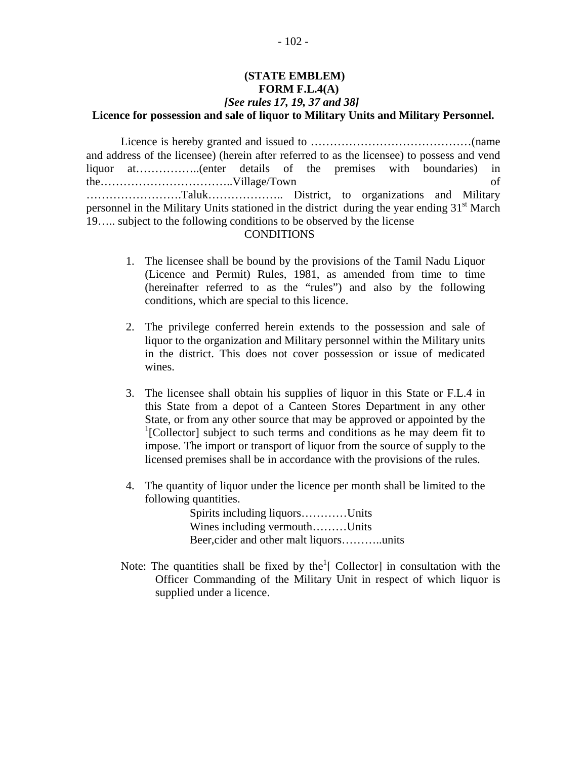# **(STATE EMBLEM) FORM F.L.4(A)** *[See rules 17, 19, 37 and 38]*  **Licence for possession and sale of liquor to Military Units and Military Personnel.**

Licence is hereby granted and issued to ……………………………………(name and address of the licensee) (herein after referred to as the licensee) to possess and vend liquor at……………..(enter details of the premises with boundaries) in the……………………………..Village/Town of …………………….Taluk……………….. District, to organizations and Military personnel in the Military Units stationed in the district during the year ending  $31<sup>st</sup>$  March 19….. subject to the following conditions to be observed by the license

#### **CONDITIONS**

- 1. The licensee shall be bound by the provisions of the Tamil Nadu Liquor (Licence and Permit) Rules, 1981, as amended from time to time (hereinafter referred to as the "rules") and also by the following conditions, which are special to this licence.
- 2. The privilege conferred herein extends to the possession and sale of liquor to the organization and Military personnel within the Military units in the district. This does not cover possession or issue of medicated wines.
- 3. The licensee shall obtain his supplies of liquor in this State or F.L.4 in this State from a depot of a Canteen Stores Department in any other State, or from any other source that may be approved or appointed by the <sup>1</sup>[Collector] subject to such terms and conditions as he may deem fit to impose. The import or transport of liquor from the source of supply to the licensed premises shall be in accordance with the provisions of the rules.
- 4. The quantity of liquor under the licence per month shall be limited to the following quantities.

 Spirits including liquors…………Units Wines including vermouth………Units Beer,cider and other malt liquors………..units

Note: The quantities shall be fixed by the  $\lbrack \cdot \rbrack$  Collector in consultation with the Officer Commanding of the Military Unit in respect of which liquor is supplied under a licence.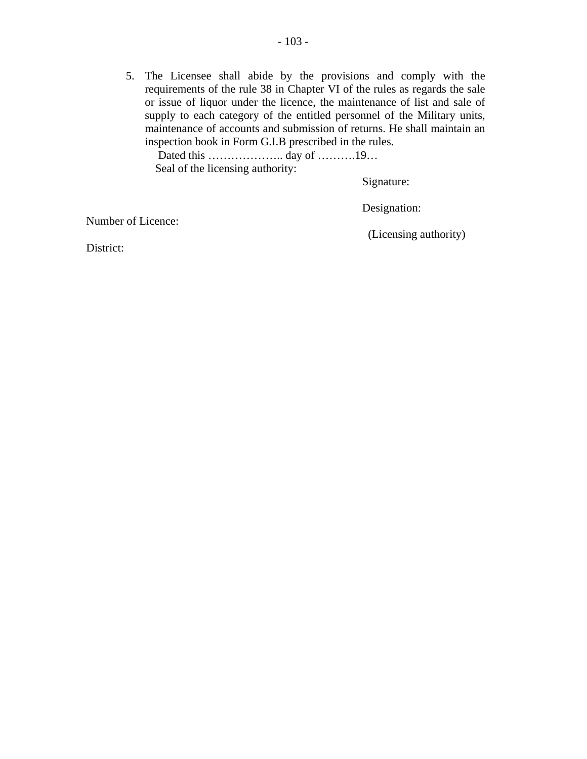5. The Licensee shall abide by the provisions and comply with the requirements of the rule 38 in Chapter VI of the rules as regards the sale or issue of liquor under the licence, the maintenance of list and sale of supply to each category of the entitled personnel of the Military units, maintenance of accounts and submission of returns. He shall maintain an inspection book in Form G.I.B prescribed in the rules.

 Dated this ……………….. day of ……….19… Seal of the licensing authority:

Signature:

Designation:

Number of Licence:

(Licensing authority)

District: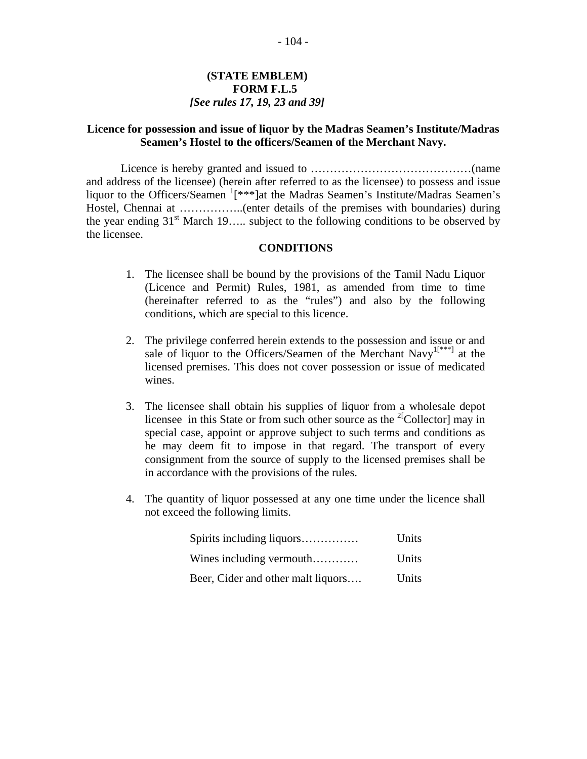# **(STATE EMBLEM) FORM F.L.5** *[See rules 17, 19, 23 and 39]*

# **Licence for possession and issue of liquor by the Madras Seamen's Institute/Madras Seamen's Hostel to the officers/Seamen of the Merchant Navy.**

Licence is hereby granted and issued to ……………………………………(name and address of the licensee) (herein after referred to as the licensee) to possess and issue liquor to the Officers/Seamen  $\frac{1}{x^{**}}$ ]at the Madras Seamen's Institute/Madras Seamen's Hostel, Chennai at ……………..(enter details of the premises with boundaries) during the year ending  $31<sup>st</sup>$  March 19….. subject to the following conditions to be observed by the licensee.

# **CONDITIONS**

- 1. The licensee shall be bound by the provisions of the Tamil Nadu Liquor (Licence and Permit) Rules, 1981, as amended from time to time (hereinafter referred to as the "rules") and also by the following conditions, which are special to this licence.
- 2. The privilege conferred herein extends to the possession and issue or and sale of liquor to the Officers/Seamen of the Merchant Navy<sup>1[\*\*\*]</sup> at the licensed premises. This does not cover possession or issue of medicated wines.
- 3. The licensee shall obtain his supplies of liquor from a wholesale depot licensee in this State or from such other source as the  $^{2}$ [Collector] may in special case, appoint or approve subject to such terms and conditions as he may deem fit to impose in that regard. The transport of every consignment from the source of supply to the licensed premises shall be in accordance with the provisions of the rules.
- 4. The quantity of liquor possessed at any one time under the licence shall not exceed the following limits.

| Spirits including liquors          | Units        |
|------------------------------------|--------------|
| Wines including vermouth           | <b>Units</b> |
| Beer, Cider and other malt liquors | Units        |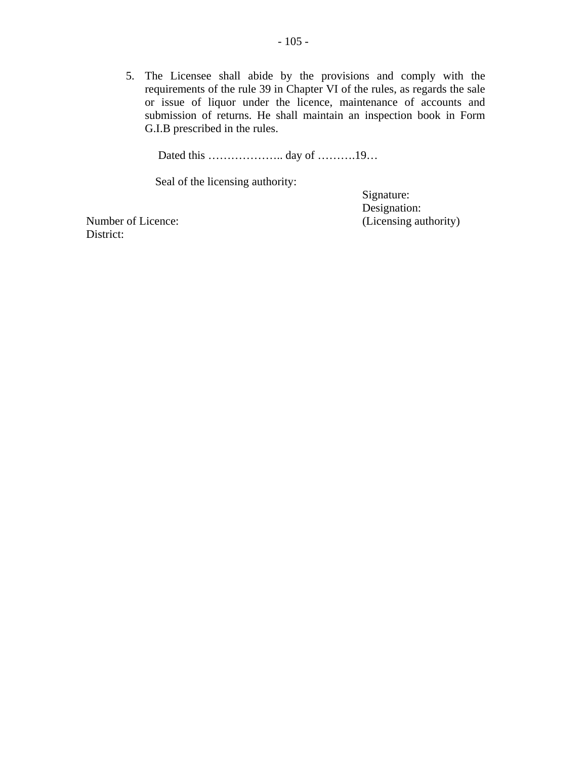5. The Licensee shall abide by the provisions and comply with the requirements of the rule 39 in Chapter VI of the rules, as regards the sale or issue of liquor under the licence, maintenance of accounts and submission of returns. He shall maintain an inspection book in Form G.I.B prescribed in the rules.

Dated this ……………….. day of ……….19…

Seal of the licensing authority:

Signature: Designation: Number of Licence: (Licensing authority)

District: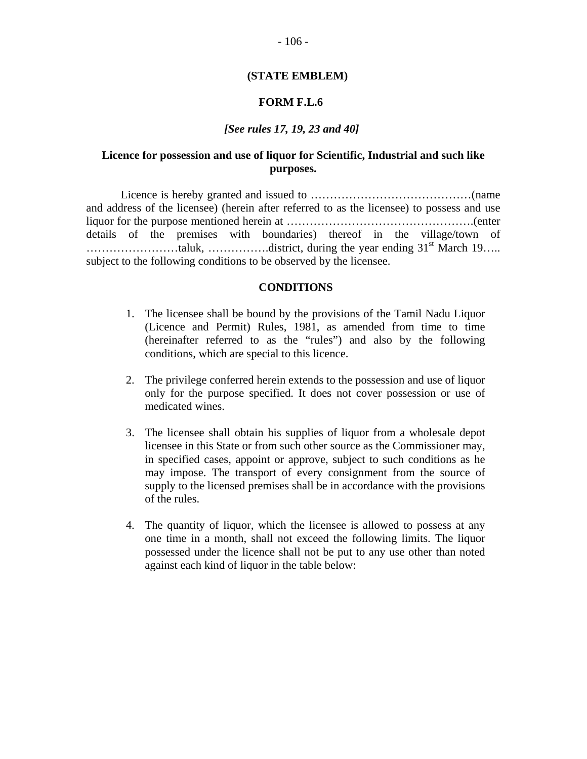#### **(STATE EMBLEM)**

# **FORM F.L.6**

# *[See rules 17, 19, 23 and 40]*

# **Licence for possession and use of liquor for Scientific, Industrial and such like purposes.**

Licence is hereby granted and issued to ……………………………………(name and address of the licensee) (herein after referred to as the licensee) to possess and use liquor for the purpose mentioned herein at ………………………………………….(enter details of the premises with boundaries) thereof in the village/town of ……………………taluk, …………….district, during the year ending 31st March 19….. subject to the following conditions to be observed by the licensee.

#### **CONDITIONS**

- 1. The licensee shall be bound by the provisions of the Tamil Nadu Liquor (Licence and Permit) Rules, 1981, as amended from time to time (hereinafter referred to as the "rules") and also by the following conditions, which are special to this licence.
- 2. The privilege conferred herein extends to the possession and use of liquor only for the purpose specified. It does not cover possession or use of medicated wines.
- 3. The licensee shall obtain his supplies of liquor from a wholesale depot licensee in this State or from such other source as the Commissioner may, in specified cases, appoint or approve, subject to such conditions as he may impose. The transport of every consignment from the source of supply to the licensed premises shall be in accordance with the provisions of the rules.
- 4. The quantity of liquor, which the licensee is allowed to possess at any one time in a month, shall not exceed the following limits. The liquor possessed under the licence shall not be put to any use other than noted against each kind of liquor in the table below: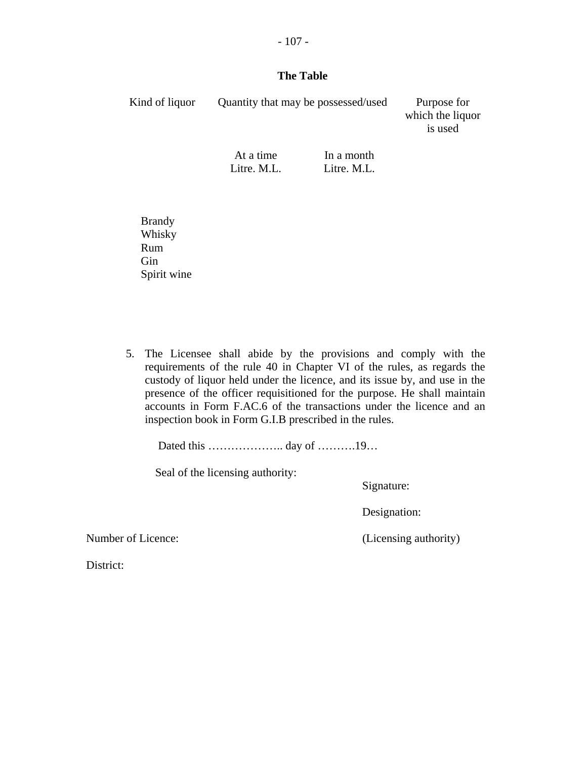# **The Table**

- 107 -

| Kind of liquor | Quantity that may be possessed/used | Purpose for<br>which the liquor<br>is used |  |
|----------------|-------------------------------------|--------------------------------------------|--|
|                | At a time<br>Litre. M.L.            | In a month<br>Litre. M.L.                  |  |

 Brandy Whisky Rum Gin Spirit wine

5. The Licensee shall abide by the provisions and comply with the requirements of the rule 40 in Chapter VI of the rules, as regards the custody of liquor held under the licence, and its issue by, and use in the presence of the officer requisitioned for the purpose. He shall maintain accounts in Form F.AC.6 of the transactions under the licence and an inspection book in Form G.I.B prescribed in the rules.

Dated this ……………….. day of ……….19…

Seal of the licensing authority:

Signature:

Designation:

Number of Licence: (Licensing authority)

District: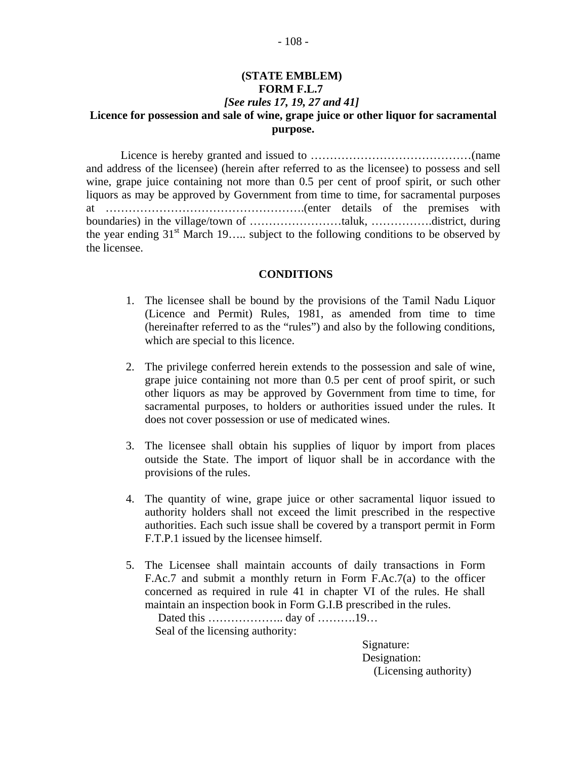# **(STATE EMBLEM) FORM F.L.7** *[See rules 17, 19, 27 and 41]*  **Licence for possession and sale of wine, grape juice or other liquor for sacramental purpose.**

Licence is hereby granted and issued to ……………………………………(name and address of the licensee) (herein after referred to as the licensee) to possess and sell wine, grape juice containing not more than 0.5 per cent of proof spirit, or such other liquors as may be approved by Government from time to time, for sacramental purposes at …………………………………………….(enter details of the premises with boundaries) in the village/town of ……………………taluk, …………….district, during the year ending  $31<sup>st</sup>$  March 19….. subject to the following conditions to be observed by the licensee.

#### **CONDITIONS**

- 1. The licensee shall be bound by the provisions of the Tamil Nadu Liquor (Licence and Permit) Rules, 1981, as amended from time to time (hereinafter referred to as the "rules") and also by the following conditions, which are special to this licence.
- 2. The privilege conferred herein extends to the possession and sale of wine, grape juice containing not more than 0.5 per cent of proof spirit, or such other liquors as may be approved by Government from time to time, for sacramental purposes, to holders or authorities issued under the rules. It does not cover possession or use of medicated wines.
- 3. The licensee shall obtain his supplies of liquor by import from places outside the State. The import of liquor shall be in accordance with the provisions of the rules.
- 4. The quantity of wine, grape juice or other sacramental liquor issued to authority holders shall not exceed the limit prescribed in the respective authorities. Each such issue shall be covered by a transport permit in Form F.T.P.1 issued by the licensee himself.
- 5. The Licensee shall maintain accounts of daily transactions in Form F.Ac.7 and submit a monthly return in Form F.Ac.7(a) to the officer concerned as required in rule 41 in chapter VI of the rules. He shall maintain an inspection book in Form G.I.B prescribed in the rules.

Dated this …………………… day of ………… 19… Seal of the licensing authority:

> Signature: Designation: (Licensing authority)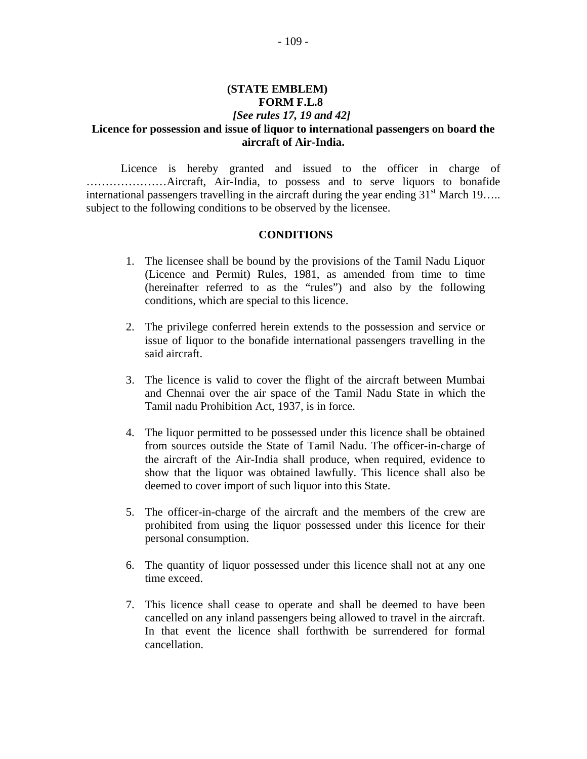### **(STATE EMBLEM) FORM F.L.8** *[See rules 17, 19 and 42]*  **Licence for possession and issue of liquor to international passengers on board the aircraft of Air-India.**

Licence is hereby granted and issued to the officer in charge of …………………Aircraft, Air-India, to possess and to serve liquors to bonafide international passengers travelling in the aircraft during the year ending  $31<sup>st</sup>$  March 19….. subject to the following conditions to be observed by the licensee.

### **CONDITIONS**

- 1. The licensee shall be bound by the provisions of the Tamil Nadu Liquor (Licence and Permit) Rules, 1981, as amended from time to time (hereinafter referred to as the "rules") and also by the following conditions, which are special to this licence.
- 2. The privilege conferred herein extends to the possession and service or issue of liquor to the bonafide international passengers travelling in the said aircraft.
- 3. The licence is valid to cover the flight of the aircraft between Mumbai and Chennai over the air space of the Tamil Nadu State in which the Tamil nadu Prohibition Act, 1937, is in force.
- 4. The liquor permitted to be possessed under this licence shall be obtained from sources outside the State of Tamil Nadu. The officer-in-charge of the aircraft of the Air-India shall produce, when required, evidence to show that the liquor was obtained lawfully. This licence shall also be deemed to cover import of such liquor into this State.
- 5. The officer-in-charge of the aircraft and the members of the crew are prohibited from using the liquor possessed under this licence for their personal consumption.
- 6. The quantity of liquor possessed under this licence shall not at any one time exceed.
- 7. This licence shall cease to operate and shall be deemed to have been cancelled on any inland passengers being allowed to travel in the aircraft. In that event the licence shall forthwith be surrendered for formal cancellation.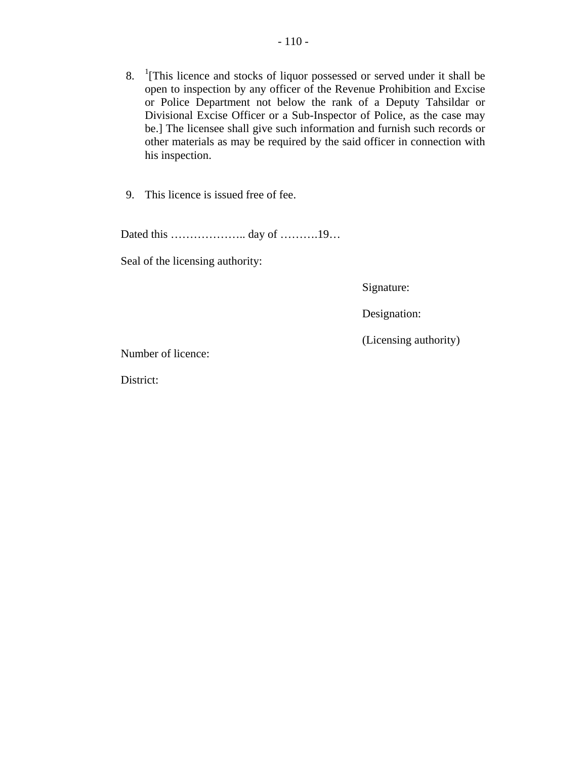- 8.  $\frac{1}{1}$ [This licence and stocks of liquor possessed or served under it shall be open to inspection by any officer of the Revenue Prohibition and Excise or Police Department not below the rank of a Deputy Tahsildar or Divisional Excise Officer or a Sub-Inspector of Police, as the case may be.] The licensee shall give such information and furnish such records or other materials as may be required by the said officer in connection with his inspection.
- 9. This licence is issued free of fee.

Dated this ……………….. day of ……….19…

Seal of the licensing authority:

Signature:

Designation:

(Licensing authority)

Number of licence:

District: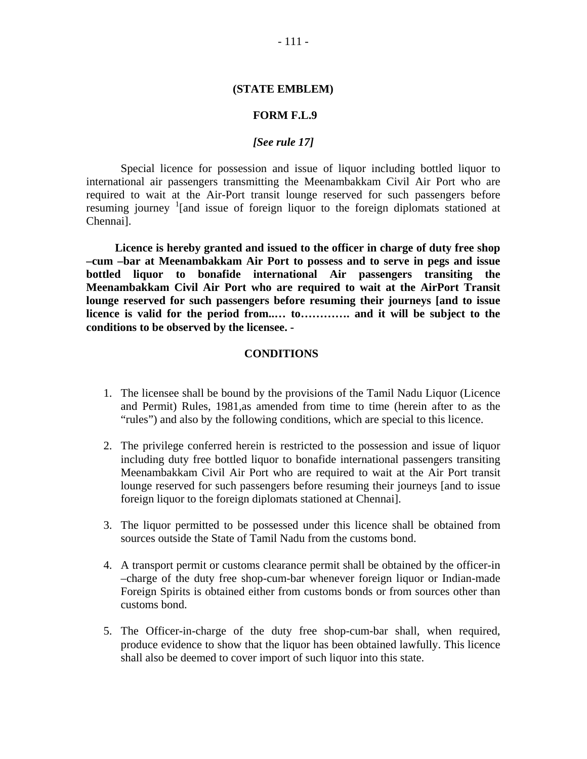### **(STATE EMBLEM)**

### **FORM F.L.9**

### *[See rule 17]*

Special licence for possession and issue of liquor including bottled liquor to international air passengers transmitting the Meenambakkam Civil Air Port who are required to wait at the Air-Port transit lounge reserved for such passengers before resuming journey <sup>1</sup>[and issue of foreign liquor to the foreign diplomats stationed at Chennai].

 **Licence is hereby granted and issued to the officer in charge of duty free shop –cum –bar at Meenambakkam Air Port to possess and to serve in pegs and issue bottled liquor to bonafide international Air passengers transiting the Meenambakkam Civil Air Port who are required to wait at the AirPort Transit lounge reserved for such passengers before resuming their journeys [and to issue licence is valid for the period from..… to…………. and it will be subject to the conditions to be observed by the licensee. -** 

### **CONDITIONS**

- 1. The licensee shall be bound by the provisions of the Tamil Nadu Liquor (Licence and Permit) Rules, 1981,as amended from time to time (herein after to as the "rules") and also by the following conditions, which are special to this licence.
- 2. The privilege conferred herein is restricted to the possession and issue of liquor including duty free bottled liquor to bonafide international passengers transiting Meenambakkam Civil Air Port who are required to wait at the Air Port transit lounge reserved for such passengers before resuming their journeys [and to issue foreign liquor to the foreign diplomats stationed at Chennai].
- 3. The liquor permitted to be possessed under this licence shall be obtained from sources outside the State of Tamil Nadu from the customs bond.
- 4. A transport permit or customs clearance permit shall be obtained by the officer-in –charge of the duty free shop-cum-bar whenever foreign liquor or Indian-made Foreign Spirits is obtained either from customs bonds or from sources other than customs bond.
- 5. The Officer-in-charge of the duty free shop-cum-bar shall, when required, produce evidence to show that the liquor has been obtained lawfully. This licence shall also be deemed to cover import of such liquor into this state.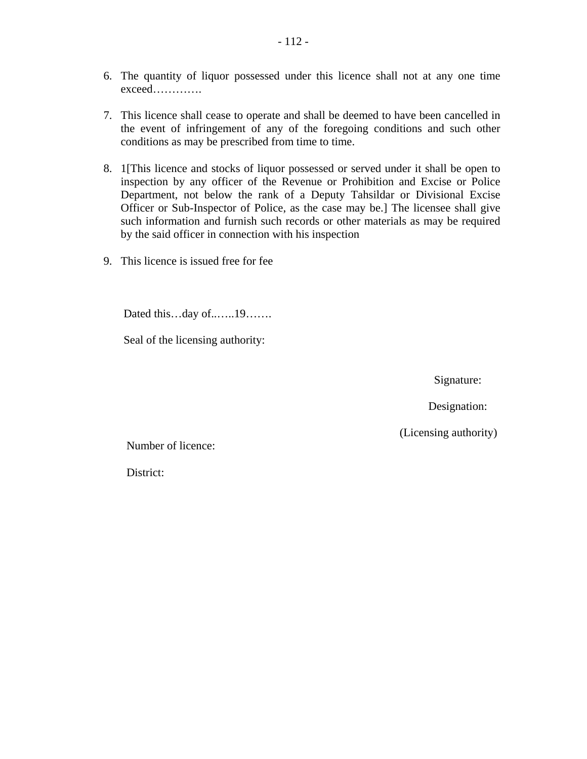- 6. The quantity of liquor possessed under this licence shall not at any one time exceed………….
- 7. This licence shall cease to operate and shall be deemed to have been cancelled in the event of infringement of any of the foregoing conditions and such other conditions as may be prescribed from time to time.
- 8. 1[This licence and stocks of liquor possessed or served under it shall be open to inspection by any officer of the Revenue or Prohibition and Excise or Police Department, not below the rank of a Deputy Tahsildar or Divisional Excise Officer or Sub-Inspector of Police, as the case may be.] The licensee shall give such information and furnish such records or other materials as may be required by the said officer in connection with his inspection
- 9. This licence is issued free for fee

Dated this…day of..…..19…….

Seal of the licensing authority:

Signature:

Designation:

(Licensing authority)

Number of licence:

District: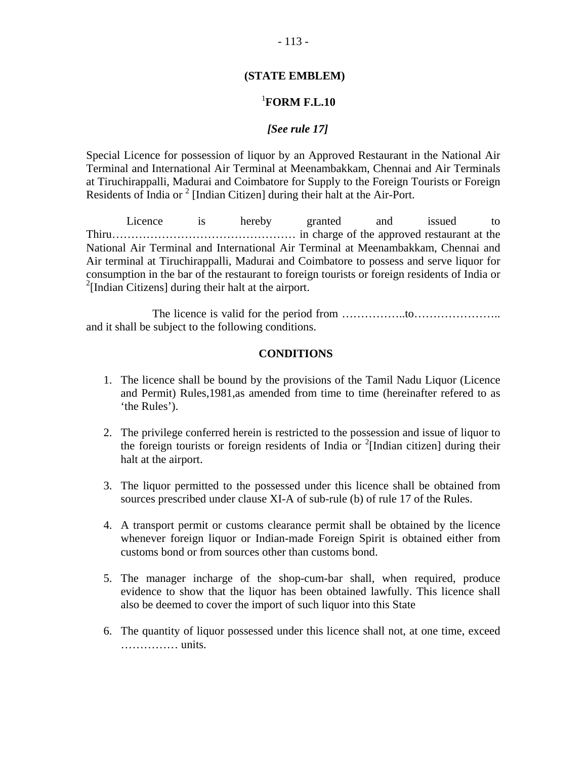### **(STATE EMBLEM)**

#### <sup>1</sup> **FORM F.L.10**

### *[See rule 17]*

Special Licence for possession of liquor by an Approved Restaurant in the National Air Terminal and International Air Terminal at Meenambakkam, Chennai and Air Terminals at Tiruchirappalli, Madurai and Coimbatore for Supply to the Foreign Tourists or Foreign Residents of India or  $2$  [Indian Citizen] during their halt at the Air-Port.

 Licence is hereby granted and issued to Thiru………………………………………… in charge of the approved restaurant at the National Air Terminal and International Air Terminal at Meenambakkam, Chennai and Air terminal at Tiruchirappalli, Madurai and Coimbatore to possess and serve liquor for consumption in the bar of the restaurant to foreign tourists or foreign residents of India or <sup>2</sup>[Indian Citizens] during their halt at the airport.

 The licence is valid for the period from ……………..to………………….. and it shall be subject to the following conditions.

### **CONDITIONS**

- 1. The licence shall be bound by the provisions of the Tamil Nadu Liquor (Licence and Permit) Rules,1981,as amended from time to time (hereinafter refered to as 'the Rules').
- 2. The privilege conferred herein is restricted to the possession and issue of liquor to the foreign tourists or foreign residents of India or  $2$ [Indian citizen] during their halt at the airport.
- 3. The liquor permitted to the possessed under this licence shall be obtained from sources prescribed under clause XI-A of sub-rule (b) of rule 17 of the Rules.
- 4. A transport permit or customs clearance permit shall be obtained by the licence whenever foreign liquor or Indian-made Foreign Spirit is obtained either from customs bond or from sources other than customs bond.
- 5. The manager incharge of the shop-cum-bar shall, when required, produce evidence to show that the liquor has been obtained lawfully. This licence shall also be deemed to cover the import of such liquor into this State
- 6. The quantity of liquor possessed under this licence shall not, at one time, exceed …………… units.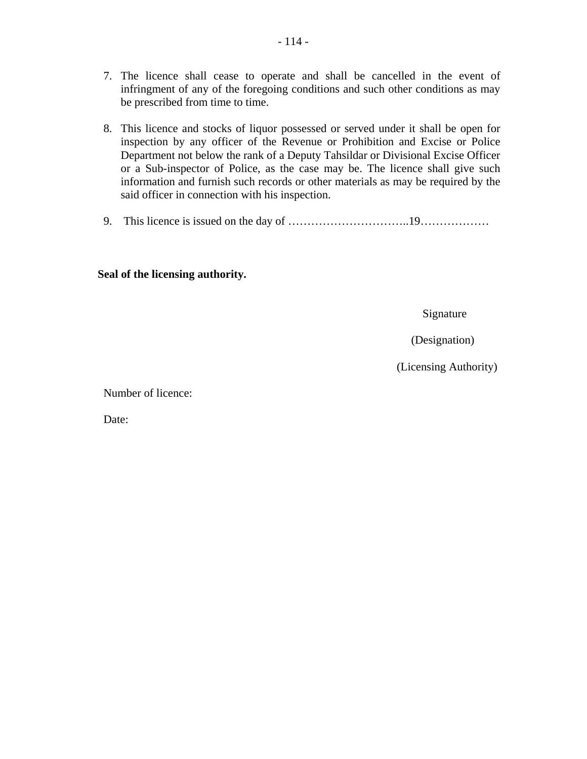- 7. The licence shall cease to operate and shall be cancelled in the event of infringment of any of the foregoing conditions and such other conditions as may be prescribed from time to time.
- 8. This licence and stocks of liquor possessed or served under it shall be open for inspection by any officer of the Revenue or Prohibition and Excise or Police Department not below the rank of a Deputy Tahsildar or Divisional Excise Officer or a Sub-inspector of Police, as the case may be. The licence shall give such information and furnish such records or other materials as may be required by the said officer in connection with his inspection.
- 9. This licence is issued on the day of …………………………..19………………

### **Seal of the licensing authority.**

Signature

(Designation)

(Licensing Authority)

Number of licence:

Date: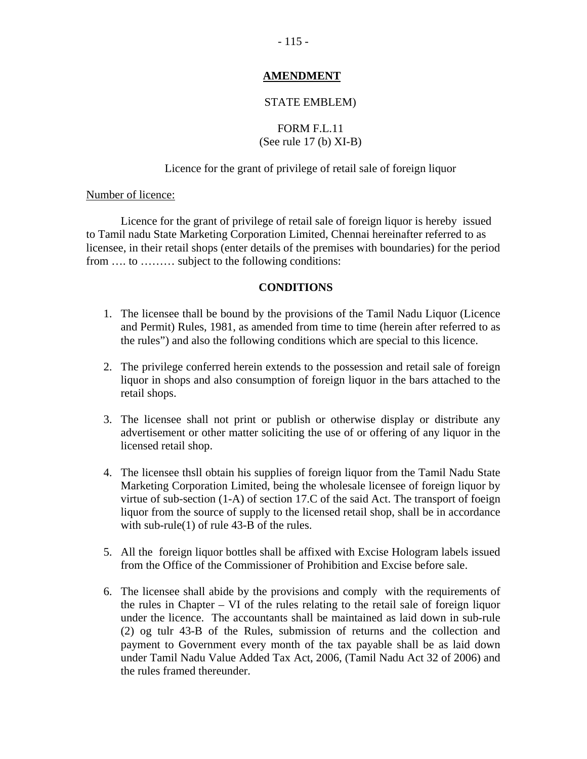### **AMENDMENT**

### STATE EMBLEM)

## FORM F.L.11 (See rule 17 (b) XI-B)

### Licence for the grant of privilege of retail sale of foreign liquor

### Number of licence:

 Licence for the grant of privilege of retail sale of foreign liquor is hereby issued to Tamil nadu State Marketing Corporation Limited, Chennai hereinafter referred to as licensee, in their retail shops (enter details of the premises with boundaries) for the period from …. to ……… subject to the following conditions:

### **CONDITIONS**

- 1. The licensee thall be bound by the provisions of the Tamil Nadu Liquor (Licence and Permit) Rules, 1981, as amended from time to time (herein after referred to as the rules") and also the following conditions which are special to this licence.
- 2. The privilege conferred herein extends to the possession and retail sale of foreign liquor in shops and also consumption of foreign liquor in the bars attached to the retail shops.
- 3. The licensee shall not print or publish or otherwise display or distribute any advertisement or other matter soliciting the use of or offering of any liquor in the licensed retail shop.
- 4. The licensee thsll obtain his supplies of foreign liquor from the Tamil Nadu State Marketing Corporation Limited, being the wholesale licensee of foreign liquor by virtue of sub-section (1-A) of section 17.C of the said Act. The transport of foeign liquor from the source of supply to the licensed retail shop, shall be in accordance with sub-rule(1) of rule 43-B of the rules.
- 5. All the foreign liquor bottles shall be affixed with Excise Hologram labels issued from the Office of the Commissioner of Prohibition and Excise before sale.
- 6. The licensee shall abide by the provisions and comply with the requirements of the rules in Chapter – VI of the rules relating to the retail sale of foreign liquor under the licence. The accountants shall be maintained as laid down in sub-rule (2) og tulr 43-B of the Rules, submission of returns and the collection and payment to Government every month of the tax payable shall be as laid down under Tamil Nadu Value Added Tax Act, 2006, (Tamil Nadu Act 32 of 2006) and the rules framed thereunder.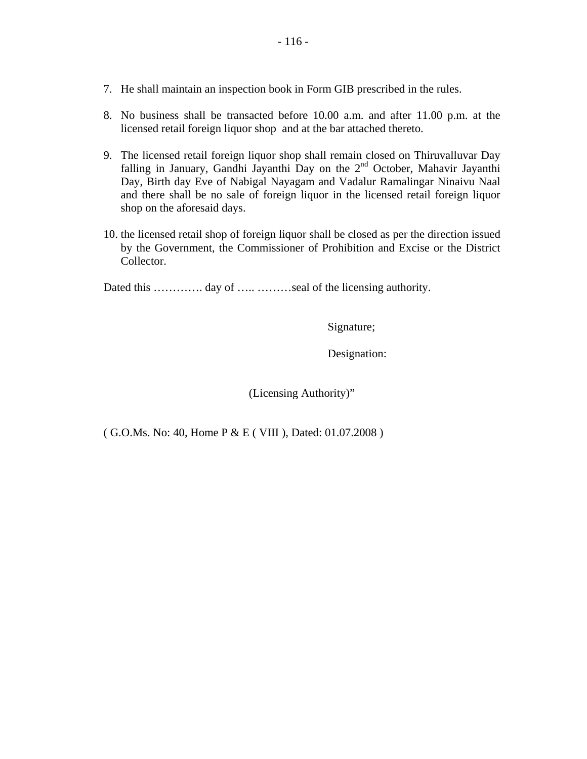- 7. He shall maintain an inspection book in Form GIB prescribed in the rules.
- 8. No business shall be transacted before 10.00 a.m. and after 11.00 p.m. at the licensed retail foreign liquor shop and at the bar attached thereto.
- 9. The licensed retail foreign liquor shop shall remain closed on Thiruvalluvar Day falling in January, Gandhi Jayanthi Day on the 2<sup>nd</sup> October, Mahavir Jayanthi Day, Birth day Eve of Nabigal Nayagam and Vadalur Ramalingar Ninaivu Naal and there shall be no sale of foreign liquor in the licensed retail foreign liquor shop on the aforesaid days.
- 10. the licensed retail shop of foreign liquor shall be closed as per the direction issued by the Government, the Commissioner of Prohibition and Excise or the District Collector.

Dated this ………….. day of …………seal of the licensing authority.

Signature;

Designation:

(Licensing Authority)"

( G.O.Ms. No: 40, Home P & E ( VIII ), Dated: 01.07.2008 )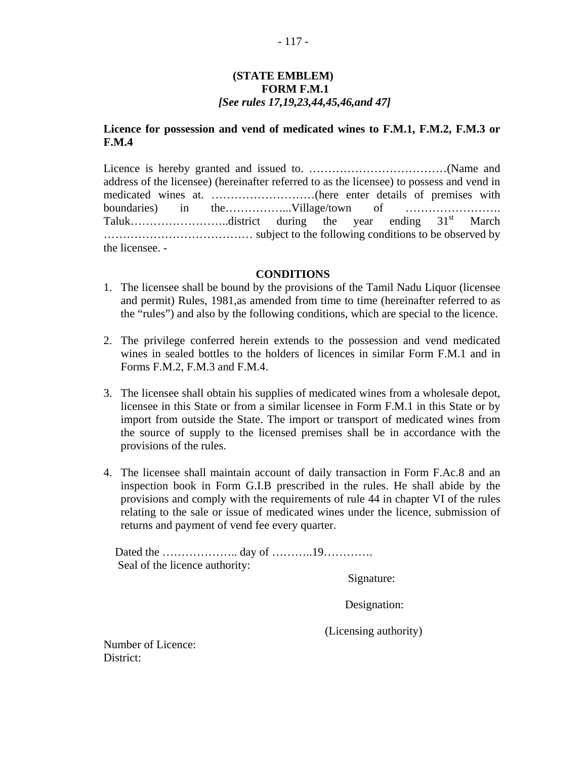### **(STATE EMBLEM) FORM F.M.1**  *[See rules 17,19,23,44,45,46,and 47]*

### **Licence for possession and vend of medicated wines to F.M.1, F.M.2, F.M.3 or F.M.4**

Licence is hereby granted and issued to. ………………………………………(Name and address of the licensee) (hereinafter referred to as the licensee) to possess and vend in medicated wines at. ………………………(here enter details of premises with boundaries) in the……………...Village/town of ……………………. Taluk………………………………district during the year ending  $31<sup>st</sup>$  March ………………………………… subject to the following conditions to be observed by the licensee. -

### **CONDITIONS**

- 1. The licensee shall be bound by the provisions of the Tamil Nadu Liquor (licensee and permit) Rules, 1981,as amended from time to time (hereinafter referred to as the "rules") and also by the following conditions, which are special to the licence.
- 2. The privilege conferred herein extends to the possession and vend medicated wines in sealed bottles to the holders of licences in similar Form F.M.1 and in Forms F.M.2, F.M.3 and F.M.4.
- 3. The licensee shall obtain his supplies of medicated wines from a wholesale depot, licensee in this State or from a similar licensee in Form F.M.1 in this State or by import from outside the State. The import or transport of medicated wines from the source of supply to the licensed premises shall be in accordance with the provisions of the rules.
- 4. The licensee shall maintain account of daily transaction in Form F.Ac.8 and an inspection book in Form G.I.B prescribed in the rules. He shall abide by the provisions and comply with the requirements of rule 44 in chapter VI of the rules relating to the sale or issue of medicated wines under the licence, submission of returns and payment of vend fee every quarter.

 Dated the ……………….. day of ………..19…………. Seal of the licence authority:

Signature:

Designation:

(Licensing authority)

Number of Licence: District: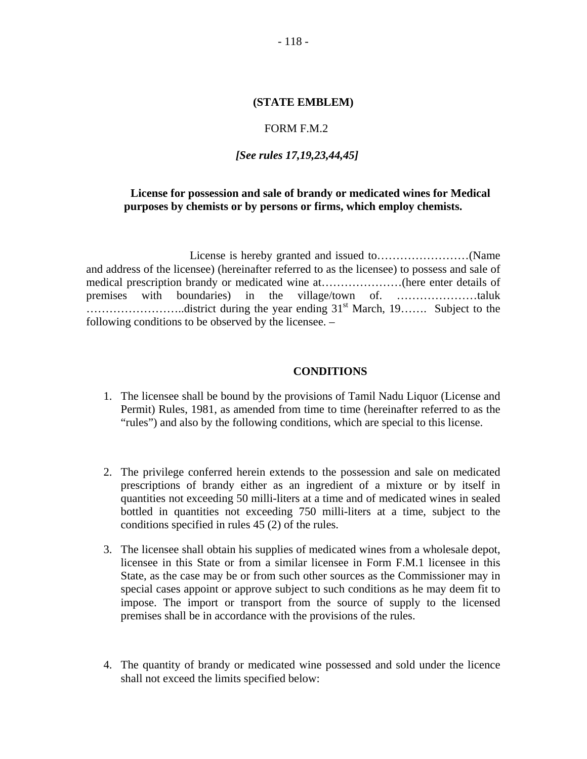### FORM F.M.2

### *[See rules 17,19,23,44,45]*

### **License for possession and sale of brandy or medicated wines for Medical purposes by chemists or by persons or firms, which employ chemists.**

License is hereby granted and issued to……………………(Name and address of the licensee) (hereinafter referred to as the licensee) to possess and sale of medical prescription brandy or medicated wine at…………………(here enter details of premises with boundaries) in the village/town of. …………………taluk ……………………..district during the year ending 31st March, 19……. Subject to the following conditions to be observed by the licensee. –

### **CONDITIONS**

- 1. The licensee shall be bound by the provisions of Tamil Nadu Liquor (License and Permit) Rules, 1981, as amended from time to time (hereinafter referred to as the "rules") and also by the following conditions, which are special to this license.
- 2. The privilege conferred herein extends to the possession and sale on medicated prescriptions of brandy either as an ingredient of a mixture or by itself in quantities not exceeding 50 milli-liters at a time and of medicated wines in sealed bottled in quantities not exceeding 750 milli-liters at a time, subject to the conditions specified in rules 45 (2) of the rules.
- 3. The licensee shall obtain his supplies of medicated wines from a wholesale depot, licensee in this State or from a similar licensee in Form F.M.1 licensee in this State, as the case may be or from such other sources as the Commissioner may in special cases appoint or approve subject to such conditions as he may deem fit to impose. The import or transport from the source of supply to the licensed premises shall be in accordance with the provisions of the rules.
- 4. The quantity of brandy or medicated wine possessed and sold under the licence shall not exceed the limits specified below: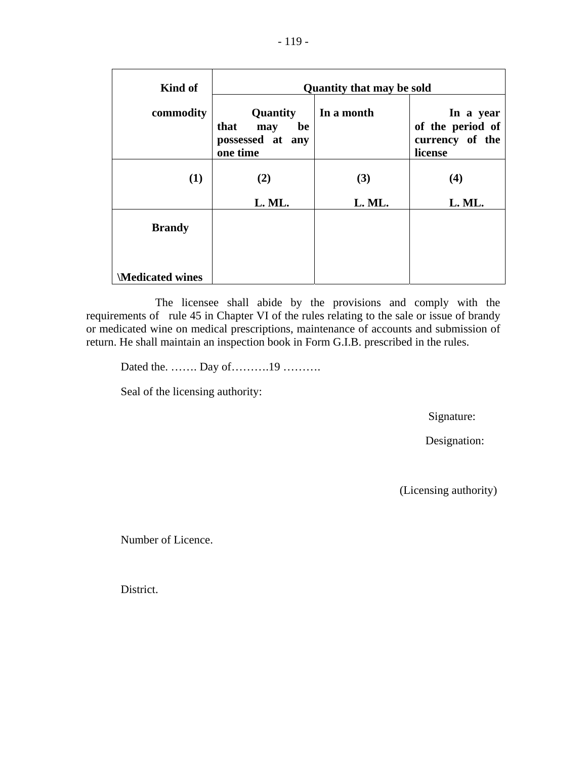| Kind of                | <b>Quantity that may be sold</b>                              |            |                                                             |  |  |  |  |  |
|------------------------|---------------------------------------------------------------|------------|-------------------------------------------------------------|--|--|--|--|--|
| commodity              | Quantity<br>that<br>be<br>may<br>possessed at any<br>one time | In a month | In a year<br>of the period of<br>currency of the<br>license |  |  |  |  |  |
| (1)                    | (2)                                                           | (3)        | (4)                                                         |  |  |  |  |  |
|                        | L. ML.                                                        | L. ML.     | L. ML.                                                      |  |  |  |  |  |
| <b>Brandy</b>          |                                                               |            |                                                             |  |  |  |  |  |
| <b>Medicated wines</b> |                                                               |            |                                                             |  |  |  |  |  |

 The licensee shall abide by the provisions and comply with the requirements of rule 45 in Chapter VI of the rules relating to the sale or issue of brandy or medicated wine on medical prescriptions, maintenance of accounts and submission of return. He shall maintain an inspection book in Form G.I.B. prescribed in the rules.

Dated the. ……. Day of……….19 ……….

Seal of the licensing authority:

Signature:

Designation:

(Licensing authority)

Number of Licence.

District.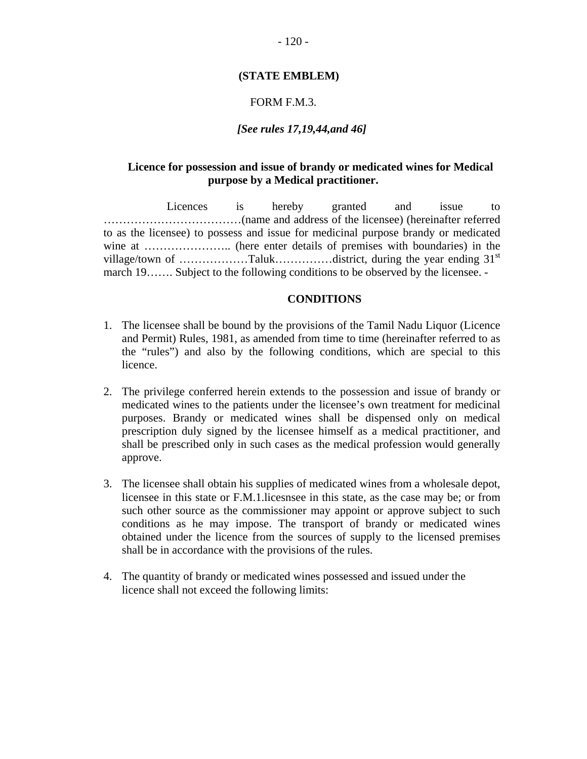### **(STATE EMBLEM)**

### FORM F.M.3.

### *[See rules 17,19,44,and 46]*

### **Licence for possession and issue of brandy or medicated wines for Medical purpose by a Medical practitioner.**

 Licences is hereby granted and issue to ………………………………(name and address of the licensee) (hereinafter referred to as the licensee) to possess and issue for medicinal purpose brandy or medicated wine at ………………….. (here enter details of premises with boundaries) in the village/town of ………………Taluk……………district, during the year ending 31st march 19……. Subject to the following conditions to be observed by the licensee. -

### **CONDITIONS**

- 1. The licensee shall be bound by the provisions of the Tamil Nadu Liquor (Licence and Permit) Rules, 1981, as amended from time to time (hereinafter referred to as the "rules") and also by the following conditions, which are special to this licence.
- 2. The privilege conferred herein extends to the possession and issue of brandy or medicated wines to the patients under the licensee's own treatment for medicinal purposes. Brandy or medicated wines shall be dispensed only on medical prescription duly signed by the licensee himself as a medical practitioner, and shall be prescribed only in such cases as the medical profession would generally approve.
- 3. The licensee shall obtain his supplies of medicated wines from a wholesale depot, licensee in this state or F.M.1.licesnsee in this state, as the case may be; or from such other source as the commissioner may appoint or approve subject to such conditions as he may impose. The transport of brandy or medicated wines obtained under the licence from the sources of supply to the licensed premises shall be in accordance with the provisions of the rules.
- 4. The quantity of brandy or medicated wines possessed and issued under the licence shall not exceed the following limits: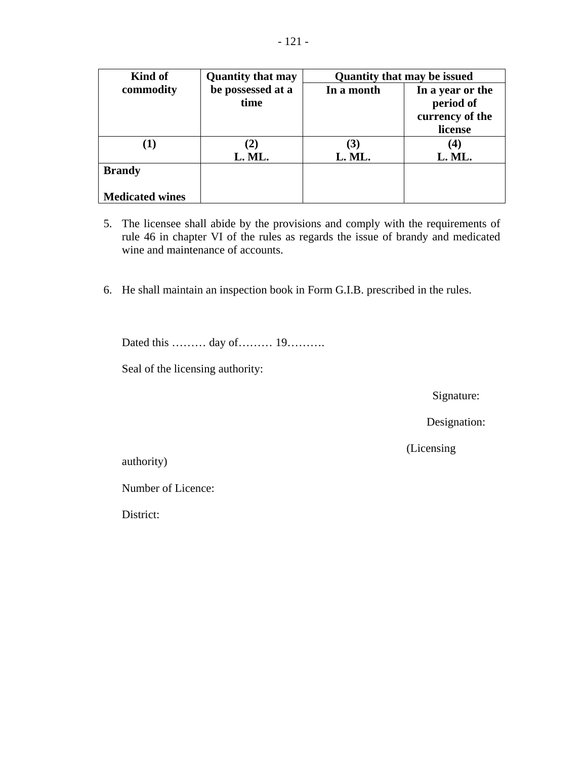| Kind of                | <b>Quantity that may</b> | <b>Quantity that may be issued</b> |                  |  |  |
|------------------------|--------------------------|------------------------------------|------------------|--|--|
| commodity              | be possessed at a        | In a month                         | In a year or the |  |  |
|                        | time                     |                                    | period of        |  |  |
|                        |                          |                                    | currency of the  |  |  |
|                        |                          |                                    | license          |  |  |
|                        | $\mathbf{2}$             | (3)                                | 4)               |  |  |
|                        | L. ML.                   | L. ML.                             | L. ML.           |  |  |
| <b>Brandy</b>          |                          |                                    |                  |  |  |
| <b>Medicated wines</b> |                          |                                    |                  |  |  |

- 5. The licensee shall abide by the provisions and comply with the requirements of rule 46 in chapter VI of the rules as regards the issue of brandy and medicated wine and maintenance of accounts.
- 6. He shall maintain an inspection book in Form G.I.B. prescribed in the rules.

Dated this ……… day of……… 19……….

Seal of the licensing authority:

Signature:

Designation:

(Licensing

authority)

Number of Licence:

District: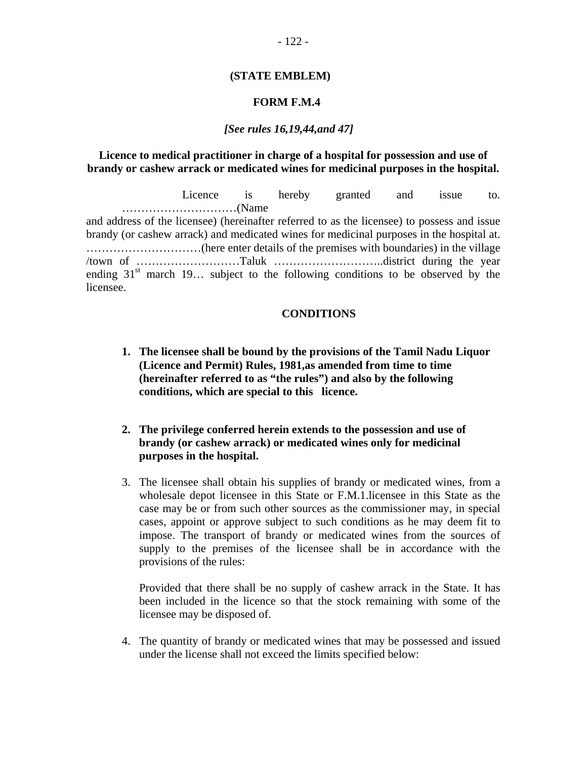### **(STATE EMBLEM)**

### **FORM F.M.4**

### *[See rules 16,19,44,and 47]*

### **Licence to medical practitioner in charge of a hospital for possession and use of brandy or cashew arrack or medicated wines for medicinal purposes in the hospital.**

 Licence is hereby granted and issue to. …………………………(Name and address of the licensee) (hereinafter referred to as the licensee) to possess and issue brandy (or cashew arrack) and medicated wines for medicinal purposes in the hospital at. …………………………(here enter details of the premises with boundaries) in the village /town of ………………………Taluk ………………………..district during the year ending  $31<sup>st</sup>$  march 19... subject to the following conditions to be observed by the licensee.

### **CONDITIONS**

- **1. The licensee shall be bound by the provisions of the Tamil Nadu Liquor (Licence and Permit) Rules, 1981,as amended from time to time (hereinafter referred to as "the rules") and also by the following conditions, which are special to this licence.**
- **2. The privilege conferred herein extends to the possession and use of brandy (or cashew arrack) or medicated wines only for medicinal purposes in the hospital.**
- 3. The licensee shall obtain his supplies of brandy or medicated wines, from a wholesale depot licensee in this State or F.M.1.licensee in this State as the case may be or from such other sources as the commissioner may, in special cases, appoint or approve subject to such conditions as he may deem fit to impose. The transport of brandy or medicated wines from the sources of supply to the premises of the licensee shall be in accordance with the provisions of the rules:

Provided that there shall be no supply of cashew arrack in the State. It has been included in the licence so that the stock remaining with some of the licensee may be disposed of.

4. The quantity of brandy or medicated wines that may be possessed and issued under the license shall not exceed the limits specified below: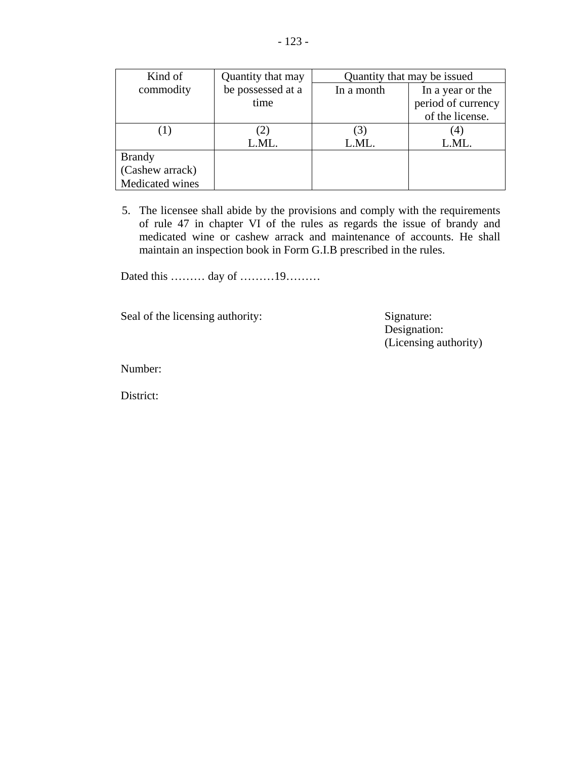| Kind of         | Quantity that may | Quantity that may be issued |                    |  |
|-----------------|-------------------|-----------------------------|--------------------|--|
| commodity       | be possessed at a | In a month                  | In a year or the   |  |
|                 | time              |                             | period of currency |  |
|                 |                   |                             | of the license.    |  |
|                 | 2                 |                             |                    |  |
|                 | L.ML.             | L.ML.                       | L.ML.              |  |
| <b>Brandy</b>   |                   |                             |                    |  |
| (Cashew arrack) |                   |                             |                    |  |
| Medicated wines |                   |                             |                    |  |

5. The licensee shall abide by the provisions and comply with the requirements of rule 47 in chapter VI of the rules as regards the issue of brandy and medicated wine or cashew arrack and maintenance of accounts. He shall maintain an inspection book in Form G.I.B prescribed in the rules.

Dated this ……… day of ………19………

Seal of the licensing authority: Signature: Signature:

 Designation: (Licensing authority)

Number:

District: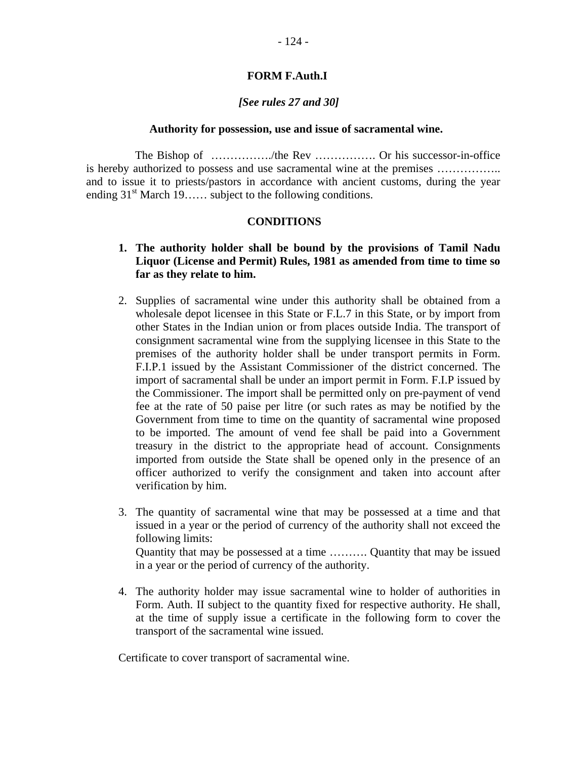### **FORM F.Auth.I**

### *[See rules 27 and 30]*

### **Authority for possession, use and issue of sacramental wine.**

The Bishop of ……………./the Rev ……………. Or his successor-in-office is hereby authorized to possess and use sacramental wine at the premises …………….. and to issue it to priests/pastors in accordance with ancient customs, during the year ending  $31<sup>st</sup>$  March 19…… subject to the following conditions.

### **CONDITIONS**

### **1. The authority holder shall be bound by the provisions of Tamil Nadu Liquor (License and Permit) Rules, 1981 as amended from time to time so far as they relate to him.**

- 2. Supplies of sacramental wine under this authority shall be obtained from a wholesale depot licensee in this State or F.L.7 in this State, or by import from other States in the Indian union or from places outside India. The transport of consignment sacramental wine from the supplying licensee in this State to the premises of the authority holder shall be under transport permits in Form. F.I.P.1 issued by the Assistant Commissioner of the district concerned. The import of sacramental shall be under an import permit in Form. F.I.P issued by the Commissioner. The import shall be permitted only on pre-payment of vend fee at the rate of 50 paise per litre (or such rates as may be notified by the Government from time to time on the quantity of sacramental wine proposed to be imported. The amount of vend fee shall be paid into a Government treasury in the district to the appropriate head of account. Consignments imported from outside the State shall be opened only in the presence of an officer authorized to verify the consignment and taken into account after verification by him.
- 3. The quantity of sacramental wine that may be possessed at a time and that issued in a year or the period of currency of the authority shall not exceed the following limits: Quantity that may be possessed at a time ………. Quantity that may be issued

in a year or the period of currency of the authority.

4. The authority holder may issue sacramental wine to holder of authorities in Form. Auth. II subject to the quantity fixed for respective authority. He shall, at the time of supply issue a certificate in the following form to cover the transport of the sacramental wine issued.

Certificate to cover transport of sacramental wine.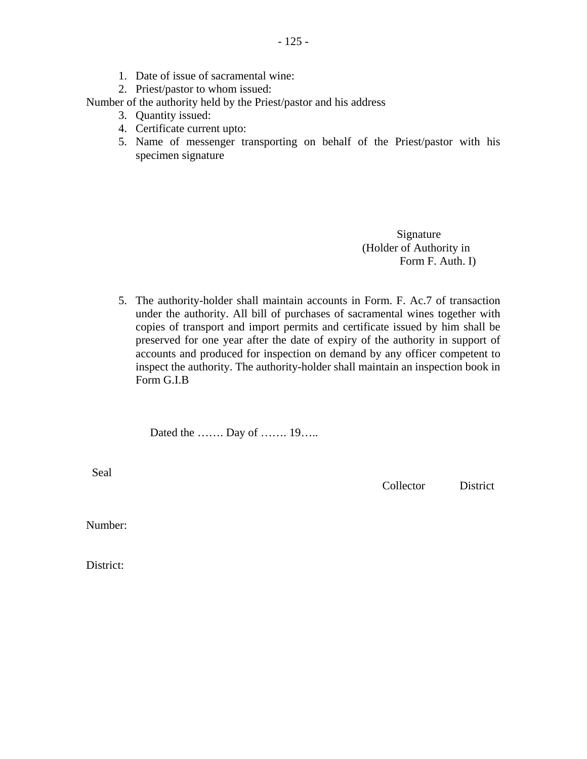- 1. Date of issue of sacramental wine:
- 2. Priest/pastor to whom issued:

Number of the authority held by the Priest/pastor and his address

- 3. Quantity issued:
- 4. Certificate current upto:
- 5. Name of messenger transporting on behalf of the Priest/pastor with his specimen signature

 Signature (Holder of Authority in Form F. Auth. I)

5. The authority-holder shall maintain accounts in Form. F. Ac.7 of transaction under the authority. All bill of purchases of sacramental wines together with copies of transport and import permits and certificate issued by him shall be preserved for one year after the date of expiry of the authority in support of accounts and produced for inspection on demand by any officer competent to inspect the authority. The authority-holder shall maintain an inspection book in Form G.I.B

Dated the ……. Day of ……. 19…..

Seal

Collector District

Number:

District: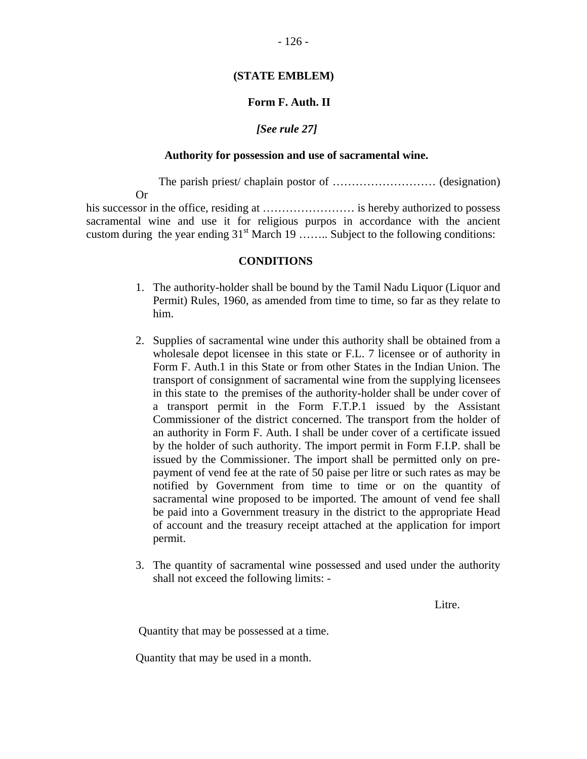### **(STATE EMBLEM)**

### **Form F. Auth. II**

### *[See rule 27]*

### **Authority for possession and use of sacramental wine.**

 The parish priest/ chaplain postor of ……………………… (designation) Or his successor in the office, residing at …………………… is hereby authorized to possess

sacramental wine and use it for religious purpos in accordance with the ancient custom during the year ending  $31<sup>st</sup>$  March 19 …….. Subject to the following conditions:

### **CONDITIONS**

- 1. The authority-holder shall be bound by the Tamil Nadu Liquor (Liquor and Permit) Rules, 1960, as amended from time to time, so far as they relate to him.
- 2. Supplies of sacramental wine under this authority shall be obtained from a wholesale depot licensee in this state or F.L. 7 licensee or of authority in Form F. Auth.1 in this State or from other States in the Indian Union. The transport of consignment of sacramental wine from the supplying licensees in this state to the premises of the authority-holder shall be under cover of a transport permit in the Form F.T.P.1 issued by the Assistant Commissioner of the district concerned. The transport from the holder of an authority in Form F. Auth. I shall be under cover of a certificate issued by the holder of such authority. The import permit in Form F.I.P. shall be issued by the Commissioner. The import shall be permitted only on prepayment of vend fee at the rate of 50 paise per litre or such rates as may be notified by Government from time to time or on the quantity of sacramental wine proposed to be imported. The amount of vend fee shall be paid into a Government treasury in the district to the appropriate Head of account and the treasury receipt attached at the application for import permit.
- 3. The quantity of sacramental wine possessed and used under the authority shall not exceed the following limits: -

Litre.

Quantity that may be possessed at a time.

Quantity that may be used in a month.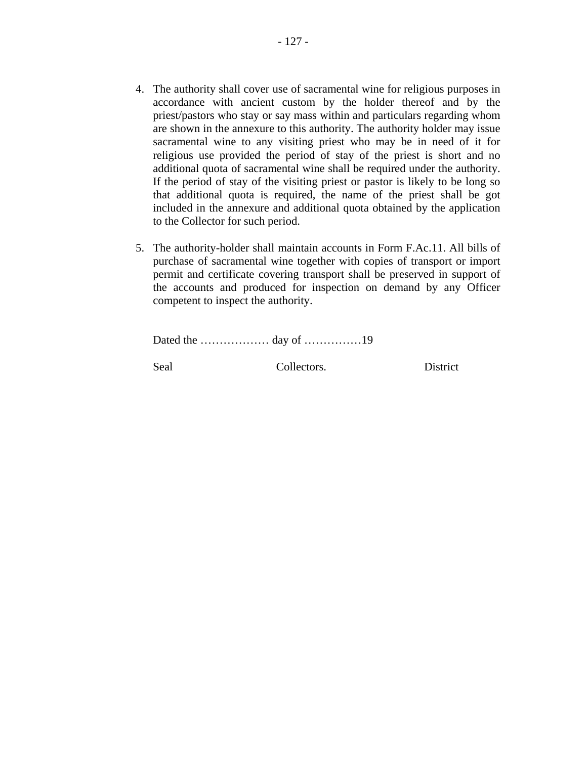- 4. The authority shall cover use of sacramental wine for religious purposes in accordance with ancient custom by the holder thereof and by the priest/pastors who stay or say mass within and particulars regarding whom are shown in the annexure to this authority. The authority holder may issue sacramental wine to any visiting priest who may be in need of it for religious use provided the period of stay of the priest is short and no additional quota of sacramental wine shall be required under the authority. If the period of stay of the visiting priest or pastor is likely to be long so that additional quota is required, the name of the priest shall be got included in the annexure and additional quota obtained by the application to the Collector for such period.
- 5. The authority-holder shall maintain accounts in Form F.Ac.11. All bills of purchase of sacramental wine together with copies of transport or import permit and certificate covering transport shall be preserved in support of the accounts and produced for inspection on demand by any Officer competent to inspect the authority.

Dated the ……………… day of ……………19

Seal Collectors. District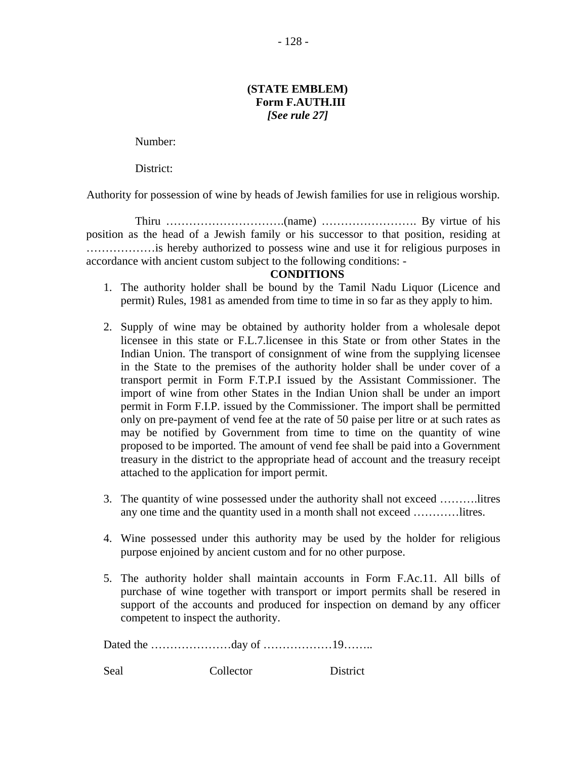- 128 -

### **(STATE EMBLEM) Form F.AUTH.III**  *[See rule 27]*

Number:

District:

Authority for possession of wine by heads of Jewish families for use in religious worship.

 Thiru ………………………….(name) ……………………. By virtue of his position as the head of a Jewish family or his successor to that position, residing at ………………is hereby authorized to possess wine and use it for religious purposes in accordance with ancient custom subject to the following conditions: -

### **CONDITIONS**

- 1. The authority holder shall be bound by the Tamil Nadu Liquor (Licence and permit) Rules, 1981 as amended from time to time in so far as they apply to him.
- 2. Supply of wine may be obtained by authority holder from a wholesale depot licensee in this state or F.L.7.licensee in this State or from other States in the Indian Union. The transport of consignment of wine from the supplying licensee in the State to the premises of the authority holder shall be under cover of a transport permit in Form F.T.P.I issued by the Assistant Commissioner. The import of wine from other States in the Indian Union shall be under an import permit in Form F.I.P. issued by the Commissioner. The import shall be permitted only on pre-payment of vend fee at the rate of 50 paise per litre or at such rates as may be notified by Government from time to time on the quantity of wine proposed to be imported. The amount of vend fee shall be paid into a Government treasury in the district to the appropriate head of account and the treasury receipt attached to the application for import permit.
- 3. The quantity of wine possessed under the authority shall not exceed ……….litres any one time and the quantity used in a month shall not exceed …………litres.
- 4. Wine possessed under this authority may be used by the holder for religious purpose enjoined by ancient custom and for no other purpose.
- 5. The authority holder shall maintain accounts in Form F.Ac.11. All bills of purchase of wine together with transport or import permits shall be resered in support of the accounts and produced for inspection on demand by any officer competent to inspect the authority.

Dated the …………………day of ………………19……..

Seal Collector District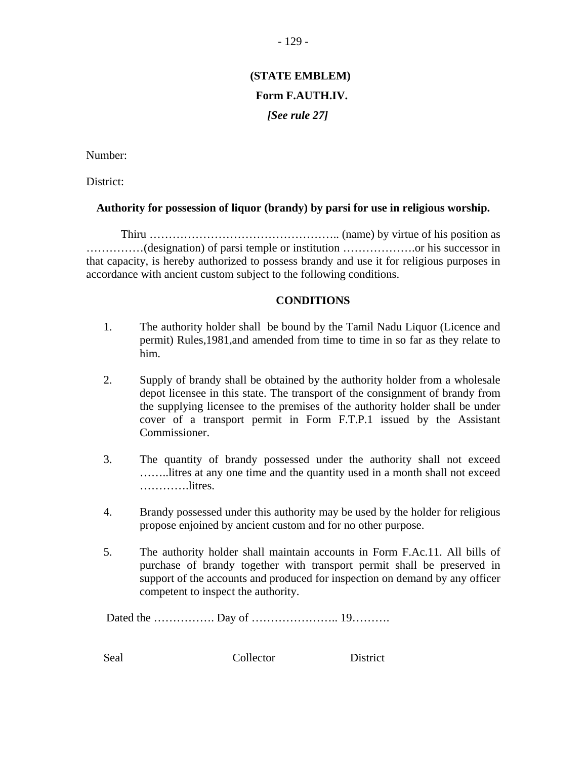# **(STATE EMBLEM) Form F.AUTH.IV.**  *[See rule 27]*

Number:

District:

### **Authority for possession of liquor (brandy) by parsi for use in religious worship.**

 Thiru ………………………………………….. (name) by virtue of his position as ……………(designation) of parsi temple or institution ……………….or his successor in that capacity, is hereby authorized to possess brandy and use it for religious purposes in accordance with ancient custom subject to the following conditions.

### **CONDITIONS**

- 1. The authority holder shall be bound by the Tamil Nadu Liquor (Licence and permit) Rules,1981,and amended from time to time in so far as they relate to him.
- 2. Supply of brandy shall be obtained by the authority holder from a wholesale depot licensee in this state. The transport of the consignment of brandy from the supplying licensee to the premises of the authority holder shall be under cover of a transport permit in Form F.T.P.1 issued by the Assistant Commissioner.
- 3. The quantity of brandy possessed under the authority shall not exceed ……..litres at any one time and the quantity used in a month shall not exceed ………….litres.
- 4. Brandy possessed under this authority may be used by the holder for religious propose enjoined by ancient custom and for no other purpose.
- 5. The authority holder shall maintain accounts in Form F.Ac.11. All bills of purchase of brandy together with transport permit shall be preserved in support of the accounts and produced for inspection on demand by any officer competent to inspect the authority.

Dated the ……………. Day of ………………….. 19……….

Seal Collector District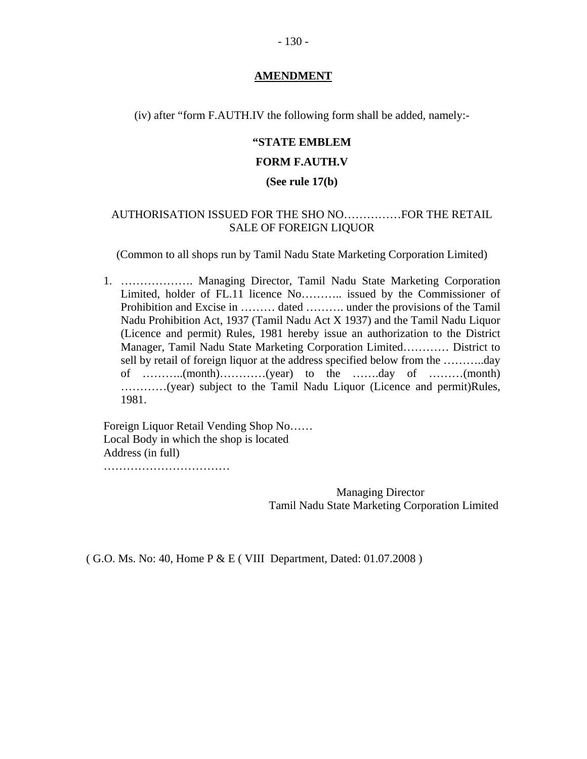### **AMENDMENT**

(iv) after "form F.AUTH.IV the following form shall be added, namely:-

## **"STATE EMBLEM**

### **FORM F.AUTH.V**

### **(See rule 17(b)**

### AUTHORISATION ISSUED FOR THE SHO NO……………FOR THE RETAIL SALE OF FOREIGN LIQUOR

(Common to all shops run by Tamil Nadu State Marketing Corporation Limited)

1. ………………. Managing Director, Tamil Nadu State Marketing Corporation Limited, holder of FL.11 licence No……….. issued by the Commissioner of Prohibition and Excise in ……… dated ………. under the provisions of the Tamil Nadu Prohibition Act, 1937 (Tamil Nadu Act X 1937) and the Tamil Nadu Liquor (Licence and permit) Rules, 1981 hereby issue an authorization to the District Manager, Tamil Nadu State Marketing Corporation Limited………… District to sell by retail of foreign liquor at the address specified below from the ………..day of ………..(month)…………(year) to the …….day of ………(month) …………(year) subject to the Tamil Nadu Liquor (Licence and permit)Rules, 1981.

Foreign Liquor Retail Vending Shop No…… Local Body in which the shop is located Address (in full) ……………………………

> Managing Director Tamil Nadu State Marketing Corporation Limited

( G.O. Ms. No: 40, Home P & E ( VIII Department, Dated: 01.07.2008 )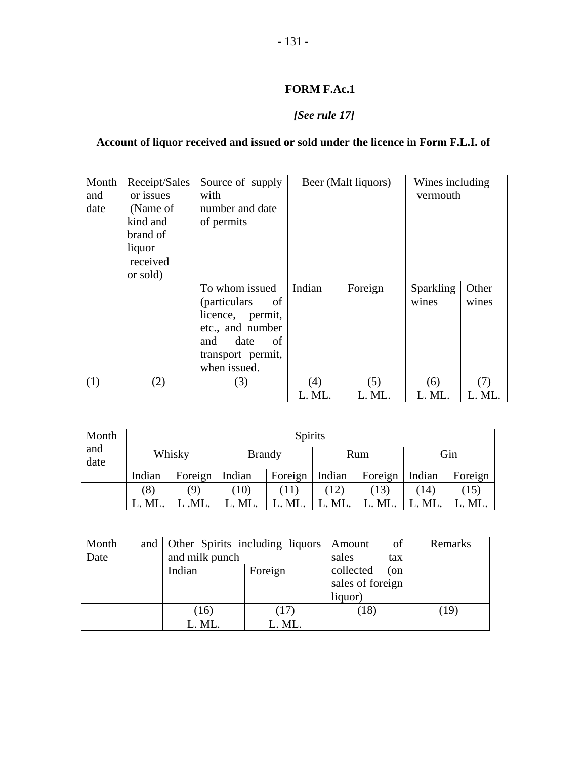## **FORM F.Ac.1**

## *[See rule 17]*

## **Account of liquor received and issued or sold under the licence in Form F.L.I. of**

| Month | Receipt/Sales | Source of supply           |        | Beer (Malt liquors) | Wines including  |        |
|-------|---------------|----------------------------|--------|---------------------|------------------|--------|
| and   | or issues     | with                       |        |                     | vermouth         |        |
| date  | (Name of      | number and date            |        |                     |                  |        |
|       | kind and      | of permits                 |        |                     |                  |        |
|       | brand of      |                            |        |                     |                  |        |
|       | liquor        |                            |        |                     |                  |        |
|       | received      |                            |        |                     |                  |        |
|       | or sold)      |                            |        |                     |                  |        |
|       |               | To whom issued             | Indian | Foreign             | <b>Sparkling</b> | Other  |
|       |               | <i>(particulars)</i><br>of |        |                     | wines            | wines  |
|       |               | licence, permit,           |        |                     |                  |        |
|       |               | etc., and number           |        |                     |                  |        |
|       |               | date<br>of<br>and          |        |                     |                  |        |
|       |               | transport permit,          |        |                     |                  |        |
|       |               | when issued.               |        |                     |                  |        |
| (1)   | (2)           | (3)                        | (4)    | (5)                 | (6)              | (7)    |
|       |               |                            | L. ML. | L. ML.              | L. ML.           | L. ML. |

| Month       |        |            |                       | <b>Spirits</b> |        |         |        |         |
|-------------|--------|------------|-----------------------|----------------|--------|---------|--------|---------|
| and<br>date |        | Whisky     | <b>Brandy</b>         |                | Rum    |         | Gin    |         |
|             | Indian | Foreign    | Indian                | Foreign        | Indian | Foreign | Indian | Foreign |
|             | (8)    | $\partial$ | $^{\prime}10^{\cdot}$ |                | 12)    | (13)    | (14)   | 15      |
|             | L. ML. | .ML.       | $\therefore$ ML.      | L. ML.         | ML.    | L. ML.  | L. ML. | ML.     |

| Month | and Other Spirits including liquors   Amount |         | of               | Remarks |  |
|-------|----------------------------------------------|---------|------------------|---------|--|
| Date  | and milk punch                               |         | sales            | tax     |  |
|       | Indian                                       | Foreign | collected        | (on     |  |
|       |                                              |         | sales of foreign |         |  |
|       |                                              |         | liquor)          |         |  |
|       | (16)                                         |         | (18)             |         |  |
|       | L. ML.                                       | L. ML.  |                  |         |  |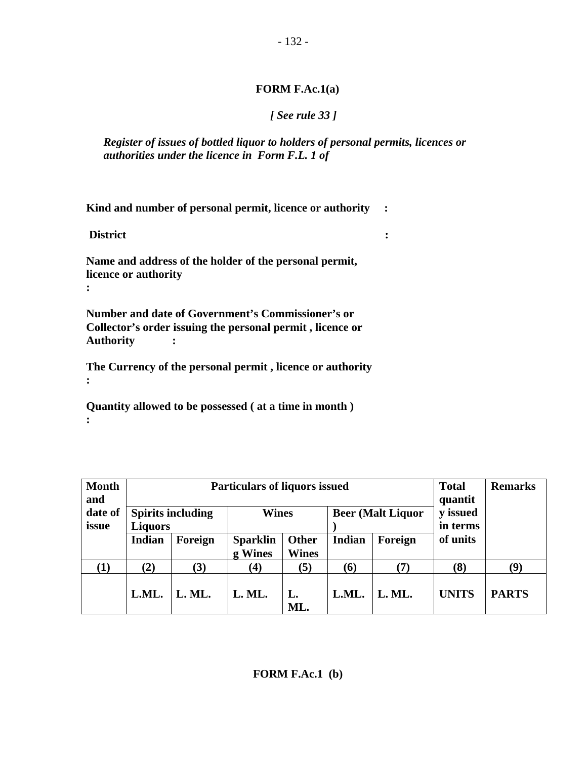## **FORM F.Ac.1(a)**

## *[ See rule 33 ]*

*Register of issues of bottled liquor to holders of personal permits, licences or authorities under the licence in Form F.L. 1 of* 

**Kind and number of personal permit, licence or authority :** 

 **District :** 

**Name and address of the holder of the personal permit, licence or authority :** 

**Number and date of Government's Commissioner's or Collector's order issuing the personal permit , licence or Authority :** 

**The Currency of the personal permit , licence or authority :** 

**Quantity allowed to be possessed ( at a time in month ) :** 

| <b>Month</b><br>and |                | <b>Particulars of liquors issued</b>                                 | <b>Total</b><br>quantit    | <b>Remarks</b>        |               |                      |              |              |
|---------------------|----------------|----------------------------------------------------------------------|----------------------------|-----------------------|---------------|----------------------|--------------|--------------|
| date of<br>issue    | <b>Liquors</b> | <b>Spirits including</b><br><b>Beer (Malt Liquor</b><br><b>Wines</b> |                            |                       |               | y issued<br>in terms |              |              |
|                     | Indian         | Foreign                                                              | <b>Sparklin</b><br>g Wines | Other<br><b>Wines</b> | <b>Indian</b> | Foreign              | of units     |              |
| $\bf(1)$            | (2)            | (3)                                                                  | (4)                        | (5)                   | (6)           | (7)                  | (8)          | (9)          |
|                     | L.ML.          | L. ML.                                                               | L. ML.                     | L.<br>ML.             | L.ML.         | L. ML.               | <b>UNITS</b> | <b>PARTS</b> |

## **FORM F.Ac.1 (b)**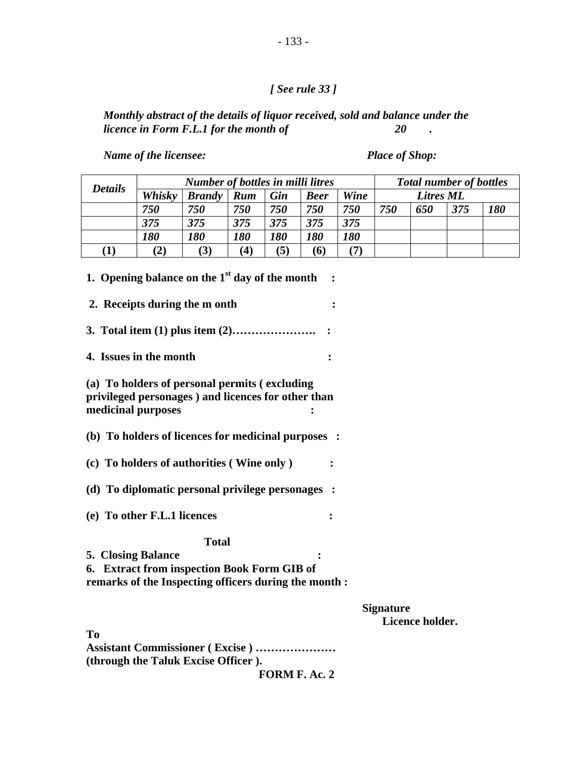## *[ See rule 33 ]*

*Monthly abstract of the details of liquor received, sold and balance under the licence in Form F.L.1 for the month of* 20 *licence in Form F.L.1 for the month of* 20 .

*Name of the licensee:* Place of Shop:

|                | <b>Number of bottles in milli litres</b> |                   |            |                   |             |                   |     |                  | <b>Total number of bottles</b> |            |
|----------------|------------------------------------------|-------------------|------------|-------------------|-------------|-------------------|-----|------------------|--------------------------------|------------|
| <b>Details</b> | Whisky                                   | <b>Brandy</b>     | <b>Rum</b> | Gin               | <b>Beer</b> | Wine              |     | <b>Litres ML</b> |                                |            |
|                | 750                                      | 750               | 750        | 750               | 750         | 750               | 750 | 650              | 375                            | <b>180</b> |
|                | 375                                      | 375               | 375        | 375               | 375         | 375               |     |                  |                                |            |
|                | <i><b>180</b></i>                        | <i><b>180</b></i> | <i>180</i> | <i><b>180</b></i> | <i>180</i>  | <i><b>180</b></i> |     |                  |                                |            |
| $\bf{(1)}$     | (2)                                      | (3)               | (4)        | (5)               | (6)         |                   |     |                  |                                |            |

| 1. Opening balance on the $1st$ day of the month<br>$\sim$ :                                                                                      |                                     |
|---------------------------------------------------------------------------------------------------------------------------------------------------|-------------------------------------|
| 2. Receipts during the m onth                                                                                                                     |                                     |
|                                                                                                                                                   |                                     |
| 4. Issues in the month                                                                                                                            |                                     |
| (a) To holders of personal permits (excluding<br>privileged personages) and licences for other than<br>medicinal purposes                         |                                     |
| (b) To holders of licences for medicinal purposes :                                                                                               |                                     |
| (c) To holders of authorities (Wine only)                                                                                                         |                                     |
| (d) To diplomatic personal privilege personages :                                                                                                 |                                     |
| (e) To other F.L.1 licences                                                                                                                       |                                     |
| <b>Total</b><br><b>5. Closing Balance</b><br>6. Extract from inspection Book Form GIB of<br>remarks of the Inspecting officers during the month : |                                     |
|                                                                                                                                                   | <b>Signature</b><br>Licence holder. |
| T <sub>0</sub>                                                                                                                                    |                                     |
| <b>Assistant Commissioner (Excise) </b><br>(through the Taluk Excise Officer).                                                                    |                                     |
|                                                                                                                                                   |                                     |

 **FORM F. Ac. 2**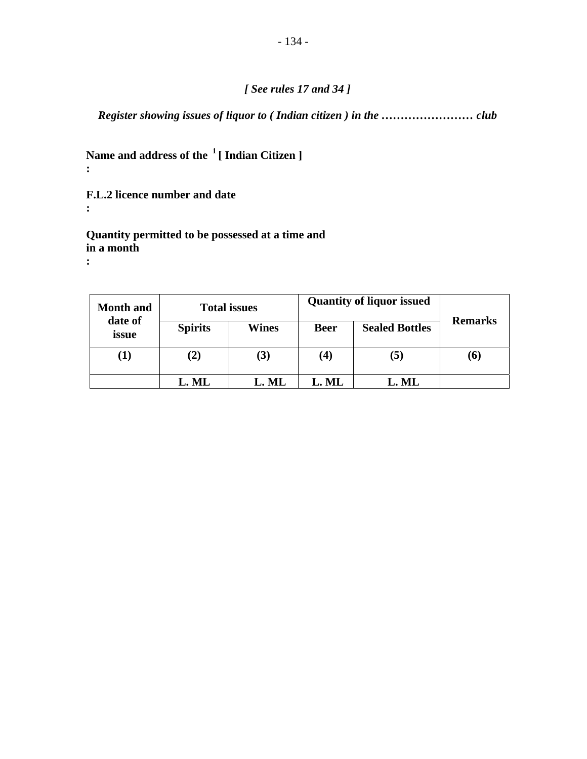## *[ See rules 17 and 34 ]*

*Register showing issues of liquor to ( Indian citizen ) in the …………………… club* 

## **Name and address of the 1 [ Indian Citizen ] :**

**F.L.2 licence number and date** 

**Quantity permitted to be possessed at a time and in a month** 

**:** 

**:** 

| <b>Month and</b> |                | <b>Total issues</b> | <b>Quantity of liquor issued</b>     |                |                |  |
|------------------|----------------|---------------------|--------------------------------------|----------------|----------------|--|
| date of<br>issue | <b>Spirits</b> | <b>Wines</b>        | <b>Sealed Bottles</b><br><b>Beer</b> |                | <b>Remarks</b> |  |
| $\bf(1)$         | $\bf(2)$       | (3)                 | $\boldsymbol{(4)}$                   | $(\mathbf{5})$ | (6)            |  |
|                  | L. ML          | L. ML               | L. ML                                | L. ML          |                |  |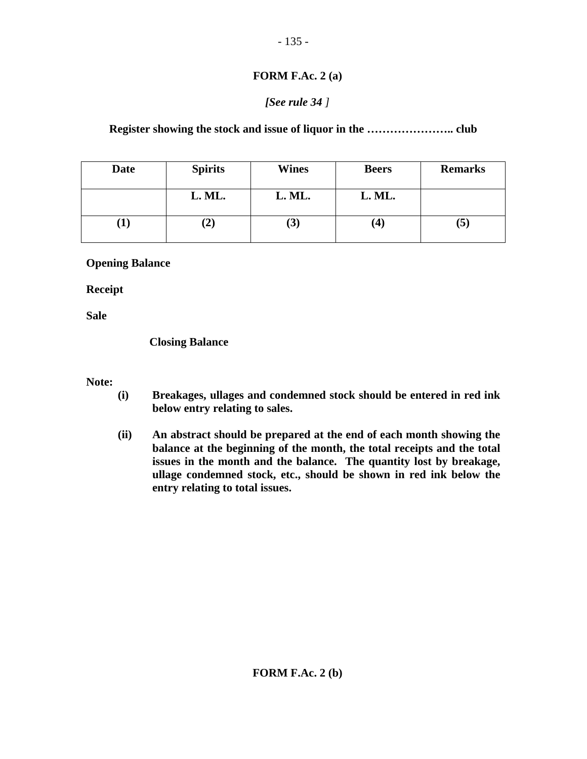### **FORM F.Ac. 2 (a)**

## *[See rule 34 ]*

**Register showing the stock and issue of liquor in the ………………….. club** 

| <b>Date</b> | <b>Spirits</b> | <b>Wines</b>  | <b>Beers</b> | <b>Remarks</b> |
|-------------|----------------|---------------|--------------|----------------|
|             | L. ML.         | L. ML.        | L. ML.       |                |
|             | $\bf (2)$      | $\mathcal{F}$ | 4            | ' ح            |

## **Opening Balance**

**Receipt** 

**Sale** 

## **Closing Balance**

### **Note:**

- **(i) Breakages, ullages and condemned stock should be entered in red ink below entry relating to sales.**
- **(ii) An abstract should be prepared at the end of each month showing the balance at the beginning of the month, the total receipts and the total issues in the month and the balance. The quantity lost by breakage, ullage condemned stock, etc., should be shown in red ink below the entry relating to total issues.**

**FORM F.Ac. 2 (b)**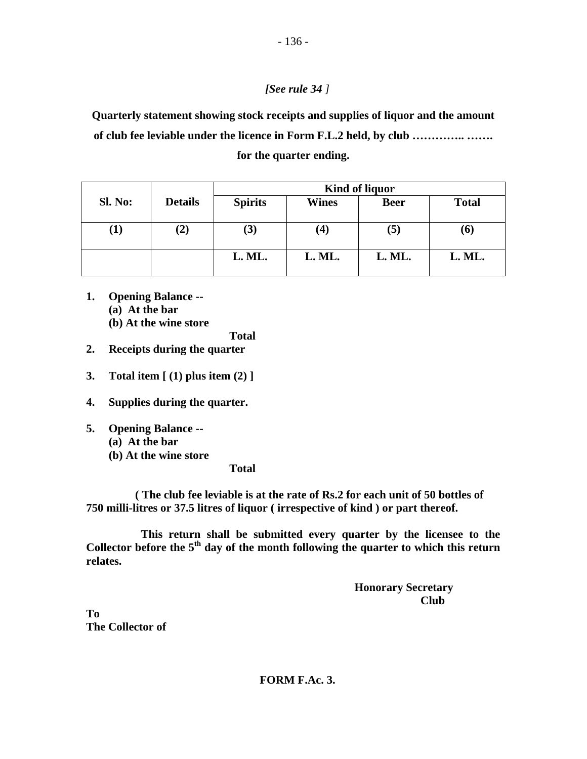## *[See rule 34 ]*

**Quarterly statement showing stock receipts and supplies of liquor and the amount of club fee leviable under the licence in Form F.L.2 held, by club ………….. …….** 

**for the quarter ending.** 

|            |                | <b>Kind of liquor</b> |                    |             |              |  |  |
|------------|----------------|-----------------------|--------------------|-------------|--------------|--|--|
| Sl. No:    | <b>Details</b> | <b>Spirits</b>        | Wines              | <b>Beer</b> | <b>Total</b> |  |  |
| $\bf{(1)}$ | (2)            | $\bf (3)$             | $\boldsymbol{(4)}$ | (5)         | (6)          |  |  |
|            |                | L. ML.                | L. ML.             | L. ML.      | L. ML.       |  |  |

**1. Opening Balance -- (a) At the bar (b) At the wine store** 

 **Total** 

- **2. Receipts during the quarter**
- **3. Total item [ (1) plus item (2) ]**
- **4. Supplies during the quarter.**
- **5. Opening Balance -- (a) At the bar (b) At the wine store**

 **Total** 

 **( The club fee leviable is at the rate of Rs.2 for each unit of 50 bottles of 750 milli-litres or 37.5 litres of liquor ( irrespective of kind ) or part thereof.** 

 **This return shall be submitted every quarter by the licensee to the**  Collector before the 5<sup>th</sup> day of the month following the quarter to which this return **relates.** 

> **Honorary Secretary**  *Club* **Club**

**To The Collector of**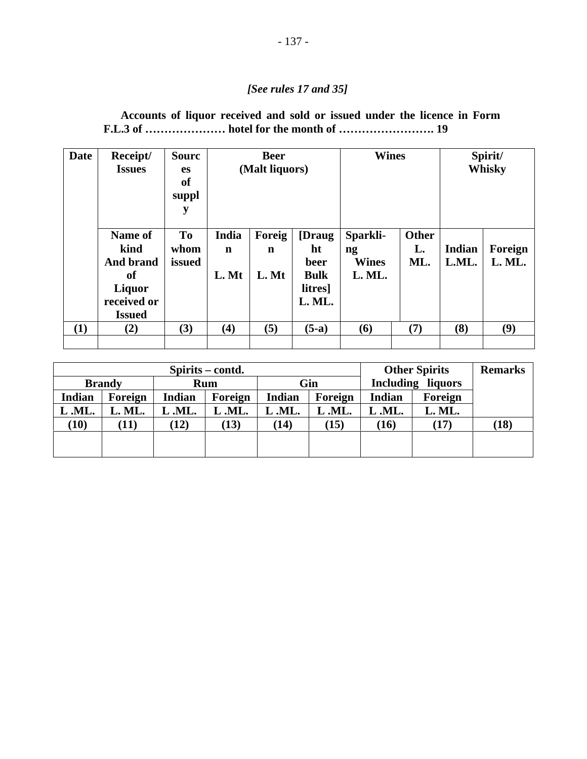## *[See rules 17 and 35]*

| Accounts of liquor received and sold or issued under the licence in Form |  |  |  |  |  |  |
|--------------------------------------------------------------------------|--|--|--|--|--|--|
| F.L.3 of  hotel for the month of  19                                     |  |  |  |  |  |  |

| Date | Receipt/<br><b>Issues</b> | <b>Sourc</b><br><b>es</b><br>of<br>suppl<br>y | <b>Beer</b><br>(Malt liquors) |             | <b>Wines</b>        |                        | Spirit/<br><b>Whisky</b> |               |         |
|------|---------------------------|-----------------------------------------------|-------------------------------|-------------|---------------------|------------------------|--------------------------|---------------|---------|
|      | Name of<br>kind           | To<br>whom                                    | India<br>$\mathbf n$          | Foreig<br>n | [Draug]<br>ht       | Sparkli-<br>ng         | <b>Other</b><br>L.       | <b>Indian</b> | Foreign |
|      | And brand<br>of           | issued                                        | L. Mt                         | L. Mt       | beer<br><b>Bulk</b> | <b>Wines</b><br>L. ML. | ML.                      | L.ML.         | L. ML.  |
|      | Liquor<br>received or     |                                               |                               |             | litres]<br>L. ML.   |                        |                          |               |         |
|      | <b>Issued</b>             |                                               |                               |             |                     |                        |                          |               |         |
| (1)  | (2)                       | (3)                                           | $\bf(4)$                      | (5)         | $(5-a)$             | (6)                    | (7)                      | (8)           | (9)     |

|        |                      | Spirits – contd. |         |               | <b>Other Spirits</b> | <b>Remarks</b> |                          |      |
|--------|----------------------|------------------|---------|---------------|----------------------|----------------|--------------------------|------|
|        | <b>Brandy</b><br>Rum |                  |         |               | Gin                  |                | <b>Including liquors</b> |      |
| Indian | Foreign              | Indian           | Foreign | <b>Indian</b> | Foreign              | <b>Indian</b>  | Foreign                  |      |
| L.ML.  | L. ML.               | L.ML.            | L.ML.   | L.ML.         | L.ML.                | L <b>.ML.</b>  | L. ML.                   |      |
| (10)   | (11)                 | (12)             | (13)    | (14)          | (15)                 | (16)           | (17)                     | (18) |
|        |                      |                  |         |               |                      |                |                          |      |
|        |                      |                  |         |               |                      |                |                          |      |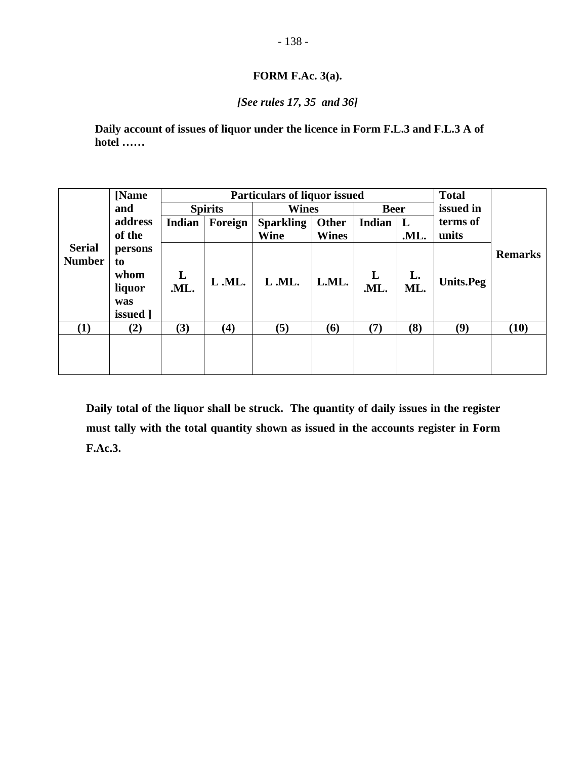## **FORM F.Ac. 3(a).**

## *[See rules 17, 35 and 36]*

**Daily account of issues of liquor under the licence in Form F.L.3 and F.L.3 A of hotel ……** 

|               | [Name]   |        | <b>Total</b><br><b>Particulars of liquor issued</b> |                  |              |          |      |                  |                |
|---------------|----------|--------|-----------------------------------------------------|------------------|--------------|----------|------|------------------|----------------|
|               | and      |        | <b>Spirits</b><br><b>Wines</b><br><b>Beer</b>       |                  | issued in    |          |      |                  |                |
|               | address  | Indian | Foreign                                             | <b>Sparkling</b> | Other        | Indian   | L    | terms of         |                |
|               | of the   |        |                                                     | <b>Wine</b>      | <b>Wines</b> |          | .ML. | units            |                |
| <b>Serial</b> | persons  |        |                                                     |                  |              |          |      |                  | <b>Remarks</b> |
| <b>Number</b> | to       |        |                                                     |                  |              |          |      |                  |                |
|               | whom     | L      | L.ML.                                               | L.ML.            | L.ML.        | $\bf{L}$ | L.   | <b>Units.Peg</b> |                |
|               | liquor   | .ML.   |                                                     |                  |              | .ML.     | ML.  |                  |                |
|               | was      |        |                                                     |                  |              |          |      |                  |                |
|               | issued 1 |        |                                                     |                  |              |          |      |                  |                |
| (1)           | (2)      | (3)    | (4)                                                 | (5)              | (6)          | (7)      | (8)  | (9)              | (10)           |
|               |          |        |                                                     |                  |              |          |      |                  |                |
|               |          |        |                                                     |                  |              |          |      |                  |                |
|               |          |        |                                                     |                  |              |          |      |                  |                |

**Daily total of the liquor shall be struck. The quantity of daily issues in the register must tally with the total quantity shown as issued in the accounts register in Form F.Ac.3.**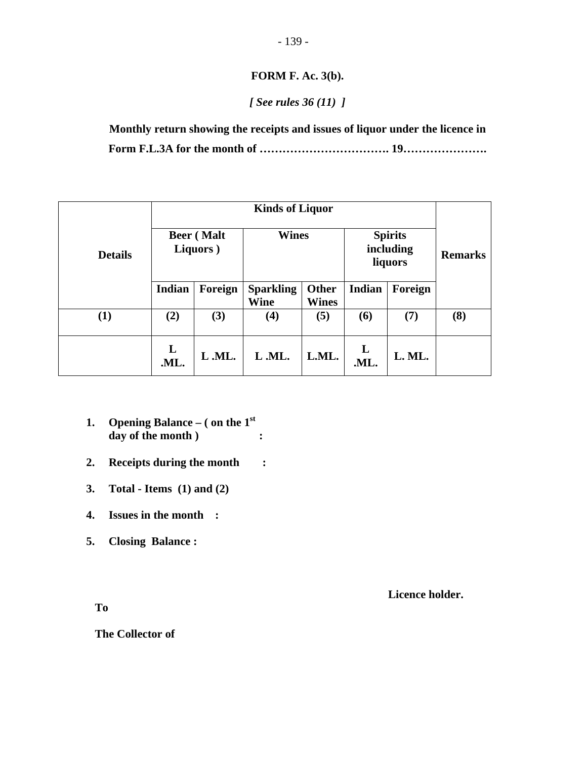## **FORM F. Ac. 3(b).**

## *[ See rules 36 (11) ]*

**Monthly return showing the receipts and issues of liquor under the licence in Form F.L.3A for the month of ……………………………. 19………………….** 

| <b>Details</b> | <b>Beer</b> (Malt<br>Liquors) |       | <b>Wines</b>                    |                              |                      | <b>Spirits</b><br>including<br>liquors | <b>Remarks</b> |
|----------------|-------------------------------|-------|---------------------------------|------------------------------|----------------------|----------------------------------------|----------------|
|                | Indian<br>Foreign             |       | <b>Sparkling</b><br><b>Wine</b> | <b>Other</b><br><b>Wines</b> | Indian               | Foreign                                |                |
| (1)            | (2)                           | (3)   | $\left( 4\right)$               | (5)                          | (6)                  | (7)                                    | (8)            |
|                | L<br>.ML.                     | L.ML. | L.ML.                           | L.ML.                        | $\mathbf{L}$<br>.ML. | L. ML.                                 |                |

- **1. Opening Balance ( on the 1st** day of the month )  $\qquad \qquad :$
- **2. Receipts during the month :**
- **3. Total Items (1) and (2)**
- **4. Issues in the month :**
- **5. Closing Balance :**

 **Licence holder.** 

**To** 

**The Collector of**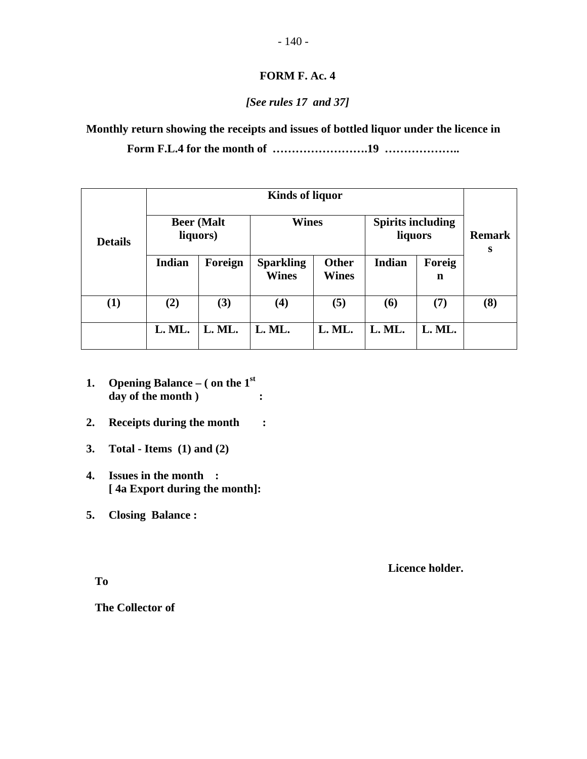## **FORM F. Ac. 4**

## *[See rules 17 and 37]*

**Monthly return showing the receipts and issues of bottled liquor under the licence in** 

**Form F.L.4 for the month of …………………….19 ………………..** 

| <b>Details</b> | <b>Beer</b> (Malt<br>liquors) |         | <b>Wines</b>                                                     |        | <b>Spirits including</b><br>liquors |             | <b>Remark</b><br>S |  |
|----------------|-------------------------------|---------|------------------------------------------------------------------|--------|-------------------------------------|-------------|--------------------|--|
|                | <b>Indian</b>                 | Foreign | <b>Sparkling</b><br><b>Other</b><br><b>Wines</b><br><b>Wines</b> |        | <b>Indian</b>                       | Foreig<br>n |                    |  |
| (1)            | (2)                           | (3)     | (4)                                                              | (5)    | (6)                                 | (7)         | (8)                |  |
|                | L. ML.                        | L. ML.  | L. ML.                                                           | L. ML. | L. ML.                              | L. ML.      |                    |  |

- **1. Opening Balance ( on the 1st** day of the month )  $\qquad \qquad :$
- **2. Receipts during the month :**
- **3. Total Items (1) and (2)**
- **4. Issues in the month : [ 4a Export during the month]:**
- **5. Closing Balance :**

 **Licence holder.** 

**To** 

**The Collector of**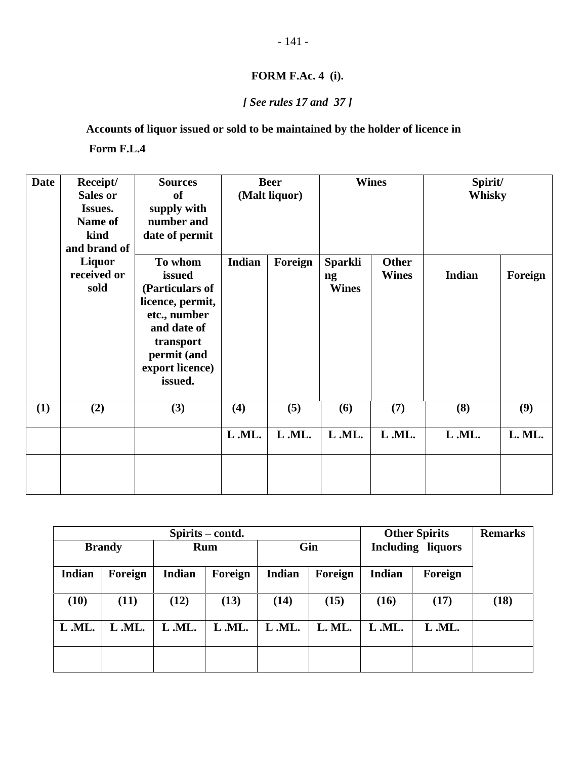## **FORM F.Ac. 4 (i).**

## *[ See rules 17 and 37 ]*

**Accounts of liquor issued or sold to be maintained by the holder of licence in** 

 **Form F.L.4** 

| <b>Date</b> | Receipt/        | <b>Sources</b>   | <b>Beer</b> |               |                            | <b>Wines</b> | Spirit/ |         |
|-------------|-----------------|------------------|-------------|---------------|----------------------------|--------------|---------|---------|
|             | <b>Sales or</b> | <b>of</b>        |             | (Malt liquor) |                            |              | Whisky  |         |
|             | Issues.         | supply with      |             |               |                            |              |         |         |
|             | Name of         | number and       |             |               |                            |              |         |         |
|             | kind            | date of permit   |             |               |                            |              |         |         |
|             | and brand of    |                  |             |               |                            |              |         |         |
|             | Liquor          | To whom          | Indian      | Foreign       | <b>Sparkli</b>             | <b>Other</b> |         |         |
|             | received or     | issued           |             |               | $\boldsymbol{\mathsf{ng}}$ | <b>Wines</b> | Indian  | Foreign |
|             | sold            | (Particulars of  |             |               | <b>Wines</b>               |              |         |         |
|             |                 | licence, permit, |             |               |                            |              |         |         |
|             |                 | etc., number     |             |               |                            |              |         |         |
|             |                 | and date of      |             |               |                            |              |         |         |
|             |                 | transport        |             |               |                            |              |         |         |
|             |                 | permit (and      |             |               |                            |              |         |         |
|             |                 | export licence)  |             |               |                            |              |         |         |
|             |                 | issued.          |             |               |                            |              |         |         |
|             |                 |                  |             |               |                            |              |         |         |
| (1)         | (2)             | (3)              | (4)         | (5)           | (6)                        | (7)          | (8)     | (9)     |
|             |                 |                  | L.ML.       | L.ML.         | L.ML.                      | L.ML.        | L.ML.   | L. ML.  |
|             |                 |                  |             |               |                            |              |         |         |
|             |                 |                  |             |               |                            |              |         |         |
|             |                 |                  |             |               |                            |              |         |         |

|        |               | Spirits – contd. |            |               | <b>Other Spirits</b> | <b>Remarks</b>           |         |      |
|--------|---------------|------------------|------------|---------------|----------------------|--------------------------|---------|------|
|        | <b>Brandy</b> |                  | <b>Rum</b> | Gin           |                      | <b>Including liquors</b> |         |      |
| Indian | Foreign       | <b>Indian</b>    | Foreign    | <b>Indian</b> | Foreign              | <b>Indian</b>            | Foreign |      |
| (10)   | (11)          | (12)             | (13)       | (14)          | (15)                 | (16)                     | (17)    | (18) |
| L.ML.  | L.ML.         | L.ML.            | L.ML.      | L.ML.         | L. ML.               | L.ML.                    | L.ML.   |      |
|        |               |                  |            |               |                      |                          |         |      |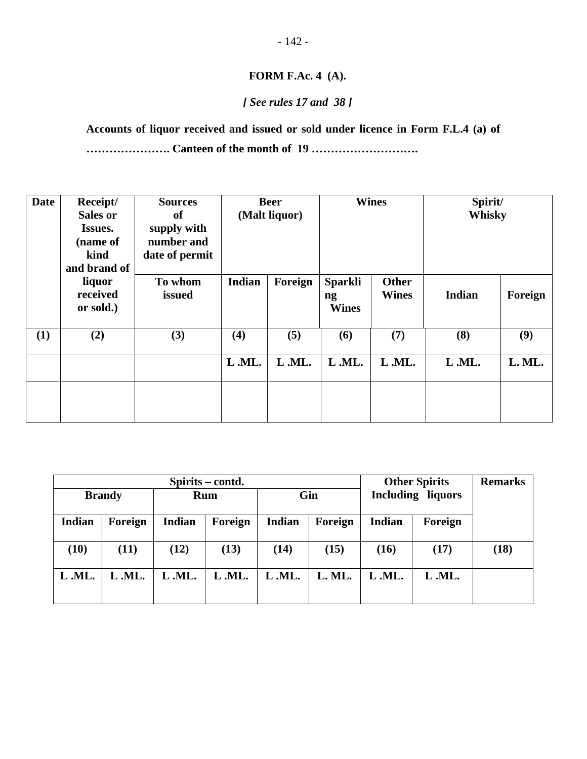## **FORM F.Ac. 4 (A).**

## *[ See rules 17 and 38 ]*

**Accounts of liquor received and issued or sold under licence in Form F.L.4 (a) of …………………. Canteen of the month of 19 ……………………….** 

| <b>Date</b> | Receipt/<br>Sales or<br>Issues.<br>(name of<br>kind<br>and brand of | <b>Sources</b><br><b>of</b><br>supply with<br>number and<br>date of permit |        | <b>Beer</b><br>(Malt liquor) | <b>Wines</b>                         |                              | Spirit/<br>Whisky |         |
|-------------|---------------------------------------------------------------------|----------------------------------------------------------------------------|--------|------------------------------|--------------------------------------|------------------------------|-------------------|---------|
|             | liquor<br>received<br>or sold.)                                     | To whom<br>issued                                                          | Indian | Foreign                      | <b>Sparkli</b><br>ng<br><b>Wines</b> | <b>Other</b><br><b>Wines</b> | <b>Indian</b>     | Foreign |
| <b>(1)</b>  | (2)                                                                 | (3)                                                                        | (4)    | (5)                          | (6)                                  | (7)                          | (8)               | (9)     |
|             |                                                                     |                                                                            | L.ML.  | L.ML.                        | L.ML.                                | L.ML.                        | L.ML.             | L. ML.  |
|             |                                                                     |                                                                            |        |                              |                                      |                              |                   |         |

|        |               | Spirits – contd. |         | <b>Other Spirits</b> | <b>Remarks</b> |                          |         |      |
|--------|---------------|------------------|---------|----------------------|----------------|--------------------------|---------|------|
|        | <b>Brandy</b> | <b>Rum</b>       |         | Gin                  |                | <b>Including liquors</b> |         |      |
| Indian | Foreign       | Indian           | Foreign | Indian               | Foreign        | <b>Indian</b>            | Foreign |      |
| (10)   | (11)          | (12)             | (13)    | (14)                 | (15)           | (16)                     | (17)    | (18) |
| L.ML.  | L.ML.         | L.ML.            | L.ML.   | L.ML.                | L. ML.         | L.ML.                    | L.ML.   |      |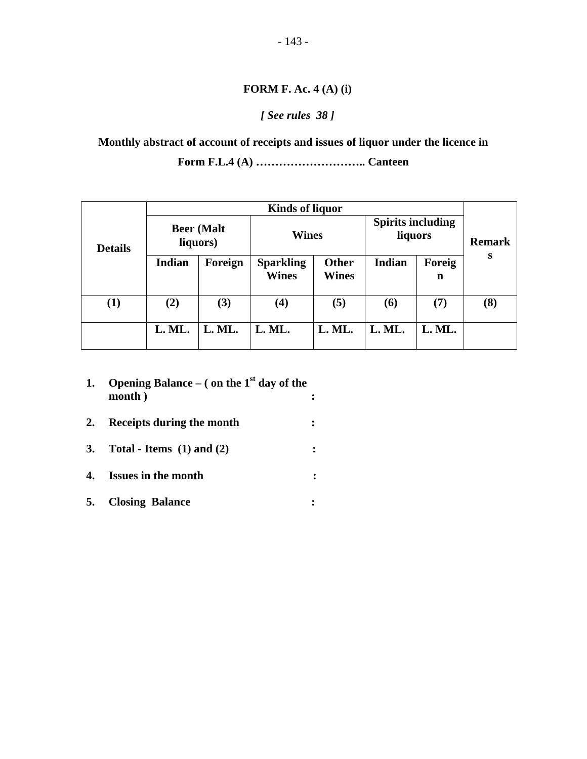### **FORM F. Ac. 4 (A) (i)**

## *[ See rules 38 ]*

**Monthly abstract of account of receipts and issues of liquor under the licence in** 

**Form F.L.4 (A) ……………………….. Canteen** 

|                |                               | <b>Kinds of liquor</b> |                                  |                              |                                     |        |               |  |  |  |
|----------------|-------------------------------|------------------------|----------------------------------|------------------------------|-------------------------------------|--------|---------------|--|--|--|
| <b>Details</b> | <b>Beer</b> (Malt<br>liquors) |                        | <b>Wines</b>                     |                              | <b>Spirits including</b><br>liquors |        | <b>Remark</b> |  |  |  |
|                | <b>Indian</b>                 | Foreign                | <b>Sparkling</b><br><b>Wines</b> | <b>Other</b><br><b>Wines</b> | <b>Indian</b><br>Foreig<br>n        |        | S             |  |  |  |
| $\bf(1)$       | (2)                           | (3)                    | $\bf(4)$                         | (5)                          | (6)                                 | (7)    | (8)           |  |  |  |
|                | L. ML.                        | L. ML.                 | L. ML.                           | L. ML.                       | L. ML.                              | L. ML. |               |  |  |  |

- **1. Opening Balance ( on the 1st day of the month** ) :
- **2. Receipts during the month :**
- **3. Total Items (1) and (2) :**
- **4. Issues in the month :**
- **5. Closing Balance :**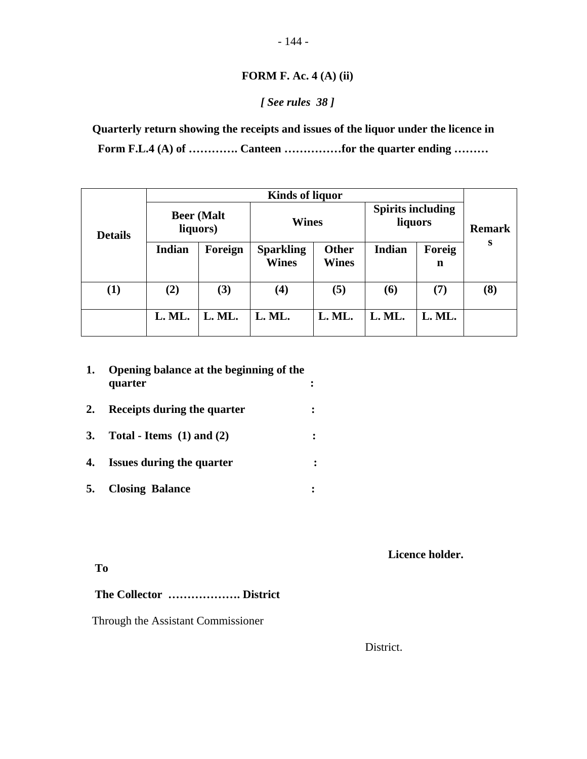## **FORM F. Ac. 4 (A) (ii)**

## *[ See rules 38 ]*

**Quarterly return showing the receipts and issues of the liquor under the licence in Form F.L.4 (A) of …………. Canteen ……………for the quarter ending ………** 

|                |                               |         | <b>Kinds of liquor</b>           |                              |               |                          |                    |
|----------------|-------------------------------|---------|----------------------------------|------------------------------|---------------|--------------------------|--------------------|
| <b>Details</b> | <b>Beer</b> (Malt<br>liquors) |         | <b>Wines</b>                     |                              | liquors       | <b>Spirits including</b> | <b>Remark</b><br>S |
|                | <b>Indian</b>                 | Foreign | <b>Sparkling</b><br><b>Wines</b> | <b>Other</b><br><b>Wines</b> | <b>Indian</b> | Foreig<br>n              |                    |
| $\bf(1)$       | (2)                           | (3)     | $\left( 4\right)$                | (5)                          | (6)           | (7)                      | (8)                |
|                | L. ML.                        | L. ML.  | L. ML.                           | L. ML.                       | L. ML.        | L. ML.                   |                    |

| 1.        | Opening balance at the beginning of the<br>quarter |  |
|-----------|----------------------------------------------------|--|
| 2.        | Receipts during the quarter                        |  |
| <b>3.</b> | Total - Items $(1)$ and $(2)$                      |  |
| 4.        | <b>Issues during the quarter</b>                   |  |
| 5.        | <b>Closing Balance</b>                             |  |

 **Licence holder.** 

**To** 

## **The Collector ………………. District**

Through the Assistant Commissioner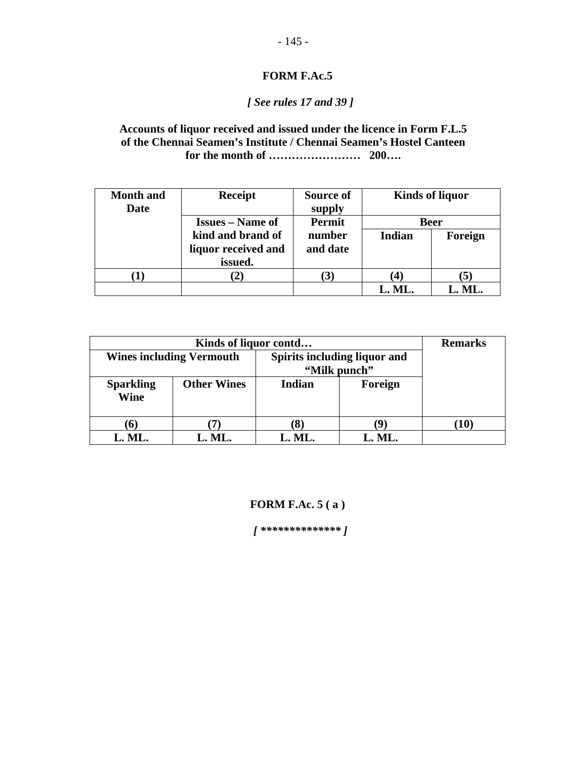# *[ See rules 17 and 39 ]*

#### **Accounts of liquor received and issued under the licence in Form F.L.5 of the Chennai Seamen's Institute / Chennai Seamen's Hostel Canteen for the month of …………………… 200….**

| <b>Month</b> and<br>Date | <b>Receipt</b>          | Source of<br>supply  |               | <b>Kinds of liquor</b> |
|--------------------------|-------------------------|----------------------|---------------|------------------------|
|                          | <b>Issues</b> – Name of | Permit               | <b>Beer</b>   |                        |
|                          | kind and brand of       | number               | <b>Indian</b> | Foreign                |
|                          | liquor received and     | and date             |               |                        |
|                          | issued.                 |                      |               |                        |
| п.                       | [2]                     | $\mathbf{3}^{\cdot}$ | 41            | [5]                    |
|                          |                         |                      | L. ML.        | L. ML.                 |

|                                 | <b>Remarks</b>     |              |         |  |
|---------------------------------|--------------------|--------------|---------|--|
| <b>Wines including Vermouth</b> |                    |              |         |  |
|                                 |                    | "Milk punch" |         |  |
| <b>Sparkling</b><br>Wine        | <b>Other Wines</b> | Indian       | Foreign |  |
|                                 |                    |              | 10)     |  |
| L. ML.                          | L. ML.             | L. ML.       | L. ML.  |  |

#### **FORM F.Ac. 5 ( a )**

 *[ \*\*\*\*\*\*\*\*\*\*\*\*\*\* ]*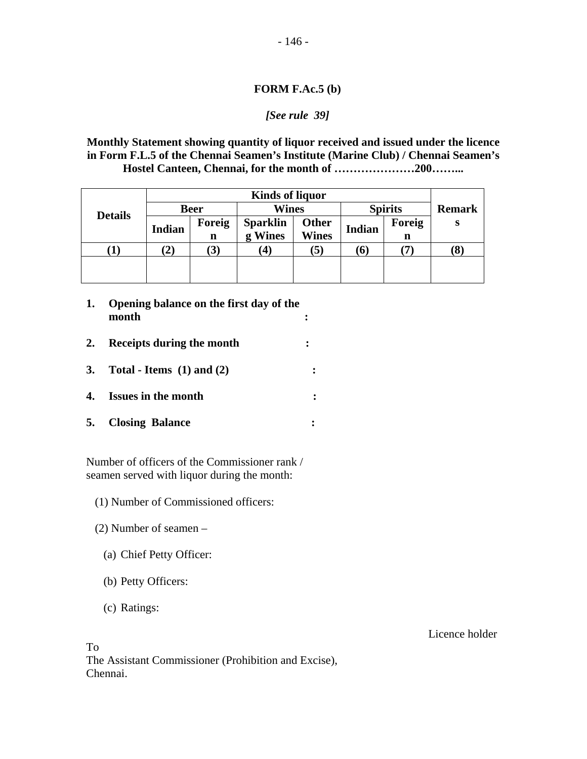#### **FORM F.Ac.5 (b)**

#### *[See rule 39]*

**Monthly Statement showing quantity of liquor received and issued under the licence in Form F.L.5 of the Chennai Seamen's Institute (Marine Club) / Chennai Seamen's Hostel Canteen, Chennai, for the month of …………………200……...** 

|                |               | <b>Kinds of liquor</b> |                 |                |               |                |               |
|----------------|---------------|------------------------|-----------------|----------------|---------------|----------------|---------------|
|                |               | <b>Beer</b>            | Wines           |                |               | <b>Spirits</b> | <b>Remark</b> |
| <b>Details</b> | <b>Indian</b> | Foreig                 | <b>Sparklin</b> | Other          | <b>Indian</b> | Foreig         | S             |
|                |               | n                      | g Wines         | <b>Wines</b>   |               | n              |               |
|                | 2)            | $\bf (3)$              | 4)              | $\mathfrak{b}$ | (6)           |                | ð.            |
|                |               |                        |                 |                |               |                |               |
|                |               |                        |                 |                |               |                |               |

- **1. Opening balance on the first day of the month :**
- **2. Receipts during the month :**
- **3. Total Items (1) and (2) :**
- **4. Issues in the month :**
- **5. Closing Balance :**

Number of officers of the Commissioner rank / seamen served with liquor during the month:

- (1) Number of Commissioned officers:
- (2) Number of seamen
	- (a) Chief Petty Officer:
	- (b) Petty Officers:
	- (c) Ratings:

To The Assistant Commissioner (Prohibition and Excise), Chennai.

Licence holder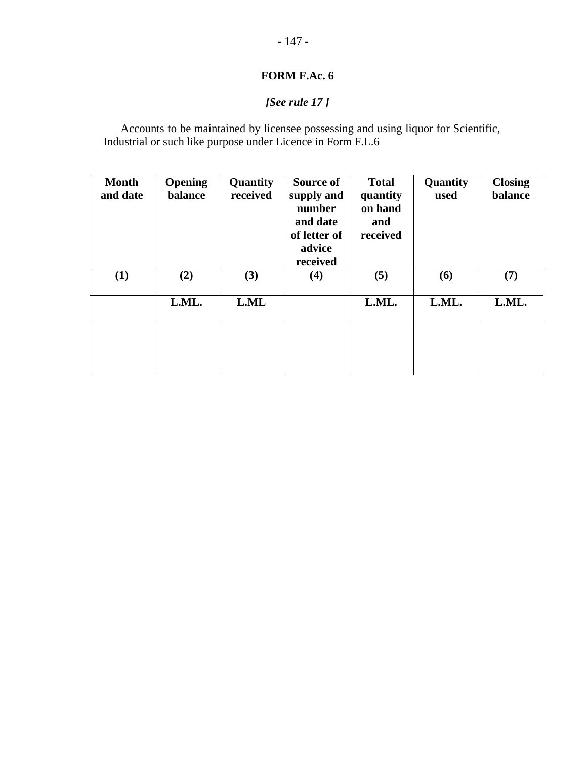# *[See rule 17 ]*

Accounts to be maintained by licensee possessing and using liquor for Scientific, Industrial or such like purpose under Licence in Form F.L.6

| <b>Month</b><br>and date | <b>Opening</b><br>balance | Quantity<br>received | Source of<br>supply and<br>number<br>and date<br>of letter of<br>advice<br>received | <b>Total</b><br>quantity<br>on hand<br>and<br>received | Quantity<br>used | <b>Closing</b><br>balance |
|--------------------------|---------------------------|----------------------|-------------------------------------------------------------------------------------|--------------------------------------------------------|------------------|---------------------------|
| (1)                      | (2)                       | (3)                  | (4)                                                                                 | (5)                                                    | (6)              | (7)                       |
|                          | L.ML.                     | L.ML                 |                                                                                     | L.ML.                                                  | L.ML.            | L.ML.                     |
|                          |                           |                      |                                                                                     |                                                        |                  |                           |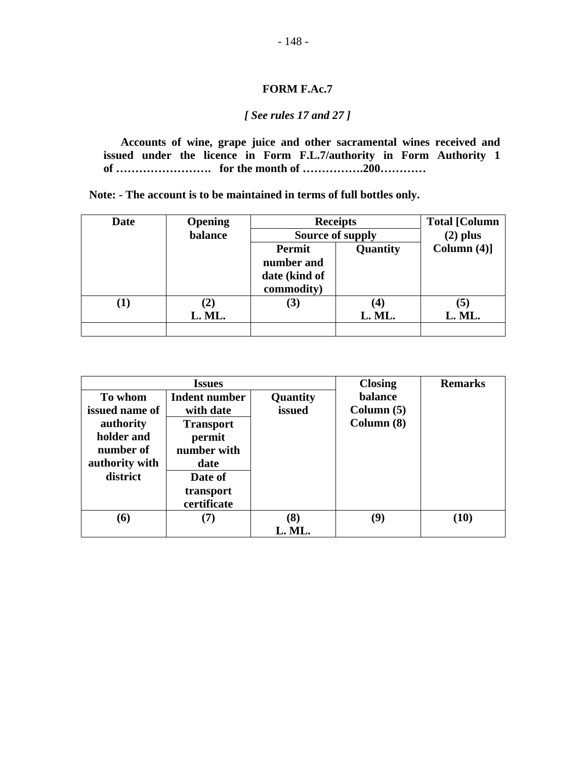#### *[ See rules 17 and 27 ]*

**Accounts of wine, grape juice and other sacramental wines received and issued under the licence in Form F.L.7/authority in Form Authority 1 of ……………………. for the month of …………….200…………** 

 **Note: - The account is to be maintained in terms of full bottles only.** 

| <b>Date</b> | <b>Opening</b> | <b>Receipts</b> | <b>Total [Column</b> |                |
|-------------|----------------|-----------------|----------------------|----------------|
|             | balance        |                 | Source of supply     | $(2)$ plus     |
|             |                | Permit          | Quantity             | Column $(4)$ ] |
|             |                | number and      |                      |                |
|             |                | date (kind of   |                      |                |
|             |                | commodity)      |                      |                |
|             | $\bf (2)$      | (3)             | $\bf(4)$             | (5)            |
|             | L. ML.         |                 | L. ML.               | L. ML.         |
|             |                |                 |                      |                |

|                                                                                                 | <b>Issues</b>                                                                              |                        | <b>Closing</b>                       | <b>Remarks</b> |
|-------------------------------------------------------------------------------------------------|--------------------------------------------------------------------------------------------|------------------------|--------------------------------------|----------------|
| To whom<br>issued name of<br>authority<br>holder and<br>number of<br>authority with<br>district | Indent number<br>with date<br><b>Transport</b><br>permit<br>number with<br>date<br>Date of | Quantity<br>issued     | balance<br>Column $(5)$<br>Column(8) |                |
|                                                                                                 | transport<br>certificate                                                                   |                        |                                      |                |
| (6)                                                                                             | (7)                                                                                        | $\mathbf{8}$<br>L. ML. | (9)                                  | (10)           |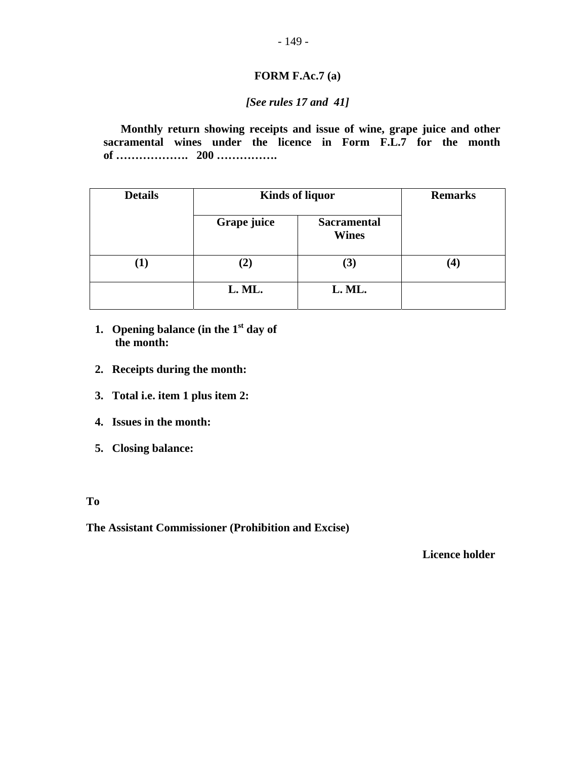#### **FORM F.Ac.7 (a)**

#### *[See rules 17 and 41]*

**Monthly return showing receipts and issue of wine, grape juice and other sacramental wines under the licence in Form F.L.7 for the month of ………………. 200 …………….** 

| <b>Details</b> |             | <b>Kinds of liquor</b>             | <b>Remarks</b> |
|----------------|-------------|------------------------------------|----------------|
|                | Grape juice | <b>Sacramental</b><br><b>Wines</b> |                |
| (1)            | $\bf (2)$   | (3)                                | 4              |
|                | L. ML.      | L. ML.                             |                |

- **1. Opening balance (in the 1st day of the month:**
- **2. Receipts during the month:**
- **3. Total i.e. item 1 plus item 2:**
- **4. Issues in the month:**
- **5. Closing balance:**

**To** 

**The Assistant Commissioner (Prohibition and Excise)** 

 **Licence holder**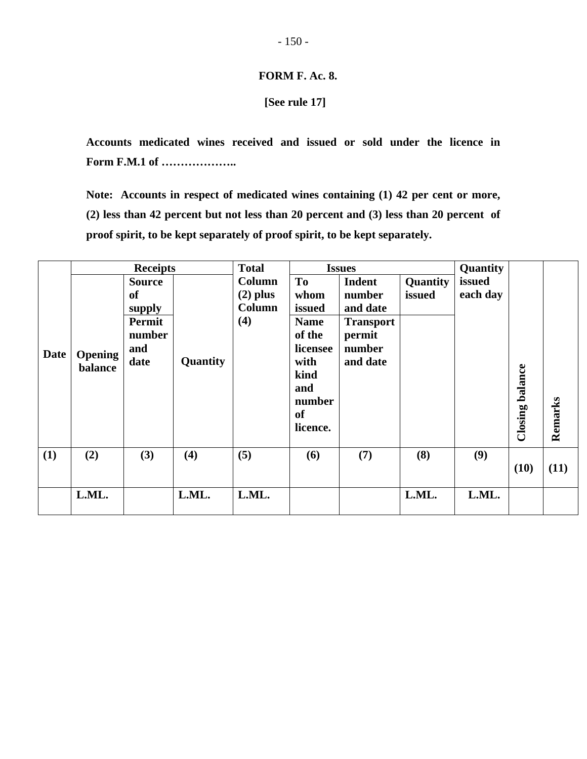#### **FORM F. Ac. 8.**

#### **[See rule 17]**

**Accounts medicated wines received and issued or sold under the licence in Form F.M.1 of ………………..** 

**Note: Accounts in respect of medicated wines containing (1) 42 per cent or more, (2) less than 42 percent but not less than 20 percent and (3) less than 20 percent of proof spirit, to be kept separately of proof spirit, to be kept separately.** 

|             |         | <b>Receipts</b> |          | <b>Total</b>  |                | <b>Issues</b>    |          | Quantity |         |         |
|-------------|---------|-----------------|----------|---------------|----------------|------------------|----------|----------|---------|---------|
|             |         | <b>Source</b>   |          | Column        | T <sub>0</sub> | <b>Indent</b>    | Quantity | issued   |         |         |
|             |         | <b>of</b>       |          | $(2)$ plus    | whom           | number           | issued   | each day |         |         |
|             |         | supply          |          | <b>Column</b> | issued         | and date         |          |          |         |         |
|             |         | Permit          |          | (4)           | <b>Name</b>    | <b>Transport</b> |          |          |         |         |
|             |         | number          |          |               | of the         | permit           |          |          |         |         |
| <b>Date</b> | Opening | and             |          |               | licensee       | number           |          |          |         |         |
|             | balance | date            | Quantity |               | with           | and date         |          |          |         |         |
|             |         |                 |          |               | kind           |                  |          |          |         |         |
|             |         |                 |          |               | and            |                  |          |          | balance |         |
|             |         |                 |          |               | number         |                  |          |          |         |         |
|             |         |                 |          |               | <b>of</b>      |                  |          |          |         |         |
|             |         |                 |          |               | licence.       |                  |          |          | Closing | Remarks |
| (1)         | (2)     | (3)             | (4)      | (5)           | (6)            | (7)              | (8)      | (9)      |         |         |
|             |         |                 |          |               |                |                  |          |          | (10)    | (11)    |
|             |         |                 |          |               |                |                  |          |          |         |         |
|             | L.ML.   |                 | L.ML.    | L.ML.         |                |                  | L.ML.    | L.ML.    |         |         |
|             |         |                 |          |               |                |                  |          |          |         |         |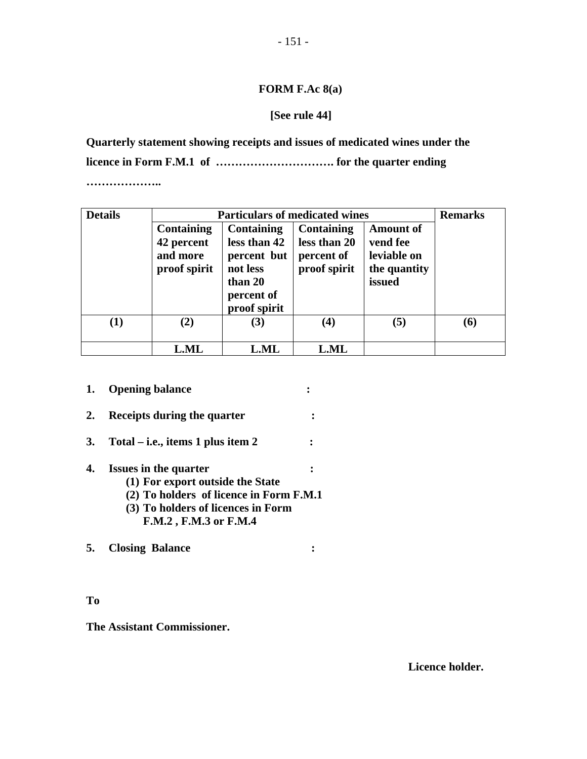#### **FORM F.Ac 8(a)**

#### **[See rule 44]**

**Quarterly statement showing receipts and issues of medicated wines under the licence in Form F.M.1 of …………………………. for the quarter ending** 

**………………..** 

| <b>Details</b> |                                                      | <b>Particulars of medicated wines</b>                            |                                                                                                                                          |     | <b>Remarks</b> |
|----------------|------------------------------------------------------|------------------------------------------------------------------|------------------------------------------------------------------------------------------------------------------------------------------|-----|----------------|
|                | Containing<br>42 percent<br>and more<br>proof spirit | Containing<br>less than 42<br>percent but<br>not less<br>than 20 | <b>Containing</b><br><b>Amount of</b><br>less than 20<br>vend fee<br>leviable on<br>percent of<br>proof spirit<br>the quantity<br>issued |     |                |
|                |                                                      | percent of<br>proof spirit                                       |                                                                                                                                          |     |                |
| $\bf(1)$       | (2)                                                  | (3)                                                              | $\bf(4)$                                                                                                                                 | (5) | (6)            |
|                | <b>L.ML</b>                                          | <b>L.ML</b>                                                      | <b>L.ML</b>                                                                                                                              |     |                |

- **1.** Opening balance :
- **2. Receipts during the quarter :**
- **3. Total i.e., items 1 plus item 2 :**

#### **4. Issues in the quarter :**

- **(1) For export outside the State**
- **(2) To holders of licence in Form F.M.1**
- **(3) To holders of licences in Form F.M.2 , F.M.3 or F.M.4**

**5. Closing Balance :** 

#### **To**

**The Assistant Commissioner.** 

 **Licence holder.**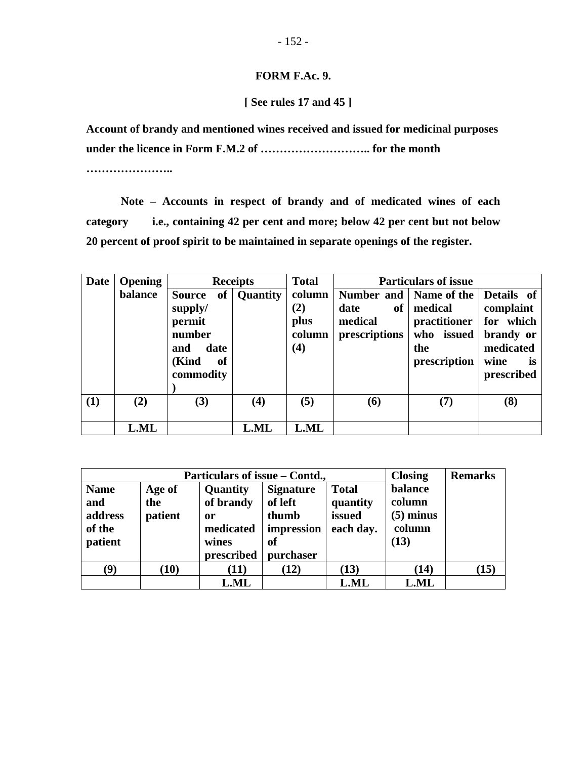#### **FORM F.Ac. 9.**

 **[ See rules 17 and 45 ]** 

**Account of brandy and mentioned wines received and issued for medicinal purposes under the licence in Form F.M.2 of ……………………….. for the month** 

**…………………..** 

 **Note – Accounts in respect of brandy and of medicated wines of each category i.e., containing 42 per cent and more; below 42 per cent but not below 20 percent of proof spirit to be maintained in separate openings of the register.** 

| <b>Date</b> | <b>Opening</b> |                                                                                             | <b>Receipts</b> | <b>Total</b>                             |                                                                                              | <b>Particulars of issue</b>                                  |                                                                |
|-------------|----------------|---------------------------------------------------------------------------------------------|-----------------|------------------------------------------|----------------------------------------------------------------------------------------------|--------------------------------------------------------------|----------------------------------------------------------------|
|             | balance        | of<br><b>Source</b><br>supply/<br>permit<br>number<br>and<br>date<br>(Kind<br><sub>of</sub> | <b>Quantity</b> | column  <br>(2)<br>plus<br>column<br>(4) | Number and   Name of the   Details of<br>date<br>of <sub>1</sub><br>medical<br>prescriptions | medical<br>practitioner<br>who issued<br>the<br>prescription | complaint<br>for which<br>brandy or<br>medicated<br>wine<br>is |
|             |                | commodity                                                                                   |                 |                                          |                                                                                              |                                                              | prescribed                                                     |
| (1)         | (2)            | (3)                                                                                         | (4)             | (5)                                      | <b>(6)</b>                                                                                   | (7)                                                          | (8)                                                            |
|             | <b>L.ML</b>    |                                                                                             | <b>L.ML</b>     | <b>L.ML</b>                              |                                                                                              |                                                              |                                                                |

|                                                    | Particulars of issue – Contd., | <b>Closing</b>                                                  | <b>Remarks</b>                                                        |                                                 |                                                    |      |
|----------------------------------------------------|--------------------------------|-----------------------------------------------------------------|-----------------------------------------------------------------------|-------------------------------------------------|----------------------------------------------------|------|
| <b>Name</b><br>and<br>address<br>of the<br>patient | Age of<br>the<br>patient       | Quantity<br>of brandy<br>or<br>medicated<br>wines<br>prescribed | <b>Signature</b><br>of left<br>thumb<br>impression<br>of<br>purchaser | <b>Total</b><br>quantity<br>issued<br>each day. | balance<br>column<br>$(5)$ minus<br>column<br>(13) |      |
| $\left( 9\right)$                                  | (10)                           | (11)                                                            | (12)                                                                  | (13)                                            | (14)                                               | (15) |
|                                                    |                                | <b>L.ML</b>                                                     |                                                                       | <b>L.ML</b>                                     | <b>L.ML</b>                                        |      |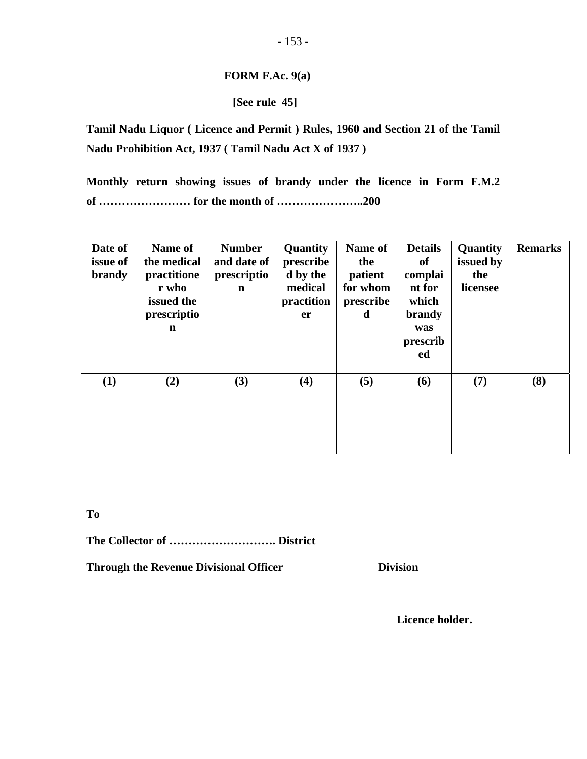#### **FORM F.Ac. 9(a)**

#### **[See rule 45]**

**Tamil Nadu Liquor ( Licence and Permit ) Rules, 1960 and Section 21 of the Tamil Nadu Prohibition Act, 1937 ( Tamil Nadu Act X of 1937 )** 

**Monthly return showing issues of brandy under the licence in Form F.M.2 of …………………… for the month of …………………..200** 

| Date of<br>issue of<br><b>brandy</b> | Name of<br>the medical<br>practitione<br>r who<br>issued the<br>prescriptio<br>n | <b>Number</b><br>and date of<br>prescriptio<br>$\mathbf n$ | <b>Quantity</b><br>prescribe<br>d by the<br>medical<br>practition<br>er | <b>Name of</b><br>the<br>patient<br>for whom<br>prescribe<br>d | <b>Details</b><br>of<br>complai<br>nt for<br>which<br>brandy<br>was<br>prescrib<br>ed | Quantity<br>issued by<br>the<br>licensee | <b>Remarks</b> |
|--------------------------------------|----------------------------------------------------------------------------------|------------------------------------------------------------|-------------------------------------------------------------------------|----------------------------------------------------------------|---------------------------------------------------------------------------------------|------------------------------------------|----------------|
| (1)                                  | (2)                                                                              | (3)                                                        | (4)                                                                     | (5)                                                            | (6)                                                                                   | (7)                                      | (8)            |
|                                      |                                                                                  |                                                            |                                                                         |                                                                |                                                                                       |                                          |                |

**To** 

**The Collector of ………………………. District** 

**Through the Revenue Divisional Officer Division Division** 

 **Licence holder.**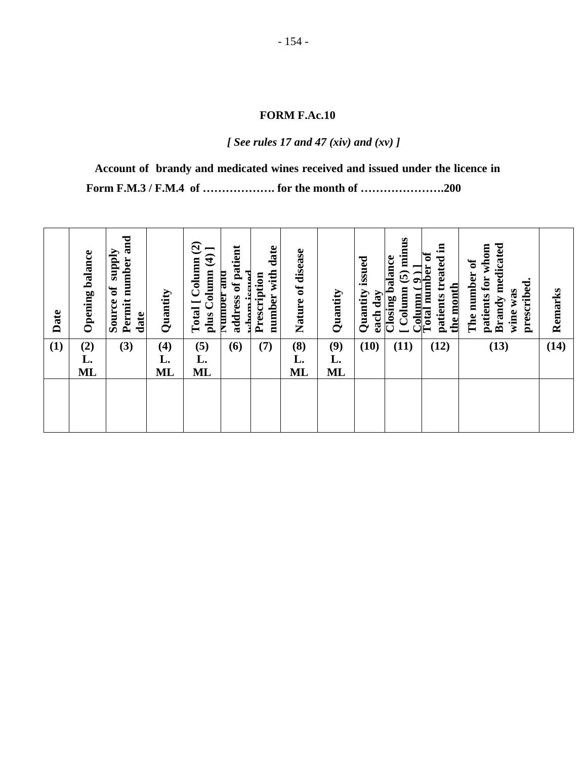*[ See rules 17 and 47 (xiv) and (xv) ]* 

**Account of brandy and medicated wines received and issued under the licence in Form F.M.3 / F.M.4 of ………………. for the month of ………………….200** 

| Column (5) minus<br>with date<br>address of patient<br>Nature of disease<br><b>Opening balance</b><br>otal number of<br>plus Column (4)<br>treated<br>balance<br>Permit number<br>Column<br>Column(9)<br><b>Number and</b><br>Prescription<br><u>the month</u><br>$\mathbf{d}$<br>ğ<br>Quantity<br>Quantity<br>Quantity<br>day<br>number<br>patients<br>$\overline{\text{Closing}}$<br>Source<br>Total [<br>rham<br>each<br>Date<br>date | <b>Brandy medicated</b><br>patients for whom<br>The number of<br>prescribed.<br>was<br>wine | Remarks |
|------------------------------------------------------------------------------------------------------------------------------------------------------------------------------------------------------------------------------------------------------------------------------------------------------------------------------------------------------------------------------------------------------------------------------------------|---------------------------------------------------------------------------------------------|---------|
| (1)<br>(5)<br>(8)<br>$(2)$<br>L.<br>(7)<br>(9)<br>(10)<br>(3)<br>(4)<br>(12)<br>(6)<br>(11)                                                                                                                                                                                                                                                                                                                                              | (13)                                                                                        | (14)    |
| L.<br>L.<br>L.<br>L.                                                                                                                                                                                                                                                                                                                                                                                                                     |                                                                                             |         |
| <b>ML</b><br>ML<br>ML<br>ML<br>ML                                                                                                                                                                                                                                                                                                                                                                                                        |                                                                                             |         |
|                                                                                                                                                                                                                                                                                                                                                                                                                                          |                                                                                             |         |
|                                                                                                                                                                                                                                                                                                                                                                                                                                          |                                                                                             |         |
|                                                                                                                                                                                                                                                                                                                                                                                                                                          |                                                                                             |         |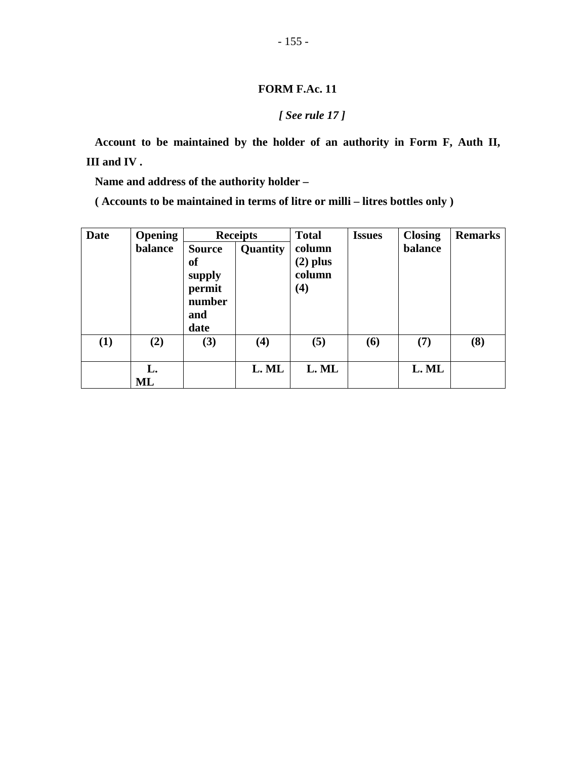#### *[ See rule 17 ]*

**Account to be maintained by the holder of an authority in Form F, Auth II, III and IV .** 

**Name and address of the authority holder –** 

**( Accounts to be maintained in terms of litre or milli – litres bottles only )** 

| <b>Date</b> | <b>Opening</b> |               | <b>Receipts</b> | <b>Total</b> | <b>Issues</b> | <b>Closing</b> | <b>Remarks</b> |
|-------------|----------------|---------------|-----------------|--------------|---------------|----------------|----------------|
|             | balance        | <b>Source</b> | Quantity        | column       |               | balance        |                |
|             |                | of            |                 | $(2)$ plus   |               |                |                |
|             |                | supply        |                 | column       |               |                |                |
|             |                | permit        |                 | (4)          |               |                |                |
|             |                | number        |                 |              |               |                |                |
|             |                | and           |                 |              |               |                |                |
|             |                | date          |                 |              |               |                |                |
| (1)         | (2)            | (3)           | (4)             | (5)          | (6)           | (7)            | (8)            |
|             | L.             |               | L. ML           | L. ML        |               | L. ML          |                |
|             | ML             |               |                 |              |               |                |                |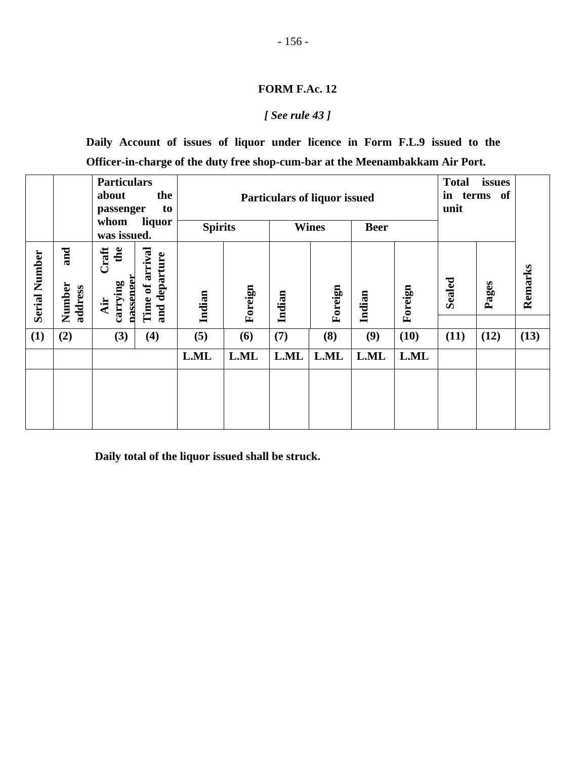#### *[ See rule 43 ]*

**Daily Account of issues of liquor under licence in Form F.L.9 issued to the Officer-in-charge of the duty free shop-cum-bar at the Meenambakkam Air Port.** 

|                      |                          | <b>Particulars</b><br>about<br>passenger<br>whom                                                | the<br>to<br>liquor | <b>Spirits</b>    |      | <b>Particulars of liquor issued</b><br><b>Wines</b><br><b>Beer</b> |      |                   |      | <b>Total</b><br>in<br>terms of<br>unit |      |         |
|----------------------|--------------------------|-------------------------------------------------------------------------------------------------|---------------------|-------------------|------|--------------------------------------------------------------------|------|-------------------|------|----------------------------------------|------|---------|
| <b>Serial Number</b> | and<br>Number<br>address | was issued.<br>Craft<br>the<br>Time of arrival<br>and departure<br>nassenger<br>carrying<br>Air |                     | Foreign<br>Indian |      | Foreign<br>Indian                                                  |      | Foreign<br>Indian |      | <b>Sealed</b><br>Pages                 |      | Remarks |
| (1)                  | (2)                      | (3)                                                                                             | (4)                 | (5)               | (6)  | (7)                                                                | (8)  | (9)               | (10) | (11)                                   | (12) | (13)    |
|                      |                          |                                                                                                 |                     | L.ML              | L.ML | L.ML                                                               | L.ML | L.ML              | L.ML |                                        |      |         |
|                      |                          |                                                                                                 |                     |                   |      |                                                                    |      |                   |      |                                        |      |         |

**Daily total of the liquor issued shall be struck.**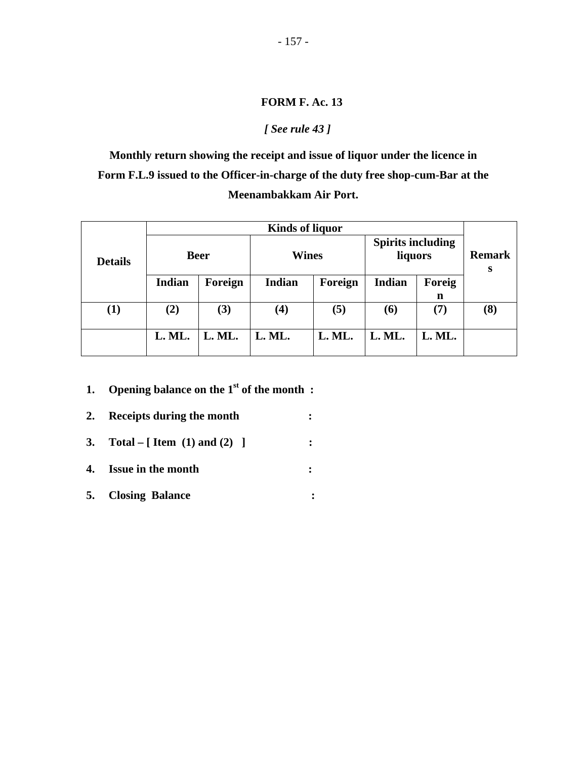#### *[ See rule 43 ]*

**Monthly return showing the receipt and issue of liquor under the licence in Form F.L.9 issued to the Officer-in-charge of the duty free shop-cum-Bar at the Meenambakkam Air Port.** 

|                |               |             | <b>Kinds of liquor</b> |         |                                     |                    |     |
|----------------|---------------|-------------|------------------------|---------|-------------------------------------|--------------------|-----|
| <b>Details</b> |               | <b>Beer</b> | <b>Wines</b>           |         | <b>Spirits including</b><br>liquors | <b>Remark</b><br>S |     |
|                | <b>Indian</b> | Foreign     | Indian                 | Foreign | Indian                              | Foreig             |     |
|                |               |             |                        |         |                                     | n                  |     |
| $\bf(1)$       | $\bf(2)$      | (3)         | $\boldsymbol{(4)}$     | (5)     | <b>(6)</b>                          | (7)                | (8) |
|                | L. ML.        | L. ML.      | L. ML.                 | L. ML.  | L. ML.                              | L. ML.             |     |

- **1.** Opening balance on the 1<sup>st</sup> of the month :
- **2. Receipts during the month : 3. Total – [ Item (1) and (2) ] : 4. Issue in the month : 5. Closing Balance :**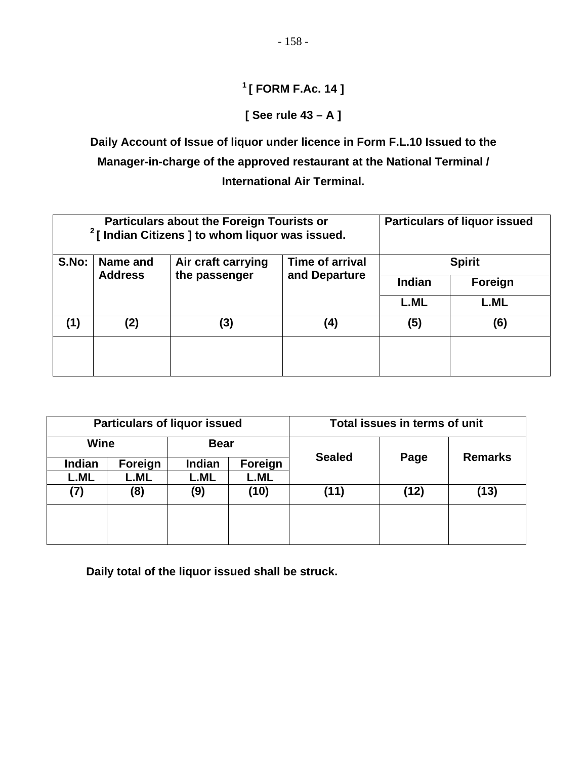# **1 [ FORM F.Ac. 14 ]**

## **[ See rule 43 – A ]**

**Daily Account of Issue of liquor under licence in Form F.L.10 Issued to the Manager-in-charge of the approved restaurant at the National Terminal / International Air Terminal.** 

|       |                | <b>Particulars about the Foreign Tourists or</b><br>$2$ [ Indian Citizens ] to whom liquor was issued. |               | <b>Particulars of liquor issued</b> |             |  |  |  |
|-------|----------------|--------------------------------------------------------------------------------------------------------|---------------|-------------------------------------|-------------|--|--|--|
| S.No: | Name and       | Air craft carrying                                                                                     | <b>Spirit</b> |                                     |             |  |  |  |
|       | <b>Address</b> | the passenger                                                                                          | and Departure | Indian                              | Foreign     |  |  |  |
|       |                |                                                                                                        |               | <b>L.ML</b>                         | <b>L.ML</b> |  |  |  |
| (1)   | (2)            | (3)                                                                                                    | (4)           | (5)                                 | (6)         |  |  |  |
|       |                |                                                                                                        |               |                                     |             |  |  |  |
|       |                |                                                                                                        |               |                                     |             |  |  |  |

|             |             | <b>Particulars of liquor issued</b> |             |               | Total issues in terms of unit |                |  |
|-------------|-------------|-------------------------------------|-------------|---------------|-------------------------------|----------------|--|
| Wine        |             | <b>Bear</b>                         |             |               |                               |                |  |
| Indian      | Foreign     | Indian                              | Foreign     | <b>Sealed</b> | Page                          | <b>Remarks</b> |  |
| <b>L.ML</b> | <b>L.ML</b> | L.ML                                | <b>L.ML</b> |               |                               |                |  |
| (7)         | (8)         | (9)                                 | (10)        | (11)          | (12)                          | (13)           |  |
|             |             |                                     |             |               |                               |                |  |
|             |             |                                     |             |               |                               |                |  |
|             |             |                                     |             |               |                               |                |  |

**Daily total of the liquor issued shall be struck.**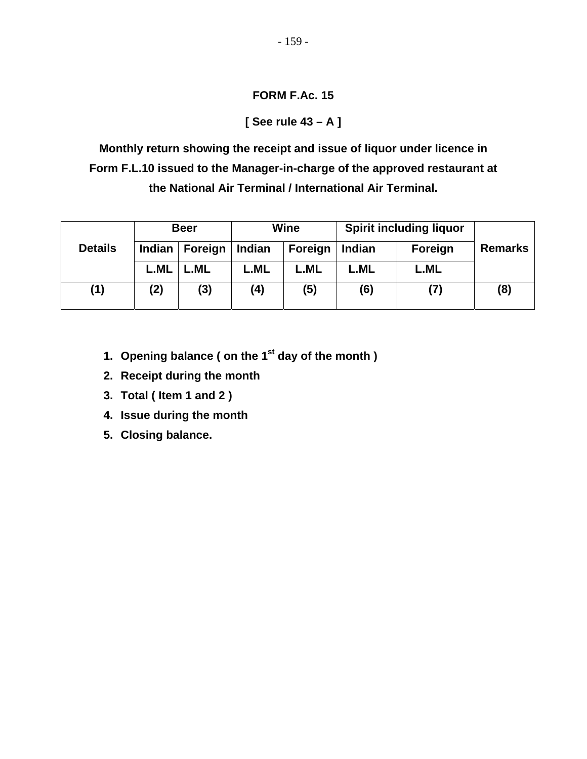### **[ See rule 43 – A ]**

**Monthly return showing the receipt and issue of liquor under licence in Form F.L.10 issued to the Manager-in-charge of the approved restaurant at the National Air Terminal / International Air Terminal.** 

|                |             | <b>Beer</b> |             | <b>Wine</b> | <b>Spirit including liquor</b> |         |                |
|----------------|-------------|-------------|-------------|-------------|--------------------------------|---------|----------------|
| <b>Details</b> | Indian      | Foreign     | Indian      | Foreign     | Indian                         | Foreign | <b>Remarks</b> |
|                | <b>L.ML</b> | L.ML        | <b>L.ML</b> | L.ML        | L.ML                           | L.ML    |                |
| (1)            | (2)         | (3)         | (4)         | (5)         | (6)                            | (7)     | (8)            |

- **1. Opening balance ( on the 1st day of the month )**
- **2. Receipt during the month**
- **3. Total ( Item 1 and 2 )**
- **4. Issue during the month**
- **5. Closing balance.**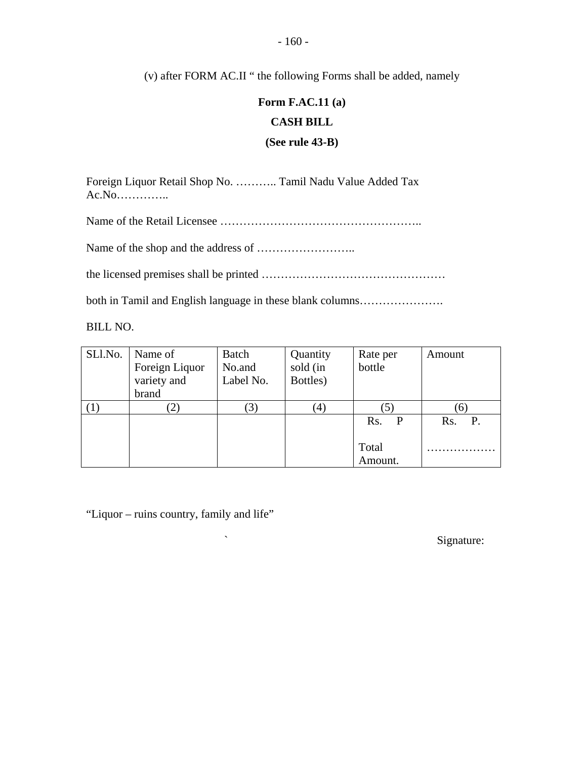(v) after FORM AC.II " the following Forms shall be added, namely

# **Form F.AC.11 (a) CASH BILL (See rule 43-B)**

Foreign Liquor Retail Shop No. ……….. Tamil Nadu Value Added Tax Ac.No…………..

Name of the Retail Licensee ……………………………………………..

Name of the shop and the address of ……………………..

the licensed premises shall be printed …………………………………………

both in Tamil and English language in these blank columns………………….

BILL NO.

| SLl.No. | Name of<br>Foreign Liquor<br>variety and<br>brand | Batch<br>No.and<br>Label No. | Quantity<br>sold (in<br>Bottles) | Rate per<br>bottle | Amount           |
|---------|---------------------------------------------------|------------------------------|----------------------------------|--------------------|------------------|
|         | $\mathcal{L}$                                     | (3)                          | $\left(4\right)$                 |                    | (6)              |
|         |                                                   |                              |                                  | Rs.<br>P           | <b>P.</b><br>Rs. |
|         |                                                   |                              |                                  | Total<br>Amount.   |                  |

"Liquor – ruins country, family and life"

 $\sim$  Signature: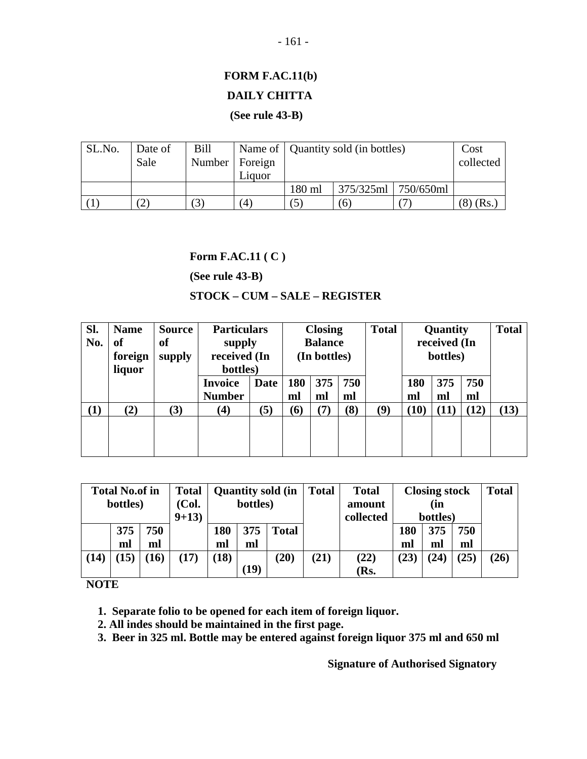# **FORM F.AC.11(b) DAILY CHITTA**

#### **(See rule 43-B)**

| SL.No. | Date of<br>Sale | <b>Bill</b><br>Number   Foreign | Liquor                 |        | Name of   Quantity sold (in bottles)<br>collected |           |      |  |
|--------|-----------------|---------------------------------|------------------------|--------|---------------------------------------------------|-----------|------|--|
|        |                 |                                 |                        | 180 ml | 375/325ml                                         | 750/650ml |      |  |
|        |                 |                                 | $\left 4\right\rangle$ |        | 6                                                 |           | (Rs. |  |

#### **Form F.AC.11 ( C )**

**(See rule 43-B)** 

#### **STOCK – CUM – SALE – REGISTER**

| SI.<br>No. | <b>Name</b><br><b>of</b><br>foreign<br>liquor | <b>Source</b><br>of<br>supply |                                         | <b>Particulars</b><br>supply<br>received (In<br>bottles) |                   | <b>Closing</b><br><b>Balance</b><br>(In bottles) |           |     |           | Quantity<br>received (In<br>bottles) |           | <b>Total</b> |
|------------|-----------------------------------------------|-------------------------------|-----------------------------------------|----------------------------------------------------------|-------------------|--------------------------------------------------|-----------|-----|-----------|--------------------------------------|-----------|--------------|
|            |                                               |                               | <b>Invoice</b><br>Date<br><b>Number</b> |                                                          | 180<br>ml         | 375<br>ml                                        | 750<br>ml |     | 180<br>ml | 375<br>ml                            | 750<br>ml |              |
| $\bf(1)$   | (2)                                           | (3)                           | $\left( 4\right)$                       | (5)                                                      |                   | (7                                               | (8)       | (9) | (10)      |                                      | (12)      | (13)         |
|            |                                               |                               |                                         |                                                          | $\left( 6\right)$ |                                                  |           |     |           |                                      |           |              |

|      | <b>Total No.of in</b> |     | <b>Total</b> | <b>Quantity sold (in</b> |      |              | <b>Total</b> | <b>Total</b> |          | <b>Closing stock</b> |      | <b>Total</b> |
|------|-----------------------|-----|--------------|--------------------------|------|--------------|--------------|--------------|----------|----------------------|------|--------------|
|      | bottles)<br>(Col.     |     |              | bottles)                 |      |              |              | amount       |          | (in                  |      |              |
|      |                       |     | $9 + 13$     |                          |      |              |              | collected    | bottles) |                      |      |              |
|      | 375                   | 750 |              | 180                      | 375  | <b>Total</b> |              |              | 180      | 375                  | 750  |              |
|      | ml                    | ml  |              | ml                       | ml   |              |              |              | ml       | ml                   | ml   |              |
| (14) | 15)                   | 16) | (17)         | (18)                     |      | (20)         | (21)         | (22)         | (23)     | (24)                 | (25) | (26)         |
|      |                       |     |              |                          | (19) |              |              | (Rs.         |          |                      |      |              |

**NOTE** 

 **1. Separate folio to be opened for each item of foreign liquor.** 

 **2. All indes should be maintained in the first page.** 

 **3. Beer in 325 ml. Bottle may be entered against foreign liquor 375 ml and 650 ml** 

 **Signature of Authorised Signatory**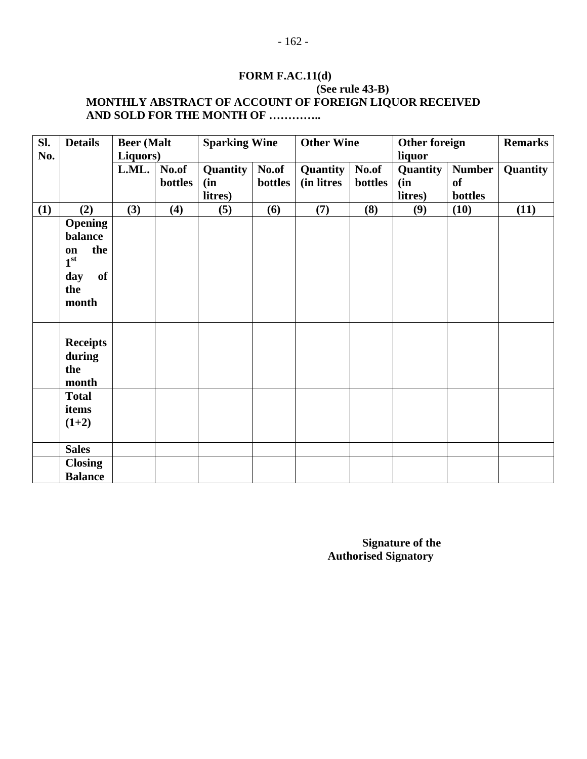# **FORM F.AC.11(d)**

#### **(See rule 43-B) MONTHLY ABSTRACT OF ACCOUNT OF FOREIGN LIQUOR RECEIVED AND SOLD FOR THE MONTH OF …………..**

| Sl. | <b>Details</b>  | <b>Beer</b> (Malt |         | <b>Sparking Wine</b> |         | <b>Other Wine</b> |         | Other foreign |               | <b>Remarks</b> |
|-----|-----------------|-------------------|---------|----------------------|---------|-------------------|---------|---------------|---------------|----------------|
| No. |                 | Liquors)          |         |                      |         |                   |         | liquor        |               |                |
|     |                 | L.ML.             | No.of   | Quantity             | No.of   | Quantity          | No.of   | Quantity      | <b>Number</b> | Quantity       |
|     |                 |                   | bottles | (in)                 | bottles | (in litres        | bottles | (in           | <b>of</b>     |                |
|     |                 |                   |         | litres)              |         |                   |         | litres)       | bottles       |                |
| (1) | (2)             | (3)               | (4)     | (5)                  | (6)     | (7)               | (8)     | (9)           | (10)          | (11)           |
|     | <b>Opening</b>  |                   |         |                      |         |                   |         |               |               |                |
|     | balance         |                   |         |                      |         |                   |         |               |               |                |
|     | the<br>on       |                   |         |                      |         |                   |         |               |               |                |
|     | 1 <sup>st</sup> |                   |         |                      |         |                   |         |               |               |                |
|     | of<br>day       |                   |         |                      |         |                   |         |               |               |                |
|     | the             |                   |         |                      |         |                   |         |               |               |                |
|     | month           |                   |         |                      |         |                   |         |               |               |                |
|     |                 |                   |         |                      |         |                   |         |               |               |                |
|     | <b>Receipts</b> |                   |         |                      |         |                   |         |               |               |                |
|     | during          |                   |         |                      |         |                   |         |               |               |                |
|     | the             |                   |         |                      |         |                   |         |               |               |                |
|     | month           |                   |         |                      |         |                   |         |               |               |                |
|     | <b>Total</b>    |                   |         |                      |         |                   |         |               |               |                |
|     | items           |                   |         |                      |         |                   |         |               |               |                |
|     | $(1+2)$         |                   |         |                      |         |                   |         |               |               |                |
|     |                 |                   |         |                      |         |                   |         |               |               |                |
|     | <b>Sales</b>    |                   |         |                      |         |                   |         |               |               |                |
|     | <b>Closing</b>  |                   |         |                      |         |                   |         |               |               |                |
|     | <b>Balance</b>  |                   |         |                      |         |                   |         |               |               |                |

**Signature of the Authorised Signatory**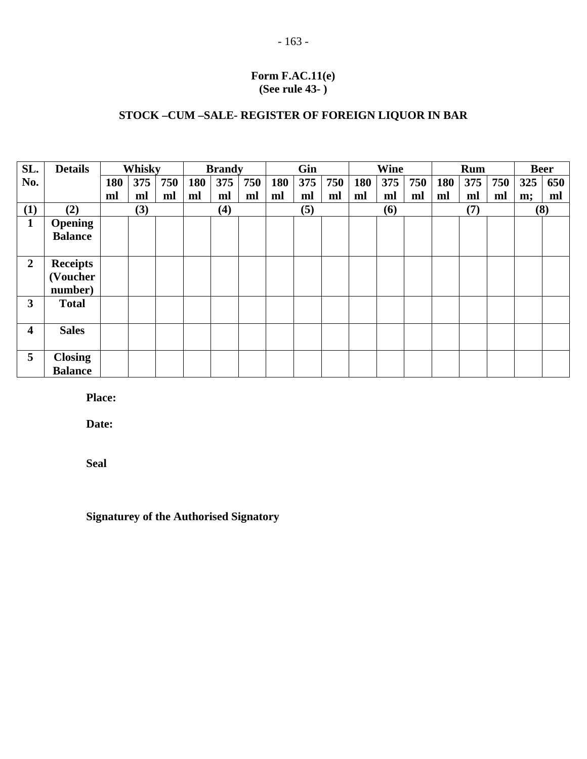#### **Form F.AC.11(e) (See rule 43- )**

#### **STOCK –CUM –SALE- REGISTER OF FOREIGN LIQUOR IN BAR**

| SL.                     | <b>Details</b>  | Whisky |     | <b>Brandy</b> |     |     | Gin |     |     | Wine |            |     | <b>Rum</b> |            |     | <b>Beer</b> |     |     |
|-------------------------|-----------------|--------|-----|---------------|-----|-----|-----|-----|-----|------|------------|-----|------------|------------|-----|-------------|-----|-----|
| No.                     |                 | 180    | 375 | 750           | 180 | 375 | 750 | 180 | 375 | 750  | 180        | 375 | 750        | <b>180</b> | 375 | 750         | 325 | 650 |
|                         |                 | ml     | ml  | ml            | ml  | ml  | ml  | ml  | ml  | ml   | ml         | ml  | ml         | ml         | ml  | ml          | m;  | ml  |
| (1)                     | (2)             | (3)    |     |               | (4) |     |     | (5) |     |      | <b>(6)</b> |     | (7)        |            | (8) |             |     |     |
| $\mathbf{1}$            | <b>Opening</b>  |        |     |               |     |     |     |     |     |      |            |     |            |            |     |             |     |     |
|                         | <b>Balance</b>  |        |     |               |     |     |     |     |     |      |            |     |            |            |     |             |     |     |
|                         |                 |        |     |               |     |     |     |     |     |      |            |     |            |            |     |             |     |     |
| $\overline{2}$          | <b>Receipts</b> |        |     |               |     |     |     |     |     |      |            |     |            |            |     |             |     |     |
|                         | (Voucher        |        |     |               |     |     |     |     |     |      |            |     |            |            |     |             |     |     |
|                         | number)         |        |     |               |     |     |     |     |     |      |            |     |            |            |     |             |     |     |
| $\overline{\mathbf{3}}$ | <b>Total</b>    |        |     |               |     |     |     |     |     |      |            |     |            |            |     |             |     |     |
|                         |                 |        |     |               |     |     |     |     |     |      |            |     |            |            |     |             |     |     |
| 4                       | <b>Sales</b>    |        |     |               |     |     |     |     |     |      |            |     |            |            |     |             |     |     |
|                         |                 |        |     |               |     |     |     |     |     |      |            |     |            |            |     |             |     |     |
| 5                       | <b>Closing</b>  |        |     |               |     |     |     |     |     |      |            |     |            |            |     |             |     |     |
|                         | <b>Balance</b>  |        |     |               |     |     |     |     |     |      |            |     |            |            |     |             |     |     |

**Place:** 

**Date:** 

**Seal** 

**Signaturey of the Authorised Signatory**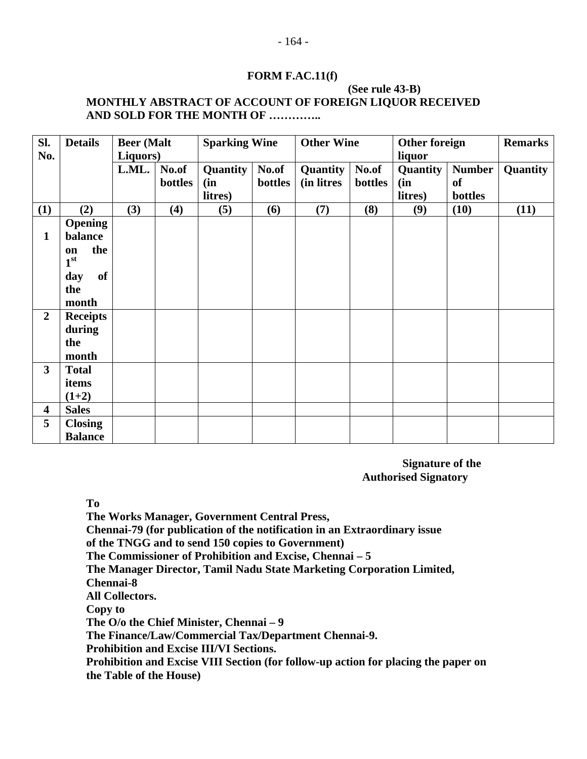#### **FORM F.AC.11(f)**

#### **(See rule 43-B) MONTHLY ABSTRACT OF ACCOUNT OF FOREIGN LIQUOR RECEIVED AND SOLD FOR THE MONTH OF …………..**

| Sl.<br>No.              | <b>Details</b>                                                                         | <b>Beer</b> (Malt<br>Liquors) |                  | <b>Sparking Wine</b>       |                  | <b>Other Wine</b>      |                  | <b>Other foreign</b>                 | <b>Remarks</b>                        |          |
|-------------------------|----------------------------------------------------------------------------------------|-------------------------------|------------------|----------------------------|------------------|------------------------|------------------|--------------------------------------|---------------------------------------|----------|
|                         |                                                                                        | L.ML.                         | No.of<br>bottles | Quantity<br>(in<br>litres) | No.of<br>bottles | Quantity<br>(in litres | No.of<br>bottles | liquor<br>Quantity<br>(in<br>litres) | <b>Number</b><br><b>of</b><br>bottles | Quantity |
| (1)                     | (2)                                                                                    | (3)                           | (4)              | (5)                        | (6)              | (7)                    | (8)              | (9)                                  | (10)                                  | (11)     |
| $\mathbf{1}$            | <b>Opening</b><br>balance<br>the<br>on<br>1 <sup>st</sup><br>of<br>day<br>the<br>month |                               |                  |                            |                  |                        |                  |                                      |                                       |          |
| $\overline{2}$          | <b>Receipts</b><br>during<br>the<br>month                                              |                               |                  |                            |                  |                        |                  |                                      |                                       |          |
| $\overline{\mathbf{3}}$ | <b>Total</b><br>items<br>$(1+2)$                                                       |                               |                  |                            |                  |                        |                  |                                      |                                       |          |
| 4                       | <b>Sales</b>                                                                           |                               |                  |                            |                  |                        |                  |                                      |                                       |          |
| 5                       | <b>Closing</b><br><b>Balance</b>                                                       |                               |                  |                            |                  |                        |                  |                                      |                                       |          |

 **Signature of the Authorised Signatory** 

**To** 

**The Works Manager, Government Central Press, Chennai-79 (for publication of the notification in an Extraordinary issue of the TNGG and to send 150 copies to Government) The Commissioner of Prohibition and Excise, Chennai – 5 The Manager Director, Tamil Nadu State Marketing Corporation Limited, Chennai-8 All Collectors. Copy to The O/o the Chief Minister, Chennai – 9 The Finance/Law/Commercial Tax/Department Chennai-9. Prohibition and Excise III/VI Sections.** 

**Prohibition and Excise VIII Section (for follow-up action for placing the paper on the Table of the House)**